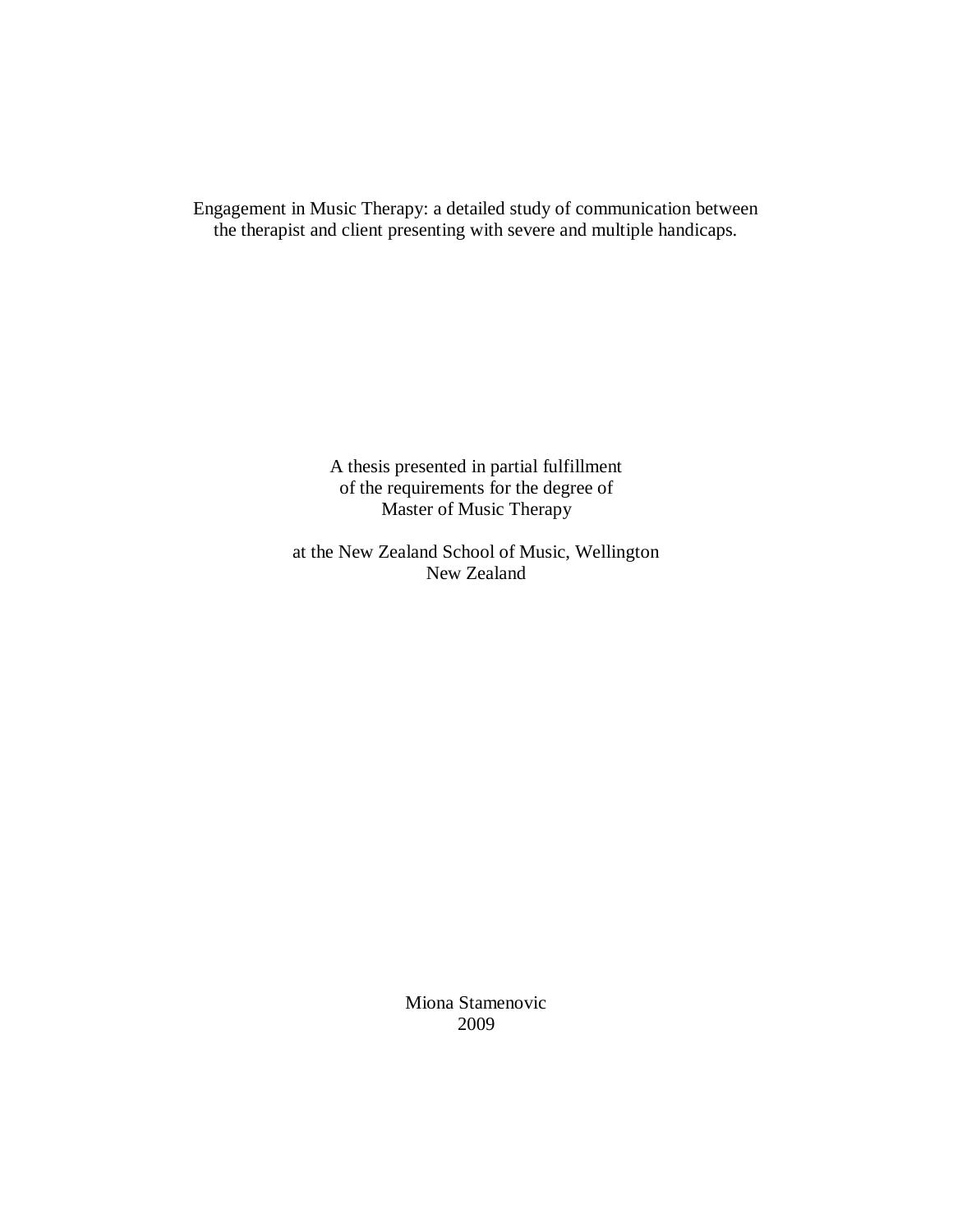Engagement in Music Therapy: a detailed study of communication between the therapist and client presenting with severe and multiple handicaps.

> A thesis presented in partial fulfillment of the requirements for the degree of Master of Music Therapy

at the New Zealand School of Music, Wellington New Zealand

> Miona Stamenovic 2009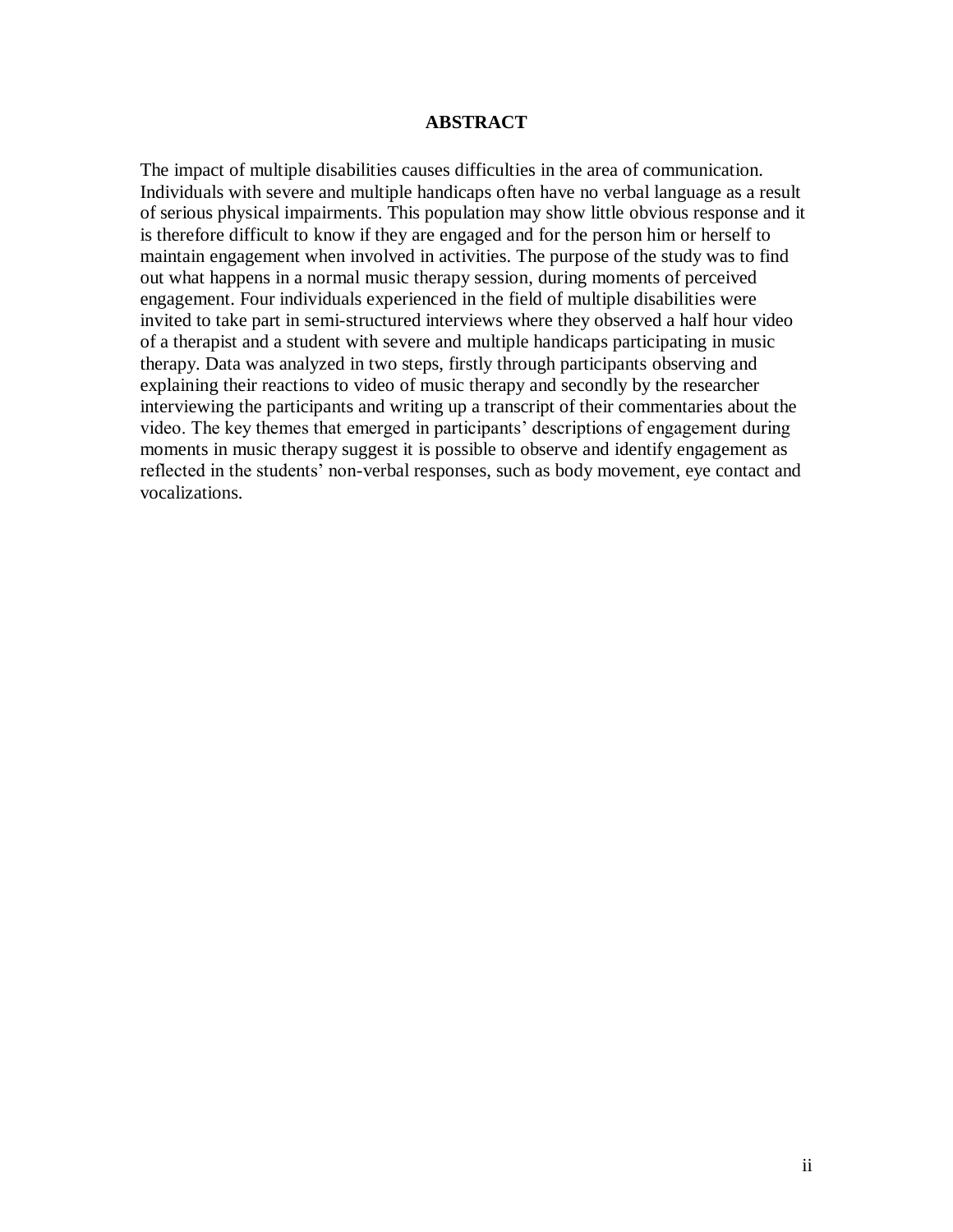### **ABSTRACT**

<span id="page-1-0"></span>The impact of multiple disabilities causes difficulties in the area of communication. Individuals with severe and multiple handicaps often have no verbal language as a result of serious physical impairments. This population may show little obvious response and it is therefore difficult to know if they are engaged and for the person him or herself to maintain engagement when involved in activities. The purpose of the study was to find out what happens in a normal music therapy session, during moments of perceived engagement. Four individuals experienced in the field of multiple disabilities were invited to take part in semi-structured interviews where they observed a half hour video of a therapist and a student with severe and multiple handicaps participating in music therapy. Data was analyzed in two steps, firstly through participants observing and explaining their reactions to video of music therapy and secondly by the researcher interviewing the participants and writing up a transcript of their commentaries about the video. The key themes that emerged in participants" descriptions of engagement during moments in music therapy suggest it is possible to observe and identify engagement as reflected in the students' non-verbal responses, such as body movement, eye contact and vocalizations.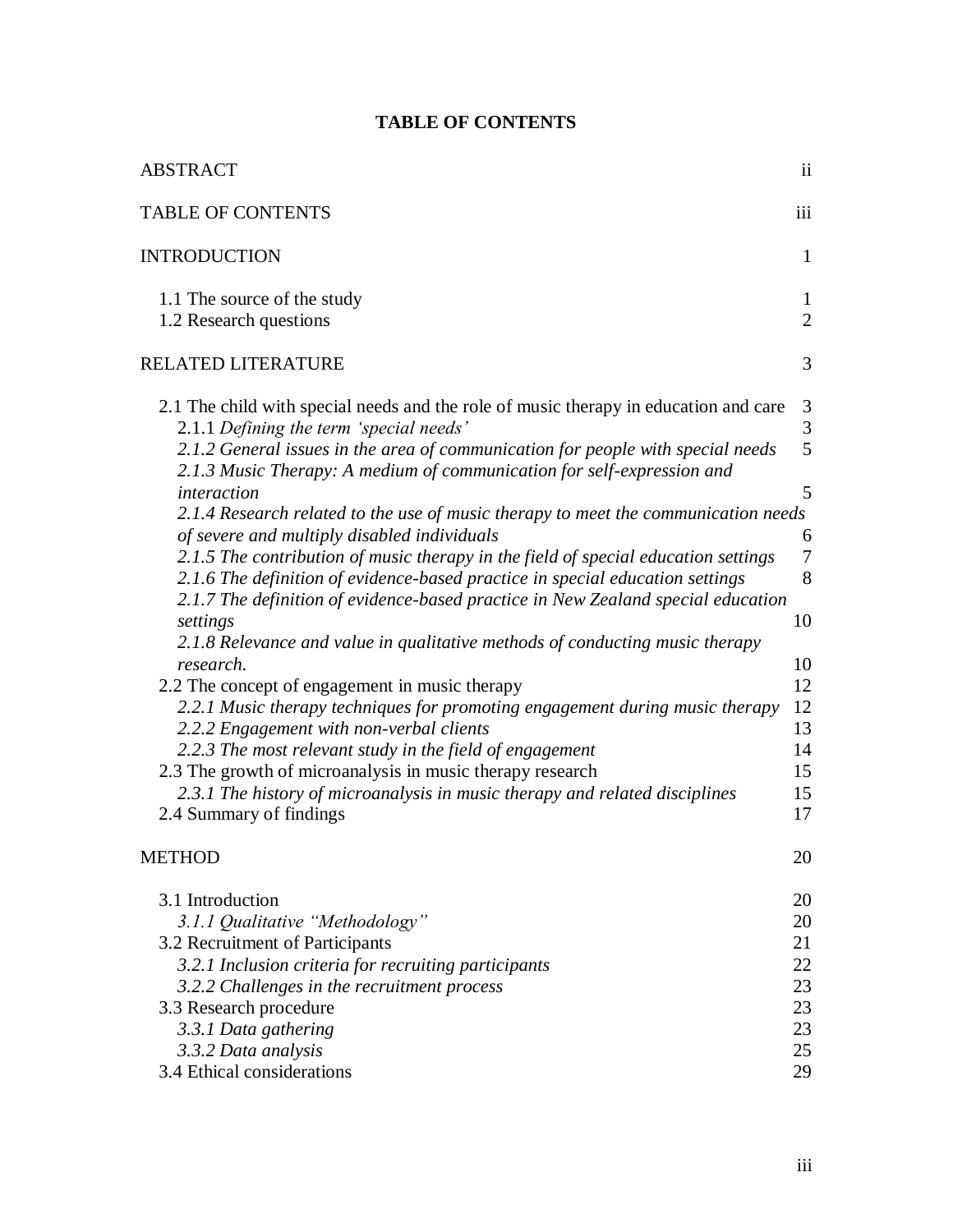<span id="page-2-0"></span>

| <b>ABSTRACT</b>                                                                                                                                                                                                                                                                                                                                                                                                                                                                                                                                                                                                                                                                                                                                                                                                                                                                                                                                                                                                                                                                                                                                                                                                                       | ii                                                                                                 |
|---------------------------------------------------------------------------------------------------------------------------------------------------------------------------------------------------------------------------------------------------------------------------------------------------------------------------------------------------------------------------------------------------------------------------------------------------------------------------------------------------------------------------------------------------------------------------------------------------------------------------------------------------------------------------------------------------------------------------------------------------------------------------------------------------------------------------------------------------------------------------------------------------------------------------------------------------------------------------------------------------------------------------------------------------------------------------------------------------------------------------------------------------------------------------------------------------------------------------------------|----------------------------------------------------------------------------------------------------|
| <b>TABLE OF CONTENTS</b>                                                                                                                                                                                                                                                                                                                                                                                                                                                                                                                                                                                                                                                                                                                                                                                                                                                                                                                                                                                                                                                                                                                                                                                                              | iii                                                                                                |
| <b>INTRODUCTION</b>                                                                                                                                                                                                                                                                                                                                                                                                                                                                                                                                                                                                                                                                                                                                                                                                                                                                                                                                                                                                                                                                                                                                                                                                                   | 1                                                                                                  |
| 1.1 The source of the study<br>1.2 Research questions                                                                                                                                                                                                                                                                                                                                                                                                                                                                                                                                                                                                                                                                                                                                                                                                                                                                                                                                                                                                                                                                                                                                                                                 | $\mathbf{1}$<br>$\overline{2}$                                                                     |
| <b>RELATED LITERATURE</b>                                                                                                                                                                                                                                                                                                                                                                                                                                                                                                                                                                                                                                                                                                                                                                                                                                                                                                                                                                                                                                                                                                                                                                                                             | 3                                                                                                  |
| 2.1 The child with special needs and the role of music therapy in education and care<br>2.1.1 Defining the term 'special needs'<br>2.1.2 General issues in the area of communication for people with special needs<br>2.1.3 Music Therapy: A medium of communication for self-expression and<br>interaction<br>2.1.4 Research related to the use of music therapy to meet the communication needs<br>of severe and multiply disabled individuals<br>2.1.5 The contribution of music therapy in the field of special education settings<br>2.1.6 The definition of evidence-based practice in special education settings<br>2.1.7 The definition of evidence-based practice in New Zealand special education<br>settings<br>2.1.8 Relevance and value in qualitative methods of conducting music therapy<br>research.<br>2.2 The concept of engagement in music therapy<br>2.2.1 Music therapy techniques for promoting engagement during music therapy<br>2.2.2 Engagement with non-verbal clients<br>2.2.3 The most relevant study in the field of engagement<br>2.3 The growth of microanalysis in music therapy research<br>2.3.1 The history of microanalysis in music therapy and related disciplines<br>2.4 Summary of findings | 3<br>3<br>5<br>5<br>6<br>$\overline{7}$<br>8<br>10<br>10<br>12<br>12<br>13<br>14<br>15<br>15<br>17 |
| <b>METHOD</b>                                                                                                                                                                                                                                                                                                                                                                                                                                                                                                                                                                                                                                                                                                                                                                                                                                                                                                                                                                                                                                                                                                                                                                                                                         | 20                                                                                                 |
| 3.1 Introduction<br>3.1.1 Qualitative "Methodology"<br>3.2 Recruitment of Participants<br>3.2.1 Inclusion criteria for recruiting participants<br>3.2.2 Challenges in the recruitment process<br>3.3 Research procedure<br>3.3.1 Data gathering<br>3.3.2 Data analysis<br>3.4 Ethical considerations                                                                                                                                                                                                                                                                                                                                                                                                                                                                                                                                                                                                                                                                                                                                                                                                                                                                                                                                  | 20<br>20<br>21<br>22<br>23<br>23<br>23<br>25<br>29                                                 |

# **TABLE OF CONTENTS**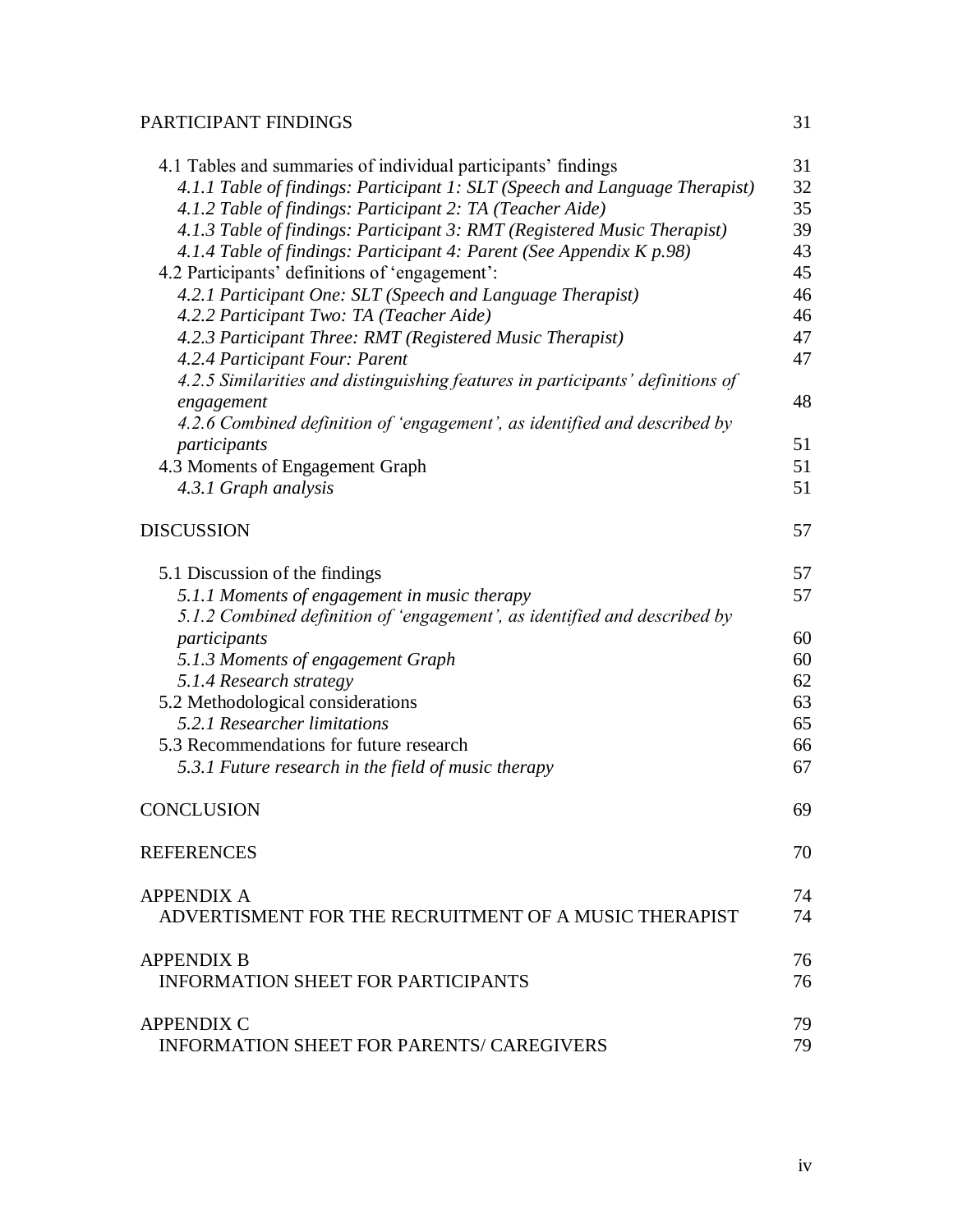# [PARTICIPANT FINDINGS](#page-35-0) 31

| 4.1 Tables and summaries of individual participants' findings                                | 31 |
|----------------------------------------------------------------------------------------------|----|
| 4.1.1 Table of findings: Participant 1: SLT (Speech and Language Therapist)                  | 32 |
| 4.1.2 Table of findings: Participant 2: TA (Teacher Aide)                                    | 35 |
| 4.1.3 Table of findings: Participant 3: RMT (Registered Music Therapist)                     | 39 |
| 4.1.4 Table of findings: Participant 4: Parent (See Appendix K p.98)                         | 43 |
| 4.2 Participants' definitions of 'engagement':                                               | 45 |
| 4.2.1 Participant One: SLT (Speech and Language Therapist)                                   | 46 |
| 4.2.2 Participant Two: TA (Teacher Aide)                                                     | 46 |
| 4.2.3 Participant Three: RMT (Registered Music Therapist)                                    | 47 |
| 4.2.4 Participant Four: Parent                                                               | 47 |
| 4.2.5 Similarities and distinguishing features in participants' definitions of<br>engagement | 48 |
| 4.2.6 Combined definition of 'engagement', as identified and described by                    |    |
| participants                                                                                 | 51 |
| 4.3 Moments of Engagement Graph                                                              | 51 |
| 4.3.1 Graph analysis                                                                         | 51 |
|                                                                                              |    |
| <b>DISCUSSION</b>                                                                            | 57 |
| 5.1 Discussion of the findings                                                               | 57 |
| 5.1.1 Moments of engagement in music therapy                                                 | 57 |
| 5.1.2 Combined definition of 'engagement', as identified and described by                    |    |
| participants                                                                                 | 60 |
| 5.1.3 Moments of engagement Graph                                                            | 60 |
| 5.1.4 Research strategy                                                                      | 62 |
| 5.2 Methodological considerations                                                            | 63 |
| 5.2.1 Researcher limitations                                                                 | 65 |
| 5.3 Recommendations for future research                                                      | 66 |
| 5.3.1 Future research in the field of music therapy                                          | 67 |
| CONCLUSION                                                                                   | 69 |
| <b>REFERENCES</b>                                                                            | 70 |
| <b>APPENDIX A</b>                                                                            | 74 |
| ADVERTISMENT FOR THE RECRUITMENT OF A MUSIC THERAPIST                                        | 74 |
| <b>APPENDIX B</b>                                                                            | 76 |
| <b>INFORMATION SHEET FOR PARTICIPANTS</b>                                                    | 76 |
| <b>APPENDIX C</b>                                                                            | 79 |
| <b>INFORMATION SHEET FOR PARENTS/ CAREGIVERS</b>                                             | 79 |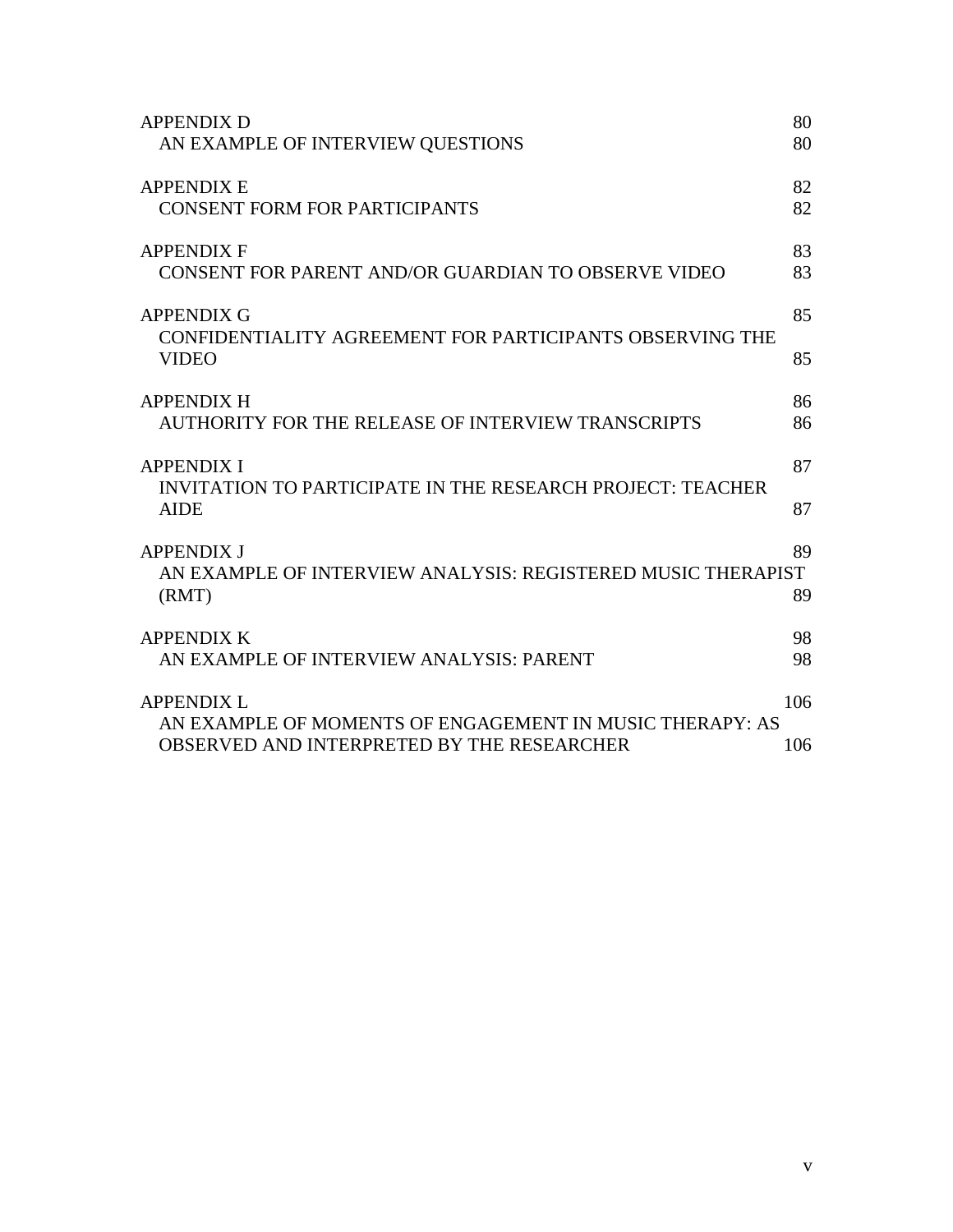| <b>APPENDIX D</b><br>AN EXAMPLE OF INTERVIEW QUESTIONS                                                                      | 80<br>80       |
|-----------------------------------------------------------------------------------------------------------------------------|----------------|
| <b>APPENDIX E</b><br><b>CONSENT FORM FOR PARTICIPANTS</b>                                                                   | 82<br>82       |
| <b>APPENDIX F</b><br>CONSENT FOR PARENT AND/OR GUARDIAN TO OBSERVE VIDEO                                                    | 83<br>83       |
| <b>APPENDIX G</b><br>CONFIDENTIALITY AGREEMENT FOR PARTICIPANTS OBSERVING THE                                               | 85             |
| <b>VIDEO</b><br><b>APPENDIX H</b><br>AUTHORITY FOR THE RELEASE OF INTERVIEW TRANSCRIPTS                                     | 85<br>86<br>86 |
| <b>APPENDIX I</b><br><b>INVITATION TO PARTICIPATE IN THE RESEARCH PROJECT: TEACHER</b>                                      | 87             |
| <b>AIDE</b><br><b>APPENDIX J</b><br>AN EXAMPLE OF INTERVIEW ANALYSIS: REGISTERED MUSIC THERAPIST                            | 87<br>89       |
| (RMT)<br><b>APPENDIX K</b>                                                                                                  | 89<br>98       |
| AN EXAMPLE OF INTERVIEW ANALYSIS: PARENT                                                                                    | 98             |
| <b>APPENDIX L</b><br>AN EXAMPLE OF MOMENTS OF ENGAGEMENT IN MUSIC THERAPY: AS<br>OBSERVED AND INTERPRETED BY THE RESEARCHER | 106<br>106     |
|                                                                                                                             |                |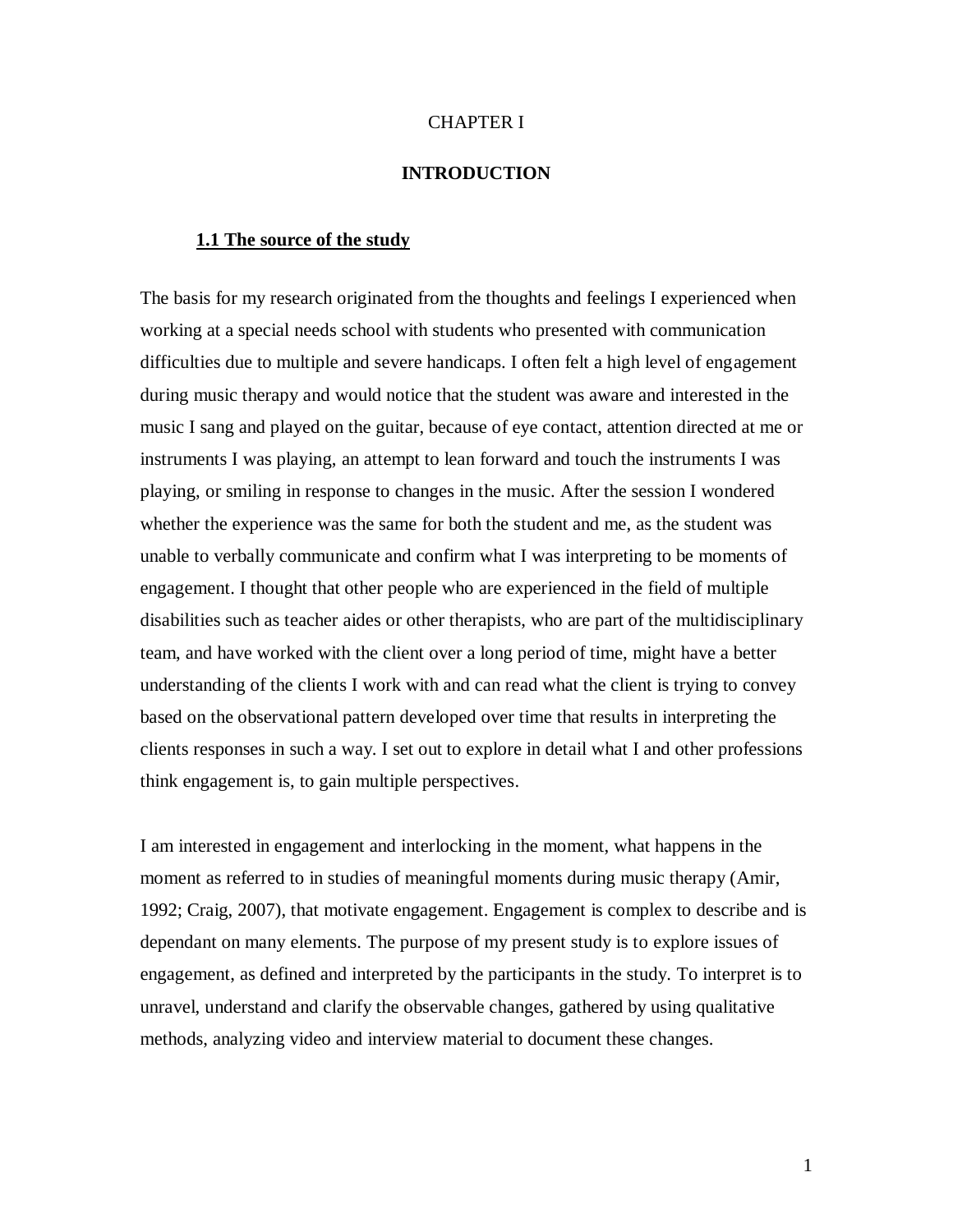#### CHAPTER I

## **INTRODUCTION**

### <span id="page-5-1"></span><span id="page-5-0"></span>**1.1 The source of the study**

The basis for my research originated from the thoughts and feelings I experienced when working at a special needs school with students who presented with communication difficulties due to multiple and severe handicaps. I often felt a high level of engagement during music therapy and would notice that the student was aware and interested in the music I sang and played on the guitar, because of eye contact, attention directed at me or instruments I was playing, an attempt to lean forward and touch the instruments I was playing, or smiling in response to changes in the music. After the session I wondered whether the experience was the same for both the student and me, as the student was unable to verbally communicate and confirm what I was interpreting to be moments of engagement. I thought that other people who are experienced in the field of multiple disabilities such as teacher aides or other therapists, who are part of the multidisciplinary team, and have worked with the client over a long period of time, might have a better understanding of the clients I work with and can read what the client is trying to convey based on the observational pattern developed over time that results in interpreting the clients responses in such a way. I set out to explore in detail what I and other professions think engagement is, to gain multiple perspectives.

I am interested in engagement and interlocking in the moment, what happens in the moment as referred to in studies of meaningful moments during music therapy (Amir, 1992; Craig, 2007), that motivate engagement. Engagement is complex to describe and is dependant on many elements. The purpose of my present study is to explore issues of engagement, as defined and interpreted by the participants in the study. To interpret is to unravel, understand and clarify the observable changes, gathered by using qualitative methods, analyzing video and interview material to document these changes.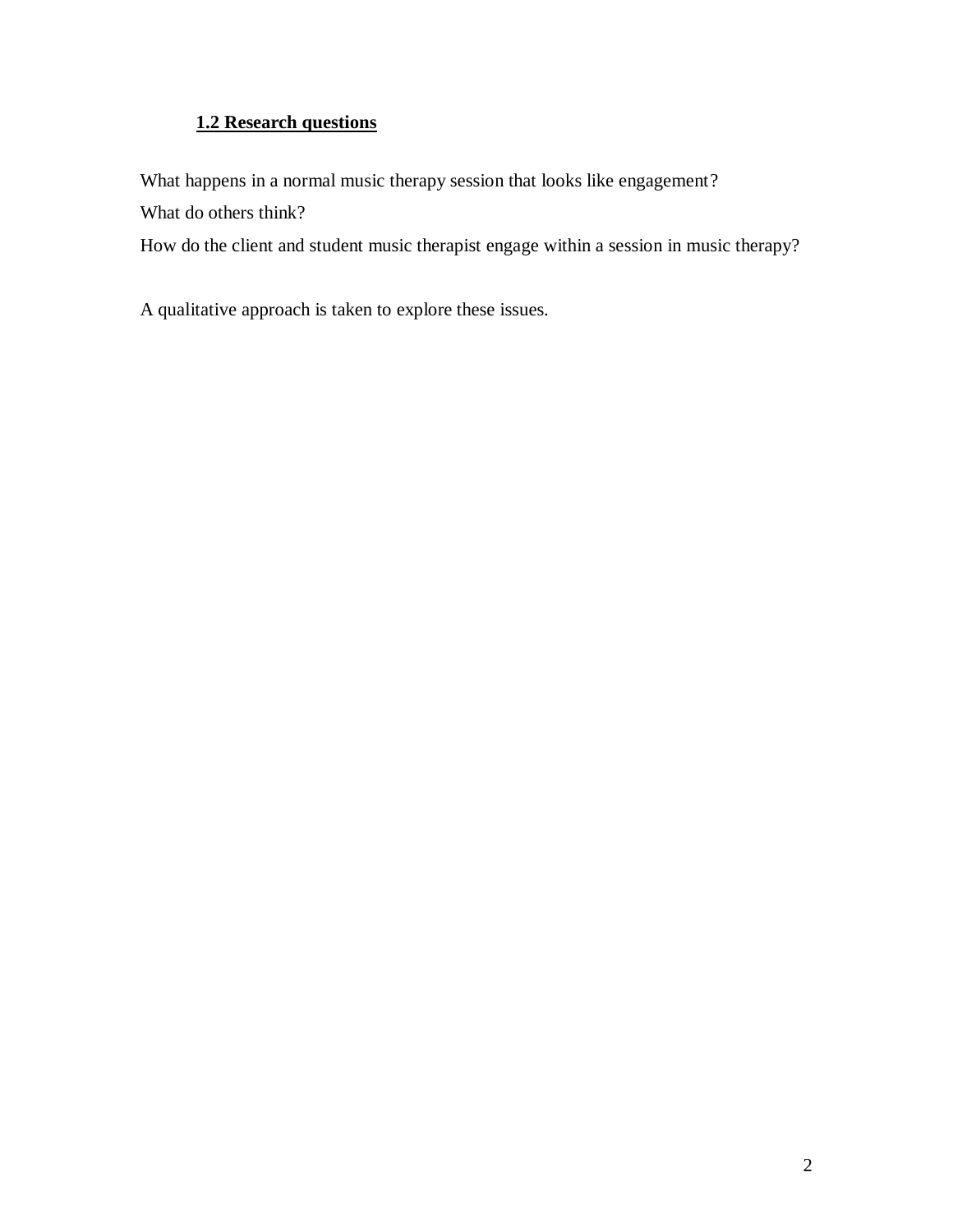# **1.2 Research questions**

<span id="page-6-0"></span>What happens in a normal music therapy session that looks like engagement?

What do others think?

How do the client and student music therapist engage within a session in music therapy?

A qualitative approach is taken to explore these issues.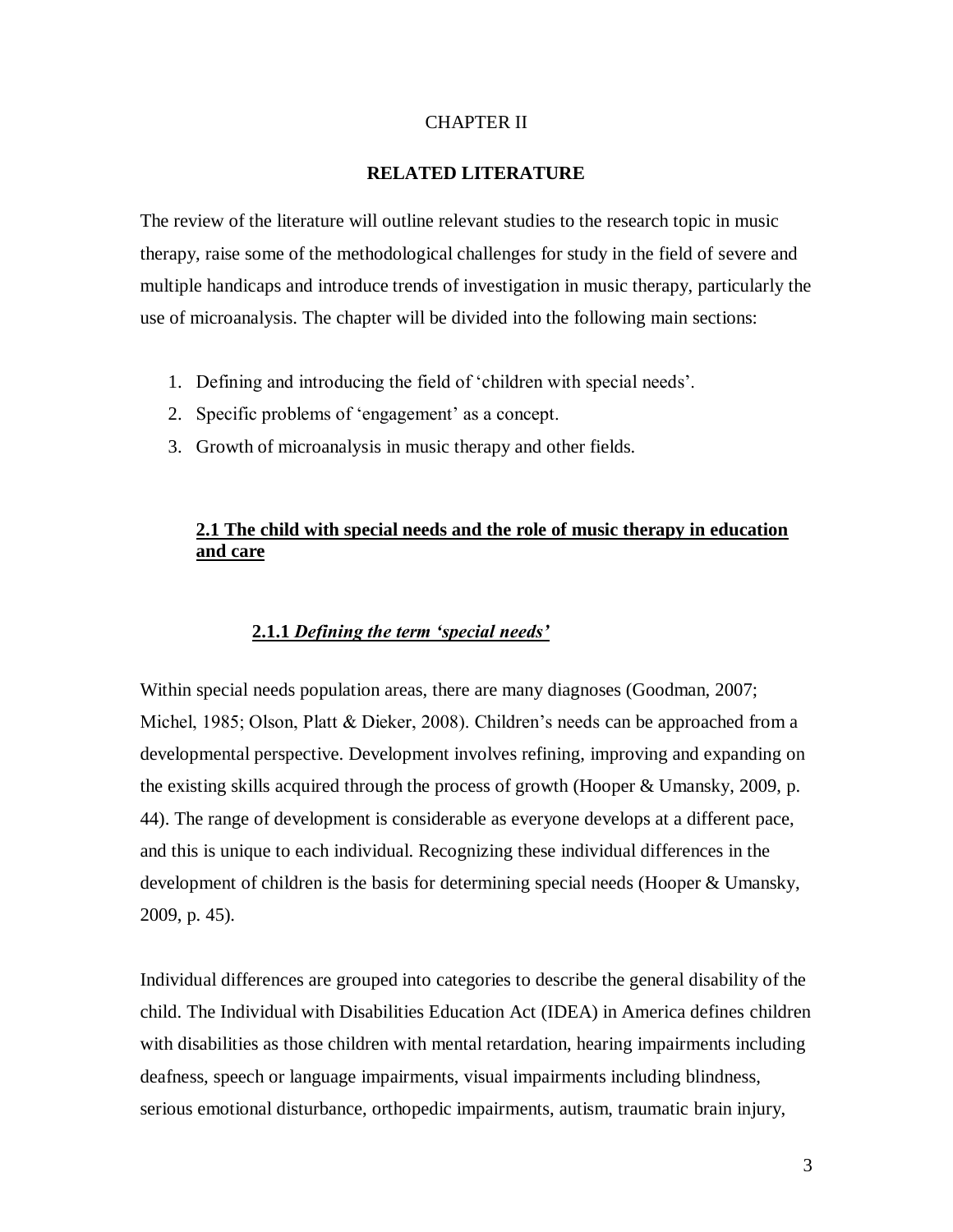### CHAPTER II

### **RELATED LITERATURE**

<span id="page-7-0"></span>The review of the literature will outline relevant studies to the research topic in music therapy, raise some of the methodological challenges for study in the field of severe and multiple handicaps and introduce trends of investigation in music therapy, particularly the use of microanalysis. The chapter will be divided into the following main sections:

- 1. Defining and introducing the field of "children with special needs".
- 2. Specific problems of 'engagement' as a concept.
- 3. Growth of microanalysis in music therapy and other fields.

# <span id="page-7-1"></span>**2.1 The child with special needs and the role of music therapy in education and care**

### **2.1.1** *Defining the term "special needs"*

<span id="page-7-2"></span>Within special needs population areas, there are many diagnoses (Goodman, 2007; Michel, 1985; Olson, Platt & Dieker, 2008). Children's needs can be approached from a developmental perspective. Development involves refining, improving and expanding on the existing skills acquired through the process of growth (Hooper & Umansky, 2009, p. 44). The range of development is considerable as everyone develops at a different pace, and this is unique to each individual. Recognizing these individual differences in the development of children is the basis for determining special needs (Hooper & Umansky, 2009, p. 45).

Individual differences are grouped into categories to describe the general disability of the child. The Individual with Disabilities Education Act (IDEA) in America defines children with disabilities as those children with mental retardation, hearing impairments including deafness, speech or language impairments, visual impairments including blindness, serious emotional disturbance, orthopedic impairments, autism, traumatic brain injury,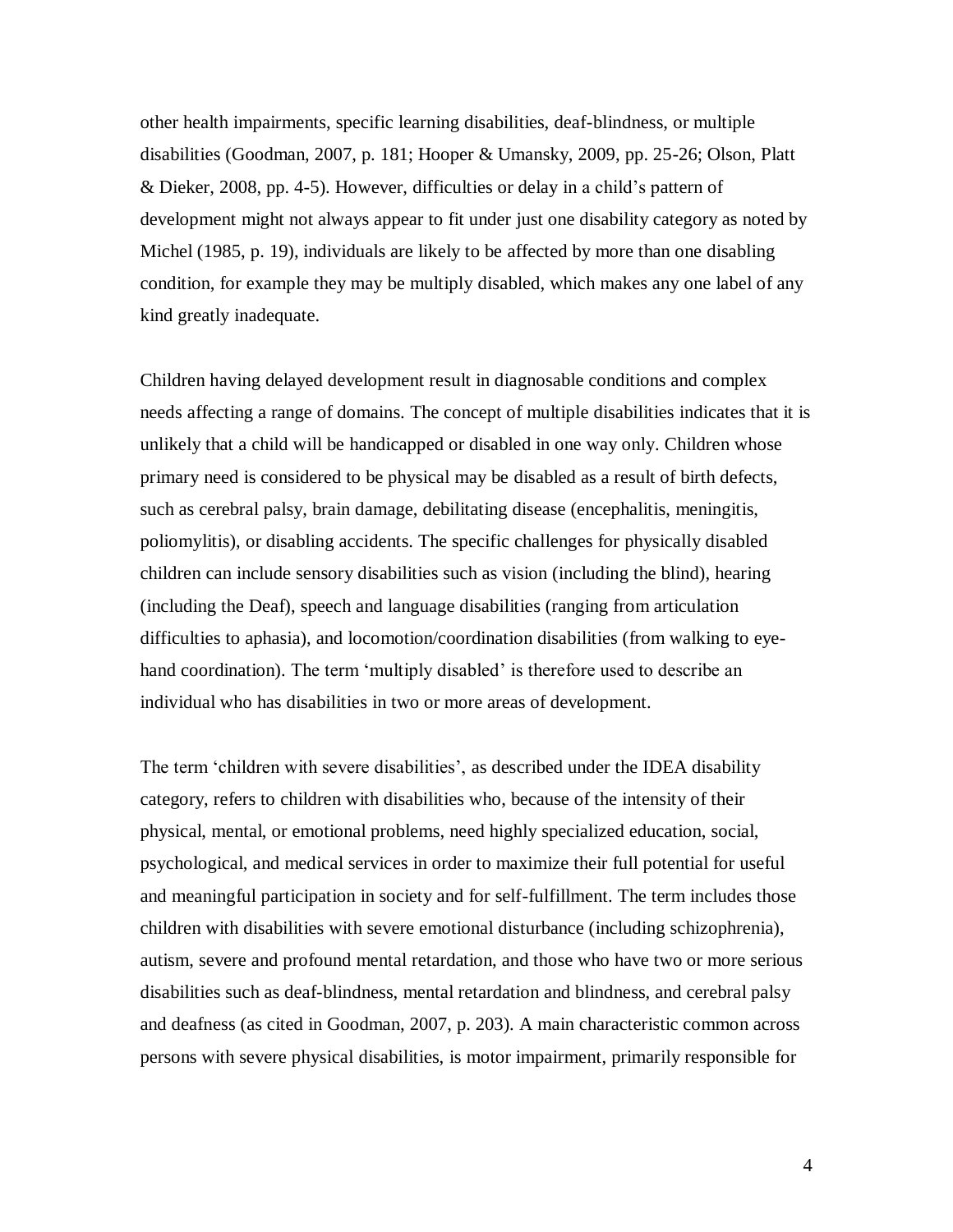other health impairments, specific learning disabilities, deaf-blindness, or multiple disabilities (Goodman, 2007, p. 181; Hooper & Umansky, 2009, pp. 25-26; Olson, Platt & Dieker, 2008, pp. 4-5). However, difficulties or delay in a child"s pattern of development might not always appear to fit under just one disability category as noted by Michel (1985, p. 19), individuals are likely to be affected by more than one disabling condition, for example they may be multiply disabled, which makes any one label of any kind greatly inadequate.

Children having delayed development result in diagnosable conditions and complex needs affecting a range of domains. The concept of multiple disabilities indicates that it is unlikely that a child will be handicapped or disabled in one way only. Children whose primary need is considered to be physical may be disabled as a result of birth defects, such as cerebral palsy, brain damage, debilitating disease (encephalitis, meningitis, poliomylitis), or disabling accidents. The specific challenges for physically disabled children can include sensory disabilities such as vision (including the blind), hearing (including the Deaf), speech and language disabilities (ranging from articulation difficulties to aphasia), and locomotion/coordination disabilities (from walking to eyehand coordination). The term 'multiply disabled' is therefore used to describe an individual who has disabilities in two or more areas of development.

The term "children with severe disabilities", as described under the IDEA disability category, refers to children with disabilities who, because of the intensity of their physical, mental, or emotional problems, need highly specialized education, social, psychological, and medical services in order to maximize their full potential for useful and meaningful participation in society and for self-fulfillment. The term includes those children with disabilities with severe emotional disturbance (including schizophrenia), autism, severe and profound mental retardation, and those who have two or more serious disabilities such as deaf-blindness, mental retardation and blindness, and cerebral palsy and deafness (as cited in Goodman, 2007, p. 203). A main characteristic common across persons with severe physical disabilities, is motor impairment, primarily responsible for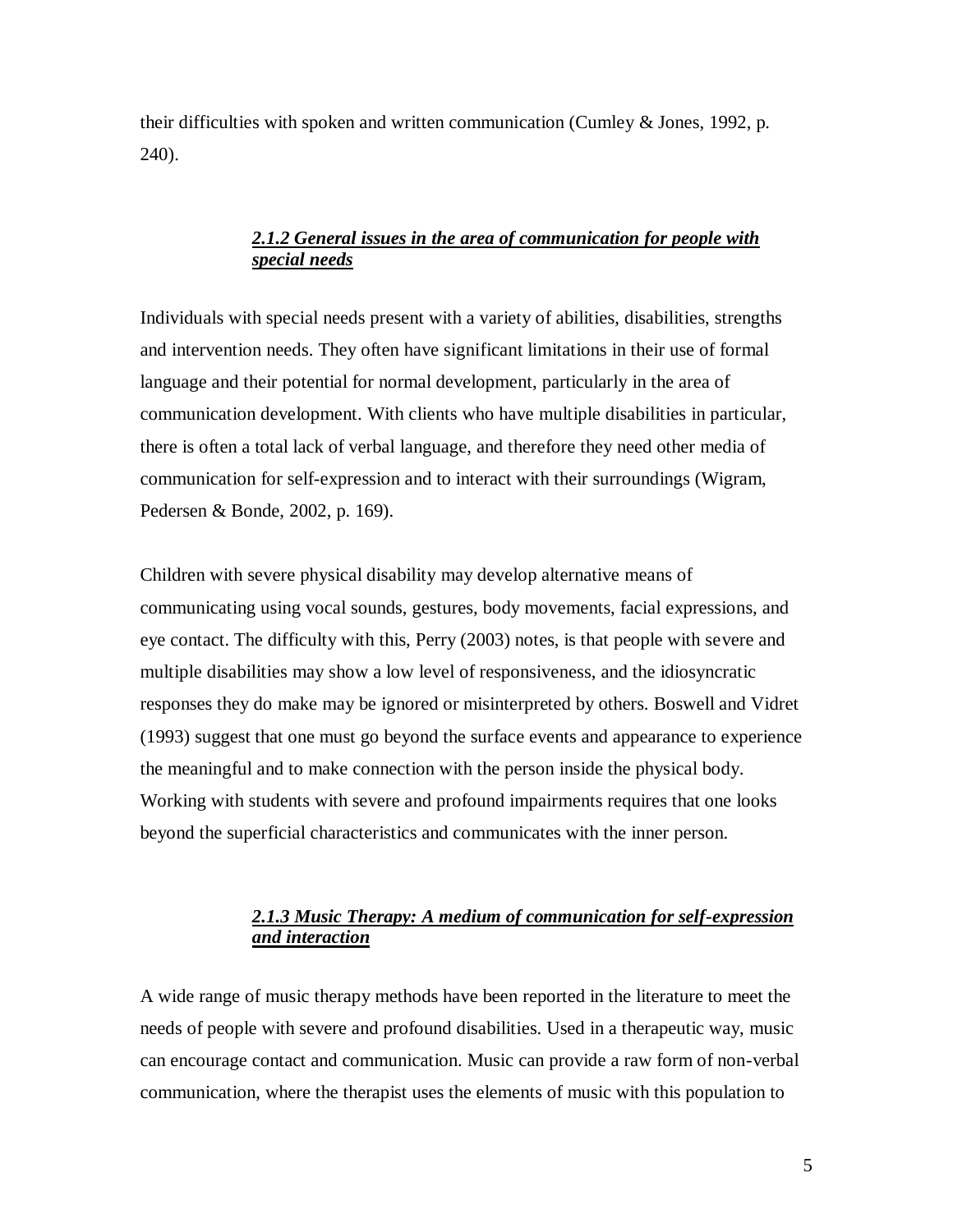<span id="page-9-0"></span>their difficulties with spoken and written communication (Cumley & Jones, 1992, p. 240).

# *2.1.2 General issues in the area of communication for people with special needs*

Individuals with special needs present with a variety of abilities, disabilities, strengths and intervention needs. They often have significant limitations in their use of formal language and their potential for normal development, particularly in the area of communication development. With clients who have multiple disabilities in particular, there is often a total lack of verbal language, and therefore they need other media of communication for self-expression and to interact with their surroundings (Wigram, Pedersen & Bonde, 2002, p. 169).

Children with severe physical disability may develop alternative means of communicating using vocal sounds, gestures, body movements, facial expressions, and eye contact. The difficulty with this, Perry (2003) notes, is that people with severe and multiple disabilities may show a low level of responsiveness, and the idiosyncratic responses they do make may be ignored or misinterpreted by others. Boswell and Vidret (1993) suggest that one must go beyond the surface events and appearance to experience the meaningful and to make connection with the person inside the physical body. Working with students with severe and profound impairments requires that one looks beyond the superficial characteristics and communicates with the inner person.

# *2.1.3 Music Therapy: A medium of communication for self-expression and interaction*

<span id="page-9-1"></span>A wide range of music therapy methods have been reported in the literature to meet the needs of people with severe and profound disabilities. Used in a therapeutic way, music can encourage contact and communication. Music can provide a raw form of non-verbal communication, where the therapist uses the elements of music with this population to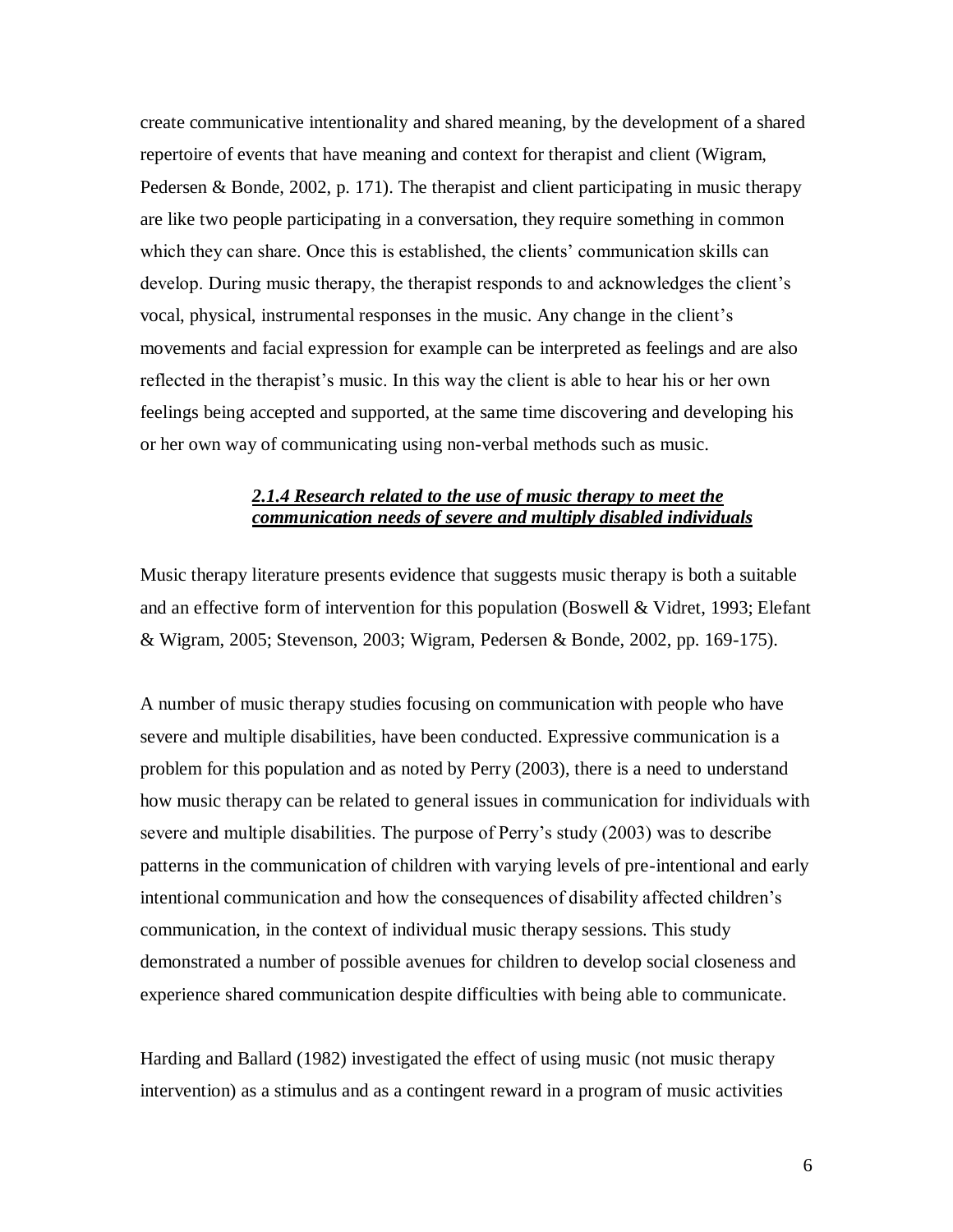create communicative intentionality and shared meaning, by the development of a shared repertoire of events that have meaning and context for therapist and client (Wigram, Pedersen & Bonde, 2002, p. 171). The therapist and client participating in music therapy are like two people participating in a conversation, they require something in common which they can share. Once this is established, the clients' communication skills can develop. During music therapy, the therapist responds to and acknowledges the client"s vocal, physical, instrumental responses in the music. Any change in the client"s movements and facial expression for example can be interpreted as feelings and are also reflected in the therapist"s music. In this way the client is able to hear his or her own feelings being accepted and supported, at the same time discovering and developing his or her own way of communicating using non-verbal methods such as music.

# *2.1.4 Research related to the use of music therapy to meet the communication needs of severe and multiply disabled individuals*

<span id="page-10-0"></span>Music therapy literature presents evidence that suggests music therapy is both a suitable and an effective form of intervention for this population (Boswell & Vidret, 1993; Elefant & Wigram, 2005; Stevenson, 2003; Wigram, Pedersen & Bonde, 2002, pp. 169-175).

A number of music therapy studies focusing on communication with people who have severe and multiple disabilities, have been conducted. Expressive communication is a problem for this population and as noted by Perry (2003), there is a need to understand how music therapy can be related to general issues in communication for individuals with severe and multiple disabilities. The purpose of Perry"s study (2003) was to describe patterns in the communication of children with varying levels of pre-intentional and early intentional communication and how the consequences of disability affected children"s communication, in the context of individual music therapy sessions. This study demonstrated a number of possible avenues for children to develop social closeness and experience shared communication despite difficulties with being able to communicate.

Harding and Ballard (1982) investigated the effect of using music (not music therapy intervention) as a stimulus and as a contingent reward in a program of music activities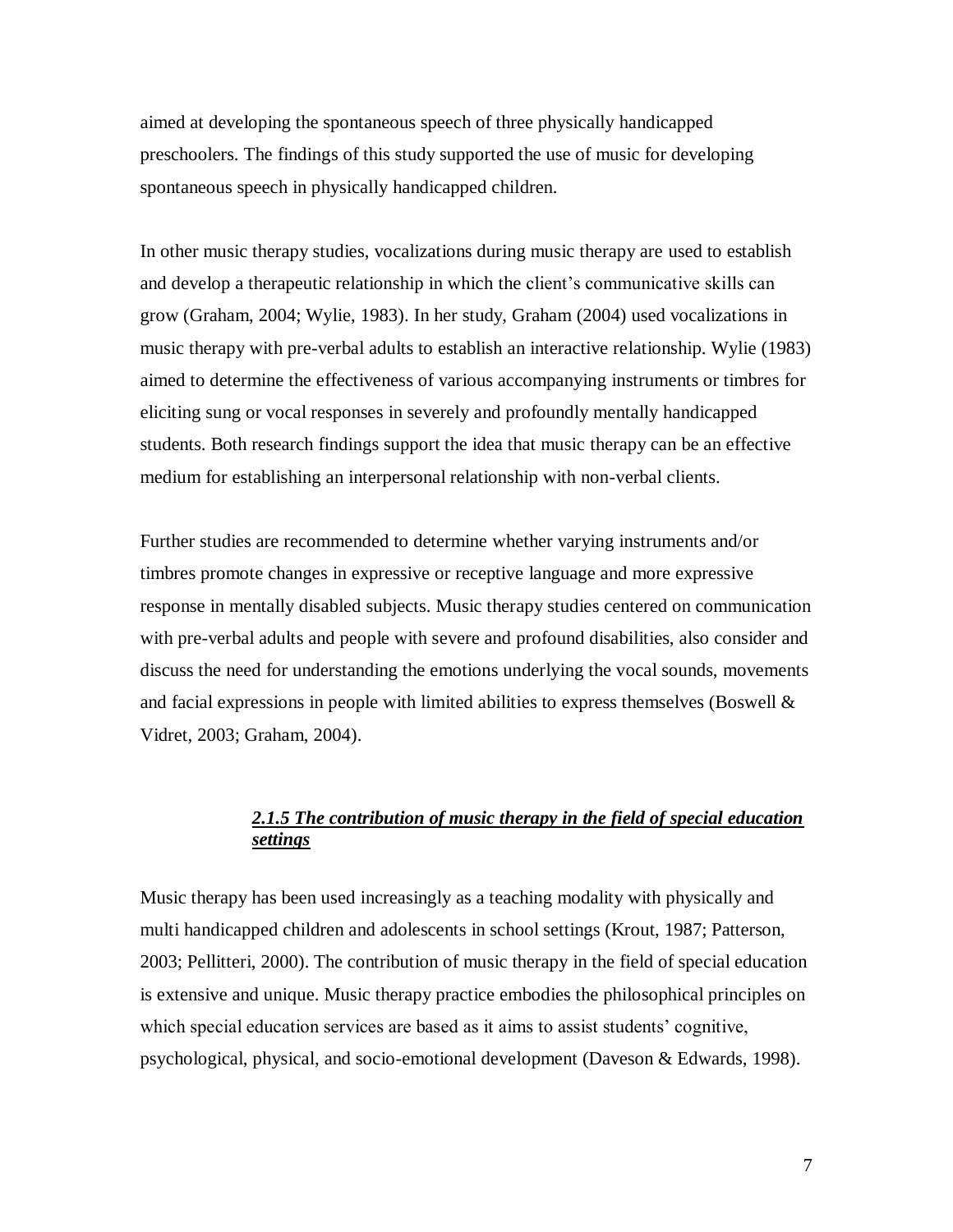aimed at developing the spontaneous speech of three physically handicapped preschoolers. The findings of this study supported the use of music for developing spontaneous speech in physically handicapped children.

In other music therapy studies, vocalizations during music therapy are used to establish and develop a therapeutic relationship in which the client"s communicative skills can grow (Graham, 2004; Wylie, 1983). In her study, Graham (2004) used vocalizations in music therapy with pre-verbal adults to establish an interactive relationship. Wylie (1983) aimed to determine the effectiveness of various accompanying instruments or timbres for eliciting sung or vocal responses in severely and profoundly mentally handicapped students. Both research findings support the idea that music therapy can be an effective medium for establishing an interpersonal relationship with non-verbal clients.

Further studies are recommended to determine whether varying instruments and/or timbres promote changes in expressive or receptive language and more expressive response in mentally disabled subjects. Music therapy studies centered on communication with pre-verbal adults and people with severe and profound disabilities, also consider and discuss the need for understanding the emotions underlying the vocal sounds, movements and facial expressions in people with limited abilities to express themselves (Boswell  $\&$ Vidret, 2003; Graham, 2004).

# *2.1.5 The contribution of music therapy in the field of special education settings*

<span id="page-11-0"></span>Music therapy has been used increasingly as a teaching modality with physically and multi handicapped children and adolescents in school settings (Krout, 1987; Patterson, 2003; Pellitteri, 2000). The contribution of music therapy in the field of special education is extensive and unique. Music therapy practice embodies the philosophical principles on which special education services are based as it aims to assist students' cognitive, psychological, physical, and socio-emotional development (Daveson & Edwards, 1998).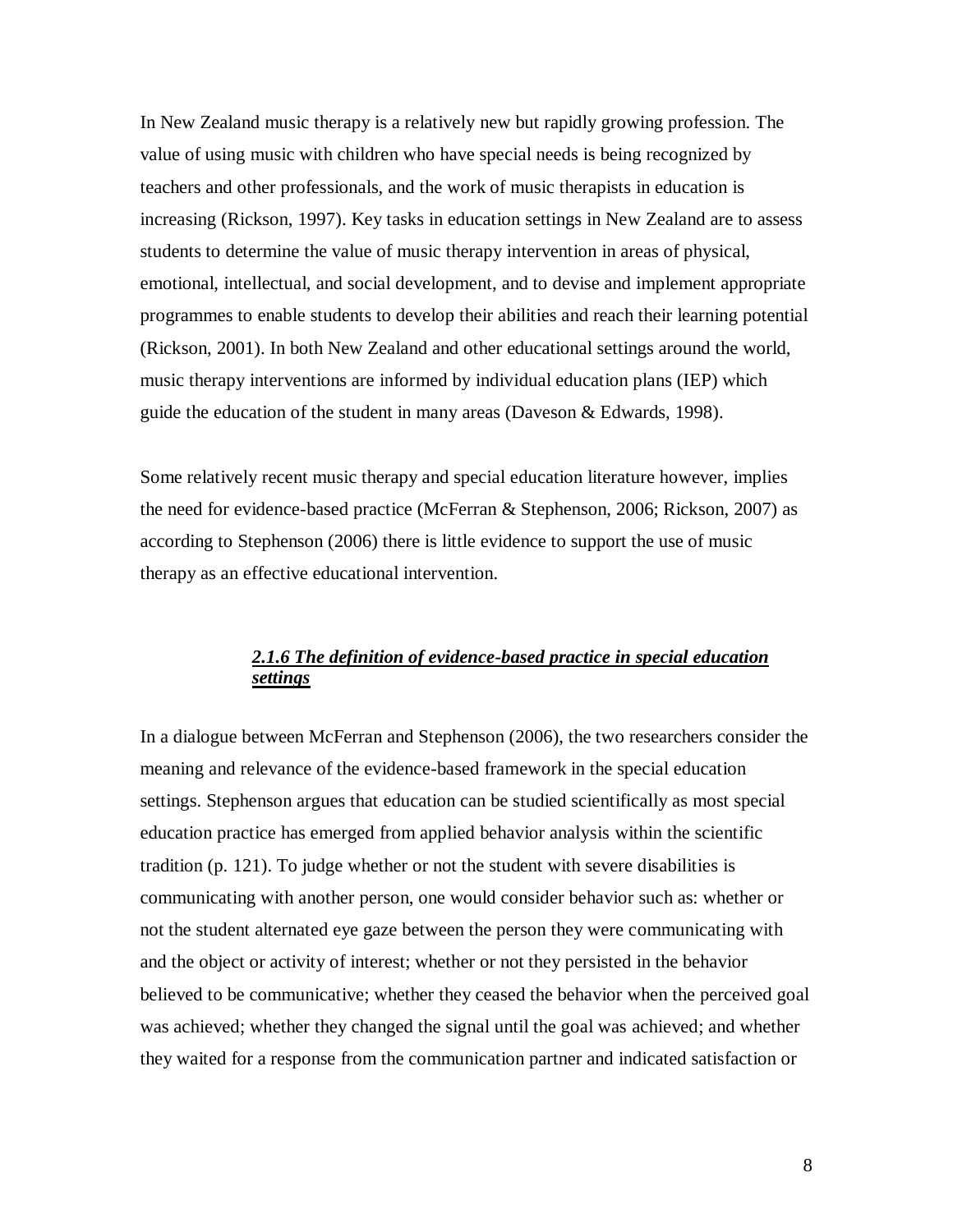In New Zealand music therapy is a relatively new but rapidly growing profession. The value of using music with children who have special needs is being recognized by teachers and other professionals, and the work of music therapists in education is increasing (Rickson, 1997). Key tasks in education settings in New Zealand are to assess students to determine the value of music therapy intervention in areas of physical, emotional, intellectual, and social development, and to devise and implement appropriate programmes to enable students to develop their abilities and reach their learning potential (Rickson, 2001). In both New Zealand and other educational settings around the world, music therapy interventions are informed by individual education plans (IEP) which guide the education of the student in many areas (Daveson & Edwards, 1998).

Some relatively recent music therapy and special education literature however, implies the need for evidence-based practice (McFerran & Stephenson, 2006; Rickson, 2007) as according to Stephenson (2006) there is little evidence to support the use of music therapy as an effective educational intervention.

# *2.1.6 The definition of evidence-based practice in special education settings*

<span id="page-12-0"></span>In a dialogue between McFerran and Stephenson (2006), the two researchers consider the meaning and relevance of the evidence-based framework in the special education settings. Stephenson argues that education can be studied scientifically as most special education practice has emerged from applied behavior analysis within the scientific tradition (p. 121). To judge whether or not the student with severe disabilities is communicating with another person, one would consider behavior such as: whether or not the student alternated eye gaze between the person they were communicating with and the object or activity of interest; whether or not they persisted in the behavior believed to be communicative; whether they ceased the behavior when the perceived goal was achieved; whether they changed the signal until the goal was achieved; and whether they waited for a response from the communication partner and indicated satisfaction or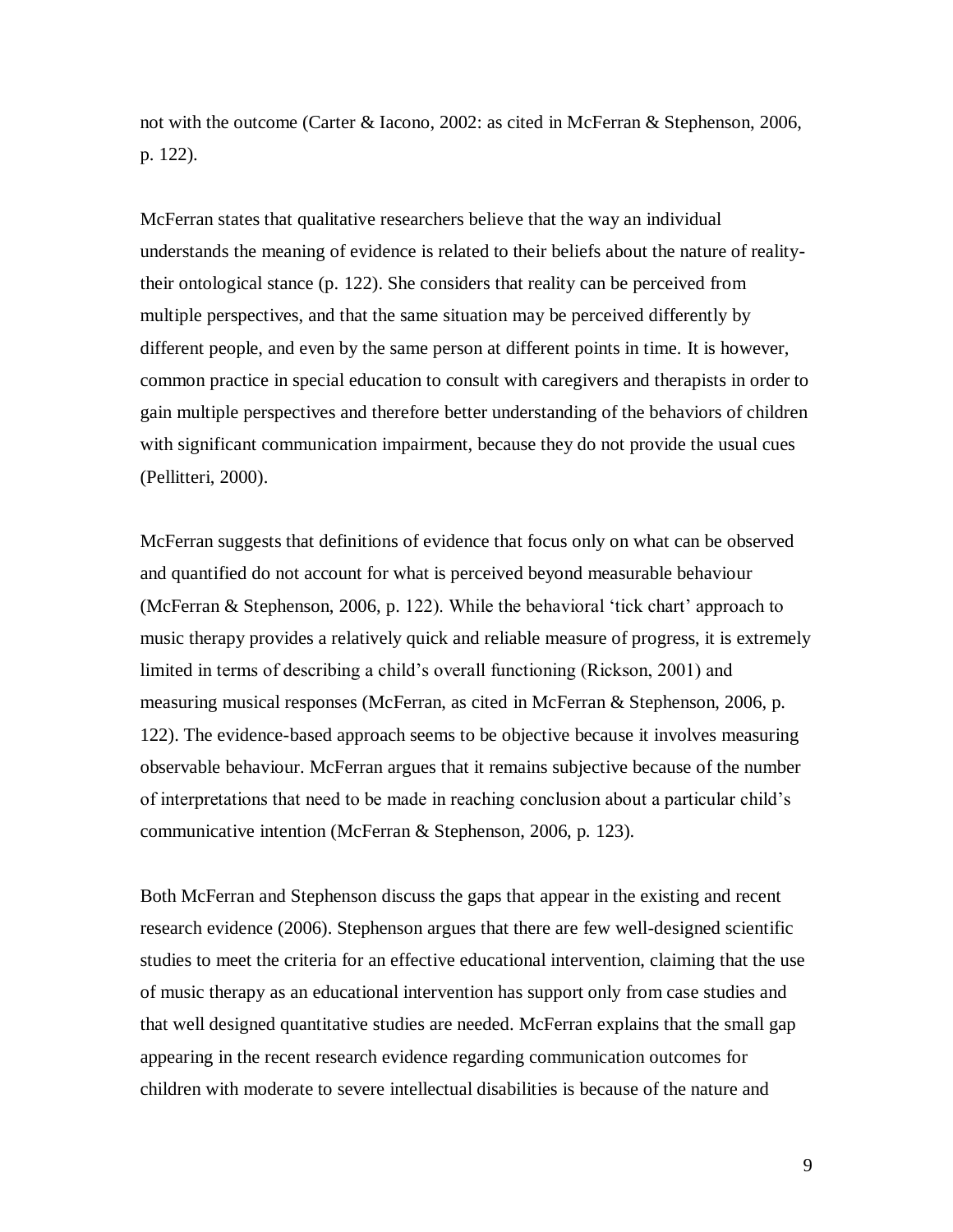not with the outcome (Carter & Iacono, 2002: as cited in McFerran & Stephenson, 2006, p. 122).

McFerran states that qualitative researchers believe that the way an individual understands the meaning of evidence is related to their beliefs about the nature of realitytheir ontological stance (p. 122). She considers that reality can be perceived from multiple perspectives, and that the same situation may be perceived differently by different people, and even by the same person at different points in time. It is however, common practice in special education to consult with caregivers and therapists in order to gain multiple perspectives and therefore better understanding of the behaviors of children with significant communication impairment, because they do not provide the usual cues (Pellitteri, 2000).

McFerran suggests that definitions of evidence that focus only on what can be observed and quantified do not account for what is perceived beyond measurable behaviour (McFerran & Stephenson, 2006, p. 122). While the behavioral "tick chart" approach to music therapy provides a relatively quick and reliable measure of progress, it is extremely limited in terms of describing a child"s overall functioning (Rickson, 2001) and measuring musical responses (McFerran, as cited in McFerran & Stephenson, 2006, p. 122). The evidence-based approach seems to be objective because it involves measuring observable behaviour. McFerran argues that it remains subjective because of the number of interpretations that need to be made in reaching conclusion about a particular child"s communicative intention (McFerran & Stephenson, 2006, p. 123).

Both McFerran and Stephenson discuss the gaps that appear in the existing and recent research evidence (2006). Stephenson argues that there are few well-designed scientific studies to meet the criteria for an effective educational intervention, claiming that the use of music therapy as an educational intervention has support only from case studies and that well designed quantitative studies are needed. McFerran explains that the small gap appearing in the recent research evidence regarding communication outcomes for children with moderate to severe intellectual disabilities is because of the nature and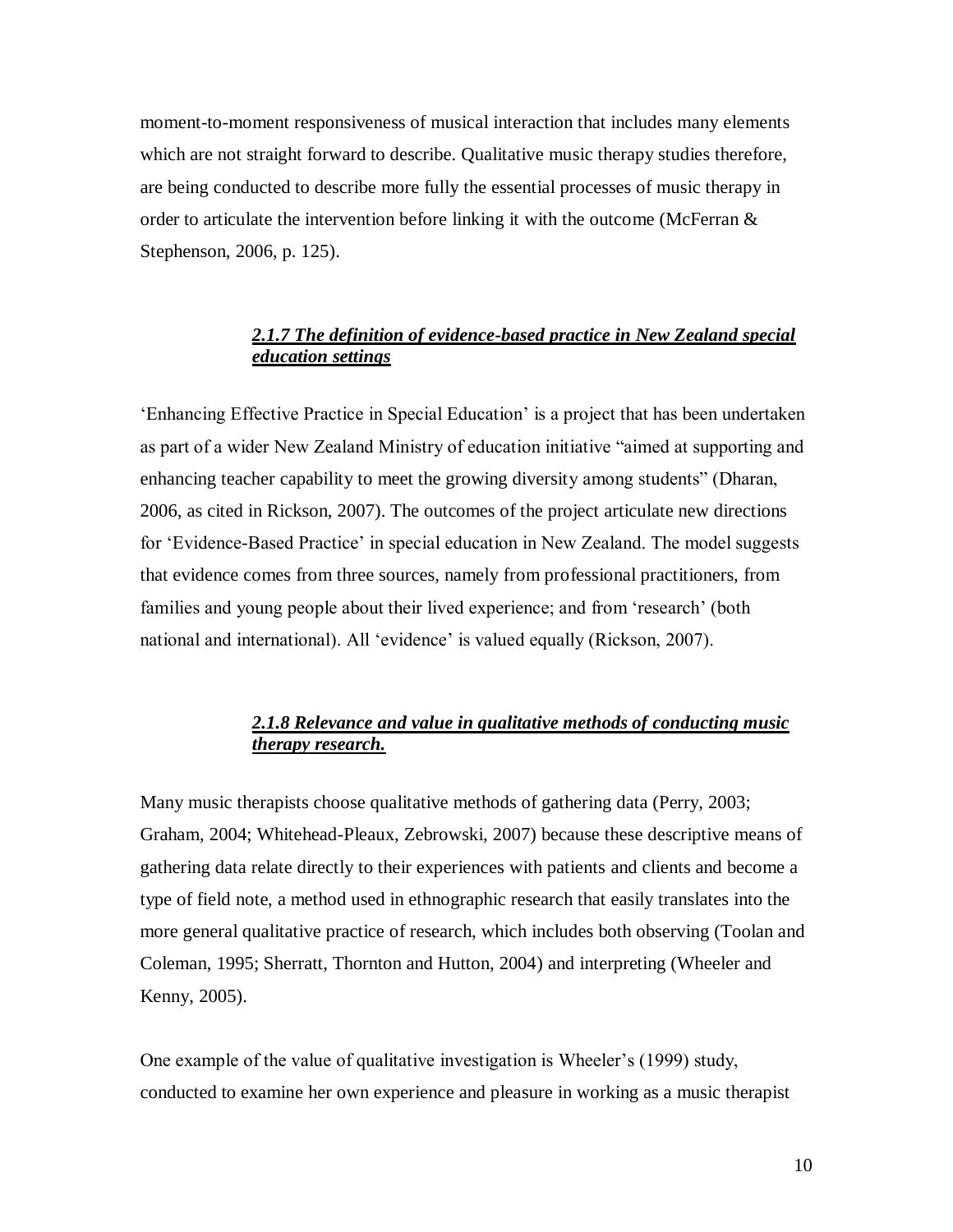moment-to-moment responsiveness of musical interaction that includes many elements which are not straight forward to describe. Qualitative music therapy studies therefore, are being conducted to describe more fully the essential processes of music therapy in order to articulate the intervention before linking it with the outcome (McFerran  $\&$ Stephenson, 2006, p. 125).

# *2.1.7 The definition of evidence-based practice in New Zealand special education settings*

<span id="page-14-0"></span>"Enhancing Effective Practice in Special Education" is a project that has been undertaken as part of a wider New Zealand Ministry of education initiative "aimed at supporting and enhancing teacher capability to meet the growing diversity among students" (Dharan, 2006, as cited in Rickson, 2007). The outcomes of the project articulate new directions for 'Evidence-Based Practice' in special education in New Zealand. The model suggests that evidence comes from three sources, namely from professional practitioners, from families and young people about their lived experience; and from 'research' (both national and international). All 'evidence' is valued equally (Rickson, 2007).

# *2.1.8 Relevance and value in qualitative methods of conducting music therapy research.*

<span id="page-14-1"></span>Many music therapists choose qualitative methods of gathering data (Perry, 2003; Graham, 2004; Whitehead-Pleaux, Zebrowski, 2007) because these descriptive means of gathering data relate directly to their experiences with patients and clients and become a type of field note, a method used in ethnographic research that easily translates into the more general qualitative practice of research, which includes both observing (Toolan and Coleman, 1995; Sherratt, Thornton and Hutton, 2004) and interpreting (Wheeler and Kenny, 2005).

One example of the value of qualitative investigation is Wheeler"s (1999) study, conducted to examine her own experience and pleasure in working as a music therapist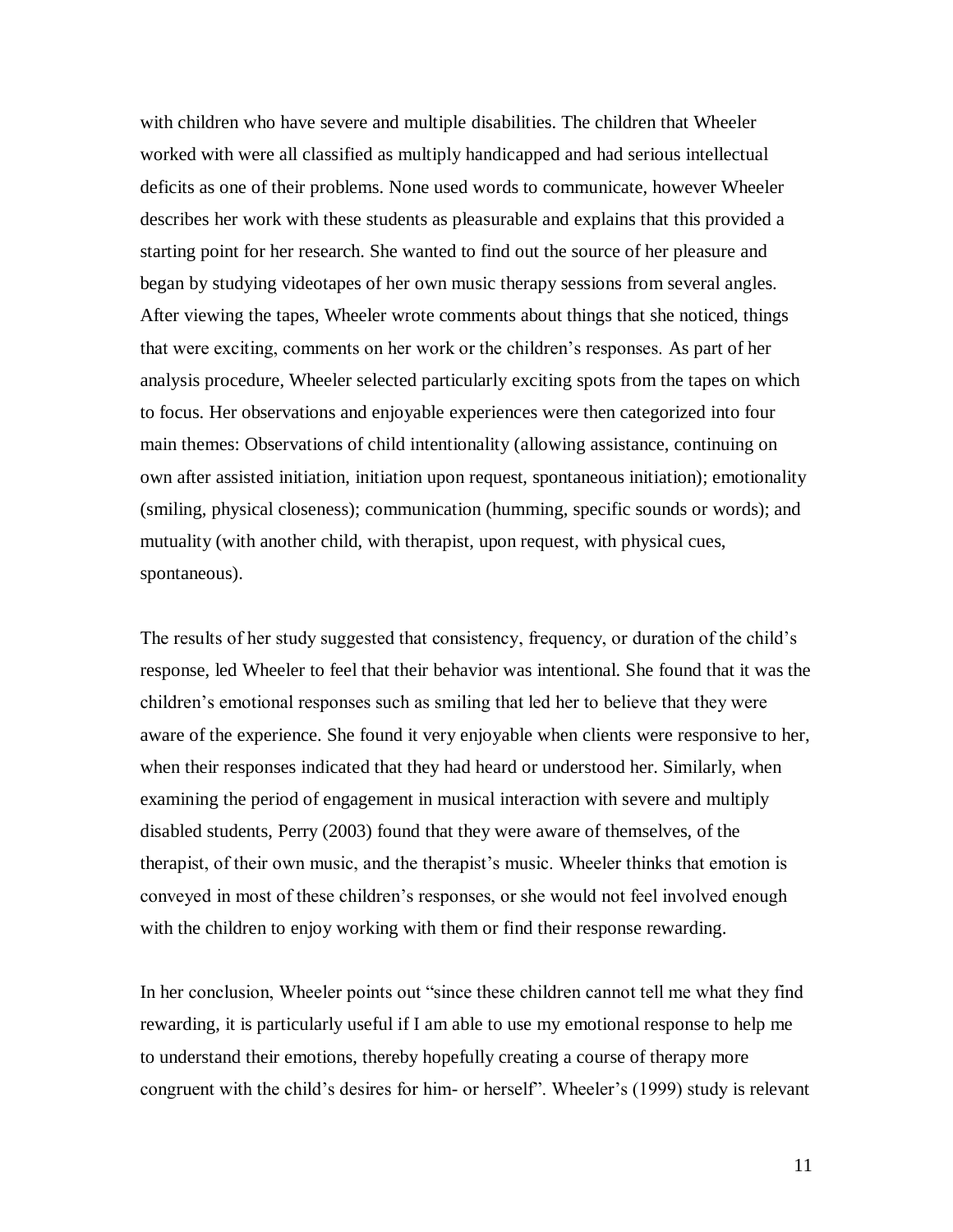with children who have severe and multiple disabilities. The children that Wheeler worked with were all classified as multiply handicapped and had serious intellectual deficits as one of their problems. None used words to communicate, however Wheeler describes her work with these students as pleasurable and explains that this provided a starting point for her research. She wanted to find out the source of her pleasure and began by studying videotapes of her own music therapy sessions from several angles. After viewing the tapes, Wheeler wrote comments about things that she noticed, things that were exciting, comments on her work or the children"s responses. As part of her analysis procedure, Wheeler selected particularly exciting spots from the tapes on which to focus. Her observations and enjoyable experiences were then categorized into four main themes: Observations of child intentionality (allowing assistance, continuing on own after assisted initiation, initiation upon request, spontaneous initiation); emotionality (smiling, physical closeness); communication (humming, specific sounds or words); and mutuality (with another child, with therapist, upon request, with physical cues, spontaneous).

The results of her study suggested that consistency, frequency, or duration of the child"s response, led Wheeler to feel that their behavior was intentional. She found that it was the children"s emotional responses such as smiling that led her to believe that they were aware of the experience. She found it very enjoyable when clients were responsive to her, when their responses indicated that they had heard or understood her. Similarly, when examining the period of engagement in musical interaction with severe and multiply disabled students, Perry (2003) found that they were aware of themselves, of the therapist, of their own music, and the therapist's music. Wheeler thinks that emotion is conveyed in most of these children"s responses, or she would not feel involved enough with the children to enjoy working with them or find their response rewarding.

In her conclusion, Wheeler points out "since these children cannot tell me what they find rewarding, it is particularly useful if I am able to use my emotional response to help me to understand their emotions, thereby hopefully creating a course of therapy more congruent with the child"s desires for him- or herself". Wheeler"s (1999) study is relevant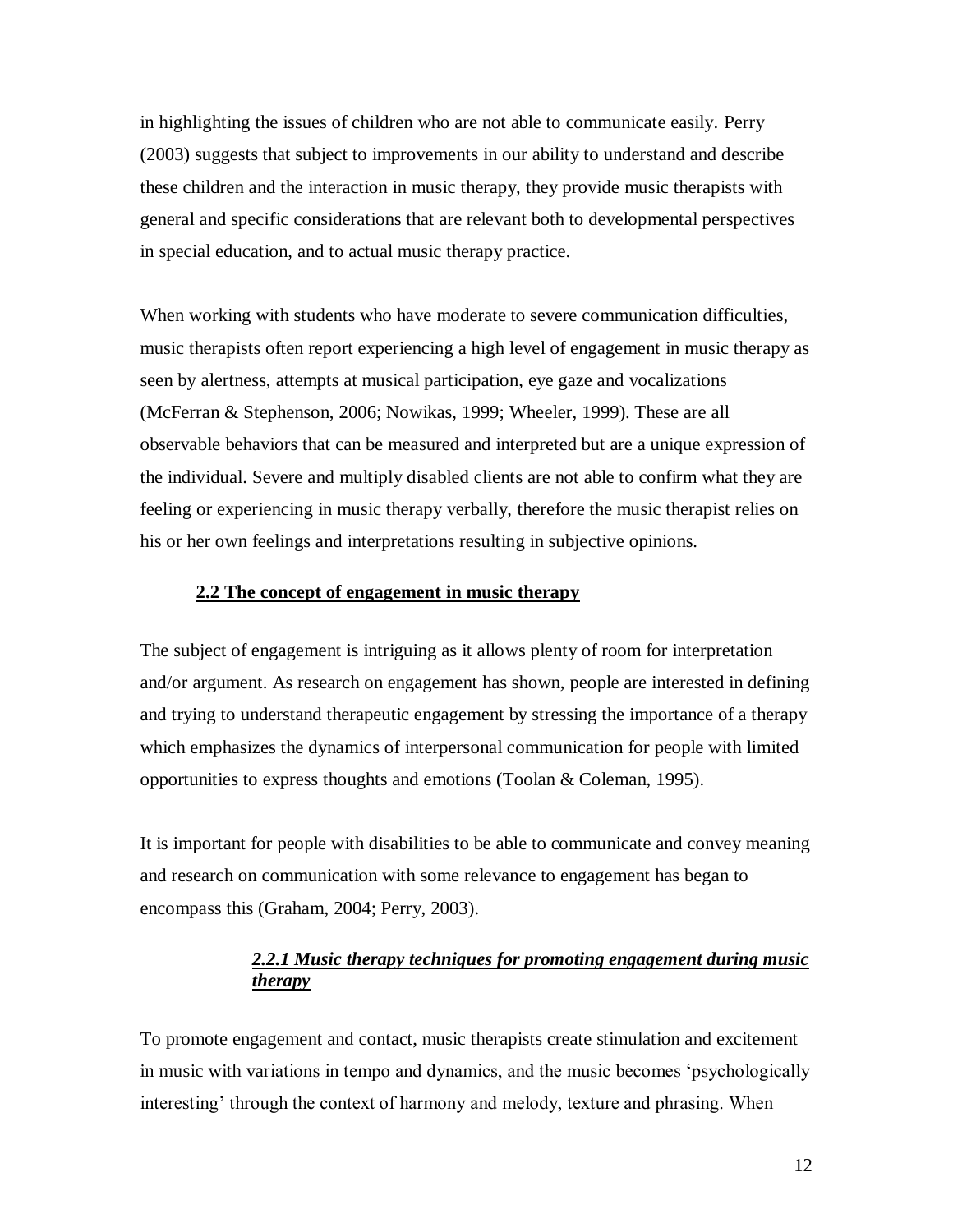in highlighting the issues of children who are not able to communicate easily. Perry (2003) suggests that subject to improvements in our ability to understand and describe these children and the interaction in music therapy, they provide music therapists with general and specific considerations that are relevant both to developmental perspectives in special education, and to actual music therapy practice.

When working with students who have moderate to severe communication difficulties, music therapists often report experiencing a high level of engagement in music therapy as seen by alertness, attempts at musical participation, eye gaze and vocalizations (McFerran & Stephenson, 2006; Nowikas, 1999; Wheeler, 1999). These are all observable behaviors that can be measured and interpreted but are a unique expression of the individual. Severe and multiply disabled clients are not able to confirm what they are feeling or experiencing in music therapy verbally, therefore the music therapist relies on his or her own feelings and interpretations resulting in subjective opinions.

#### <span id="page-16-0"></span>**2.2 The concept of engagement in music therapy**

The subject of engagement is intriguing as it allows plenty of room for interpretation and/or argument. As research on engagement has shown, people are interested in defining and trying to understand therapeutic engagement by stressing the importance of a therapy which emphasizes the dynamics of interpersonal communication for people with limited opportunities to express thoughts and emotions (Toolan & Coleman, 1995).

<span id="page-16-1"></span>It is important for people with disabilities to be able to communicate and convey meaning and research on communication with some relevance to engagement has began to encompass this (Graham, 2004; Perry, 2003).

# *2.2.1 Music therapy techniques for promoting engagement during music therapy*

To promote engagement and contact, music therapists create stimulation and excitement in music with variations in tempo and dynamics, and the music becomes "psychologically interesting' through the context of harmony and melody, texture and phrasing. When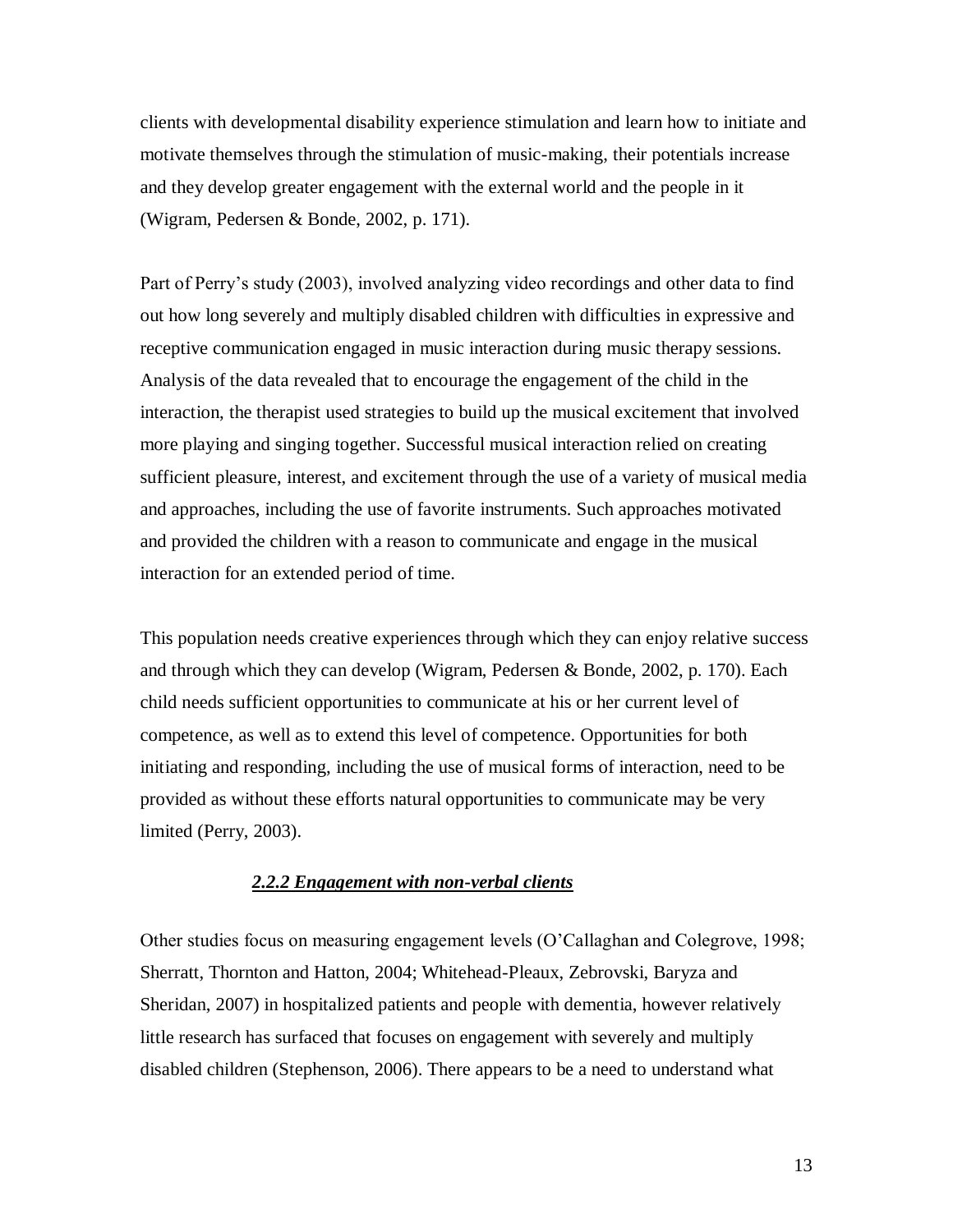clients with developmental disability experience stimulation and learn how to initiate and motivate themselves through the stimulation of music-making, their potentials increase and they develop greater engagement with the external world and the people in it (Wigram, Pedersen & Bonde, 2002, p. 171).

Part of Perry"s study (2003), involved analyzing video recordings and other data to find out how long severely and multiply disabled children with difficulties in expressive and receptive communication engaged in music interaction during music therapy sessions. Analysis of the data revealed that to encourage the engagement of the child in the interaction, the therapist used strategies to build up the musical excitement that involved more playing and singing together. Successful musical interaction relied on creating sufficient pleasure, interest, and excitement through the use of a variety of musical media and approaches, including the use of favorite instruments. Such approaches motivated and provided the children with a reason to communicate and engage in the musical interaction for an extended period of time.

This population needs creative experiences through which they can enjoy relative success and through which they can develop (Wigram, Pedersen & Bonde, 2002, p. 170). Each child needs sufficient opportunities to communicate at his or her current level of competence, as well as to extend this level of competence. Opportunities for both initiating and responding, including the use of musical forms of interaction, need to be provided as without these efforts natural opportunities to communicate may be very limited (Perry, 2003).

## *2.2.2 Engagement with non-verbal clients*

<span id="page-17-0"></span>Other studies focus on measuring engagement levels (O"Callaghan and Colegrove, 1998; Sherratt, Thornton and Hatton, 2004; Whitehead-Pleaux, Zebrovski, Baryza and Sheridan, 2007) in hospitalized patients and people with dementia, however relatively little research has surfaced that focuses on engagement with severely and multiply disabled children (Stephenson, 2006). There appears to be a need to understand what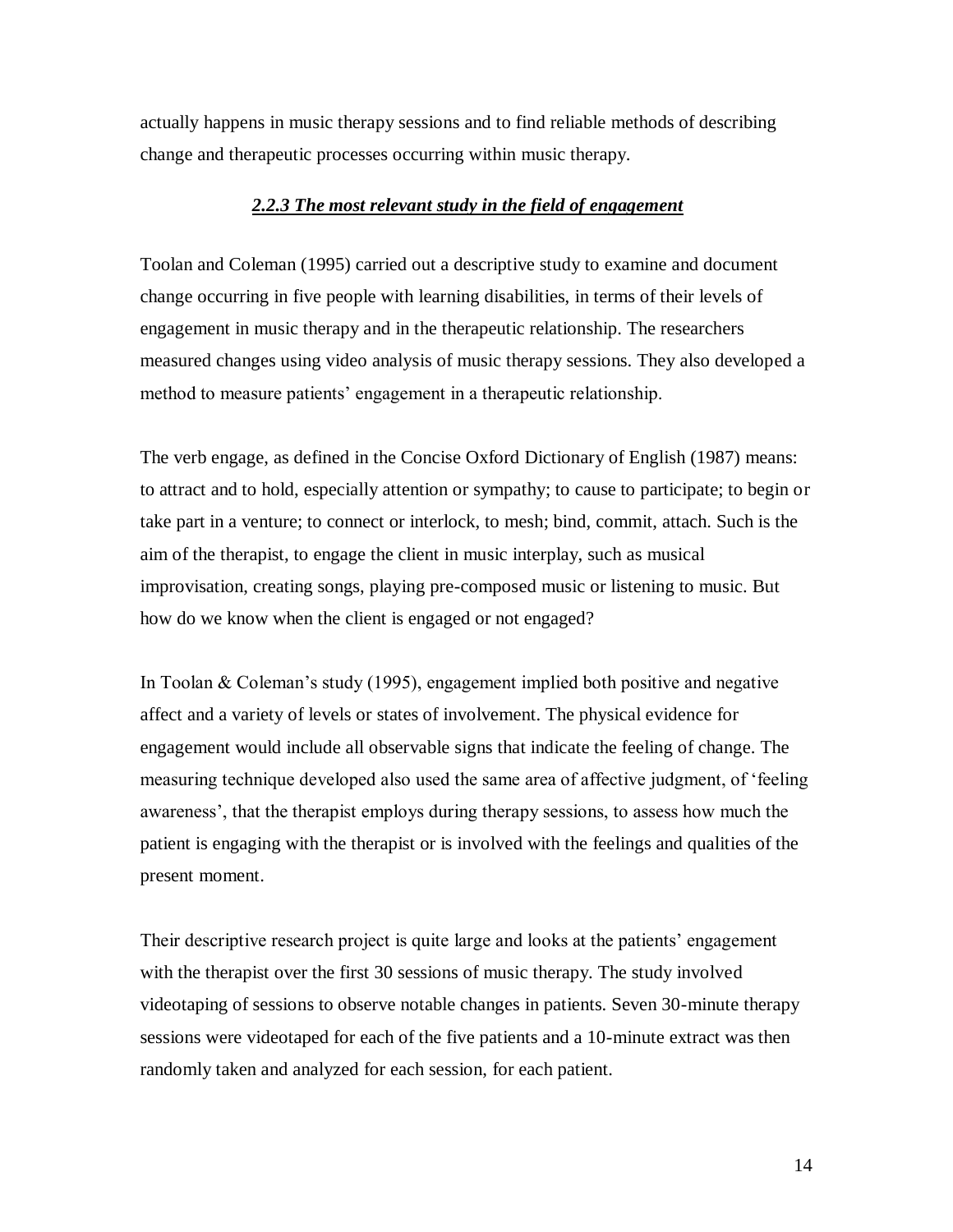<span id="page-18-0"></span>actually happens in music therapy sessions and to find reliable methods of describing change and therapeutic processes occurring within music therapy.

#### *2.2.3 The most relevant study in the field of engagement*

Toolan and Coleman (1995) carried out a descriptive study to examine and document change occurring in five people with learning disabilities, in terms of their levels of engagement in music therapy and in the therapeutic relationship. The researchers measured changes using video analysis of music therapy sessions. They also developed a method to measure patients' engagement in a therapeutic relationship.

The verb engage, as defined in the Concise Oxford Dictionary of English (1987) means: to attract and to hold, especially attention or sympathy; to cause to participate; to begin or take part in a venture; to connect or interlock, to mesh; bind, commit, attach. Such is the aim of the therapist, to engage the client in music interplay, such as musical improvisation, creating songs, playing pre-composed music or listening to music. But how do we know when the client is engaged or not engaged?

In Toolan & Coleman's study (1995), engagement implied both positive and negative affect and a variety of levels or states of involvement. The physical evidence for engagement would include all observable signs that indicate the feeling of change. The measuring technique developed also used the same area of affective judgment, of "feeling awareness", that the therapist employs during therapy sessions, to assess how much the patient is engaging with the therapist or is involved with the feelings and qualities of the present moment.

Their descriptive research project is quite large and looks at the patients' engagement with the therapist over the first 30 sessions of music therapy. The study involved videotaping of sessions to observe notable changes in patients. Seven 30-minute therapy sessions were videotaped for each of the five patients and a 10-minute extract was then randomly taken and analyzed for each session, for each patient.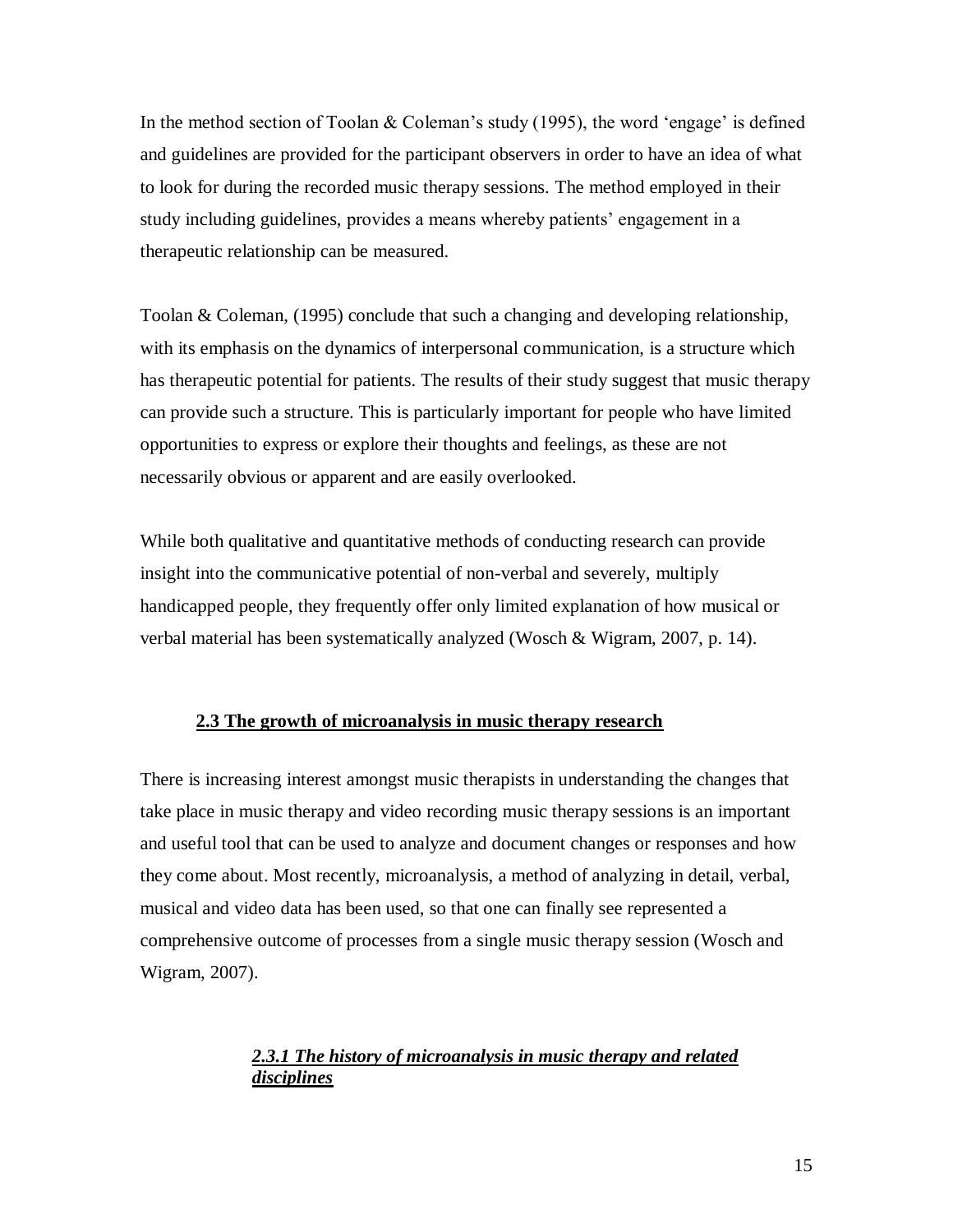In the method section of Toolan  $\&$  Coleman's study (1995), the word 'engage' is defined and guidelines are provided for the participant observers in order to have an idea of what to look for during the recorded music therapy sessions. The method employed in their study including guidelines, provides a means whereby patients" engagement in a therapeutic relationship can be measured.

Toolan & Coleman, (1995) conclude that such a changing and developing relationship, with its emphasis on the dynamics of interpersonal communication, is a structure which has therapeutic potential for patients. The results of their study suggest that music therapy can provide such a structure. This is particularly important for people who have limited opportunities to express or explore their thoughts and feelings, as these are not necessarily obvious or apparent and are easily overlooked.

While both qualitative and quantitative methods of conducting research can provide insight into the communicative potential of non-verbal and severely, multiply handicapped people, they frequently offer only limited explanation of how musical or verbal material has been systematically analyzed (Wosch & Wigram, 2007, p. 14).

#### <span id="page-19-0"></span>**2.3 The growth of microanalysis in music therapy research**

There is increasing interest amongst music therapists in understanding the changes that take place in music therapy and video recording music therapy sessions is an important and useful tool that can be used to analyze and document changes or responses and how they come about. Most recently, microanalysis, a method of analyzing in detail, verbal, musical and video data has been used, so that one can finally see represented a comprehensive outcome of processes from a single music therapy session (Wosch and Wigram, 2007).

# <span id="page-19-1"></span>*2.3.1 The history of microanalysis in music therapy and related disciplines*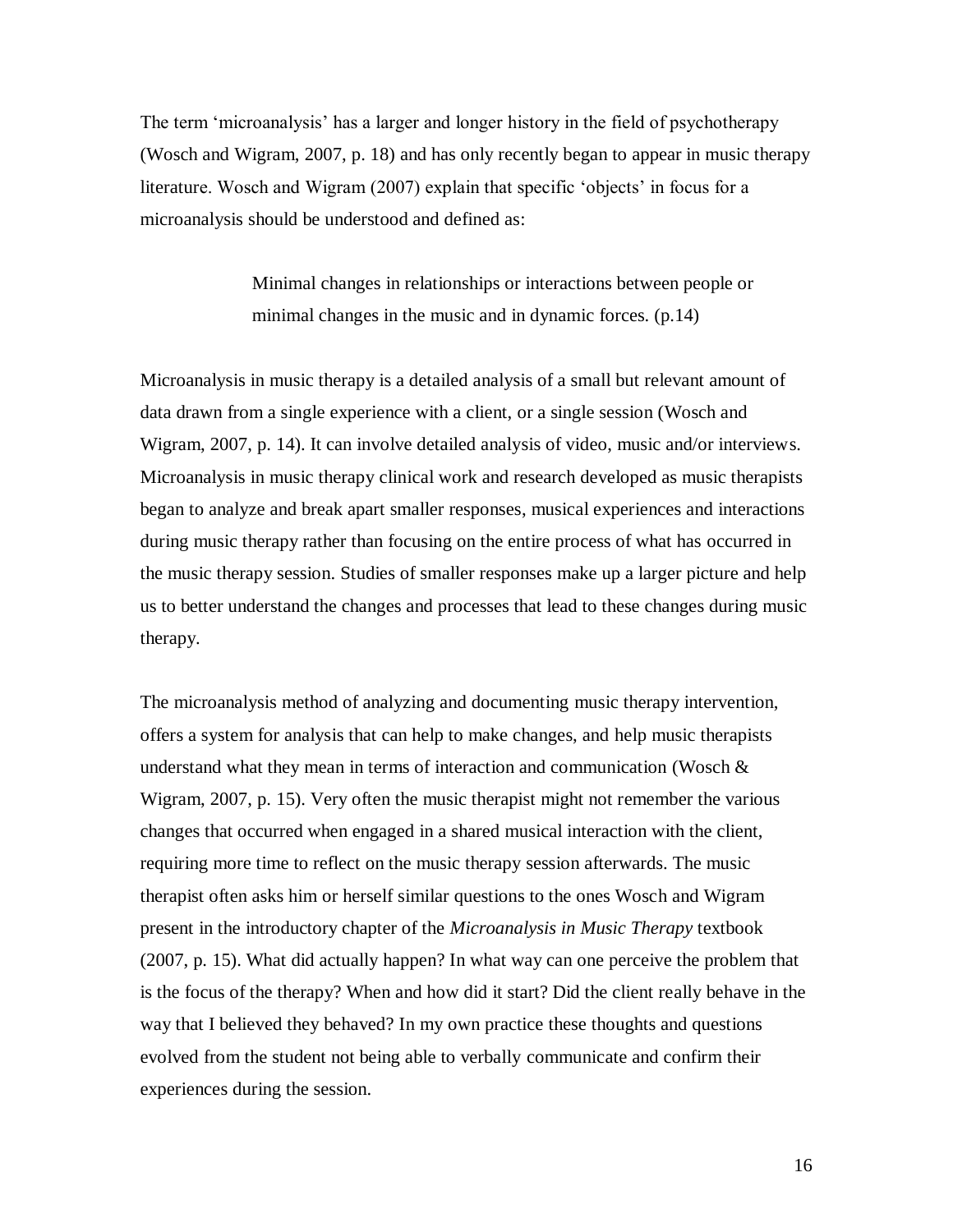The term "microanalysis" has a larger and longer history in the field of psychotherapy (Wosch and Wigram, 2007, p. 18) and has only recently began to appear in music therapy literature. Wosch and Wigram (2007) explain that specific 'objects' in focus for a microanalysis should be understood and defined as:

> Minimal changes in relationships or interactions between people or minimal changes in the music and in dynamic forces. (p.14)

Microanalysis in music therapy is a detailed analysis of a small but relevant amount of data drawn from a single experience with a client, or a single session (Wosch and Wigram, 2007, p. 14). It can involve detailed analysis of video, music and/or interviews. Microanalysis in music therapy clinical work and research developed as music therapists began to analyze and break apart smaller responses, musical experiences and interactions during music therapy rather than focusing on the entire process of what has occurred in the music therapy session. Studies of smaller responses make up a larger picture and help us to better understand the changes and processes that lead to these changes during music therapy.

The microanalysis method of analyzing and documenting music therapy intervention, offers a system for analysis that can help to make changes, and help music therapists understand what they mean in terms of interaction and communication (Wosch  $\&$ Wigram, 2007, p. 15). Very often the music therapist might not remember the various changes that occurred when engaged in a shared musical interaction with the client, requiring more time to reflect on the music therapy session afterwards. The music therapist often asks him or herself similar questions to the ones Wosch and Wigram present in the introductory chapter of the *Microanalysis in Music Therapy* textbook (2007, p. 15). What did actually happen? In what way can one perceive the problem that is the focus of the therapy? When and how did it start? Did the client really behave in the way that I believed they behaved? In my own practice these thoughts and questions evolved from the student not being able to verbally communicate and confirm their experiences during the session.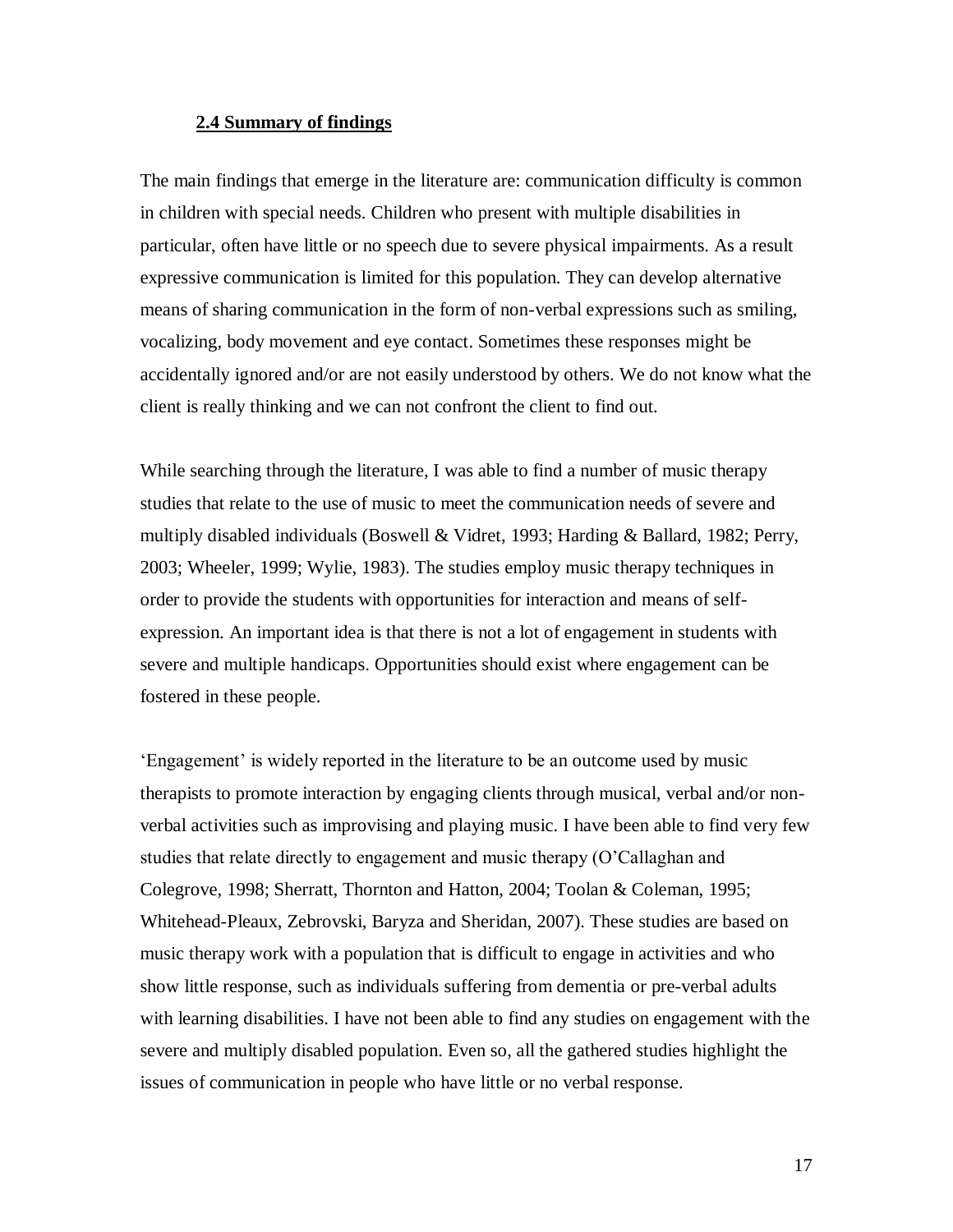#### <span id="page-21-0"></span>**2.4 Summary of findings**

The main findings that emerge in the literature are: communication difficulty is common in children with special needs. Children who present with multiple disabilities in particular, often have little or no speech due to severe physical impairments. As a result expressive communication is limited for this population. They can develop alternative means of sharing communication in the form of non-verbal expressions such as smiling, vocalizing, body movement and eye contact. Sometimes these responses might be accidentally ignored and/or are not easily understood by others. We do not know what the client is really thinking and we can not confront the client to find out.

While searching through the literature, I was able to find a number of music therapy studies that relate to the use of music to meet the communication needs of severe and multiply disabled individuals (Boswell & Vidret, 1993; Harding & Ballard, 1982; Perry, 2003; Wheeler, 1999; Wylie, 1983). The studies employ music therapy techniques in order to provide the students with opportunities for interaction and means of selfexpression. An important idea is that there is not a lot of engagement in students with severe and multiple handicaps. Opportunities should exist where engagement can be fostered in these people.

'Engagement' is widely reported in the literature to be an outcome used by music therapists to promote interaction by engaging clients through musical, verbal and/or nonverbal activities such as improvising and playing music. I have been able to find very few studies that relate directly to engagement and music therapy (O"Callaghan and Colegrove, 1998; Sherratt, Thornton and Hatton, 2004; Toolan & Coleman, 1995; Whitehead-Pleaux, Zebrovski, Baryza and Sheridan, 2007). These studies are based on music therapy work with a population that is difficult to engage in activities and who show little response, such as individuals suffering from dementia or pre-verbal adults with learning disabilities. I have not been able to find any studies on engagement with the severe and multiply disabled population. Even so, all the gathered studies highlight the issues of communication in people who have little or no verbal response.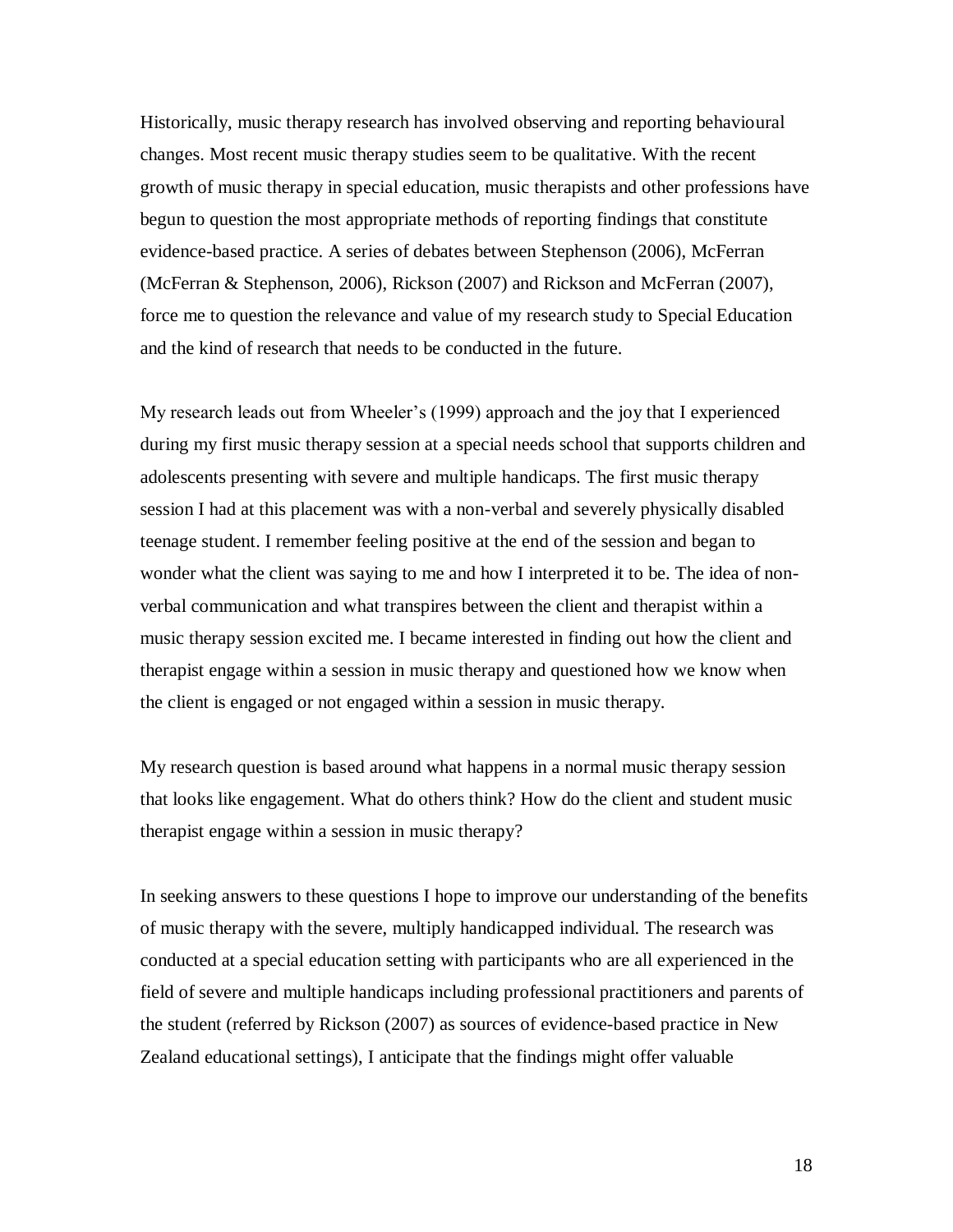Historically, music therapy research has involved observing and reporting behavioural changes. Most recent music therapy studies seem to be qualitative. With the recent growth of music therapy in special education, music therapists and other professions have begun to question the most appropriate methods of reporting findings that constitute evidence-based practice. A series of debates between Stephenson (2006), McFerran (McFerran & Stephenson, 2006), Rickson (2007) and Rickson and McFerran (2007), force me to question the relevance and value of my research study to Special Education and the kind of research that needs to be conducted in the future.

My research leads out from Wheeler"s (1999) approach and the joy that I experienced during my first music therapy session at a special needs school that supports children and adolescents presenting with severe and multiple handicaps. The first music therapy session I had at this placement was with a non-verbal and severely physically disabled teenage student. I remember feeling positive at the end of the session and began to wonder what the client was saying to me and how I interpreted it to be. The idea of nonverbal communication and what transpires between the client and therapist within a music therapy session excited me. I became interested in finding out how the client and therapist engage within a session in music therapy and questioned how we know when the client is engaged or not engaged within a session in music therapy.

My research question is based around what happens in a normal music therapy session that looks like engagement. What do others think? How do the client and student music therapist engage within a session in music therapy?

In seeking answers to these questions I hope to improve our understanding of the benefits of music therapy with the severe, multiply handicapped individual. The research was conducted at a special education setting with participants who are all experienced in the field of severe and multiple handicaps including professional practitioners and parents of the student (referred by Rickson (2007) as sources of evidence-based practice in New Zealand educational settings), I anticipate that the findings might offer valuable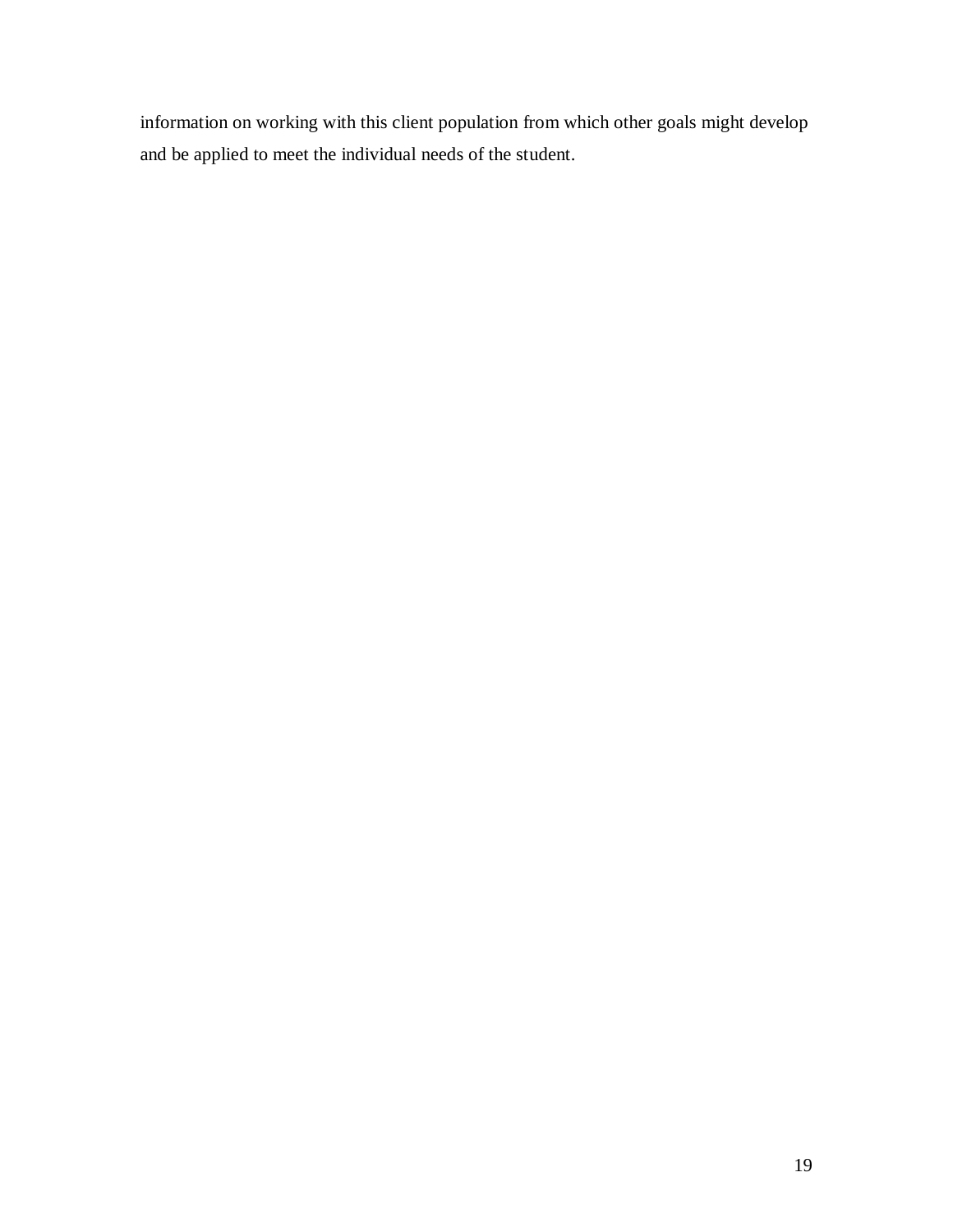information on working with this client population from which other goals might develop and be applied to meet the individual needs of the student.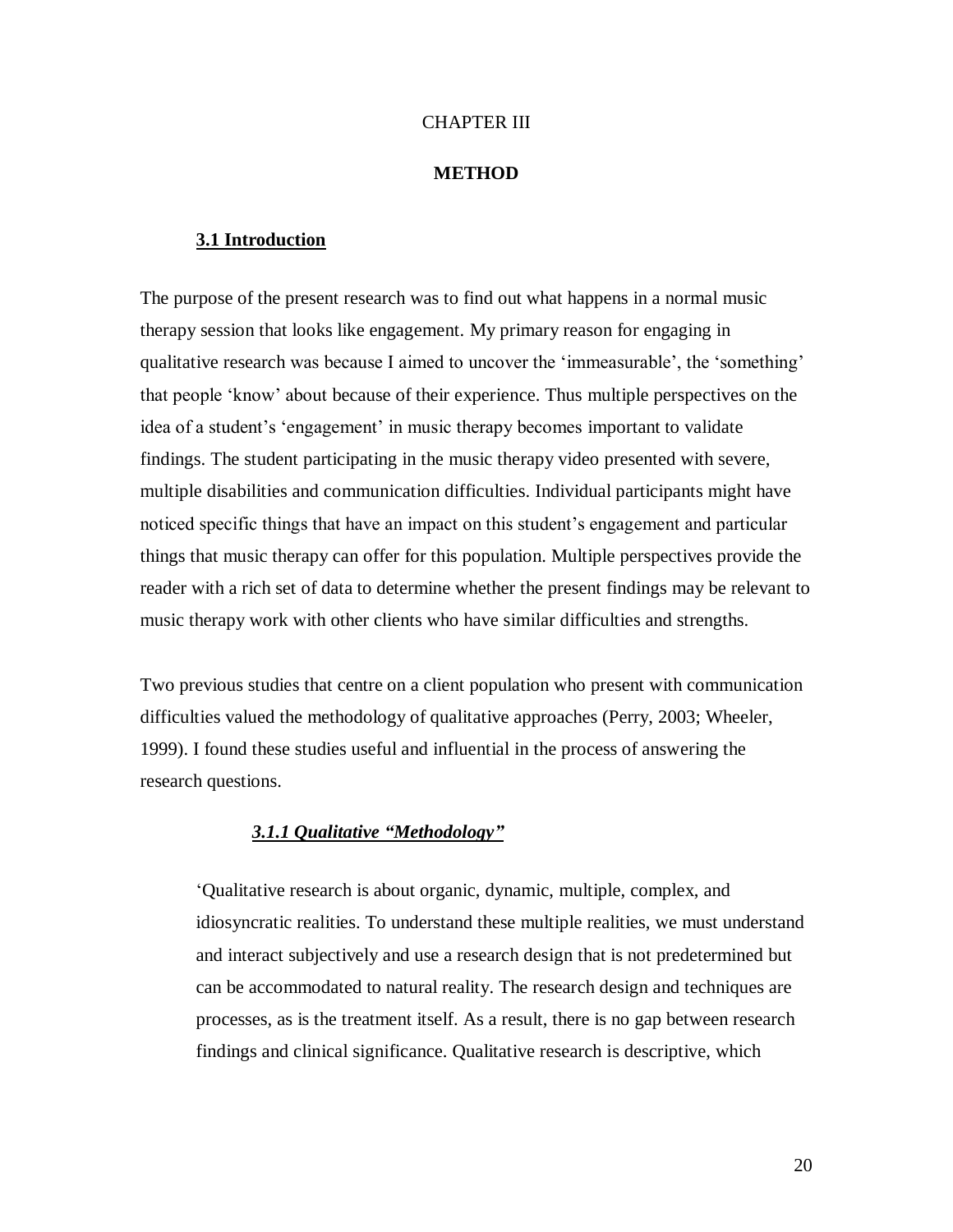#### CHAPTER III

#### **METHOD**

### <span id="page-24-1"></span><span id="page-24-0"></span>**3.1 Introduction**

The purpose of the present research was to find out what happens in a normal music therapy session that looks like engagement. My primary reason for engaging in qualitative research was because I aimed to uncover the 'immeasurable', the 'something' that people "know" about because of their experience. Thus multiple perspectives on the idea of a student's 'engagement' in music therapy becomes important to validate findings. The student participating in the music therapy video presented with severe, multiple disabilities and communication difficulties. Individual participants might have noticed specific things that have an impact on this student's engagement and particular things that music therapy can offer for this population. Multiple perspectives provide the reader with a rich set of data to determine whether the present findings may be relevant to music therapy work with other clients who have similar difficulties and strengths.

Two previous studies that centre on a client population who present with communication difficulties valued the methodology of qualitative approaches (Perry, 2003; Wheeler, 1999). I found these studies useful and influential in the process of answering the research questions.

# *3.1.1 Qualitative "Methodology"*

<span id="page-24-2"></span>"Qualitative research is about organic, dynamic, multiple, complex, and idiosyncratic realities. To understand these multiple realities, we must understand and interact subjectively and use a research design that is not predetermined but can be accommodated to natural reality. The research design and techniques are processes, as is the treatment itself. As a result, there is no gap between research findings and clinical significance. Qualitative research is descriptive, which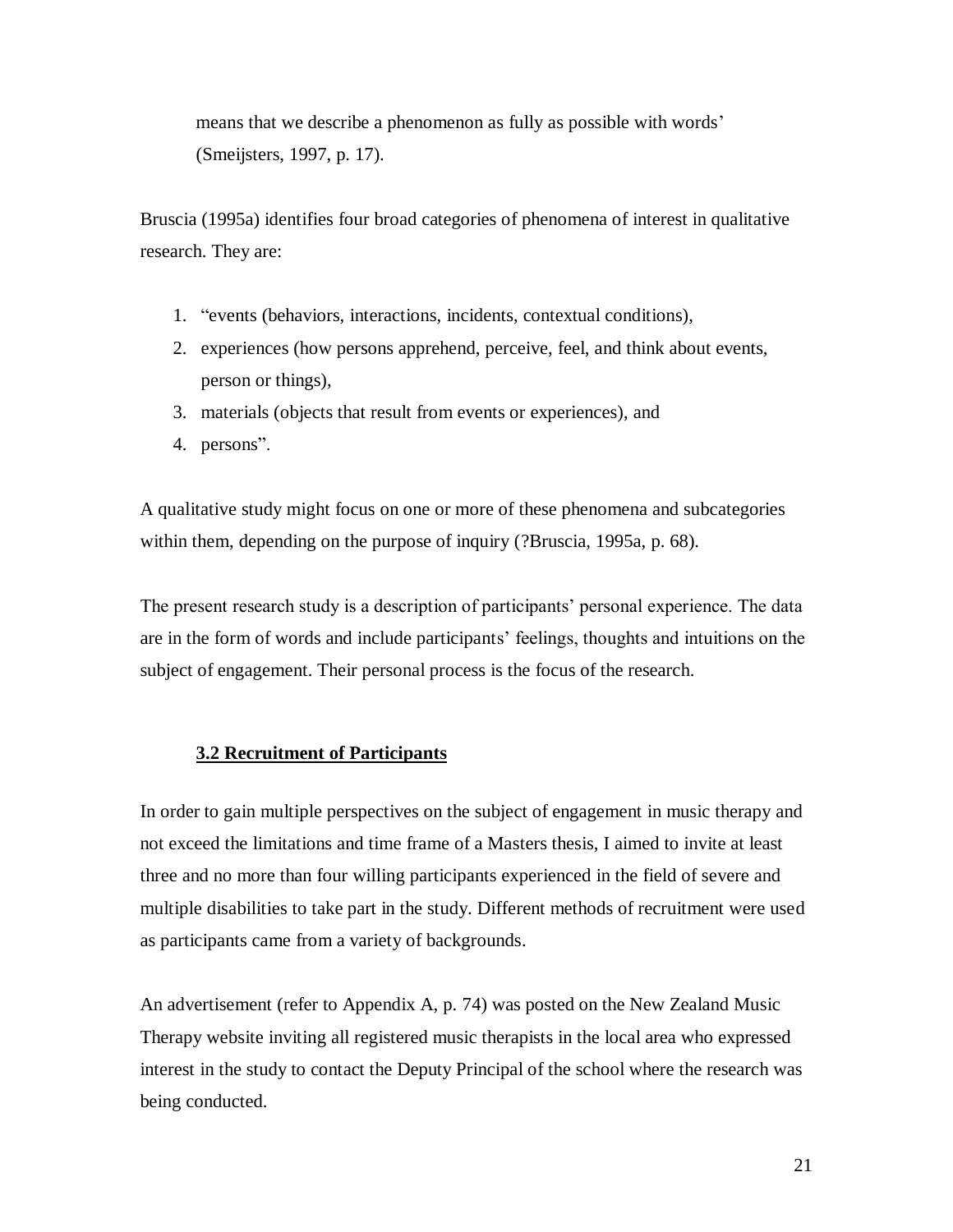means that we describe a phenomenon as fully as possible with words' (Smeijsters, 1997, p. 17).

Bruscia (1995a) identifies four broad categories of phenomena of interest in qualitative research. They are:

- 1. "events (behaviors, interactions, incidents, contextual conditions),
- 2. experiences (how persons apprehend, perceive, feel, and think about events, person or things),
- 3. materials (objects that result from events or experiences), and
- 4. persons".

A qualitative study might focus on one or more of these phenomena and subcategories within them, depending on the purpose of inquiry (?Bruscia, 1995a, p. 68).

The present research study is a description of participants' personal experience. The data are in the form of words and include participants' feelings, thoughts and intuitions on the subject of engagement. Their personal process is the focus of the research.

# <span id="page-25-0"></span>**3.2 Recruitment of Participants**

In order to gain multiple perspectives on the subject of engagement in music therapy and not exceed the limitations and time frame of a Masters thesis, I aimed to invite at least three and no more than four willing participants experienced in the field of severe and multiple disabilities to take part in the study. Different methods of recruitment were used as participants came from a variety of backgrounds.

An advertisement (refer to Appendix A, p. 74) was posted on the New Zealand Music Therapy website inviting all registered music therapists in the local area who expressed interest in the study to contact the Deputy Principal of the school where the research was being conducted.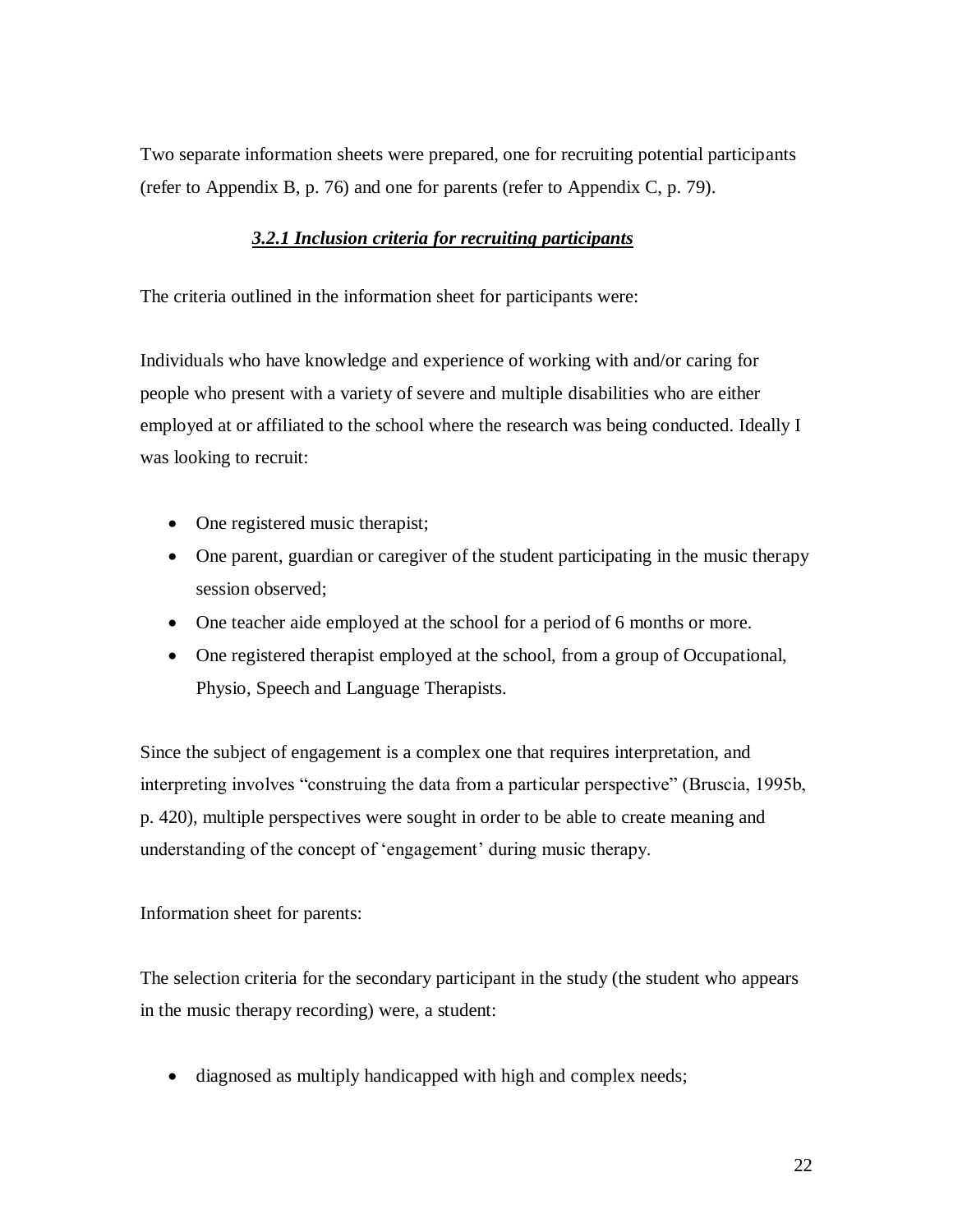<span id="page-26-0"></span>Two separate information sheets were prepared, one for recruiting potential participants (refer to Appendix B, p. 76) and one for parents (refer to Appendix C, p. 79).

# *3.2.1 Inclusion criteria for recruiting participants*

The criteria outlined in the information sheet for participants were:

Individuals who have knowledge and experience of working with and/or caring for people who present with a variety of severe and multiple disabilities who are either employed at or affiliated to the school where the research was being conducted. Ideally I was looking to recruit:

- One registered music therapist;
- One parent, guardian or caregiver of the student participating in the music therapy session observed;
- One teacher aide employed at the school for a period of 6 months or more.
- One registered therapist employed at the school, from a group of Occupational, Physio, Speech and Language Therapists.

Since the subject of engagement is a complex one that requires interpretation, and interpreting involves "construing the data from a particular perspective" (Bruscia, 1995b, p. 420), multiple perspectives were sought in order to be able to create meaning and understanding of the concept of 'engagement' during music therapy.

#### Information sheet for parents:

The selection criteria for the secondary participant in the study (the student who appears in the music therapy recording) were, a student:

• diagnosed as multiply handicapped with high and complex needs;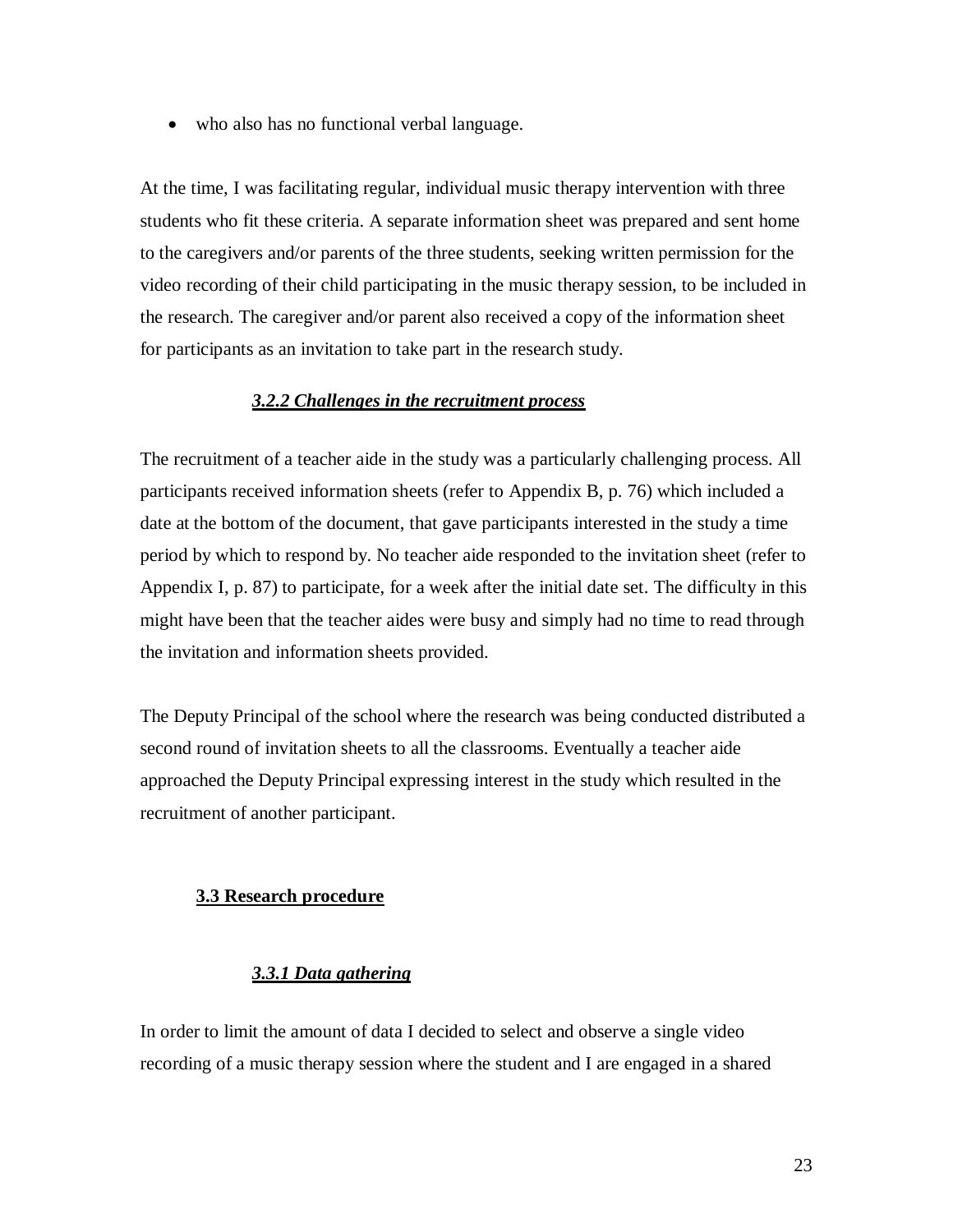• who also has no functional verbal language.

At the time, I was facilitating regular, individual music therapy intervention with three students who fit these criteria. A separate information sheet was prepared and sent home to the caregivers and/or parents of the three students, seeking written permission for the video recording of their child participating in the music therapy session, to be included in the research. The caregiver and/or parent also received a copy of the information sheet for participants as an invitation to take part in the research study.

### *3.2.2 Challenges in the recruitment process*

<span id="page-27-0"></span>The recruitment of a teacher aide in the study was a particularly challenging process. All participants received information sheets (refer to Appendix B, p. 76) which included a date at the bottom of the document, that gave participants interested in the study a time period by which to respond by. No teacher aide responded to the invitation sheet (refer to Appendix I, p. 87) to participate, for a week after the initial date set. The difficulty in this might have been that the teacher aides were busy and simply had no time to read through the invitation and information sheets provided.

The Deputy Principal of the school where the research was being conducted distributed a second round of invitation sheets to all the classrooms. Eventually a teacher aide approached the Deputy Principal expressing interest in the study which resulted in the recruitment of another participant.

#### <span id="page-27-1"></span>**3.3 Research procedure**

### *3.3.1 Data gathering*

<span id="page-27-2"></span>In order to limit the amount of data I decided to select and observe a single video recording of a music therapy session where the student and I are engaged in a shared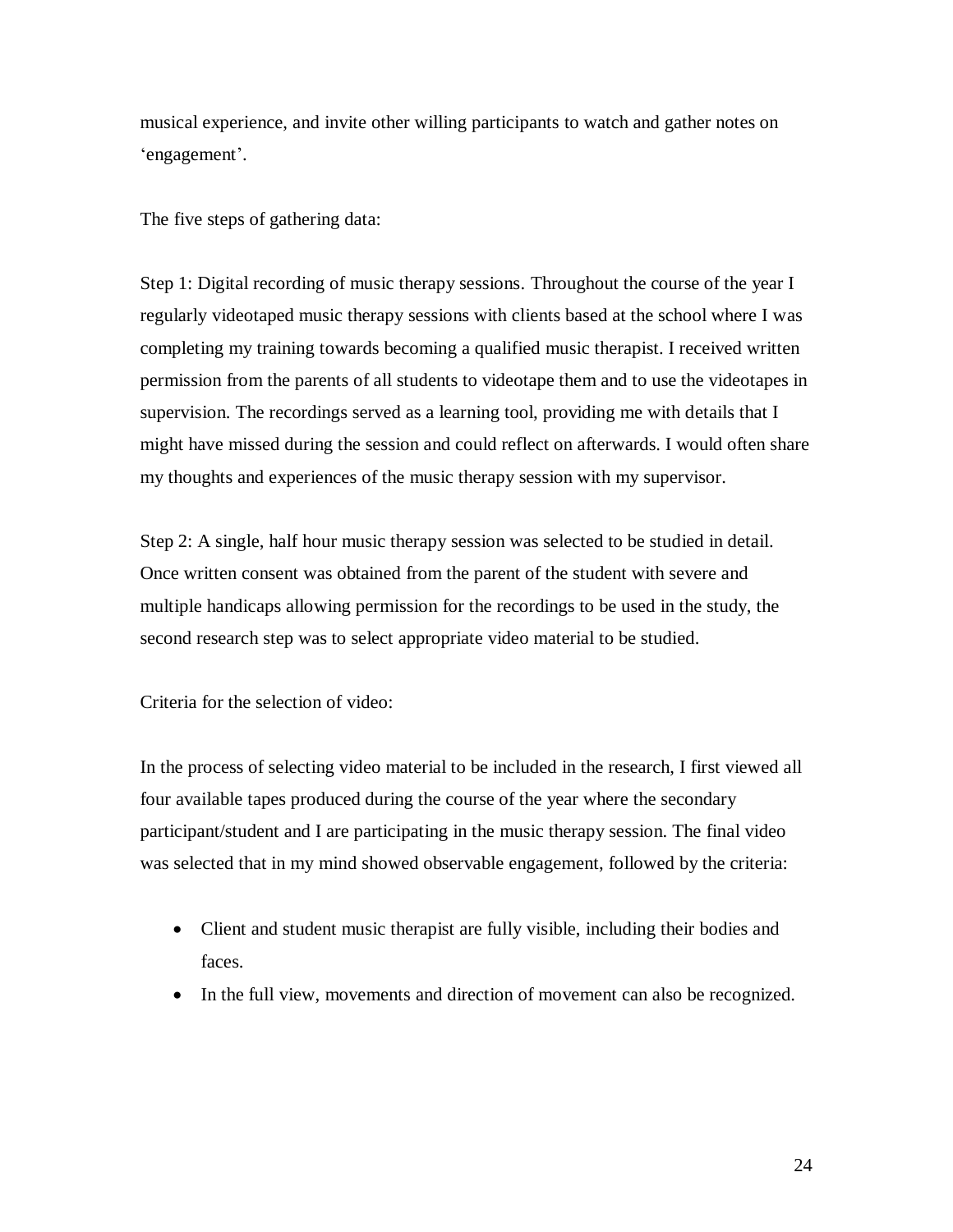musical experience, and invite other willing participants to watch and gather notes on 'engagement'.

The five steps of gathering data:

Step 1: Digital recording of music therapy sessions. Throughout the course of the year I regularly videotaped music therapy sessions with clients based at the school where I was completing my training towards becoming a qualified music therapist. I received written permission from the parents of all students to videotape them and to use the videotapes in supervision. The recordings served as a learning tool, providing me with details that I might have missed during the session and could reflect on afterwards. I would often share my thoughts and experiences of the music therapy session with my supervisor.

Step 2: A single, half hour music therapy session was selected to be studied in detail. Once written consent was obtained from the parent of the student with severe and multiple handicaps allowing permission for the recordings to be used in the study, the second research step was to select appropriate video material to be studied.

Criteria for the selection of video:

In the process of selecting video material to be included in the research, I first viewed all four available tapes produced during the course of the year where the secondary participant/student and I are participating in the music therapy session. The final video was selected that in my mind showed observable engagement, followed by the criteria:

- Client and student music therapist are fully visible, including their bodies and faces.
- In the full view, movements and direction of movement can also be recognized.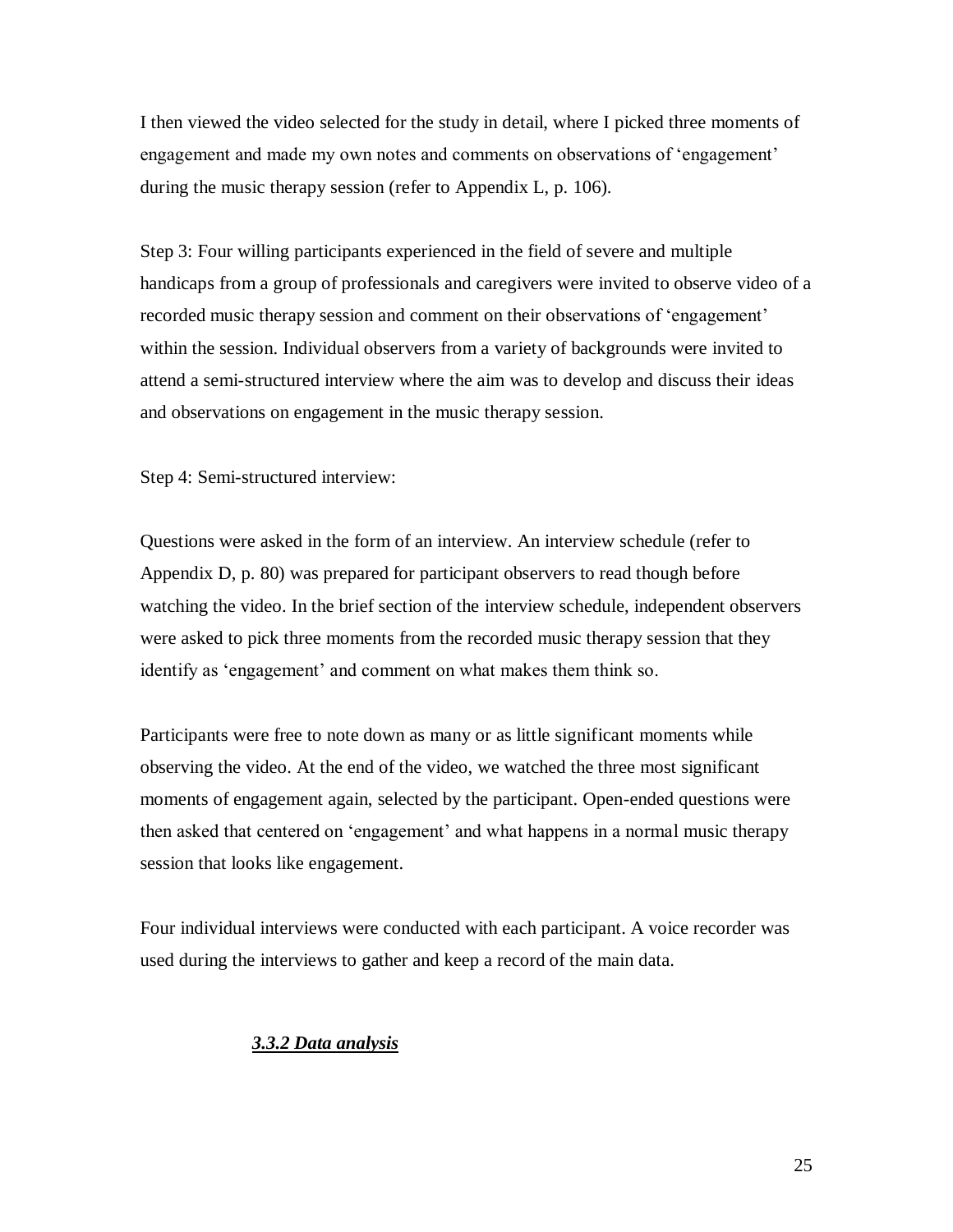I then viewed the video selected for the study in detail, where I picked three moments of engagement and made my own notes and comments on observations of "engagement" during the music therapy session (refer to Appendix L, p. 106).

Step 3: Four willing participants experienced in the field of severe and multiple handicaps from a group of professionals and caregivers were invited to observe video of a recorded music therapy session and comment on their observations of "engagement" within the session. Individual observers from a variety of backgrounds were invited to attend a semi-structured interview where the aim was to develop and discuss their ideas and observations on engagement in the music therapy session.

Step 4: Semi-structured interview:

Questions were asked in the form of an interview. An interview schedule (refer to Appendix D, p. 80) was prepared for participant observers to read though before watching the video. In the brief section of the interview schedule, independent observers were asked to pick three moments from the recorded music therapy session that they identify as 'engagement' and comment on what makes them think so.

Participants were free to note down as many or as little significant moments while observing the video. At the end of the video, we watched the three most significant moments of engagement again, selected by the participant. Open-ended questions were then asked that centered on "engagement" and what happens in a normal music therapy session that looks like engagement.

<span id="page-29-0"></span>Four individual interviews were conducted with each participant. A voice recorder was used during the interviews to gather and keep a record of the main data.

# *3.3.2 Data analysis*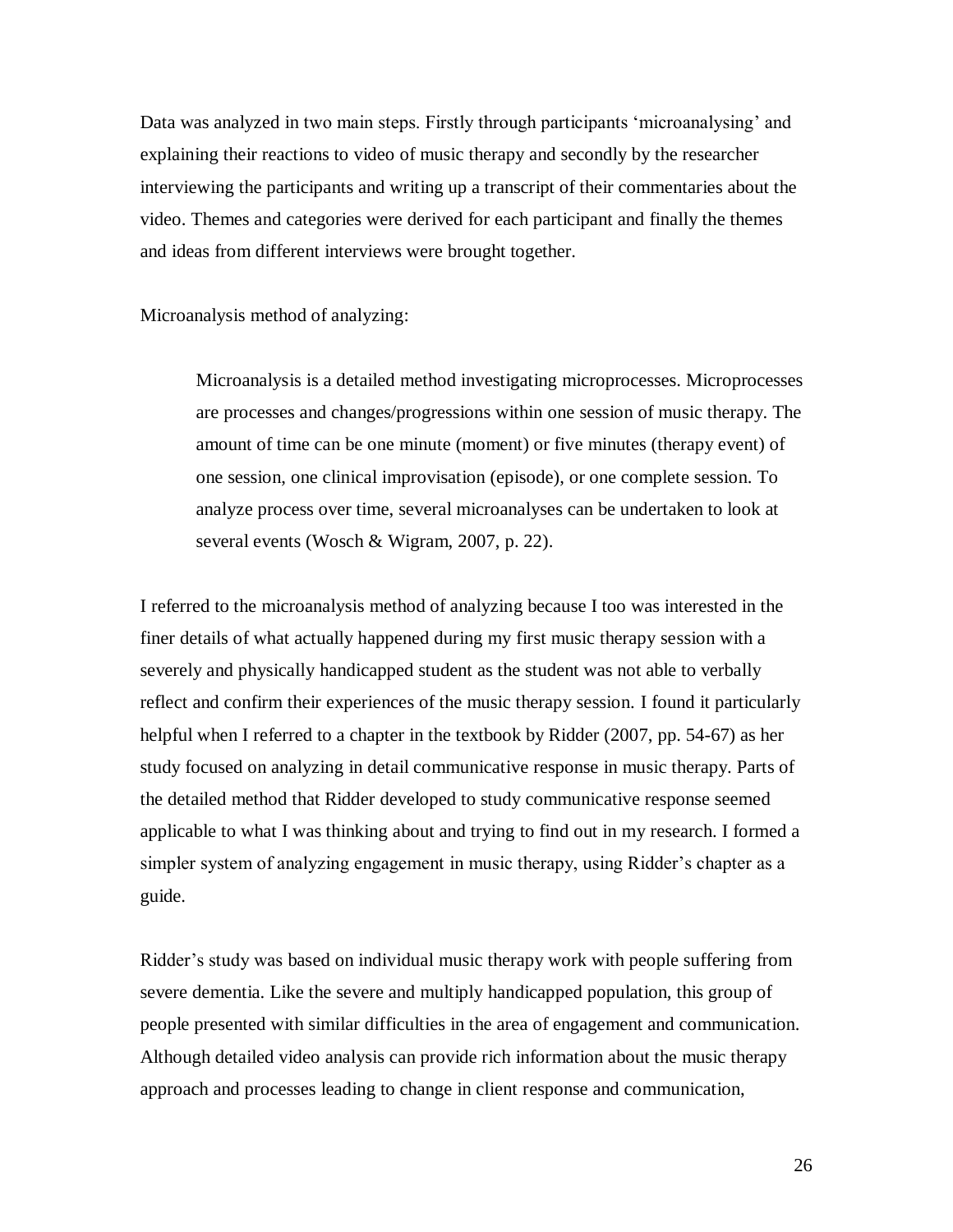Data was analyzed in two main steps. Firstly through participants "microanalysing" and explaining their reactions to video of music therapy and secondly by the researcher interviewing the participants and writing up a transcript of their commentaries about the video. Themes and categories were derived for each participant and finally the themes and ideas from different interviews were brought together.

Microanalysis method of analyzing:

Microanalysis is a detailed method investigating microprocesses. Microprocesses are processes and changes/progressions within one session of music therapy. The amount of time can be one minute (moment) or five minutes (therapy event) of one session, one clinical improvisation (episode), or one complete session. To analyze process over time, several microanalyses can be undertaken to look at several events (Wosch & Wigram, 2007, p. 22).

I referred to the microanalysis method of analyzing because I too was interested in the finer details of what actually happened during my first music therapy session with a severely and physically handicapped student as the student was not able to verbally reflect and confirm their experiences of the music therapy session. I found it particularly helpful when I referred to a chapter in the textbook by Ridder (2007, pp. 54-67) as her study focused on analyzing in detail communicative response in music therapy. Parts of the detailed method that Ridder developed to study communicative response seemed applicable to what I was thinking about and trying to find out in my research. I formed a simpler system of analyzing engagement in music therapy, using Ridder"s chapter as a guide.

Ridder"s study was based on individual music therapy work with people suffering from severe dementia. Like the severe and multiply handicapped population, this group of people presented with similar difficulties in the area of engagement and communication. Although detailed video analysis can provide rich information about the music therapy approach and processes leading to change in client response and communication,

26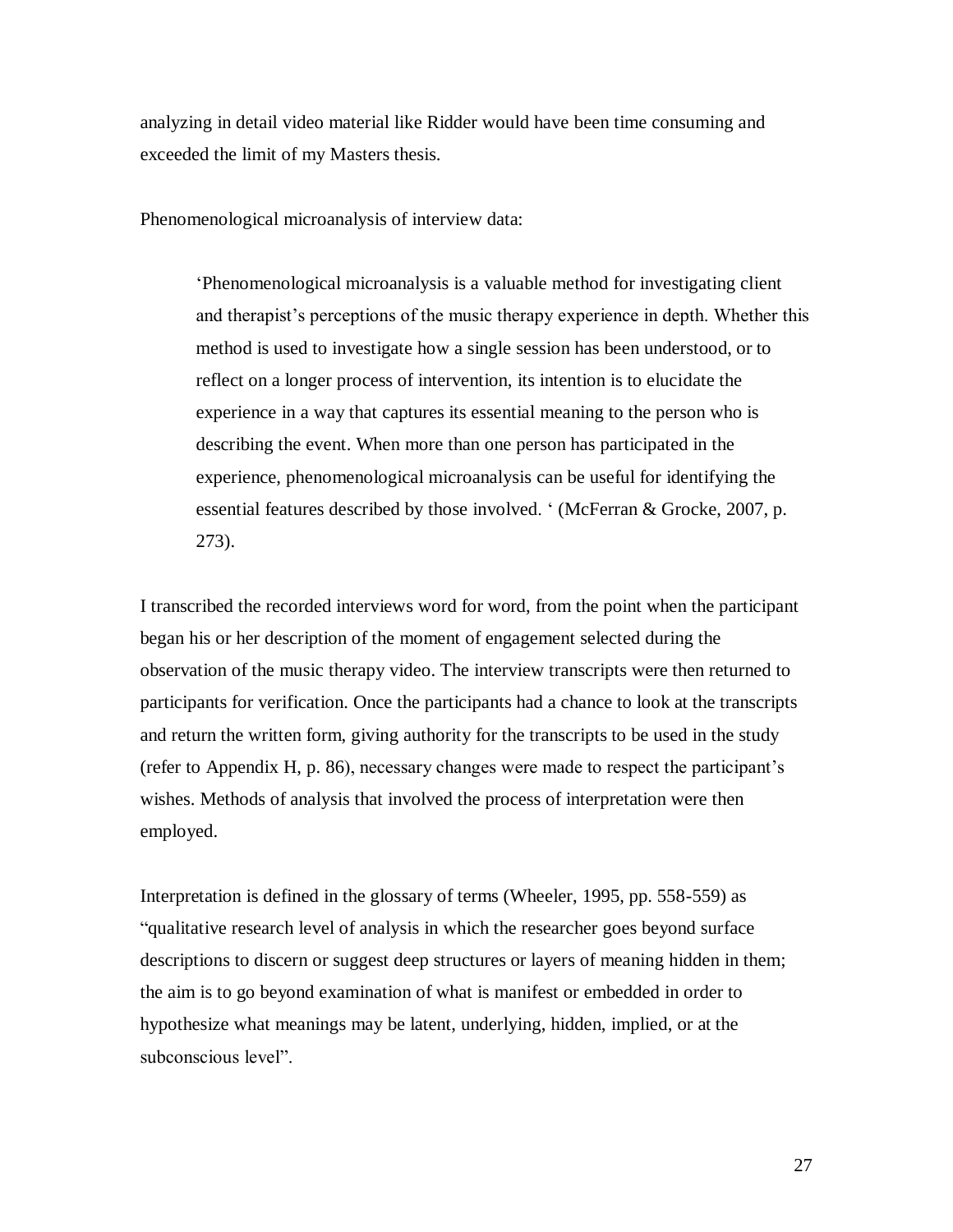analyzing in detail video material like Ridder would have been time consuming and exceeded the limit of my Masters thesis.

Phenomenological microanalysis of interview data:

"Phenomenological microanalysis is a valuable method for investigating client and therapist's perceptions of the music therapy experience in depth. Whether this method is used to investigate how a single session has been understood, or to reflect on a longer process of intervention, its intention is to elucidate the experience in a way that captures its essential meaning to the person who is describing the event. When more than one person has participated in the experience, phenomenological microanalysis can be useful for identifying the essential features described by those involved. " (McFerran & Grocke, 2007, p. 273).

I transcribed the recorded interviews word for word, from the point when the participant began his or her description of the moment of engagement selected during the observation of the music therapy video. The interview transcripts were then returned to participants for verification. Once the participants had a chance to look at the transcripts and return the written form, giving authority for the transcripts to be used in the study (refer to Appendix H, p. 86), necessary changes were made to respect the participant"s wishes. Methods of analysis that involved the process of interpretation were then employed.

Interpretation is defined in the glossary of terms (Wheeler, 1995, pp. 558-559) as "qualitative research level of analysis in which the researcher goes beyond surface descriptions to discern or suggest deep structures or layers of meaning hidden in them; the aim is to go beyond examination of what is manifest or embedded in order to hypothesize what meanings may be latent, underlying, hidden, implied, or at the subconscious level".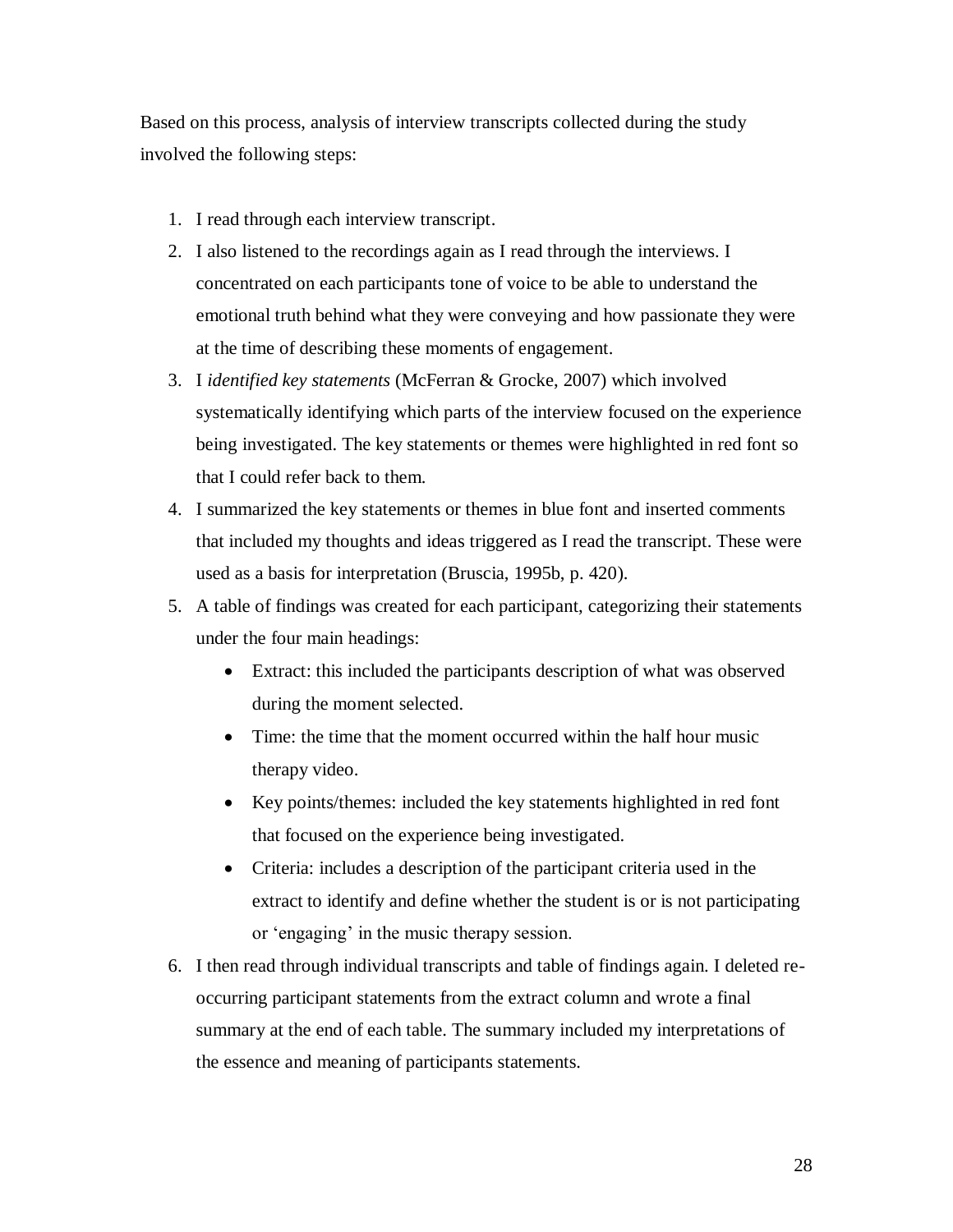Based on this process, analysis of interview transcripts collected during the study involved the following steps:

- 1. I read through each interview transcript.
- 2. I also listened to the recordings again as I read through the interviews. I concentrated on each participants tone of voice to be able to understand the emotional truth behind what they were conveying and how passionate they were at the time of describing these moments of engagement.
- 3. I *identified key statements* (McFerran & Grocke, 2007) which involved systematically identifying which parts of the interview focused on the experience being investigated. The key statements or themes were highlighted in red font so that I could refer back to them.
- 4. I summarized the key statements or themes in blue font and inserted comments that included my thoughts and ideas triggered as I read the transcript. These were used as a basis for interpretation (Bruscia, 1995b, p. 420).
- 5. A table of findings was created for each participant, categorizing their statements under the four main headings:
	- Extract: this included the participants description of what was observed during the moment selected.
	- Time: the time that the moment occurred within the half hour music therapy video.
	- Key points/themes: included the key statements highlighted in red font that focused on the experience being investigated.
	- Criteria: includes a description of the participant criteria used in the extract to identify and define whether the student is or is not participating or "engaging" in the music therapy session.
- 6. I then read through individual transcripts and table of findings again. I deleted reoccurring participant statements from the extract column and wrote a final summary at the end of each table. The summary included my interpretations of the essence and meaning of participants statements.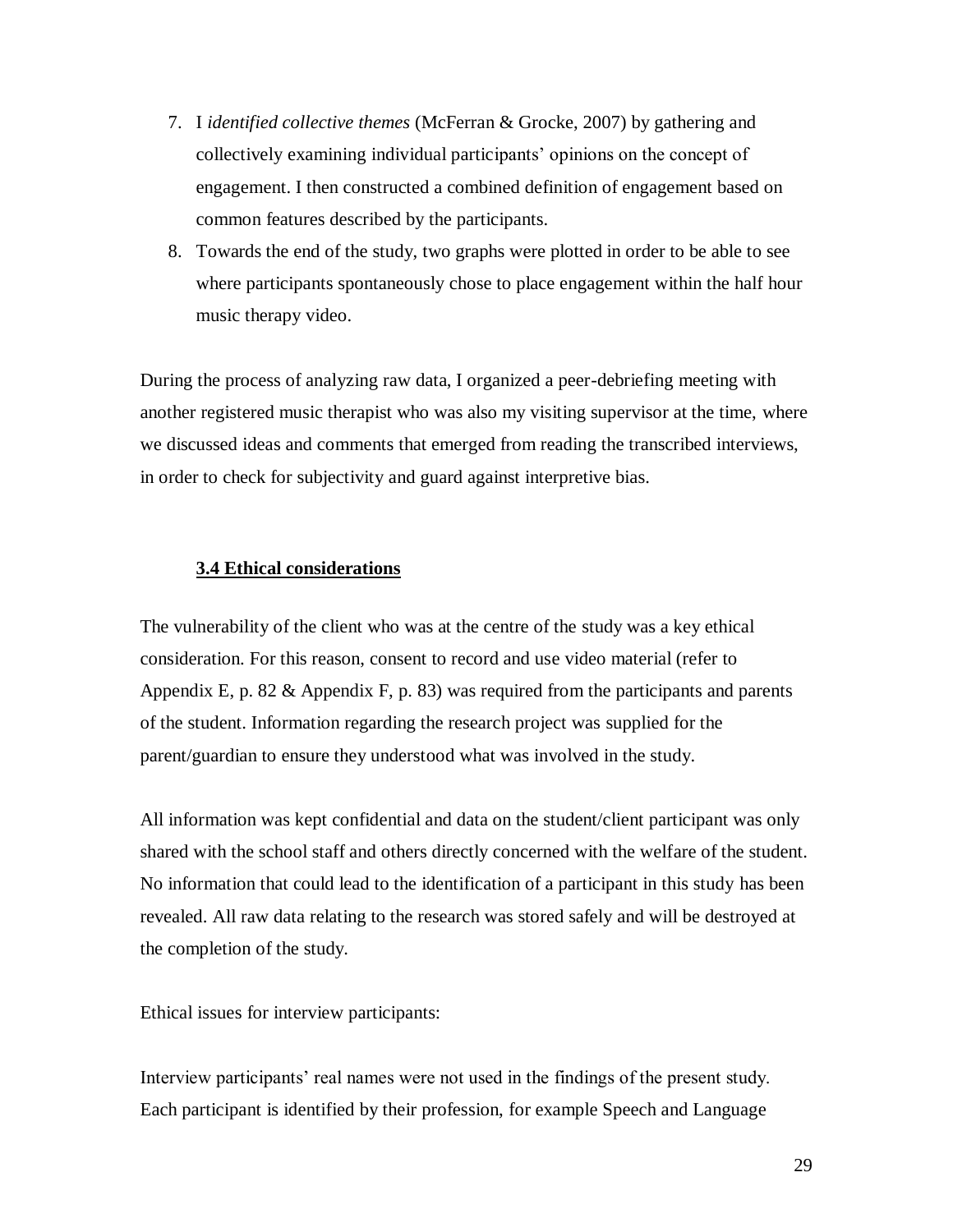- 7. I *identified collective themes* (McFerran & Grocke, 2007) by gathering and collectively examining individual participants" opinions on the concept of engagement. I then constructed a combined definition of engagement based on common features described by the participants.
- 8. Towards the end of the study, two graphs were plotted in order to be able to see where participants spontaneously chose to place engagement within the half hour music therapy video.

During the process of analyzing raw data, I organized a peer-debriefing meeting with another registered music therapist who was also my visiting supervisor at the time, where we discussed ideas and comments that emerged from reading the transcribed interviews, in order to check for subjectivity and guard against interpretive bias.

### <span id="page-33-0"></span>**3.4 Ethical considerations**

The vulnerability of the client who was at the centre of the study was a key ethical consideration. For this reason, consent to record and use video material (refer to Appendix E, p. 82 & Appendix F, p. 83) was required from the participants and parents of the student. Information regarding the research project was supplied for the parent/guardian to ensure they understood what was involved in the study.

All information was kept confidential and data on the student/client participant was only shared with the school staff and others directly concerned with the welfare of the student. No information that could lead to the identification of a participant in this study has been revealed. All raw data relating to the research was stored safely and will be destroyed at the completion of the study.

Ethical issues for interview participants:

Interview participants' real names were not used in the findings of the present study. Each participant is identified by their profession, for example Speech and Language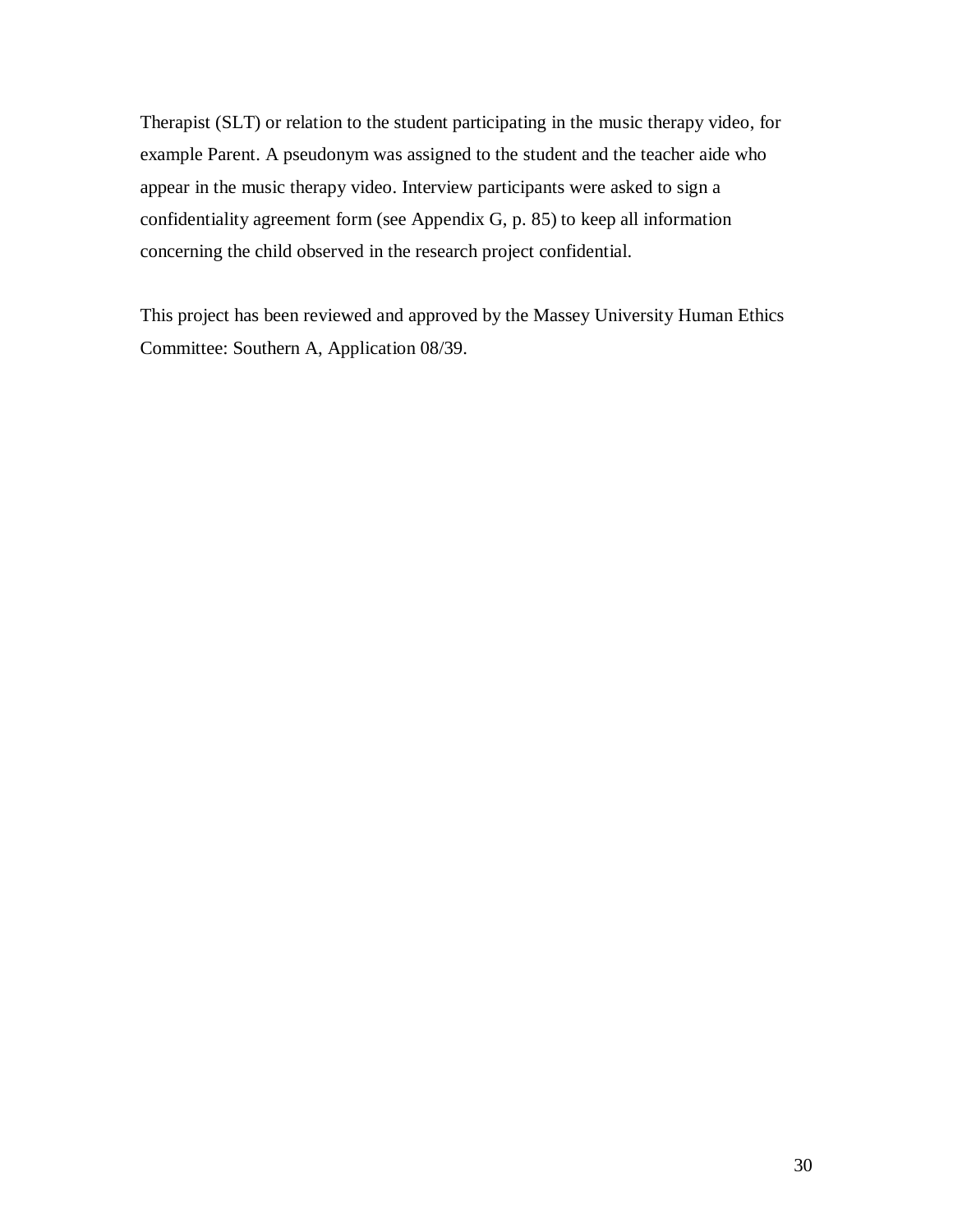Therapist (SLT) or relation to the student participating in the music therapy video, for example Parent. A pseudonym was assigned to the student and the teacher aide who appear in the music therapy video. Interview participants were asked to sign a confidentiality agreement form (see Appendix G, p. 85) to keep all information concerning the child observed in the research project confidential.

This project has been reviewed and approved by the Massey University Human Ethics Committee: Southern A, Application 08/39.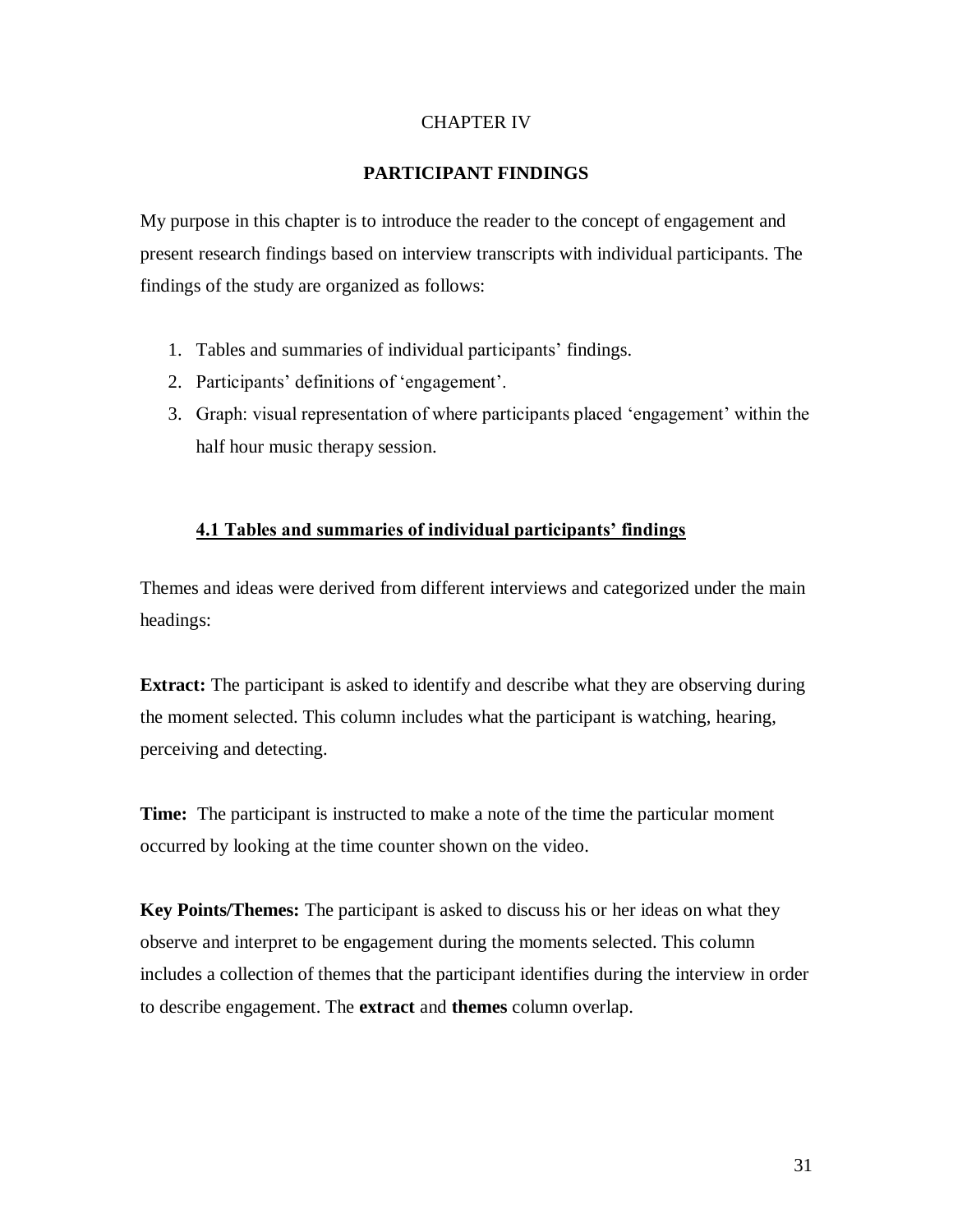# CHAPTER IV

# **PARTICIPANT FINDINGS**

<span id="page-35-0"></span>My purpose in this chapter is to introduce the reader to the concept of engagement and present research findings based on interview transcripts with individual participants. The findings of the study are organized as follows:

- 1. Tables and summaries of individual participants' findings.
- 2. Participants' definitions of 'engagement'.
- 3. Graph: visual representation of where participants placed "engagement" within the half hour music therapy session.

### <span id="page-35-1"></span>**4.1 Tables and summaries of individual participants' findings**

Themes and ideas were derived from different interviews and categorized under the main headings:

**Extract:** The participant is asked to identify and describe what they are observing during the moment selected. This column includes what the participant is watching, hearing, perceiving and detecting.

**Time:** The participant is instructed to make a note of the time the particular moment occurred by looking at the time counter shown on the video.

**Key Points/Themes:** The participant is asked to discuss his or her ideas on what they observe and interpret to be engagement during the moments selected. This column includes a collection of themes that the participant identifies during the interview in order to describe engagement. The **extract** and **themes** column overlap.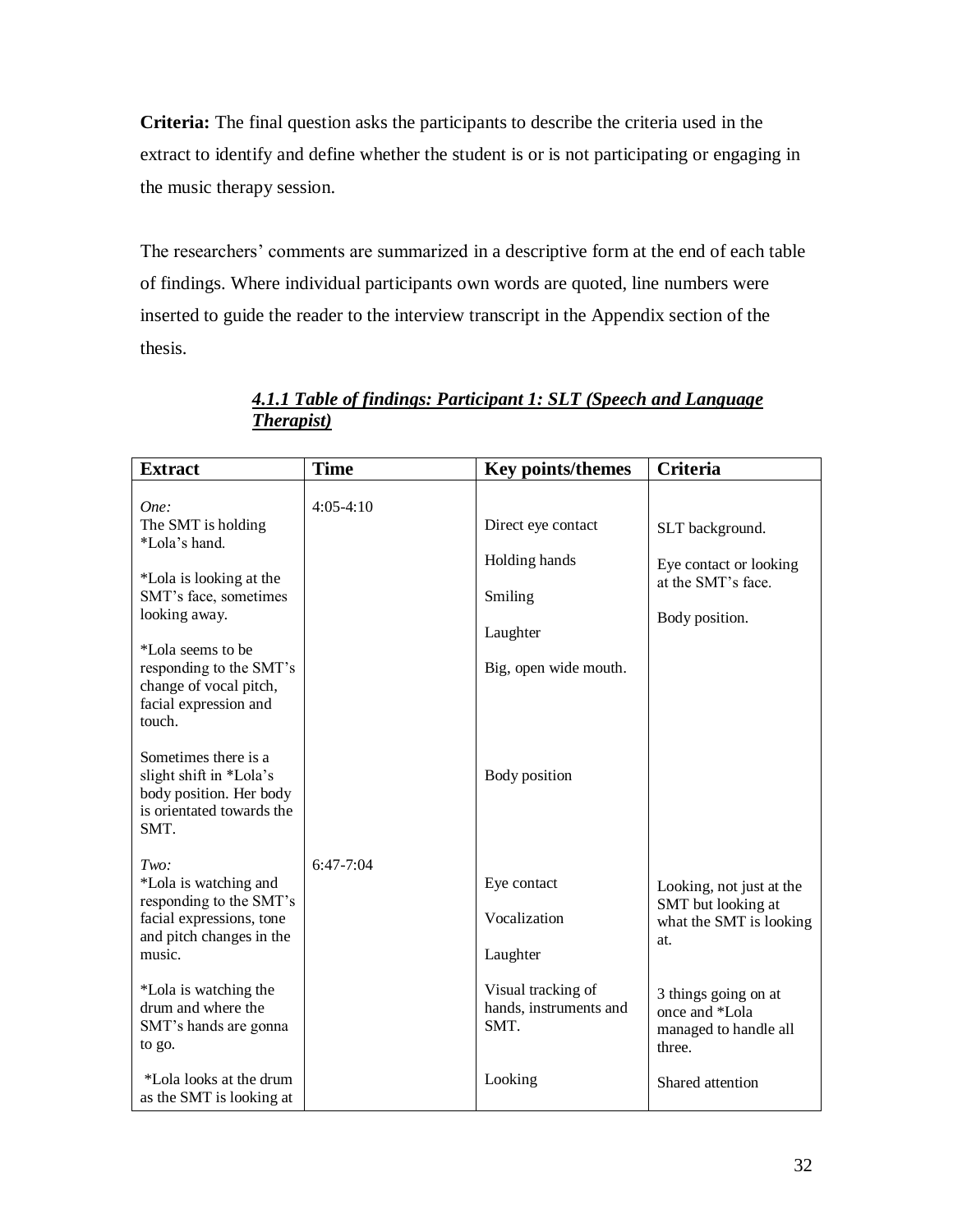**Criteria:** The final question asks the participants to describe the criteria used in the extract to identify and define whether the student is or is not participating or engaging in the music therapy session.

The researchers' comments are summarized in a descriptive form at the end of each table of findings. Where individual participants own words are quoted, line numbers were inserted to guide the reader to the interview transcript in the Appendix section of the thesis.

| <b>Extract</b>                                                                                                                                                                                                                                                                                                                                   | <b>Time</b> | <b>Key points/themes</b>                                                                             | <b>Criteria</b>                                                                                                                                               |
|--------------------------------------------------------------------------------------------------------------------------------------------------------------------------------------------------------------------------------------------------------------------------------------------------------------------------------------------------|-------------|------------------------------------------------------------------------------------------------------|---------------------------------------------------------------------------------------------------------------------------------------------------------------|
| One:<br>The SMT is holding<br>*Lola's hand.<br>*Lola is looking at the<br>SMT's face, sometimes<br>looking away.<br>*Lola seems to be<br>responding to the SMT's<br>change of vocal pitch,<br>facial expression and<br>touch.<br>Sometimes there is a<br>slight shift in *Lola's<br>body position. Her body<br>is orientated towards the<br>SMT. | $4:05-4:10$ | Direct eye contact<br>Holding hands<br>Smiling<br>Laughter<br>Big, open wide mouth.<br>Body position | SLT background.<br>Eye contact or looking<br>at the SMT's face.<br>Body position.                                                                             |
| Two:<br>*Lola is watching and<br>responding to the SMT's<br>facial expressions, tone<br>and pitch changes in the<br>music.<br>*Lola is watching the<br>drum and where the<br>SMT's hands are gonna<br>to go.                                                                                                                                     | $6:47-7:04$ | Eye contact<br>Vocalization<br>Laughter<br>Visual tracking of<br>hands, instruments and<br>SMT.      | Looking, not just at the<br>SMT but looking at<br>what the SMT is looking<br>at.<br>3 things going on at<br>once and *Lola<br>managed to handle all<br>three. |
| *Lola looks at the drum<br>as the SMT is looking at                                                                                                                                                                                                                                                                                              |             | Looking                                                                                              | Shared attention                                                                                                                                              |

# *4.1.1 Table of findings: Participant 1: SLT (Speech and Language Therapist)*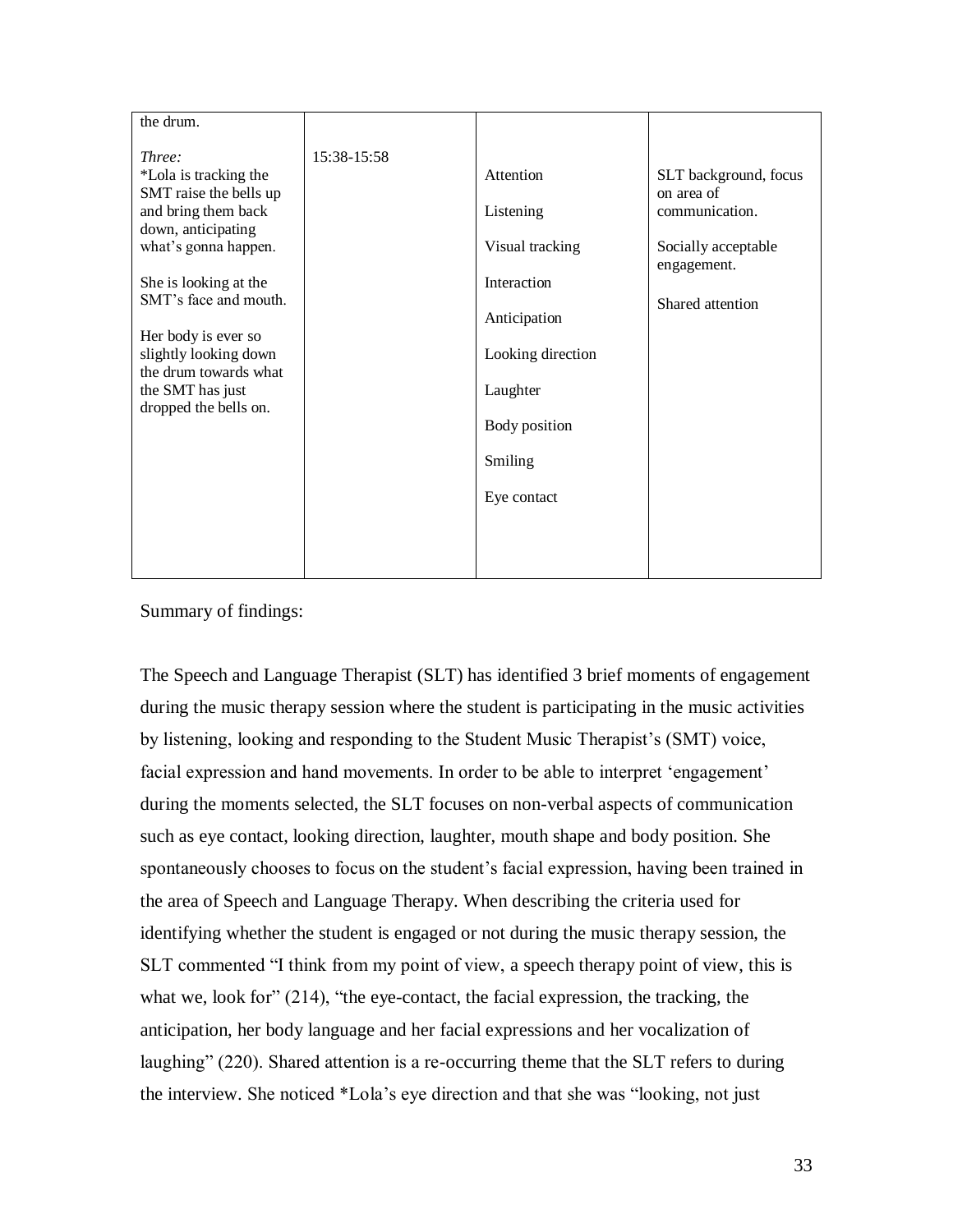| the drum.                                                                                                                                                                                                                                                                                              |             |                                                                                                                                                      |                                                                                                                 |
|--------------------------------------------------------------------------------------------------------------------------------------------------------------------------------------------------------------------------------------------------------------------------------------------------------|-------------|------------------------------------------------------------------------------------------------------------------------------------------------------|-----------------------------------------------------------------------------------------------------------------|
| Three:<br>*Lola is tracking the<br>SMT raise the bells up<br>and bring them back<br>down, anticipating<br>what's gonna happen.<br>She is looking at the<br>SMT's face and mouth.<br>Her body is ever so<br>slightly looking down<br>the drum towards what<br>the SMT has just<br>dropped the bells on. | 15:38-15:58 | Attention<br>Listening<br>Visual tracking<br>Interaction<br>Anticipation<br>Looking direction<br>Laughter<br>Body position<br>Smiling<br>Eye contact | SLT background, focus<br>on area of<br>communication.<br>Socially acceptable<br>engagement.<br>Shared attention |
|                                                                                                                                                                                                                                                                                                        |             |                                                                                                                                                      |                                                                                                                 |

Summary of findings:

The Speech and Language Therapist (SLT) has identified 3 brief moments of engagement during the music therapy session where the student is participating in the music activities by listening, looking and responding to the Student Music Therapist's (SMT) voice, facial expression and hand movements. In order to be able to interpret 'engagement' during the moments selected, the SLT focuses on non-verbal aspects of communication such as eye contact, looking direction, laughter, mouth shape and body position. She spontaneously chooses to focus on the student's facial expression, having been trained in the area of Speech and Language Therapy. When describing the criteria used for identifying whether the student is engaged or not during the music therapy session, the SLT commented "I think from my point of view, a speech therapy point of view, this is what we, look for" (214), "the eye-contact, the facial expression, the tracking, the anticipation, her body language and her facial expressions and her vocalization of laughing" (220). Shared attention is a re-occurring theme that the SLT refers to during the interview. She noticed \*Lola"s eye direction and that she was "looking, not just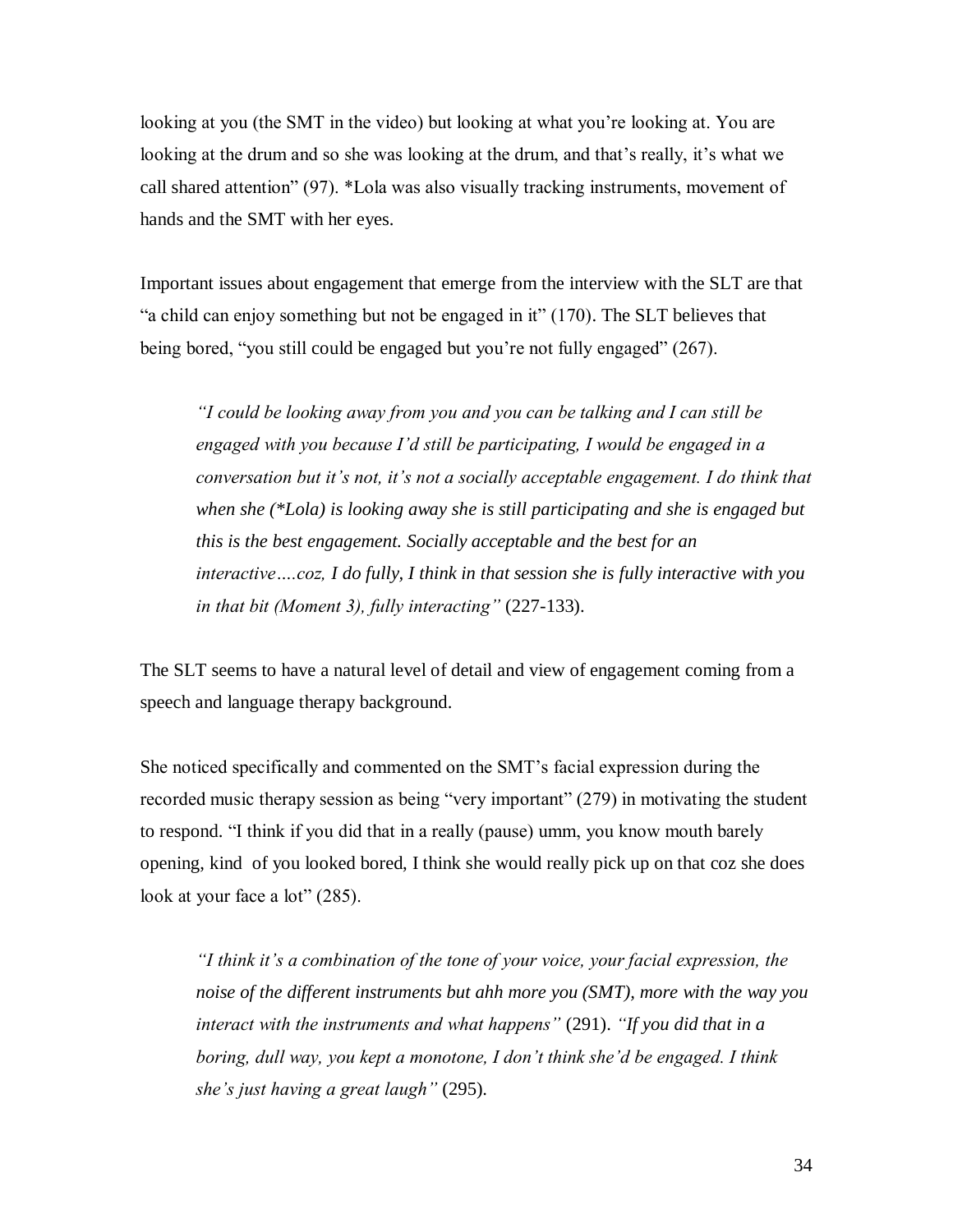looking at you (the SMT in the video) but looking at what you"re looking at. You are looking at the drum and so she was looking at the drum, and that's really, it's what we call shared attention" (97). \*Lola was also visually tracking instruments, movement of hands and the SMT with her eyes.

Important issues about engagement that emerge from the interview with the SLT are that "a child can enjoy something but not be engaged in it" (170). The SLT believes that being bored, "you still could be engaged but you"re not fully engaged" (267).

*"I could be looking away from you and you can be talking and I can still be engaged with you because I"d still be participating, I would be engaged in a conversation but it"s not, it"s not a socially acceptable engagement. I do think that when she (\*Lola) is looking away she is still participating and she is engaged but this is the best engagement. Socially acceptable and the best for an interactive….coz, I do fully, I think in that session she is fully interactive with you in that bit (Moment 3), fully interacting"* (227-133).

The SLT seems to have a natural level of detail and view of engagement coming from a speech and language therapy background.

She noticed specifically and commented on the SMT"s facial expression during the recorded music therapy session as being "very important" (279) in motivating the student to respond. "I think if you did that in a really (pause) umm, you know mouth barely opening, kind of you looked bored, I think she would really pick up on that coz she does look at your face a lot" (285).

*"I think it"s a combination of the tone of your voice, your facial expression, the noise of the different instruments but ahh more you (SMT), more with the way you interact with the instruments and what happens"* (291). *"If you did that in a boring, dull way, you kept a monotone, I don"t think she"d be engaged. I think she"s just having a great laugh"* (295).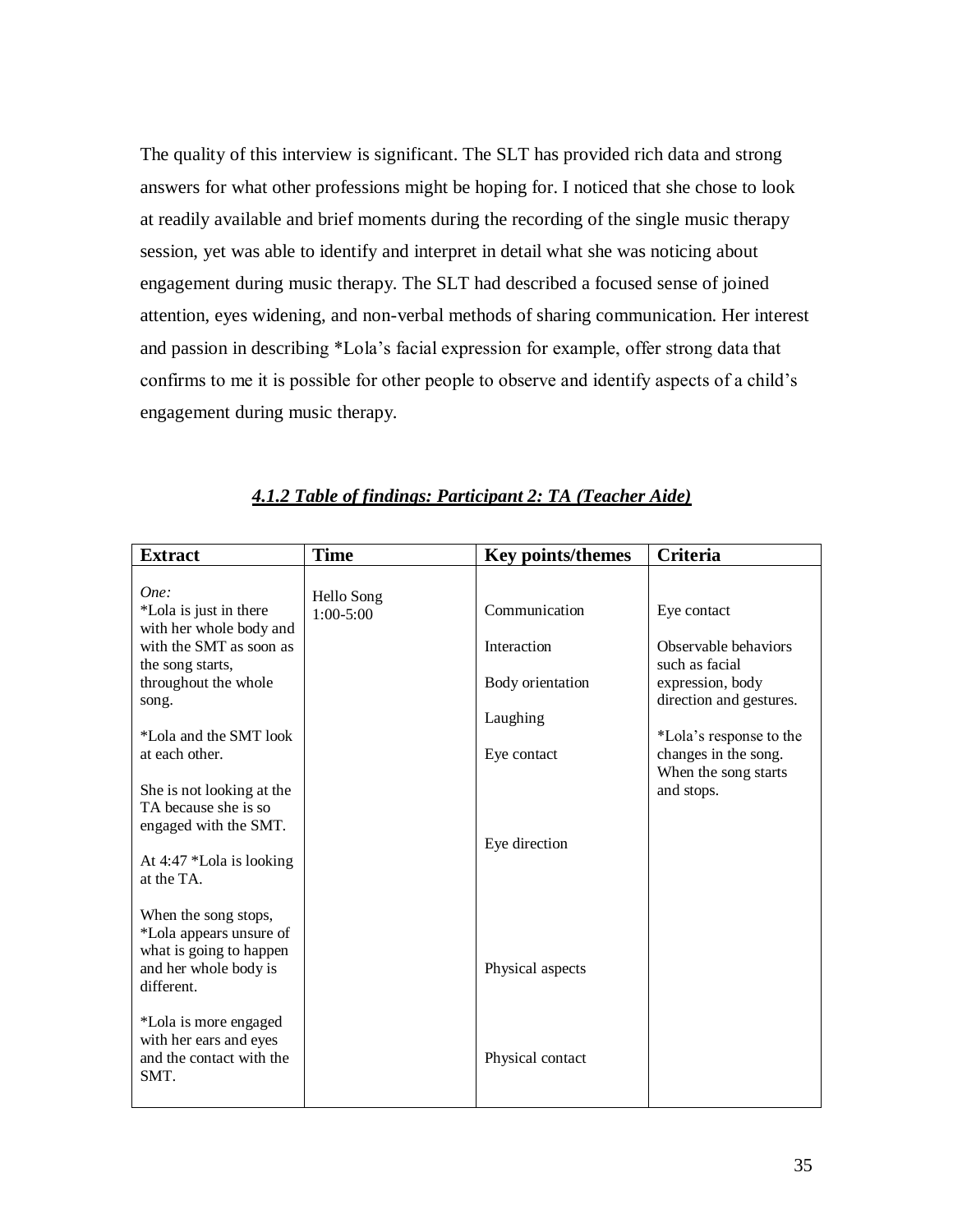The quality of this interview is significant. The SLT has provided rich data and strong answers for what other professions might be hoping for. I noticed that she chose to look at readily available and brief moments during the recording of the single music therapy session, yet was able to identify and interpret in detail what she was noticing about engagement during music therapy. The SLT had described a focused sense of joined attention, eyes widening, and non-verbal methods of sharing communication. Her interest and passion in describing \*Lola"s facial expression for example, offer strong data that confirms to me it is possible for other people to observe and identify aspects of a child"s engagement during music therapy.

| <b>Extract</b>                                                                                                    | <b>Time</b>                 | <b>Key points/themes</b> | Criteria                                                   |
|-------------------------------------------------------------------------------------------------------------------|-----------------------------|--------------------------|------------------------------------------------------------|
| One:<br>*Lola is just in there                                                                                    | Hello Song<br>$1:00 - 5:00$ | Communication            | Eye contact                                                |
| with her whole body and<br>with the SMT as soon as<br>the song starts,                                            |                             | Interaction              | Observable behaviors<br>such as facial                     |
| throughout the whole<br>song.                                                                                     |                             | Body orientation         | expression, body<br>direction and gestures.                |
| *Lola and the SMT look                                                                                            |                             | Laughing                 | *Lola's response to the                                    |
| at each other.<br>She is not looking at the                                                                       |                             | Eye contact              | changes in the song.<br>When the song starts<br>and stops. |
| TA because she is so<br>engaged with the SMT.                                                                     |                             |                          |                                                            |
| At $4:47$ *Lola is looking<br>at the TA.                                                                          |                             | Eye direction            |                                                            |
| When the song stops,<br>*Lola appears unsure of<br>what is going to happen<br>and her whole body is<br>different. |                             | Physical aspects         |                                                            |
| *Lola is more engaged<br>with her ears and eyes<br>and the contact with the<br>SMT.                               |                             | Physical contact         |                                                            |

# *4.1.2 Table of findings: Participant 2: TA (Teacher Aide)*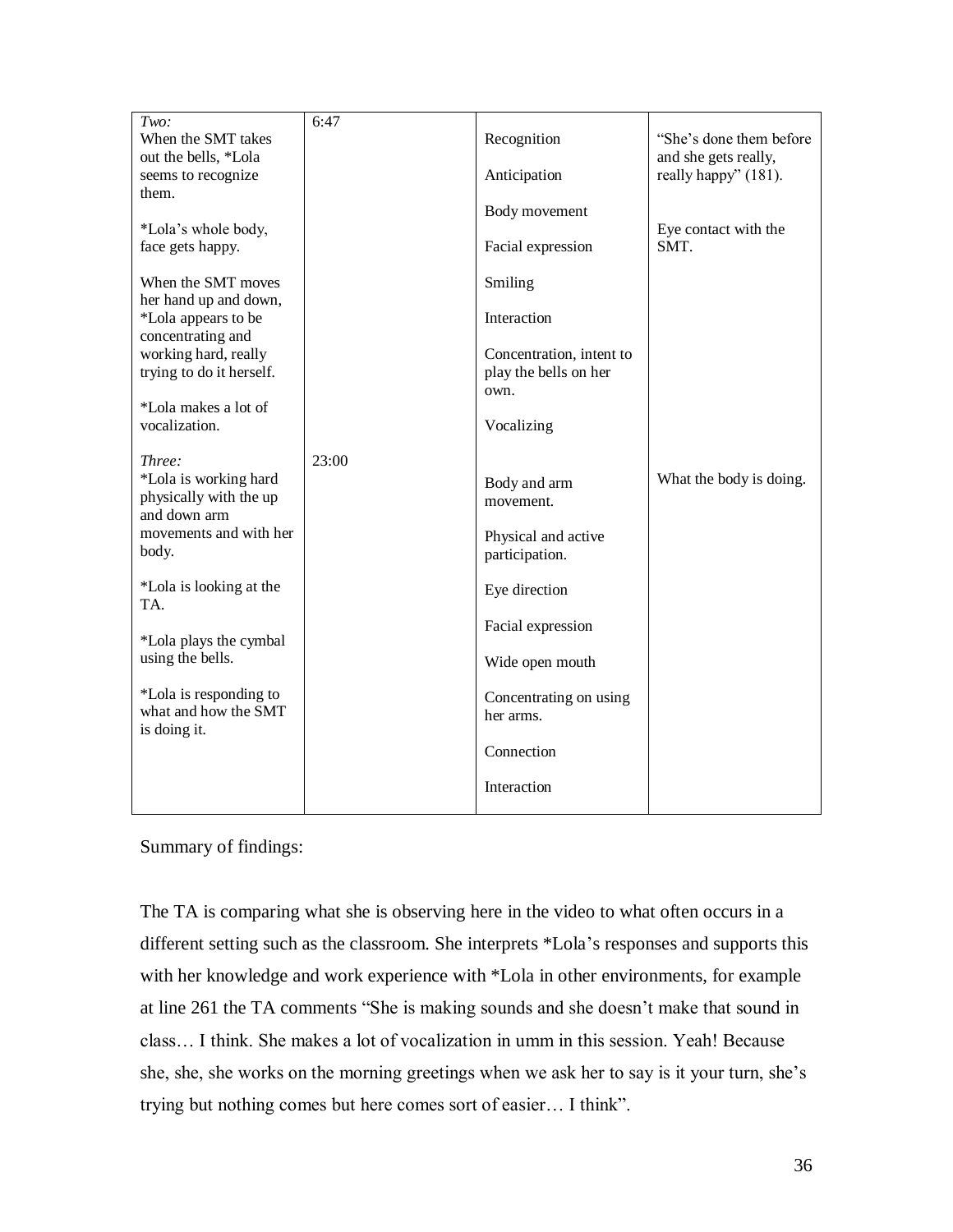| Two:                                                                      | 6:47  |                                                   |                                                 |
|---------------------------------------------------------------------------|-------|---------------------------------------------------|-------------------------------------------------|
| When the SMT takes<br>out the bells, *Lola                                |       | Recognition                                       | "She's done them before<br>and she gets really, |
| seems to recognize<br>them.                                               |       | Anticipation                                      | really happy" (181).                            |
| *Lola's whole body,                                                       |       | Body movement                                     | Eye contact with the                            |
| face gets happy.                                                          |       | Facial expression                                 | SMT.                                            |
| When the SMT moves<br>her hand up and down,                               |       | Smiling                                           |                                                 |
| *Lola appears to be<br>concentrating and                                  |       | Interaction                                       |                                                 |
| working hard, really<br>trying to do it herself.                          |       | Concentration, intent to<br>play the bells on her |                                                 |
| *Lola makes a lot of                                                      |       | own.                                              |                                                 |
| vocalization.                                                             |       | Vocalizing                                        |                                                 |
| Three:<br>*Lola is working hard<br>physically with the up<br>and down arm | 23:00 | Body and arm<br>movement.                         | What the body is doing.                         |
| movements and with her<br>body.                                           |       | Physical and active<br>participation.             |                                                 |
| *Lola is looking at the<br>TA.                                            |       | Eye direction                                     |                                                 |
| *Lola plays the cymbal                                                    |       | Facial expression                                 |                                                 |
| using the bells.                                                          |       | Wide open mouth                                   |                                                 |
| *Lola is responding to<br>what and how the SMT<br>is doing it.            |       | Concentrating on using<br>her arms.               |                                                 |
|                                                                           |       | Connection                                        |                                                 |
|                                                                           |       | Interaction                                       |                                                 |

Summary of findings:

The TA is comparing what she is observing here in the video to what often occurs in a different setting such as the classroom. She interprets \*Lola"s responses and supports this with her knowledge and work experience with \*Lola in other environments, for example at line 261 the TA comments "She is making sounds and she doesn"t make that sound in class… I think. She makes a lot of vocalization in umm in this session. Yeah! Because she, she, she works on the morning greetings when we ask her to say is it your turn, she"s trying but nothing comes but here comes sort of easier… I think".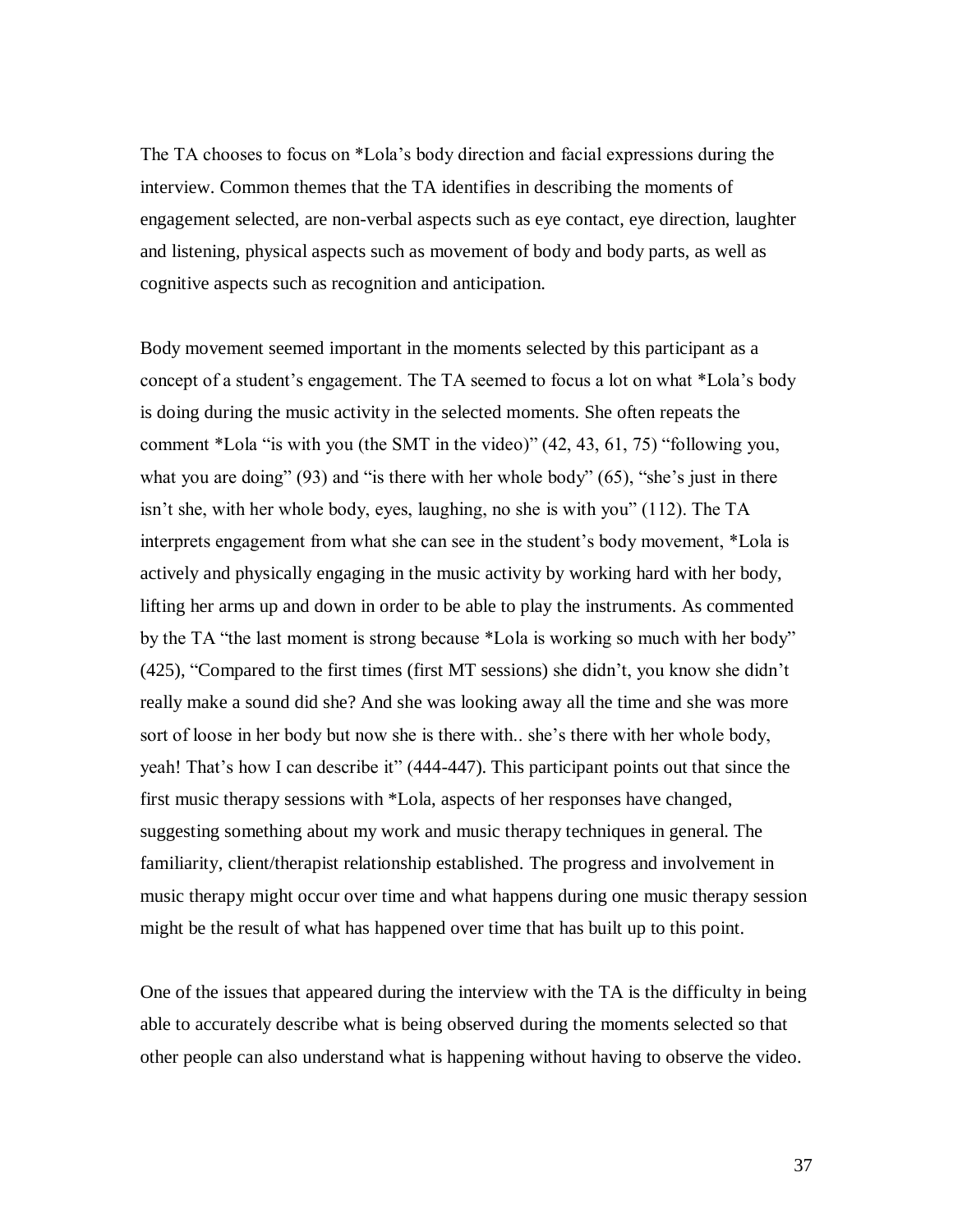The TA chooses to focus on \*Lola"s body direction and facial expressions during the interview. Common themes that the TA identifies in describing the moments of engagement selected, are non-verbal aspects such as eye contact, eye direction, laughter and listening, physical aspects such as movement of body and body parts, as well as cognitive aspects such as recognition and anticipation.

Body movement seemed important in the moments selected by this participant as a concept of a student"s engagement. The TA seemed to focus a lot on what \*Lola"s body is doing during the music activity in the selected moments. She often repeats the comment \*Lola "is with you (the SMT in the video)" (42, 43, 61, 75) "following you, what you are doing" (93) and "is there with her whole body" (65), "she's just in there isn"t she, with her whole body, eyes, laughing, no she is with you" (112). The TA interprets engagement from what she can see in the student"s body movement, \*Lola is actively and physically engaging in the music activity by working hard with her body, lifting her arms up and down in order to be able to play the instruments. As commented by the TA "the last moment is strong because \*Lola is working so much with her body" (425), "Compared to the first times (first MT sessions) she didn"t, you know she didn"t really make a sound did she? And she was looking away all the time and she was more sort of loose in her body but now she is there with.. she's there with her whole body, yeah! That"s how I can describe it" (444-447). This participant points out that since the first music therapy sessions with \*Lola, aspects of her responses have changed, suggesting something about my work and music therapy techniques in general. The familiarity, client/therapist relationship established. The progress and involvement in music therapy might occur over time and what happens during one music therapy session might be the result of what has happened over time that has built up to this point.

One of the issues that appeared during the interview with the TA is the difficulty in being able to accurately describe what is being observed during the moments selected so that other people can also understand what is happening without having to observe the video.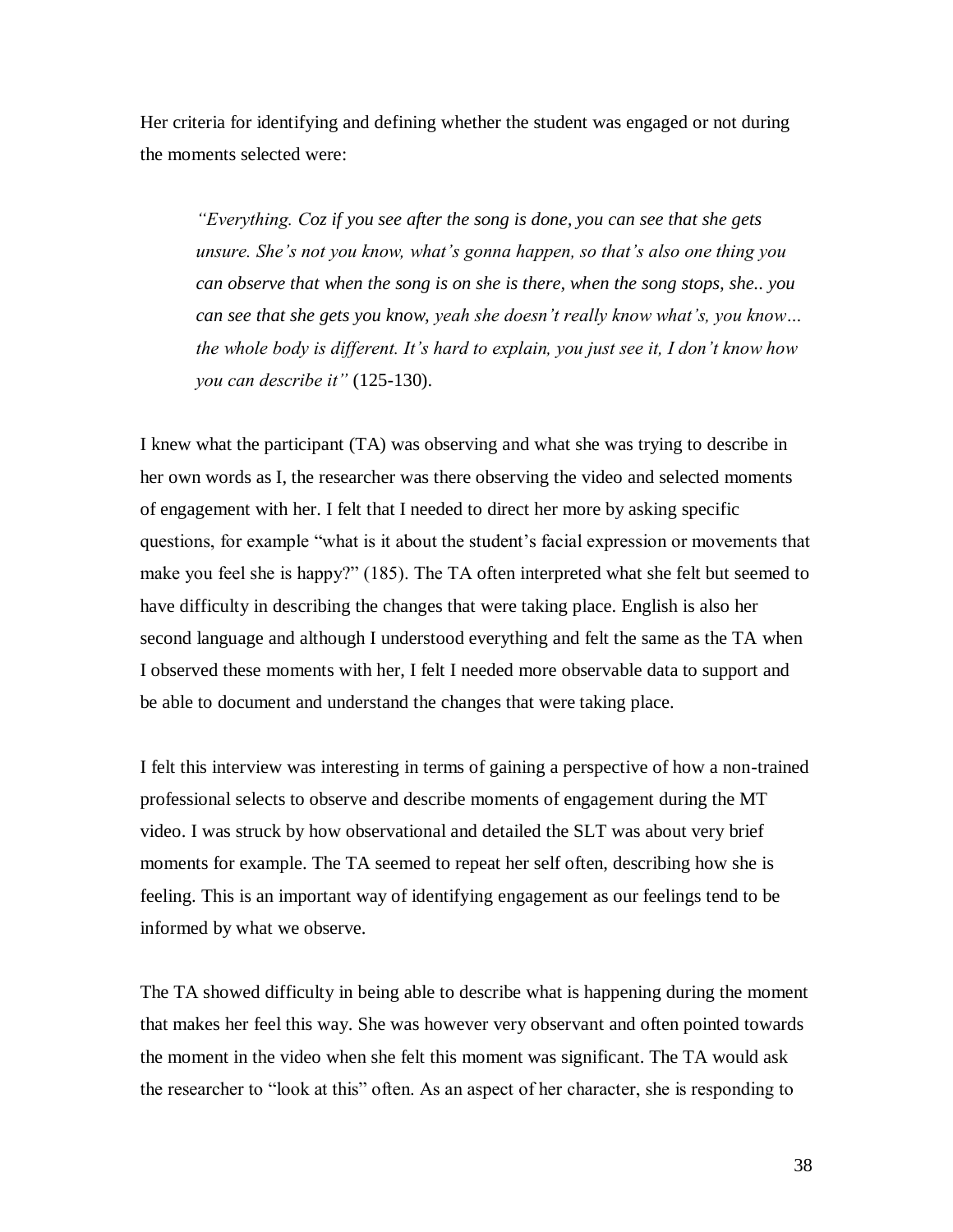Her criteria for identifying and defining whether the student was engaged or not during the moments selected were:

*"Everything. Coz if you see after the song is done, you can see that she gets unsure. She"s not you know, what"s gonna happen, so that"s also one thing you can observe that when the song is on she is there, when the song stops, she.. you can see that she gets you know, yeah she doesn"t really know what"s, you know… the whole body is different. It"s hard to explain, you just see it, I don"t know how you can describe it"* (125-130).

I knew what the participant (TA) was observing and what she was trying to describe in her own words as I, the researcher was there observing the video and selected moments of engagement with her. I felt that I needed to direct her more by asking specific questions, for example "what is it about the student"s facial expression or movements that make you feel she is happy?" (185). The TA often interpreted what she felt but seemed to have difficulty in describing the changes that were taking place. English is also her second language and although I understood everything and felt the same as the TA when I observed these moments with her, I felt I needed more observable data to support and be able to document and understand the changes that were taking place.

I felt this interview was interesting in terms of gaining a perspective of how a non-trained professional selects to observe and describe moments of engagement during the MT video. I was struck by how observational and detailed the SLT was about very brief moments for example. The TA seemed to repeat her self often, describing how she is feeling. This is an important way of identifying engagement as our feelings tend to be informed by what we observe.

The TA showed difficulty in being able to describe what is happening during the moment that makes her feel this way. She was however very observant and often pointed towards the moment in the video when she felt this moment was significant. The TA would ask the researcher to "look at this" often. As an aspect of her character, she is responding to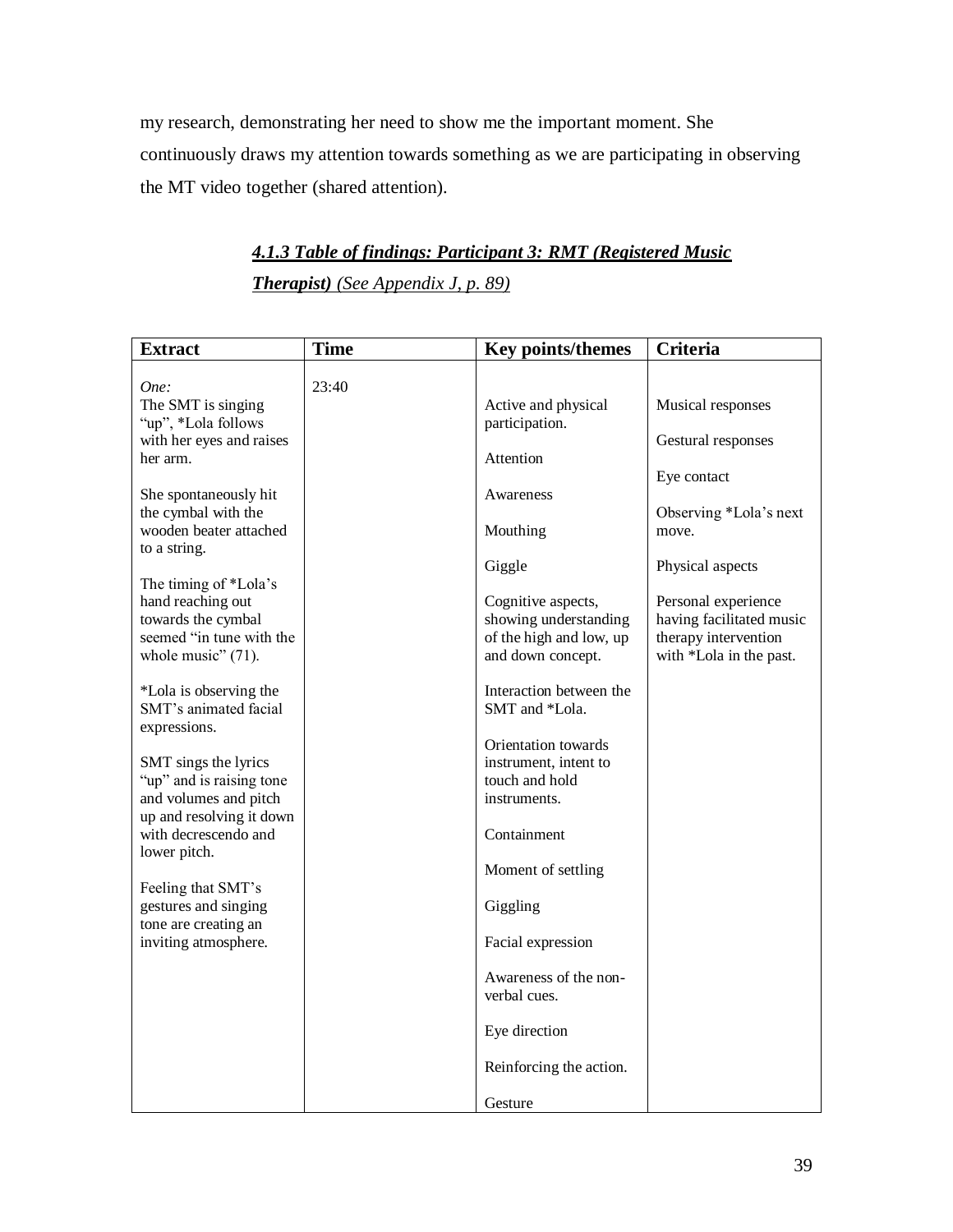my research, demonstrating her need to show me the important moment. She continuously draws my attention towards something as we are participating in observing the MT video together (shared attention).

# *4.1.3 Table of findings: Participant 3: RMT (Registered Music*

*Therapist) (See Appendix J, p. 89)*

| <b>Extract</b>                                                                                                                                                                                                                                                                                                                                                                                                                                                                                                                                                                                                                 | <b>Time</b> | Key points/themes                                                                                                                                                                                                                                                                                                                                                                                                                                                              | <b>Criteria</b>                                                                                                                                                                                                     |
|--------------------------------------------------------------------------------------------------------------------------------------------------------------------------------------------------------------------------------------------------------------------------------------------------------------------------------------------------------------------------------------------------------------------------------------------------------------------------------------------------------------------------------------------------------------------------------------------------------------------------------|-------------|--------------------------------------------------------------------------------------------------------------------------------------------------------------------------------------------------------------------------------------------------------------------------------------------------------------------------------------------------------------------------------------------------------------------------------------------------------------------------------|---------------------------------------------------------------------------------------------------------------------------------------------------------------------------------------------------------------------|
| One:<br>The SMT is singing<br>"up", *Lola follows<br>with her eyes and raises<br>her arm.<br>She spontaneously hit<br>the cymbal with the<br>wooden beater attached<br>to a string.<br>The timing of *Lola's<br>hand reaching out<br>towards the cymbal<br>seemed "in tune with the<br>whole music" $(71)$ .<br>*Lola is observing the<br>SMT's animated facial<br>expressions.<br>SMT sings the lyrics<br>"up" and is raising tone<br>and volumes and pitch<br>up and resolving it down<br>with decrescendo and<br>lower pitch.<br>Feeling that SMT's<br>gestures and singing<br>tone are creating an<br>inviting atmosphere. | 23:40       | Active and physical<br>participation.<br>Attention<br>Awareness<br>Mouthing<br>Giggle<br>Cognitive aspects,<br>showing understanding<br>of the high and low, up<br>and down concept.<br>Interaction between the<br>SMT and *Lola.<br>Orientation towards<br>instrument, intent to<br>touch and hold<br>instruments.<br>Containment<br>Moment of settling<br>Giggling<br>Facial expression<br>Awareness of the non-<br>verbal cues.<br>Eye direction<br>Reinforcing the action. | Musical responses<br>Gestural responses<br>Eye contact<br>Observing *Lola's next<br>move.<br>Physical aspects<br>Personal experience<br>having facilitated music<br>therapy intervention<br>with *Lola in the past. |
|                                                                                                                                                                                                                                                                                                                                                                                                                                                                                                                                                                                                                                |             | Gesture                                                                                                                                                                                                                                                                                                                                                                                                                                                                        |                                                                                                                                                                                                                     |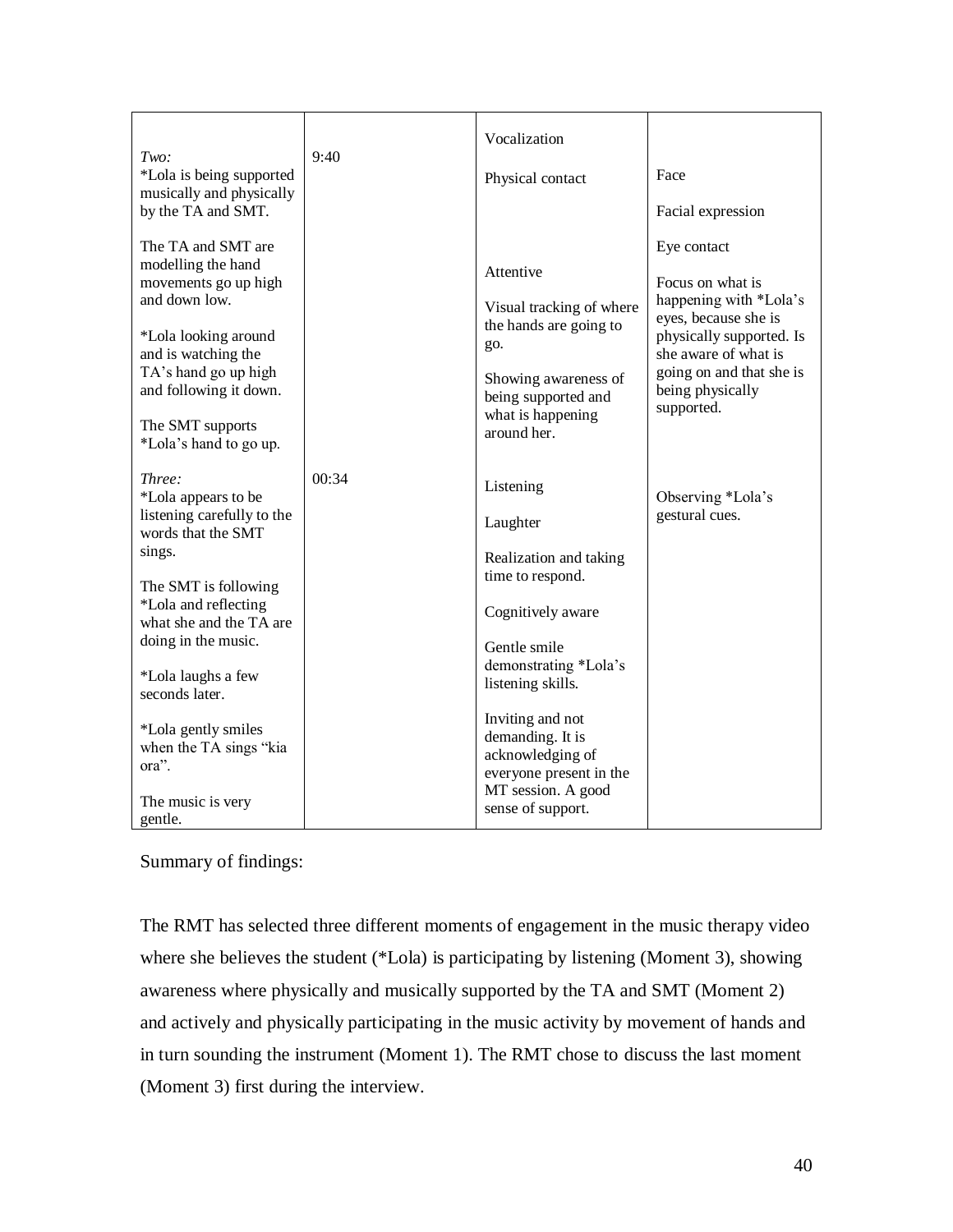| Two:<br>*Lola is being supported<br>musically and physically<br>by the TA and SMT.                                                                                                                                               | 9:40  | Vocalization<br>Physical contact                                                                                                                          | Face<br>Facial expression                                                                                                                                                                           |
|----------------------------------------------------------------------------------------------------------------------------------------------------------------------------------------------------------------------------------|-------|-----------------------------------------------------------------------------------------------------------------------------------------------------------|-----------------------------------------------------------------------------------------------------------------------------------------------------------------------------------------------------|
| The TA and SMT are<br>modelling the hand<br>movements go up high<br>and down low.<br>*Lola looking around<br>and is watching the<br>TA's hand go up high<br>and following it down.<br>The SMT supports<br>*Lola's hand to go up. |       | Attentive<br>Visual tracking of where<br>the hands are going to<br>go.<br>Showing awareness of<br>being supported and<br>what is happening<br>around her. | Eye contact<br>Focus on what is<br>happening with *Lola's<br>eyes, because she is<br>physically supported. Is<br>she aware of what is<br>going on and that she is<br>being physically<br>supported. |
| Three:<br>*Lola appears to be<br>listening carefully to the<br>words that the SMT<br>sings.<br>The SMT is following<br>*Lola and reflecting<br>what she and the TA are<br>doing in the music.<br>*Lola laughs a few              | 00:34 | Listening<br>Laughter<br>Realization and taking<br>time to respond.<br>Cognitively aware<br>Gentle smile<br>demonstrating *Lola's<br>listening skills.    | Observing *Lola's<br>gestural cues.                                                                                                                                                                 |
| seconds later.<br>*Lola gently smiles<br>when the TA sings "kia<br>ora".<br>The music is very<br>gentle.                                                                                                                         |       | Inviting and not<br>demanding. It is<br>acknowledging of<br>everyone present in the<br>MT session. A good<br>sense of support.                            |                                                                                                                                                                                                     |

Summary of findings:

The RMT has selected three different moments of engagement in the music therapy video where she believes the student (\*Lola) is participating by listening (Moment 3), showing awareness where physically and musically supported by the TA and SMT (Moment 2) and actively and physically participating in the music activity by movement of hands and in turn sounding the instrument (Moment 1). The RMT chose to discuss the last moment (Moment 3) first during the interview.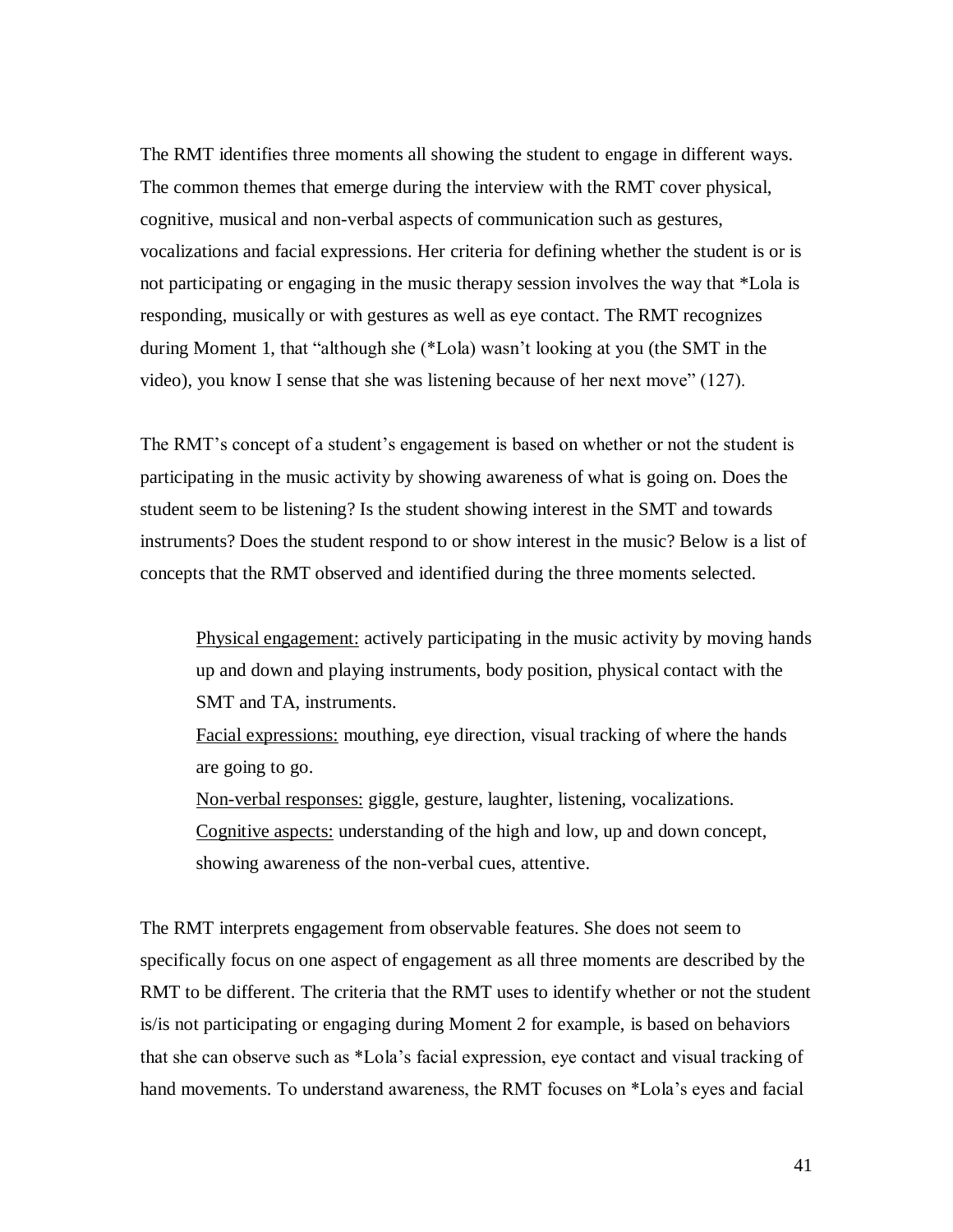The RMT identifies three moments all showing the student to engage in different ways. The common themes that emerge during the interview with the RMT cover physical, cognitive, musical and non-verbal aspects of communication such as gestures, vocalizations and facial expressions. Her criteria for defining whether the student is or is not participating or engaging in the music therapy session involves the way that \*Lola is responding, musically or with gestures as well as eye contact. The RMT recognizes during Moment 1, that "although she (\*Lola) wasn"t looking at you (the SMT in the video), you know I sense that she was listening because of her next move" (127).

The RMT's concept of a student's engagement is based on whether or not the student is participating in the music activity by showing awareness of what is going on. Does the student seem to be listening? Is the student showing interest in the SMT and towards instruments? Does the student respond to or show interest in the music? Below is a list of concepts that the RMT observed and identified during the three moments selected.

Physical engagement: actively participating in the music activity by moving hands up and down and playing instruments, body position, physical contact with the SMT and TA, instruments.

Facial expressions: mouthing, eye direction, visual tracking of where the hands are going to go.

Non-verbal responses: giggle, gesture, laughter, listening, vocalizations. Cognitive aspects: understanding of the high and low, up and down concept, showing awareness of the non-verbal cues, attentive.

The RMT interprets engagement from observable features. She does not seem to specifically focus on one aspect of engagement as all three moments are described by the RMT to be different. The criteria that the RMT uses to identify whether or not the student is/is not participating or engaging during Moment 2 for example, is based on behaviors that she can observe such as \*Lola"s facial expression, eye contact and visual tracking of hand movements. To understand awareness, the RMT focuses on \*Lola's eyes and facial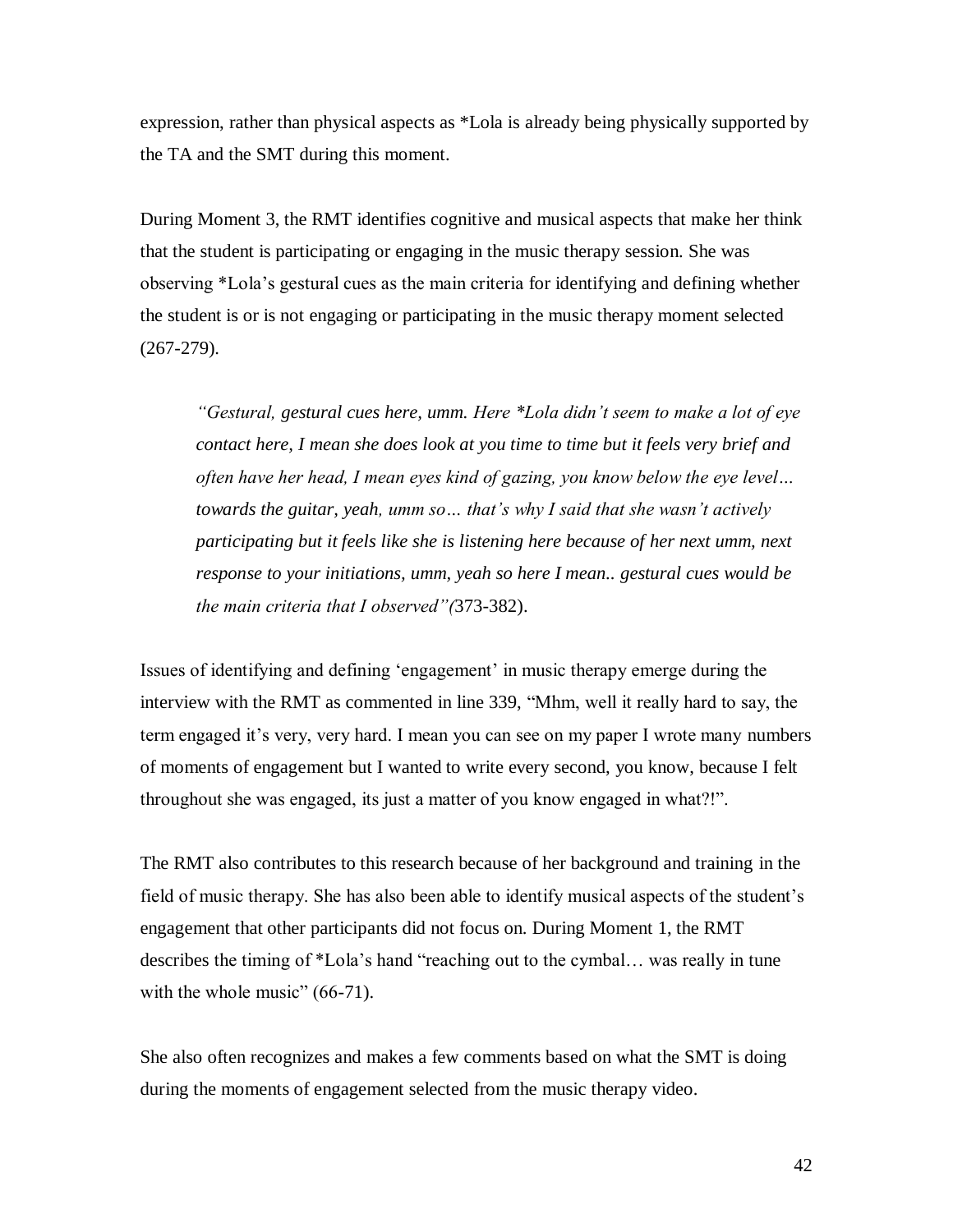expression, rather than physical aspects as \*Lola is already being physically supported by the TA and the SMT during this moment.

During Moment 3, the RMT identifies cognitive and musical aspects that make her think that the student is participating or engaging in the music therapy session. She was observing \*Lola"s gestural cues as the main criteria for identifying and defining whether the student is or is not engaging or participating in the music therapy moment selected (267-279).

*"Gestural, gestural cues here, umm. Here \*Lola didn"t seem to make a lot of eye contact here, I mean she does look at you time to time but it feels very brief and often have her head, I mean eyes kind of gazing, you know below the eye level… towards the guitar, yeah, umm so… that"s why I said that she wasn"t actively participating but it feels like she is listening here because of her next umm, next response to your initiations, umm, yeah so here I mean.. gestural cues would be the main criteria that I observed"(*373-382).

Issues of identifying and defining "engagement" in music therapy emerge during the interview with the RMT as commented in line 339, "Mhm, well it really hard to say, the term engaged it's very, very hard. I mean you can see on my paper I wrote many numbers of moments of engagement but I wanted to write every second, you know, because I felt throughout she was engaged, its just a matter of you know engaged in what?!".

The RMT also contributes to this research because of her background and training in the field of music therapy. She has also been able to identify musical aspects of the student"s engagement that other participants did not focus on. During Moment 1, the RMT describes the timing of \*Lola"s hand "reaching out to the cymbal… was really in tune with the whole music" (66-71).

She also often recognizes and makes a few comments based on what the SMT is doing during the moments of engagement selected from the music therapy video.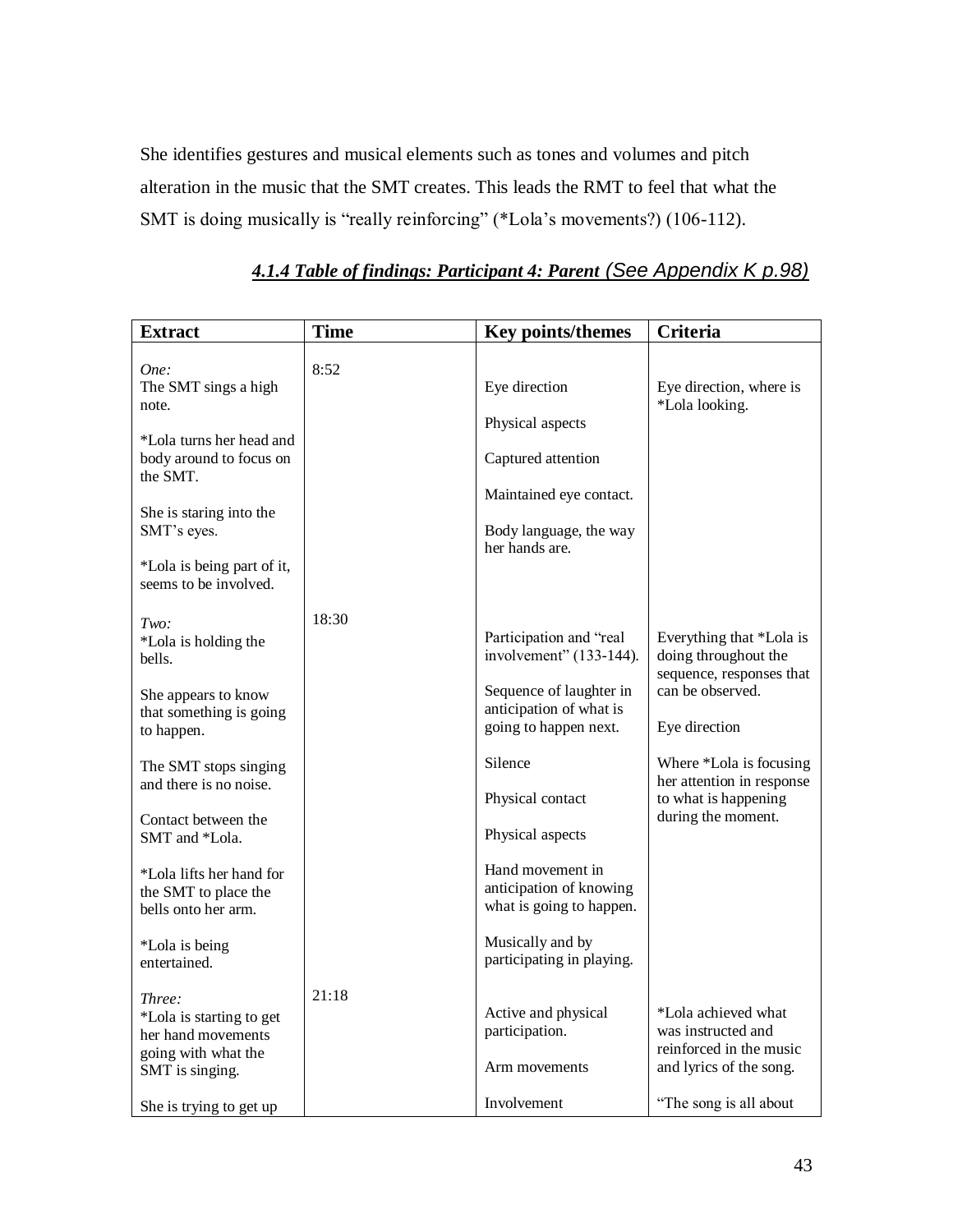She identifies gestures and musical elements such as tones and volumes and pitch alteration in the music that the SMT creates. This leads the RMT to feel that what the SMT is doing musically is "really reinforcing" (\*Lola"s movements?) (106-112).

| <b>Extract</b>                                                                                     | <b>Time</b> | Key points/themes                                                           | <b>Criteria</b>                                                                                 |
|----------------------------------------------------------------------------------------------------|-------------|-----------------------------------------------------------------------------|-------------------------------------------------------------------------------------------------|
| One:<br>The SMT sings a high<br>note.                                                              | 8:52        | Eye direction                                                               | Eye direction, where is<br>*Lola looking.                                                       |
| *Lola turns her head and<br>body around to focus on<br>the SMT.                                    |             | Physical aspects<br>Captured attention                                      |                                                                                                 |
| She is staring into the<br>SMT's eyes.                                                             |             | Maintained eye contact.<br>Body language, the way<br>her hands are.         |                                                                                                 |
| *Lola is being part of it,<br>seems to be involved.                                                |             |                                                                             |                                                                                                 |
| Two:<br>*Lola is holding the<br>bells.                                                             | 18:30       | Participation and "real<br>involvement" (133-144).                          | Everything that *Lola is<br>doing throughout the<br>sequence, responses that                    |
| She appears to know<br>that something is going<br>to happen.                                       |             | Sequence of laughter in<br>anticipation of what is<br>going to happen next. | can be observed.<br>Eye direction                                                               |
| The SMT stops singing<br>and there is no noise.                                                    |             | Silence<br>Physical contact                                                 | Where *Lola is focusing<br>her attention in response<br>to what is happening                    |
| Contact between the<br>SMT and *Lola.                                                              |             | Physical aspects                                                            | during the moment.                                                                              |
| *Lola lifts her hand for<br>the SMT to place the<br>bells onto her arm.                            |             | Hand movement in<br>anticipation of knowing<br>what is going to happen.     |                                                                                                 |
| *Lola is being<br>entertained.                                                                     |             | Musically and by<br>participating in playing.                               |                                                                                                 |
| Three:<br>*Lola is starting to get<br>her hand movements<br>going with what the<br>SMT is singing. | 21:18       | Active and physical<br>participation.<br>Arm movements                      | *Lola achieved what<br>was instructed and<br>reinforced in the music<br>and lyrics of the song. |
| She is trying to get up                                                                            |             | Involvement                                                                 | "The song is all about"                                                                         |

# *4.1.4 Table of findings: Participant 4: Parent (See Appendix K p.98)*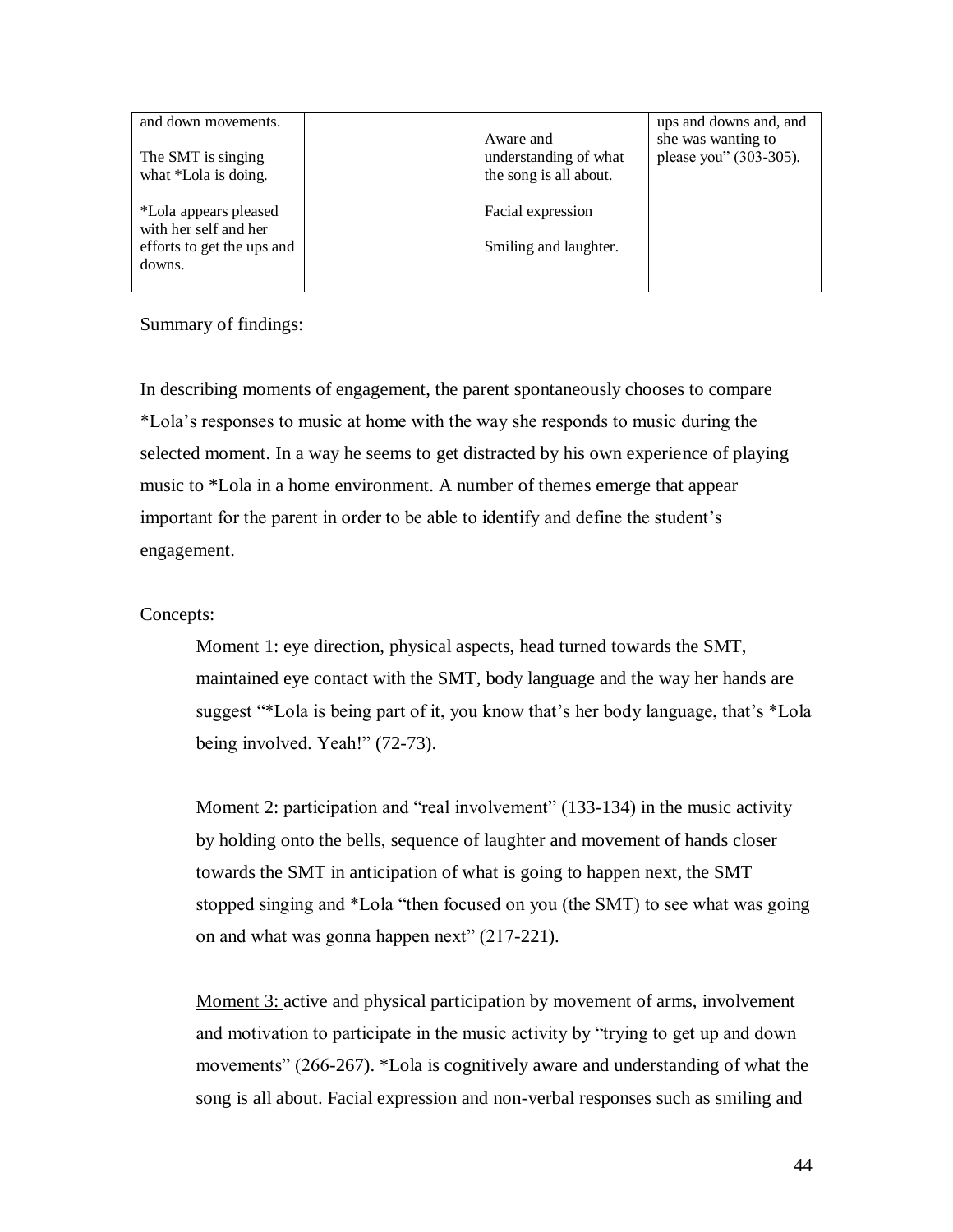| and down movements.                        |                                                              | ups and downs and, and                       |
|--------------------------------------------|--------------------------------------------------------------|----------------------------------------------|
| The SMT is singing<br>what *Lola is doing. | Aware and<br>understanding of what<br>the song is all about. | she was wanting to<br>please you" (303-305). |
| *Lola appears pleased                      | Facial expression                                            |                                              |
| with her self and her                      |                                                              |                                              |
| efforts to get the ups and                 | Smiling and laughter.                                        |                                              |
| downs.                                     |                                                              |                                              |
|                                            |                                                              |                                              |

Summary of findings:

In describing moments of engagement, the parent spontaneously chooses to compare \*Lola"s responses to music at home with the way she responds to music during the selected moment. In a way he seems to get distracted by his own experience of playing music to \*Lola in a home environment. A number of themes emerge that appear important for the parent in order to be able to identify and define the student"s engagement.

### Concepts:

Moment 1: eye direction, physical aspects, head turned towards the SMT, maintained eye contact with the SMT, body language and the way her hands are suggest "\*Lola is being part of it, you know that"s her body language, that"s \*Lola being involved. Yeah!" (72-73).

Moment 2: participation and "real involvement" (133-134) in the music activity by holding onto the bells, sequence of laughter and movement of hands closer towards the SMT in anticipation of what is going to happen next, the SMT stopped singing and \*Lola "then focused on you (the SMT) to see what was going on and what was gonna happen next" (217-221).

Moment 3: active and physical participation by movement of arms, involvement and motivation to participate in the music activity by "trying to get up and down movements" (266-267). \*Lola is cognitively aware and understanding of what the song is all about. Facial expression and non-verbal responses such as smiling and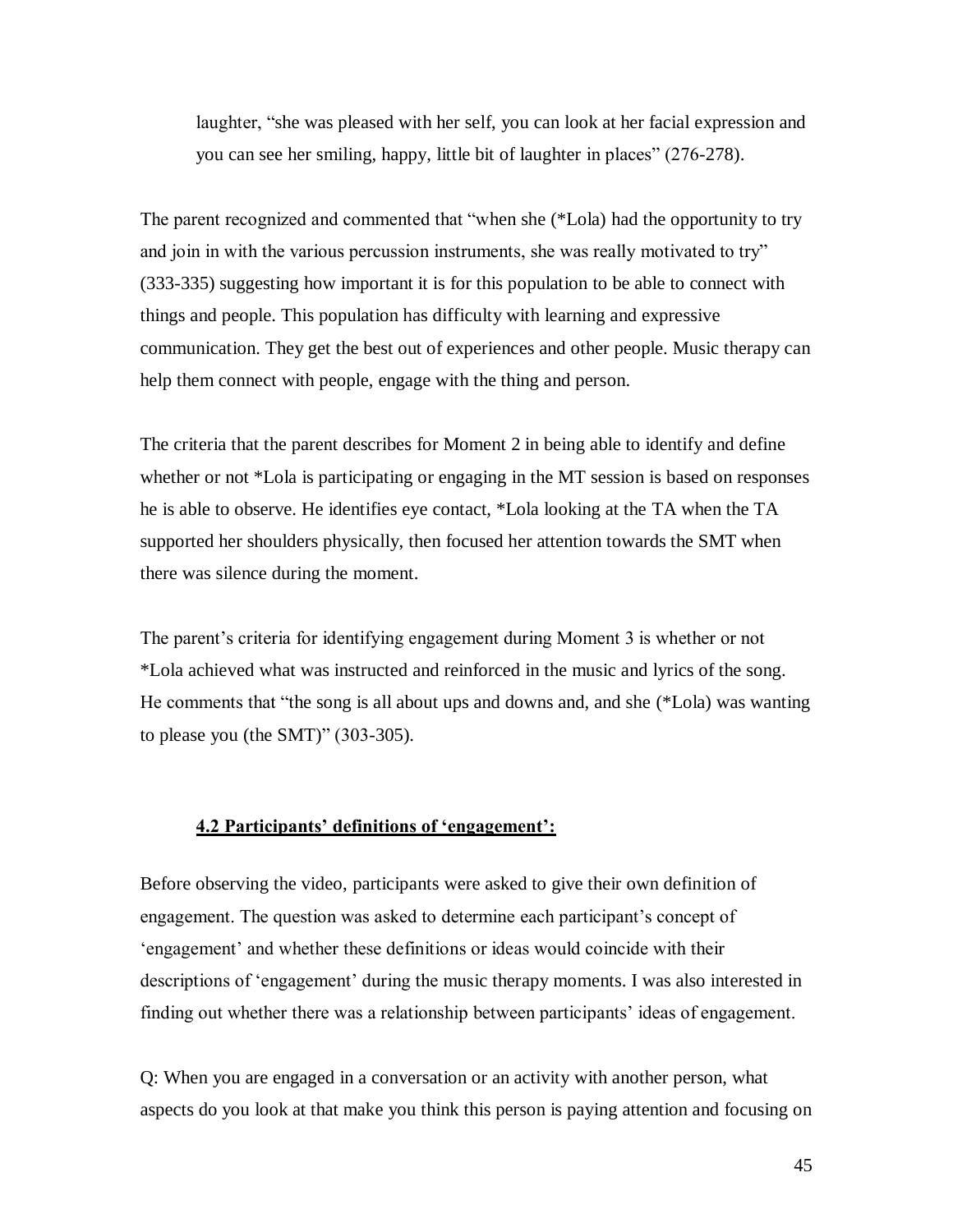laughter, "she was pleased with her self, you can look at her facial expression and you can see her smiling, happy, little bit of laughter in places" (276-278).

The parent recognized and commented that "when she (\*Lola) had the opportunity to try and join in with the various percussion instruments, she was really motivated to try" (333-335) suggesting how important it is for this population to be able to connect with things and people. This population has difficulty with learning and expressive communication. They get the best out of experiences and other people. Music therapy can help them connect with people, engage with the thing and person.

The criteria that the parent describes for Moment 2 in being able to identify and define whether or not \*Lola is participating or engaging in the MT session is based on responses he is able to observe. He identifies eye contact, \*Lola looking at the TA when the TA supported her shoulders physically, then focused her attention towards the SMT when there was silence during the moment.

The parent's criteria for identifying engagement during Moment 3 is whether or not \*Lola achieved what was instructed and reinforced in the music and lyrics of the song. He comments that "the song is all about ups and downs and, and she (\*Lola) was wanting to please you (the SMT)" (303-305).

### **4.2 Participants' definitions of 'engagement':**

Before observing the video, participants were asked to give their own definition of engagement. The question was asked to determine each participant's concept of "engagement" and whether these definitions or ideas would coincide with their descriptions of "engagement" during the music therapy moments. I was also interested in finding out whether there was a relationship between participants' ideas of engagement.

Q: When you are engaged in a conversation or an activity with another person, what aspects do you look at that make you think this person is paying attention and focusing on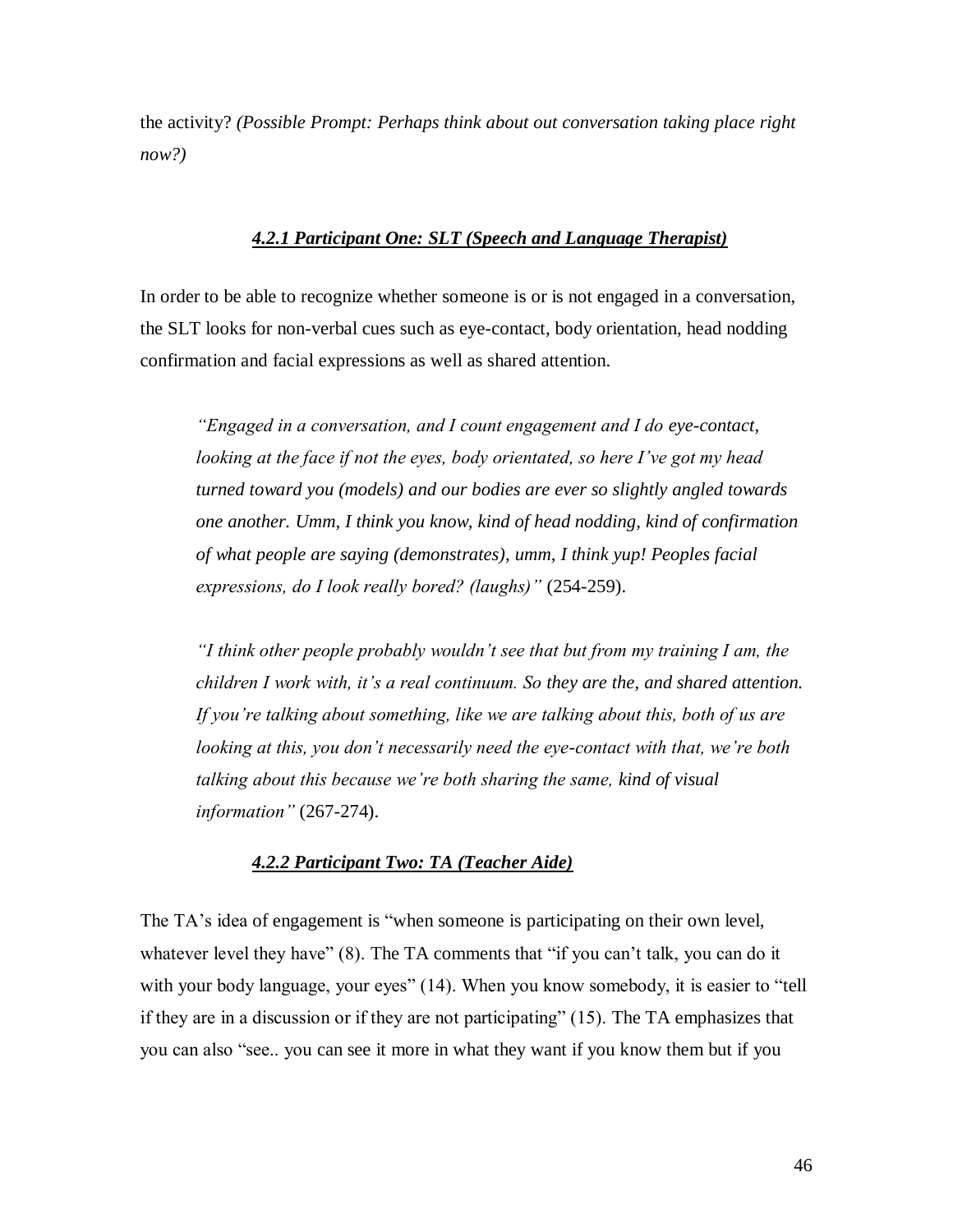the activity? *(Possible Prompt: Perhaps think about out conversation taking place right now?)*

### *4.2.1 Participant One: SLT (Speech and Language Therapist)*

In order to be able to recognize whether someone is or is not engaged in a conversation, the SLT looks for non-verbal cues such as eye-contact, body orientation, head nodding confirmation and facial expressions as well as shared attention.

*"Engaged in a conversation, and I count engagement and I do eye-contact, looking at the face if not the eyes, body orientated, so here I"ve got my head turned toward you (models) and our bodies are ever so slightly angled towards one another. Umm, I think you know, kind of head nodding, kind of confirmation of what people are saying (demonstrates), umm, I think yup! Peoples facial expressions, do I look really bored? (laughs)"* (254-259).

*"I think other people probably wouldn"t see that but from my training I am, the children I work with, it"s a real continuum. So they are the, and shared attention. If you"re talking about something, like we are talking about this, both of us are looking at this, you don"t necessarily need the eye-contact with that, we"re both talking about this because we"re both sharing the same, kind of visual information"* (267-274).

### *4.2.2 Participant Two: TA (Teacher Aide)*

The TA's idea of engagement is "when someone is participating on their own level, whatever level they have" (8). The TA comments that "if you can't talk, you can do it with your body language, your eyes" (14). When you know somebody, it is easier to "tell if they are in a discussion or if they are not participating" (15). The TA emphasizes that you can also "see.. you can see it more in what they want if you know them but if you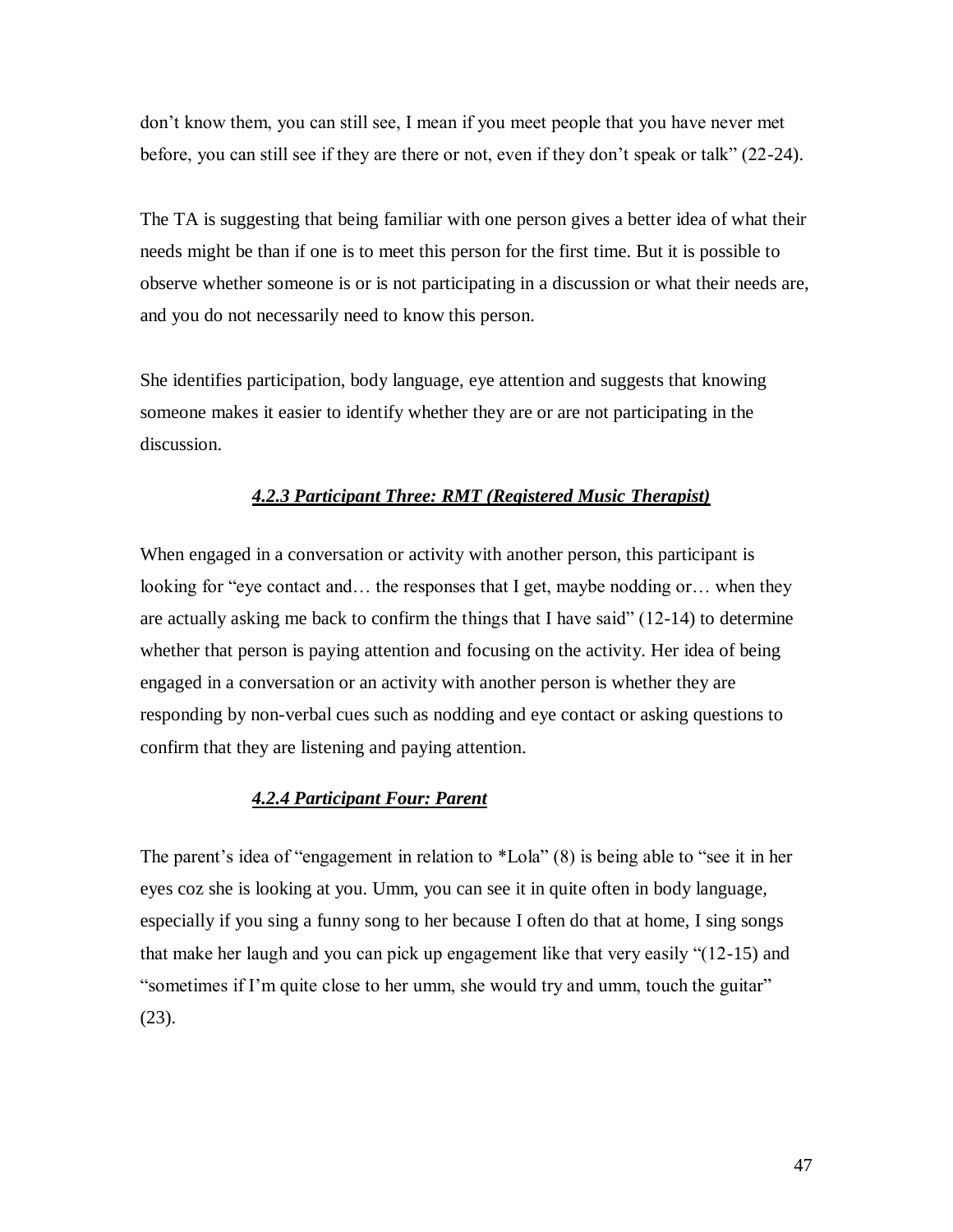don"t know them, you can still see, I mean if you meet people that you have never met before, you can still see if they are there or not, even if they don"t speak or talk" (22-24).

The TA is suggesting that being familiar with one person gives a better idea of what their needs might be than if one is to meet this person for the first time. But it is possible to observe whether someone is or is not participating in a discussion or what their needs are, and you do not necessarily need to know this person.

She identifies participation, body language, eye attention and suggests that knowing someone makes it easier to identify whether they are or are not participating in the discussion.

### *4.2.3 Participant Three: RMT (Registered Music Therapist)*

When engaged in a conversation or activity with another person, this participant is looking for "eye contact and… the responses that I get, maybe nodding or… when they are actually asking me back to confirm the things that I have said" (12-14) to determine whether that person is paying attention and focusing on the activity. Her idea of being engaged in a conversation or an activity with another person is whether they are responding by non-verbal cues such as nodding and eye contact or asking questions to confirm that they are listening and paying attention.

### *4.2.4 Participant Four: Parent*

The parent's idea of "engagement in relation to \*Lola" (8) is being able to "see it in her eyes coz she is looking at you. Umm, you can see it in quite often in body language, especially if you sing a funny song to her because I often do that at home, I sing songs that make her laugh and you can pick up engagement like that very easily "(12-15) and "sometimes if I"m quite close to her umm, she would try and umm, touch the guitar" (23).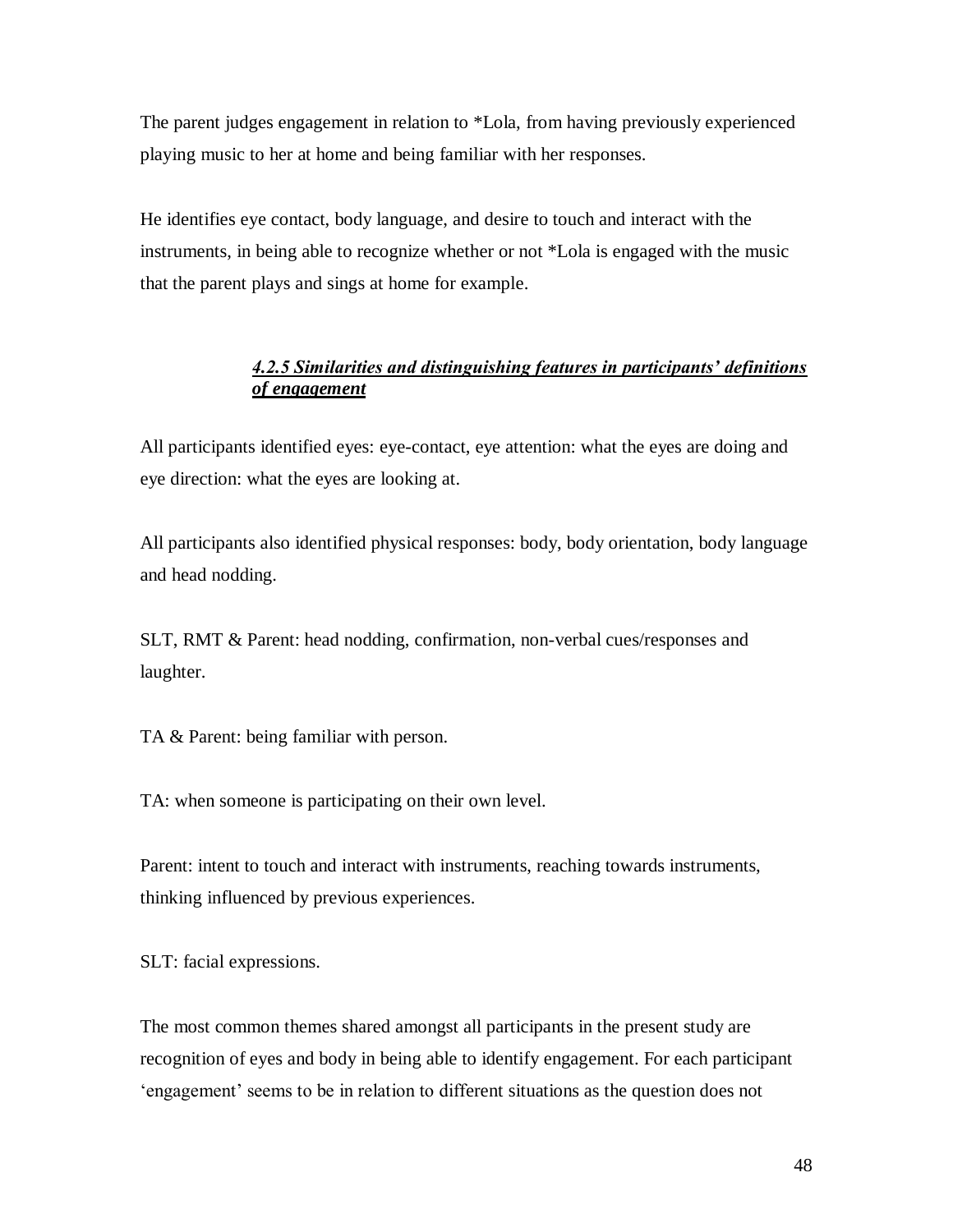The parent judges engagement in relation to \*Lola, from having previously experienced playing music to her at home and being familiar with her responses.

He identifies eye contact, body language, and desire to touch and interact with the instruments, in being able to recognize whether or not \*Lola is engaged with the music that the parent plays and sings at home for example.

# *4.2.5 Similarities and distinguishing features in participants" definitions of engagement*

All participants identified eyes: eye-contact, eye attention: what the eyes are doing and eye direction: what the eyes are looking at.

All participants also identified physical responses: body, body orientation, body language and head nodding.

SLT, RMT & Parent: head nodding, confirmation, non-verbal cues/responses and laughter.

TA & Parent: being familiar with person.

TA: when someone is participating on their own level.

Parent: intent to touch and interact with instruments, reaching towards instruments, thinking influenced by previous experiences.

SLT: facial expressions.

The most common themes shared amongst all participants in the present study are recognition of eyes and body in being able to identify engagement. For each participant "engagement" seems to be in relation to different situations as the question does not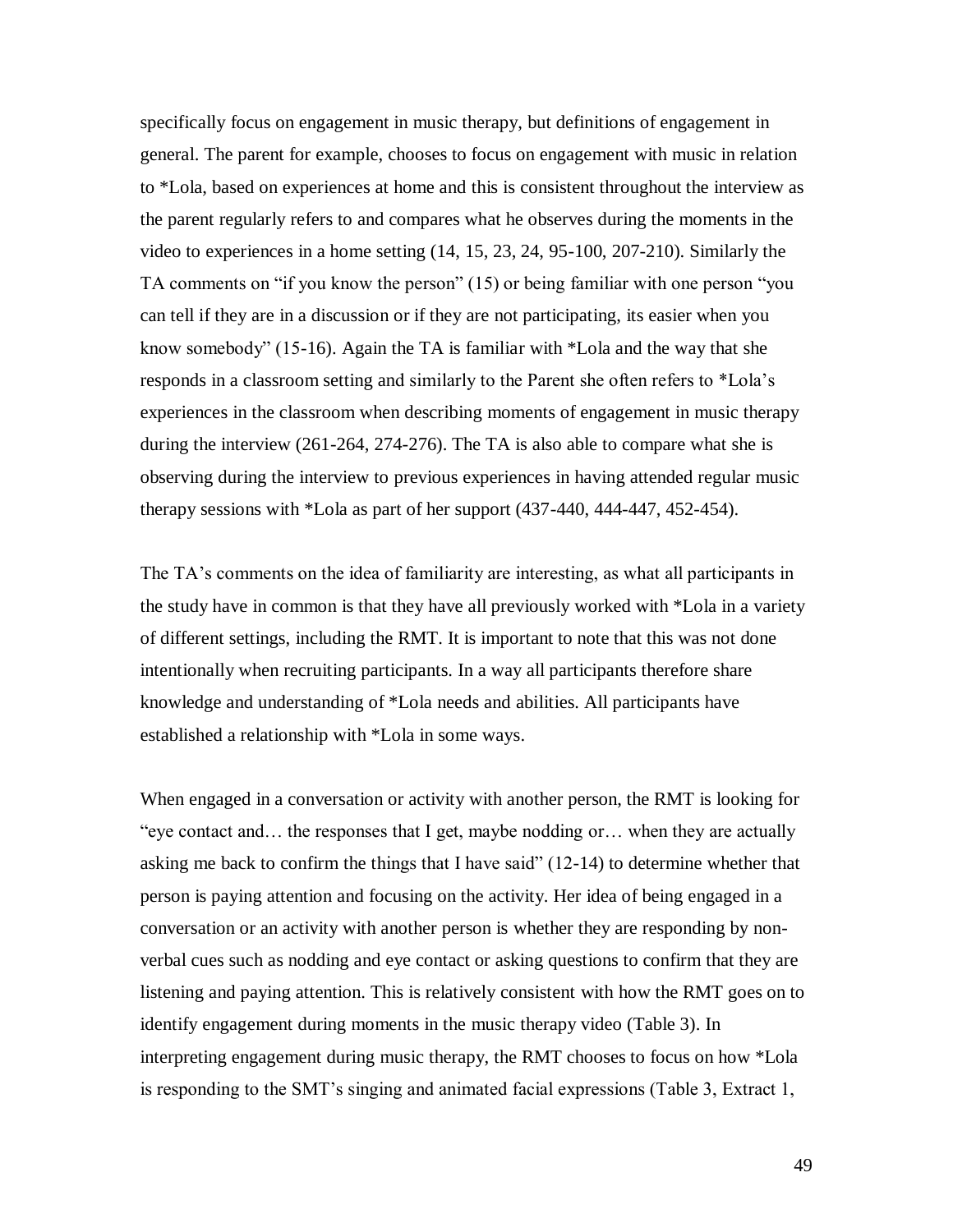specifically focus on engagement in music therapy, but definitions of engagement in general. The parent for example, chooses to focus on engagement with music in relation to \*Lola, based on experiences at home and this is consistent throughout the interview as the parent regularly refers to and compares what he observes during the moments in the video to experiences in a home setting (14, 15, 23, 24, 95-100, 207-210). Similarly the TA comments on "if you know the person" (15) or being familiar with one person "you can tell if they are in a discussion or if they are not participating, its easier when you know somebody" (15-16). Again the TA is familiar with \*Lola and the way that she responds in a classroom setting and similarly to the Parent she often refers to \*Lola"s experiences in the classroom when describing moments of engagement in music therapy during the interview (261-264, 274-276). The TA is also able to compare what she is observing during the interview to previous experiences in having attended regular music therapy sessions with \*Lola as part of her support (437-440, 444-447, 452-454).

The TA"s comments on the idea of familiarity are interesting, as what all participants in the study have in common is that they have all previously worked with \*Lola in a variety of different settings, including the RMT. It is important to note that this was not done intentionally when recruiting participants. In a way all participants therefore share knowledge and understanding of \*Lola needs and abilities. All participants have established a relationship with \*Lola in some ways.

When engaged in a conversation or activity with another person, the RMT is looking for "eye contact and… the responses that I get, maybe nodding or… when they are actually asking me back to confirm the things that I have said" (12-14) to determine whether that person is paying attention and focusing on the activity. Her idea of being engaged in a conversation or an activity with another person is whether they are responding by nonverbal cues such as nodding and eye contact or asking questions to confirm that they are listening and paying attention. This is relatively consistent with how the RMT goes on to identify engagement during moments in the music therapy video (Table 3). In interpreting engagement during music therapy, the RMT chooses to focus on how \*Lola is responding to the SMT"s singing and animated facial expressions (Table 3, Extract 1,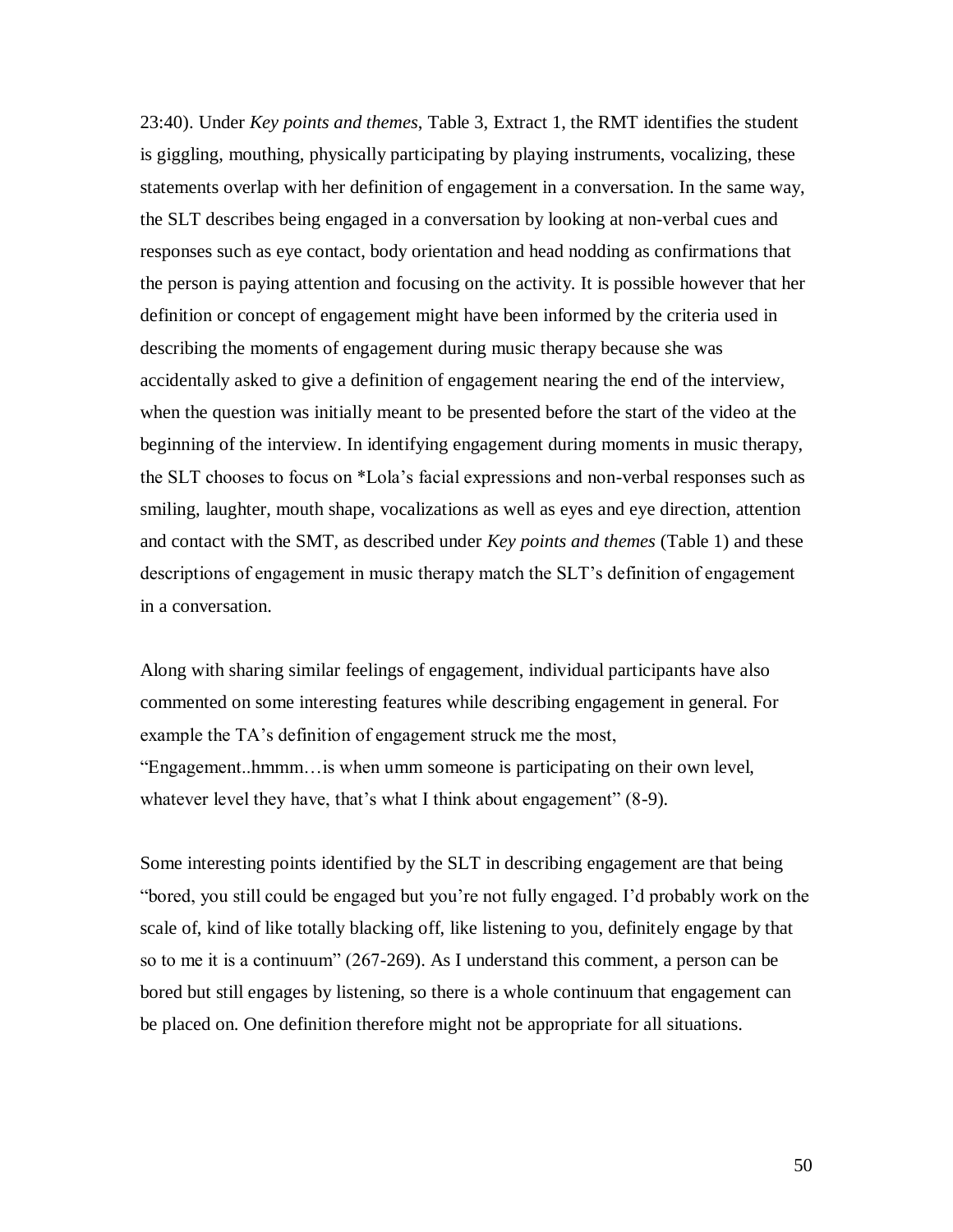23:40). Under *Key points and themes*, Table 3, Extract 1, the RMT identifies the student is giggling, mouthing, physically participating by playing instruments, vocalizing, these statements overlap with her definition of engagement in a conversation. In the same way, the SLT describes being engaged in a conversation by looking at non-verbal cues and responses such as eye contact, body orientation and head nodding as confirmations that the person is paying attention and focusing on the activity. It is possible however that her definition or concept of engagement might have been informed by the criteria used in describing the moments of engagement during music therapy because she was accidentally asked to give a definition of engagement nearing the end of the interview, when the question was initially meant to be presented before the start of the video at the beginning of the interview. In identifying engagement during moments in music therapy, the SLT chooses to focus on \*Lola"s facial expressions and non-verbal responses such as smiling, laughter, mouth shape, vocalizations as well as eyes and eye direction, attention and contact with the SMT, as described under *Key points and themes* (Table 1) and these descriptions of engagement in music therapy match the SLT"s definition of engagement in a conversation.

Along with sharing similar feelings of engagement, individual participants have also commented on some interesting features while describing engagement in general. For example the TA's definition of engagement struck me the most, "Engagement..hmmm…is when umm someone is participating on their own level, whatever level they have, that's what I think about engagement" (8-9).

Some interesting points identified by the SLT in describing engagement are that being "bored, you still could be engaged but you"re not fully engaged. I"d probably work on the scale of, kind of like totally blacking off, like listening to you, definitely engage by that so to me it is a continuum" (267-269). As I understand this comment, a person can be bored but still engages by listening, so there is a whole continuum that engagement can be placed on. One definition therefore might not be appropriate for all situations.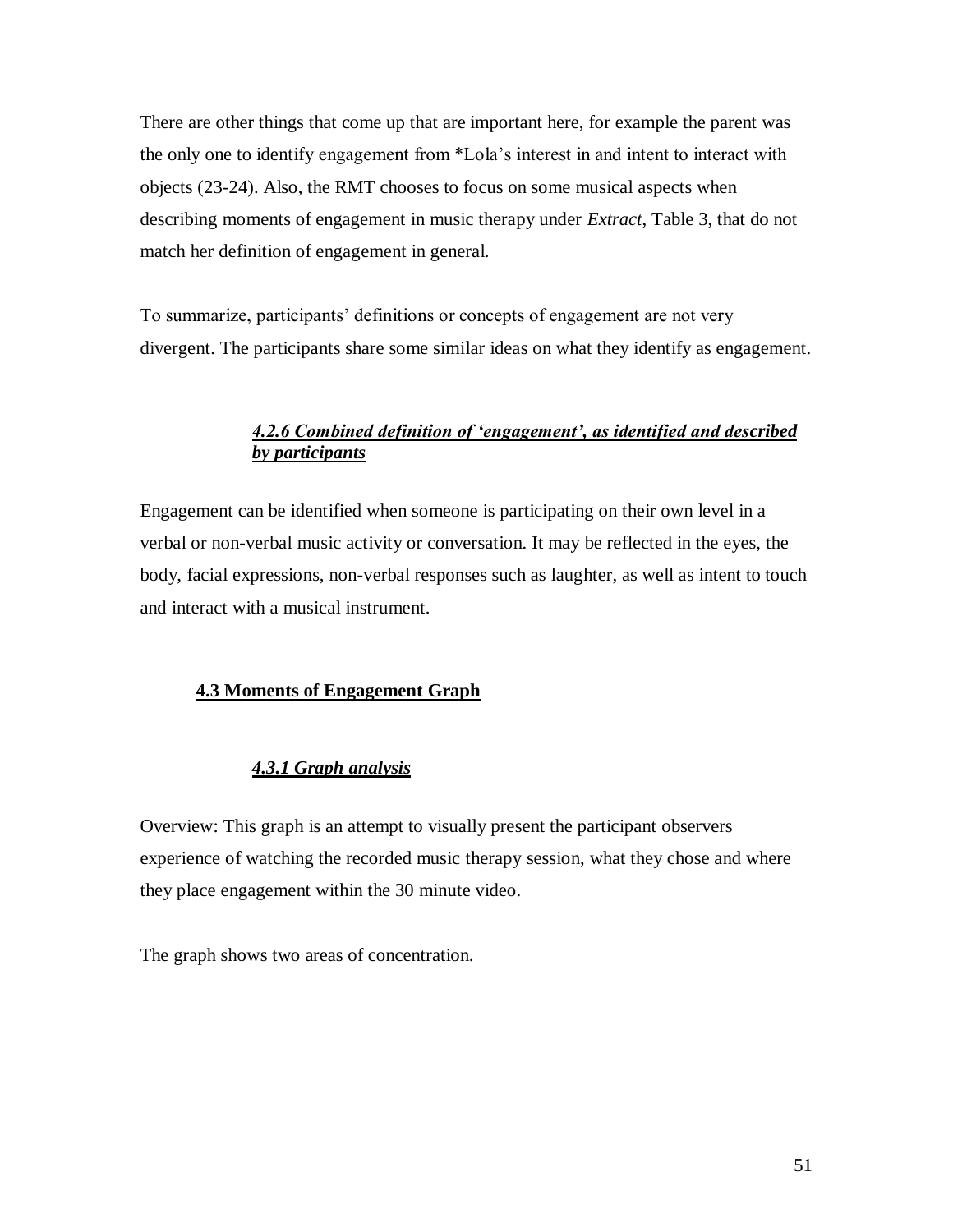There are other things that come up that are important here, for example the parent was the only one to identify engagement from \*Lola"s interest in and intent to interact with objects (23-24). Also, the RMT chooses to focus on some musical aspects when describing moments of engagement in music therapy under *Extract*, Table 3, that do not match her definition of engagement in general.

To summarize, participants" definitions or concepts of engagement are not very divergent. The participants share some similar ideas on what they identify as engagement.

# *4.2.6 Combined definition of "engagement", as identified and described by participants*

Engagement can be identified when someone is participating on their own level in a verbal or non-verbal music activity or conversation. It may be reflected in the eyes, the body, facial expressions, non-verbal responses such as laughter, as well as intent to touch and interact with a musical instrument.

## **4.3 Moments of Engagement Graph**

## *4.3.1 Graph analysis*

Overview: This graph is an attempt to visually present the participant observers experience of watching the recorded music therapy session, what they chose and where they place engagement within the 30 minute video.

The graph shows two areas of concentration.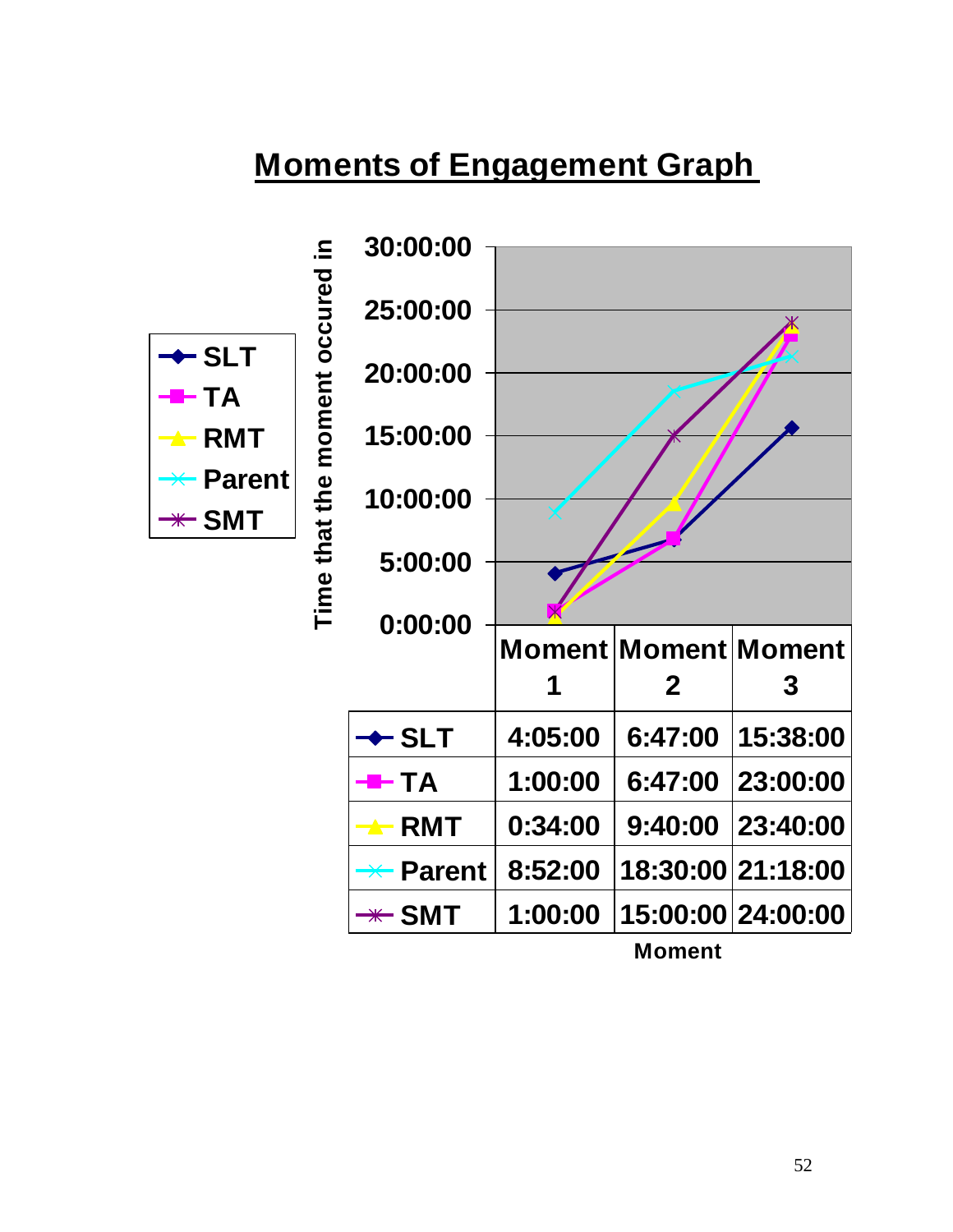# **Moments of Engagement Graph**



**Moment**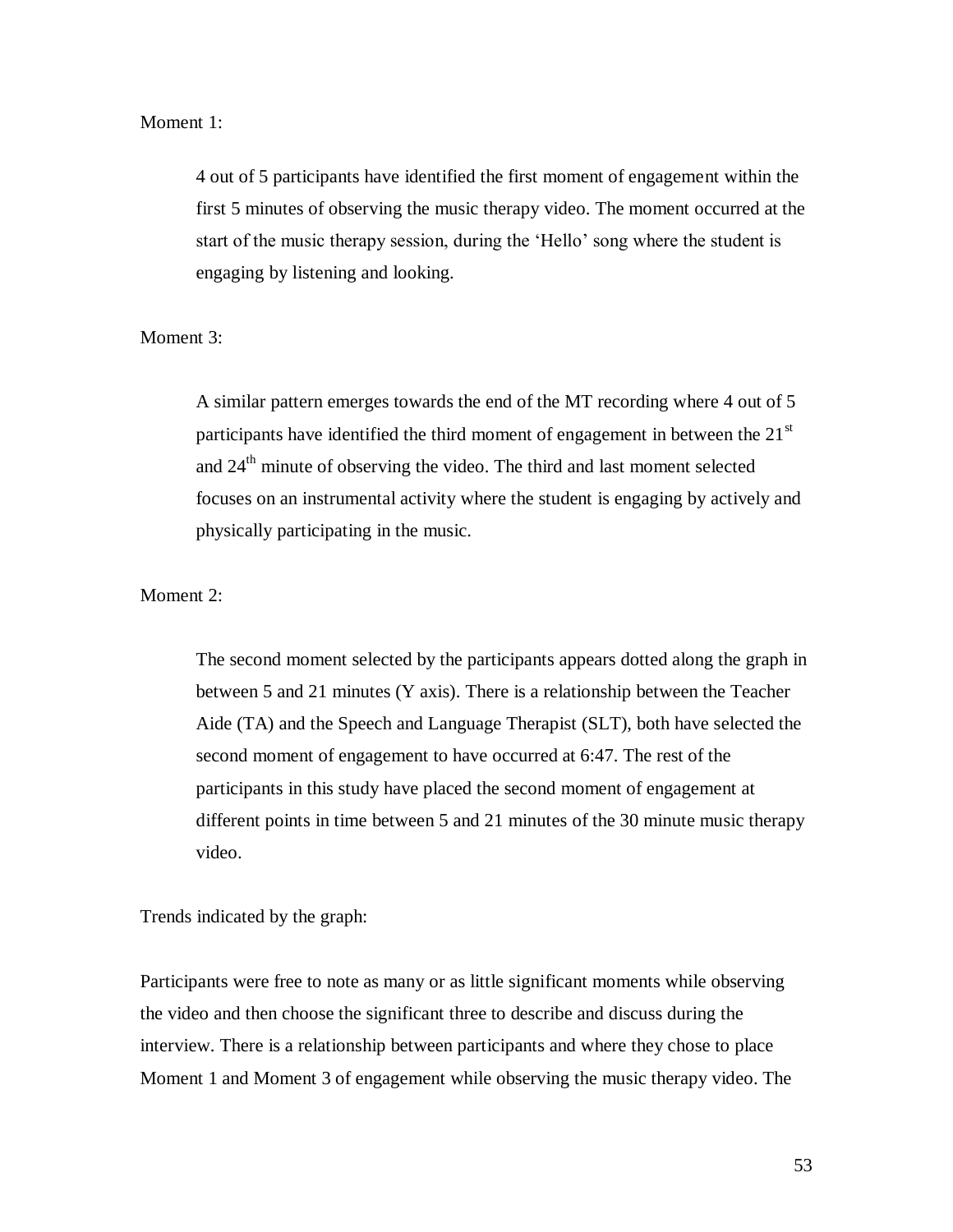### Moment 1:

4 out of 5 participants have identified the first moment of engagement within the first 5 minutes of observing the music therapy video. The moment occurred at the start of the music therapy session, during the "Hello" song where the student is engaging by listening and looking.

Moment 3:

A similar pattern emerges towards the end of the MT recording where 4 out of 5 participants have identified the third moment of engagement in between the  $21<sup>st</sup>$ and  $24<sup>th</sup>$  minute of observing the video. The third and last moment selected focuses on an instrumental activity where the student is engaging by actively and physically participating in the music.

Moment 2:

The second moment selected by the participants appears dotted along the graph in between 5 and 21 minutes (Y axis). There is a relationship between the Teacher Aide (TA) and the Speech and Language Therapist (SLT), both have selected the second moment of engagement to have occurred at 6:47. The rest of the participants in this study have placed the second moment of engagement at different points in time between 5 and 21 minutes of the 30 minute music therapy video.

Trends indicated by the graph:

Participants were free to note as many or as little significant moments while observing the video and then choose the significant three to describe and discuss during the interview. There is a relationship between participants and where they chose to place Moment 1 and Moment 3 of engagement while observing the music therapy video. The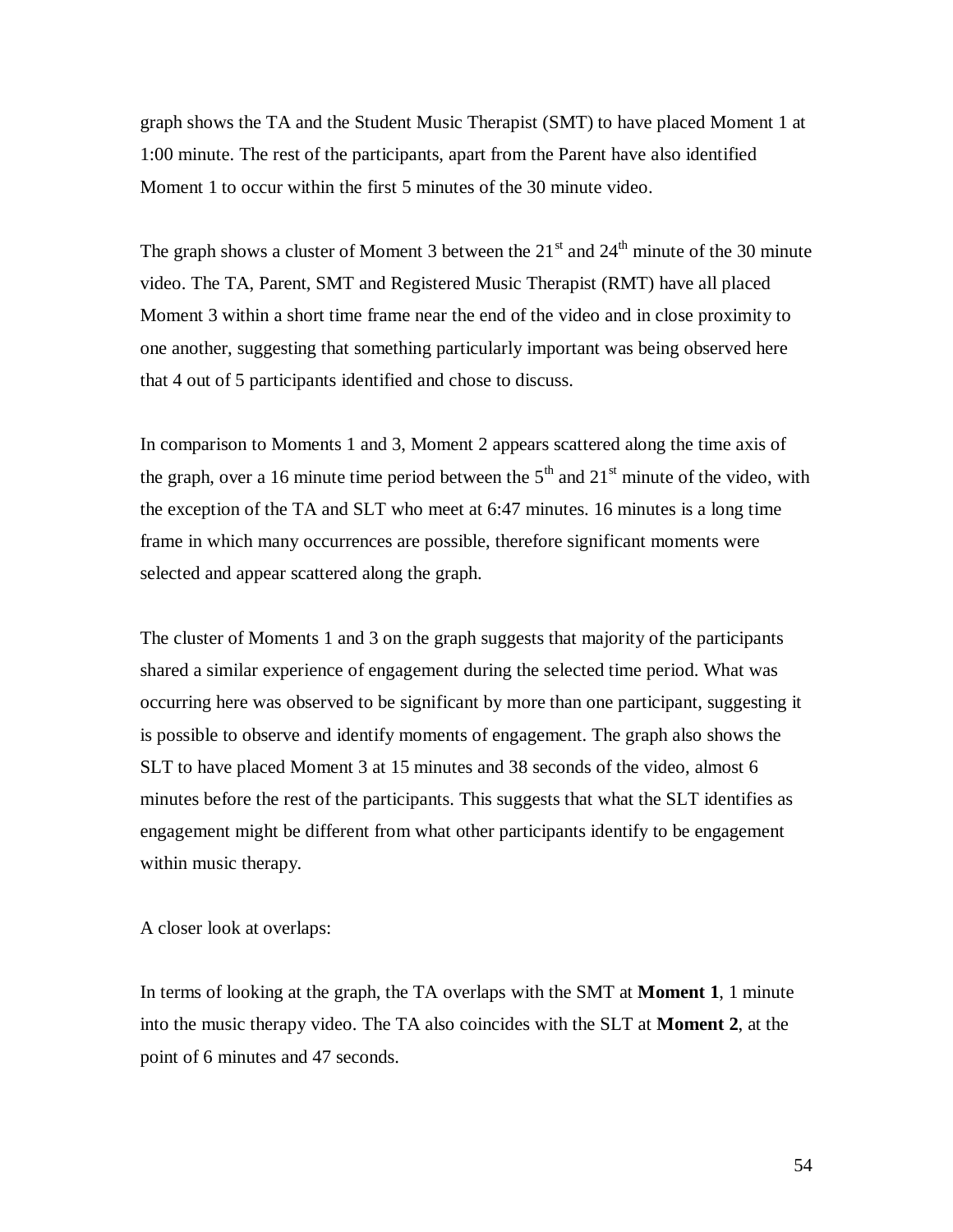graph shows the TA and the Student Music Therapist (SMT) to have placed Moment 1 at 1:00 minute. The rest of the participants, apart from the Parent have also identified Moment 1 to occur within the first 5 minutes of the 30 minute video.

The graph shows a cluster of Moment 3 between the  $21<sup>st</sup>$  and  $24<sup>th</sup>$  minute of the 30 minute video. The TA, Parent, SMT and Registered Music Therapist (RMT) have all placed Moment 3 within a short time frame near the end of the video and in close proximity to one another, suggesting that something particularly important was being observed here that 4 out of 5 participants identified and chose to discuss.

In comparison to Moments 1 and 3, Moment 2 appears scattered along the time axis of the graph, over a 16 minute time period between the  $5<sup>th</sup>$  and  $21<sup>st</sup>$  minute of the video, with the exception of the TA and SLT who meet at 6:47 minutes. 16 minutes is a long time frame in which many occurrences are possible, therefore significant moments were selected and appear scattered along the graph.

The cluster of Moments 1 and 3 on the graph suggests that majority of the participants shared a similar experience of engagement during the selected time period. What was occurring here was observed to be significant by more than one participant, suggesting it is possible to observe and identify moments of engagement. The graph also shows the SLT to have placed Moment 3 at 15 minutes and 38 seconds of the video, almost 6 minutes before the rest of the participants. This suggests that what the SLT identifies as engagement might be different from what other participants identify to be engagement within music therapy.

A closer look at overlaps:

In terms of looking at the graph, the TA overlaps with the SMT at **Moment 1**, 1 minute into the music therapy video. The TA also coincides with the SLT at **Moment 2**, at the point of 6 minutes and 47 seconds.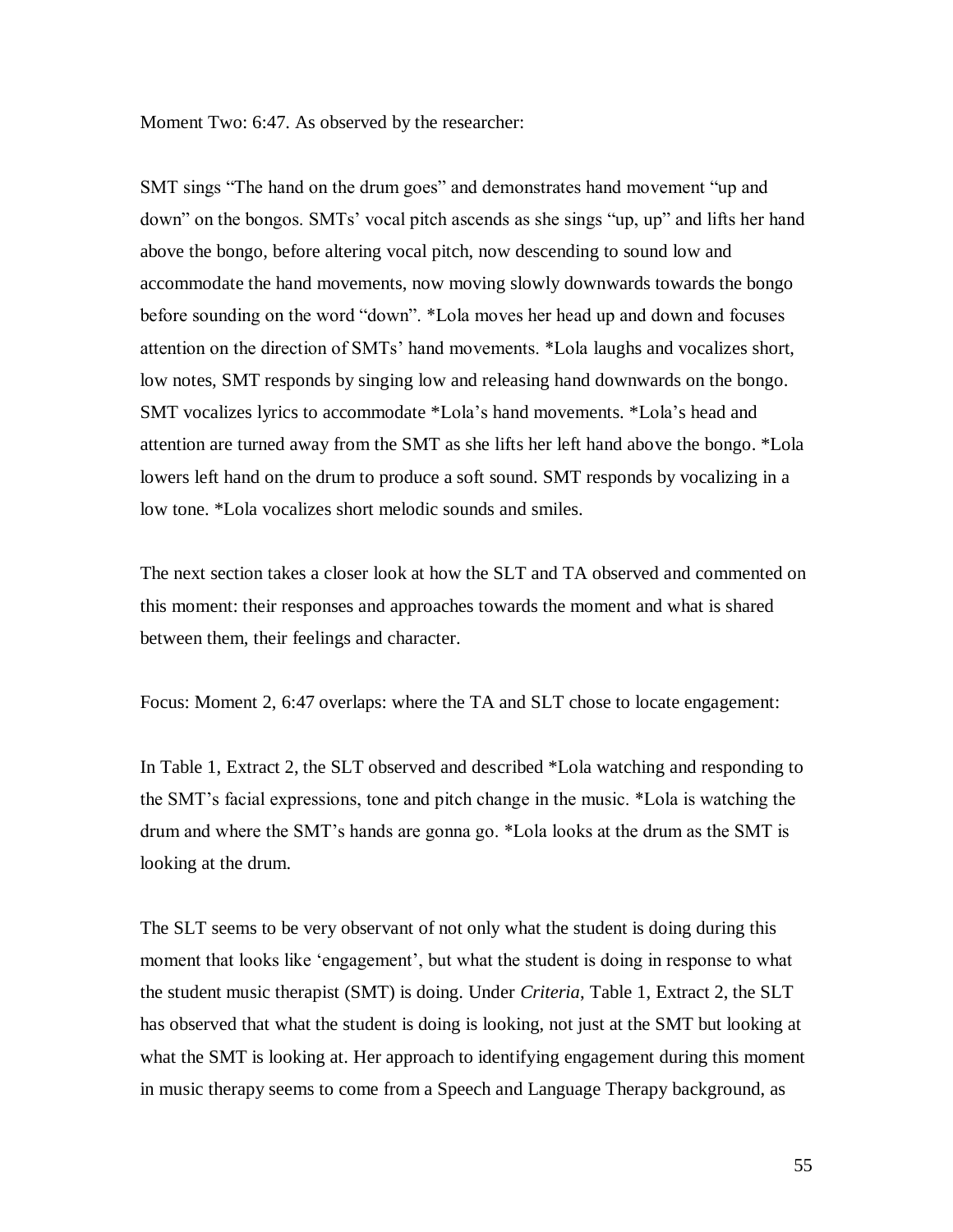Moment Two: 6:47. As observed by the researcher:

SMT sings "The hand on the drum goes" and demonstrates hand movement "up and down" on the bongos. SMTs" vocal pitch ascends as she sings "up, up" and lifts her hand above the bongo, before altering vocal pitch, now descending to sound low and accommodate the hand movements, now moving slowly downwards towards the bongo before sounding on the word "down". \*Lola moves her head up and down and focuses attention on the direction of SMTs" hand movements. \*Lola laughs and vocalizes short, low notes, SMT responds by singing low and releasing hand downwards on the bongo. SMT vocalizes lyrics to accommodate \*Lola"s hand movements. \*Lola"s head and attention are turned away from the SMT as she lifts her left hand above the bongo. \*Lola lowers left hand on the drum to produce a soft sound. SMT responds by vocalizing in a low tone. \*Lola vocalizes short melodic sounds and smiles.

The next section takes a closer look at how the SLT and TA observed and commented on this moment: their responses and approaches towards the moment and what is shared between them, their feelings and character.

Focus: Moment 2, 6:47 overlaps: where the TA and SLT chose to locate engagement:

In Table 1, Extract 2, the SLT observed and described \*Lola watching and responding to the SMT"s facial expressions, tone and pitch change in the music. \*Lola is watching the drum and where the SMT"s hands are gonna go. \*Lola looks at the drum as the SMT is looking at the drum.

The SLT seems to be very observant of not only what the student is doing during this moment that looks like 'engagement', but what the student is doing in response to what the student music therapist (SMT) is doing. Under *Criteria*, Table 1, Extract 2, the SLT has observed that what the student is doing is looking, not just at the SMT but looking at what the SMT is looking at. Her approach to identifying engagement during this moment in music therapy seems to come from a Speech and Language Therapy background, as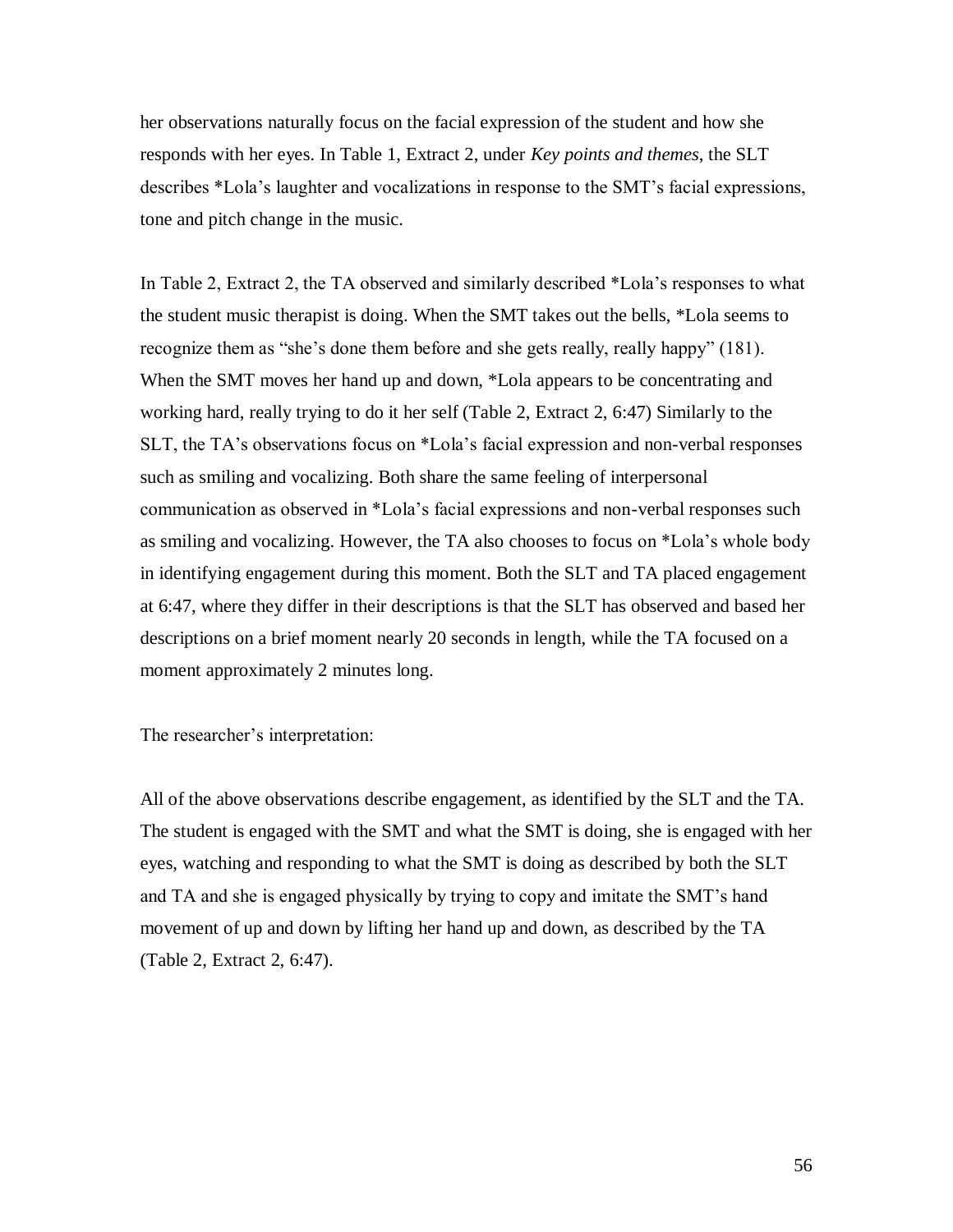her observations naturally focus on the facial expression of the student and how she responds with her eyes. In Table 1, Extract 2, under *Key points and themes*, the SLT describes \*Lola"s laughter and vocalizations in response to the SMT"s facial expressions, tone and pitch change in the music.

In Table 2, Extract 2, the TA observed and similarly described \*Lola"s responses to what the student music therapist is doing. When the SMT takes out the bells, \*Lola seems to recognize them as "she"s done them before and she gets really, really happy" (181). When the SMT moves her hand up and down, \*Lola appears to be concentrating and working hard, really trying to do it her self (Table 2, Extract 2, 6:47) Similarly to the SLT, the TA"s observations focus on \*Lola"s facial expression and non-verbal responses such as smiling and vocalizing. Both share the same feeling of interpersonal communication as observed in \*Lola"s facial expressions and non-verbal responses such as smiling and vocalizing. However, the TA also chooses to focus on \*Lola"s whole body in identifying engagement during this moment. Both the SLT and TA placed engagement at 6:47, where they differ in their descriptions is that the SLT has observed and based her descriptions on a brief moment nearly 20 seconds in length, while the TA focused on a moment approximately 2 minutes long.

The researcher's interpretation:

All of the above observations describe engagement, as identified by the SLT and the TA. The student is engaged with the SMT and what the SMT is doing, she is engaged with her eyes, watching and responding to what the SMT is doing as described by both the SLT and TA and she is engaged physically by trying to copy and imitate the SMT"s hand movement of up and down by lifting her hand up and down, as described by the TA (Table 2, Extract 2, 6:47).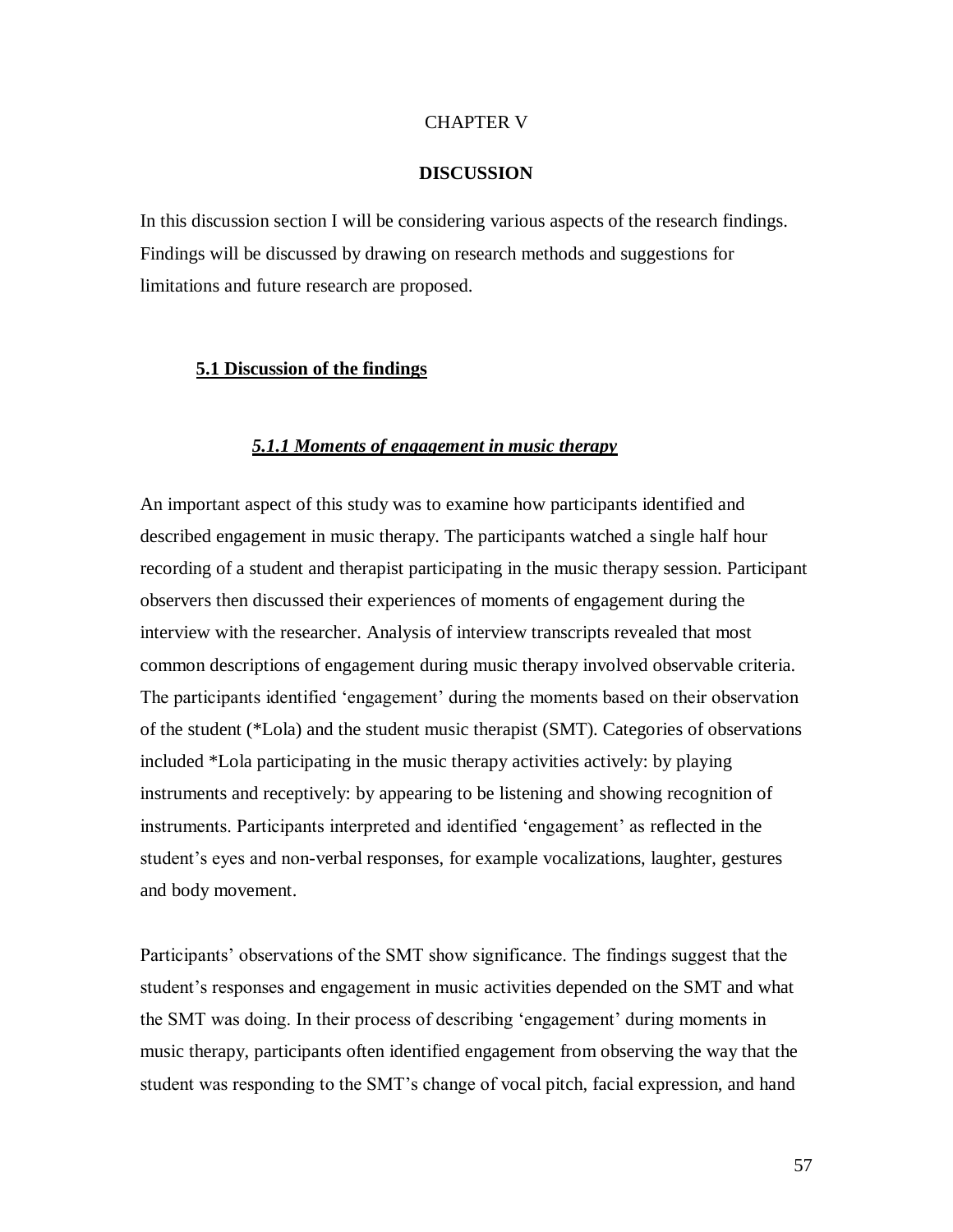### CHAPTER V

### **DISCUSSION**

In this discussion section I will be considering various aspects of the research findings. Findings will be discussed by drawing on research methods and suggestions for limitations and future research are proposed.

### **5.1 Discussion of the findings**

### *5.1.1 Moments of engagement in music therapy*

An important aspect of this study was to examine how participants identified and described engagement in music therapy. The participants watched a single half hour recording of a student and therapist participating in the music therapy session. Participant observers then discussed their experiences of moments of engagement during the interview with the researcher. Analysis of interview transcripts revealed that most common descriptions of engagement during music therapy involved observable criteria. The participants identified "engagement" during the moments based on their observation of the student (\*Lola) and the student music therapist (SMT). Categories of observations included \*Lola participating in the music therapy activities actively: by playing instruments and receptively: by appearing to be listening and showing recognition of instruments. Participants interpreted and identified 'engagement' as reflected in the student"s eyes and non-verbal responses, for example vocalizations, laughter, gestures and body movement.

Participants' observations of the SMT show significance. The findings suggest that the student's responses and engagement in music activities depended on the SMT and what the SMT was doing. In their process of describing "engagement" during moments in music therapy, participants often identified engagement from observing the way that the student was responding to the SMT"s change of vocal pitch, facial expression, and hand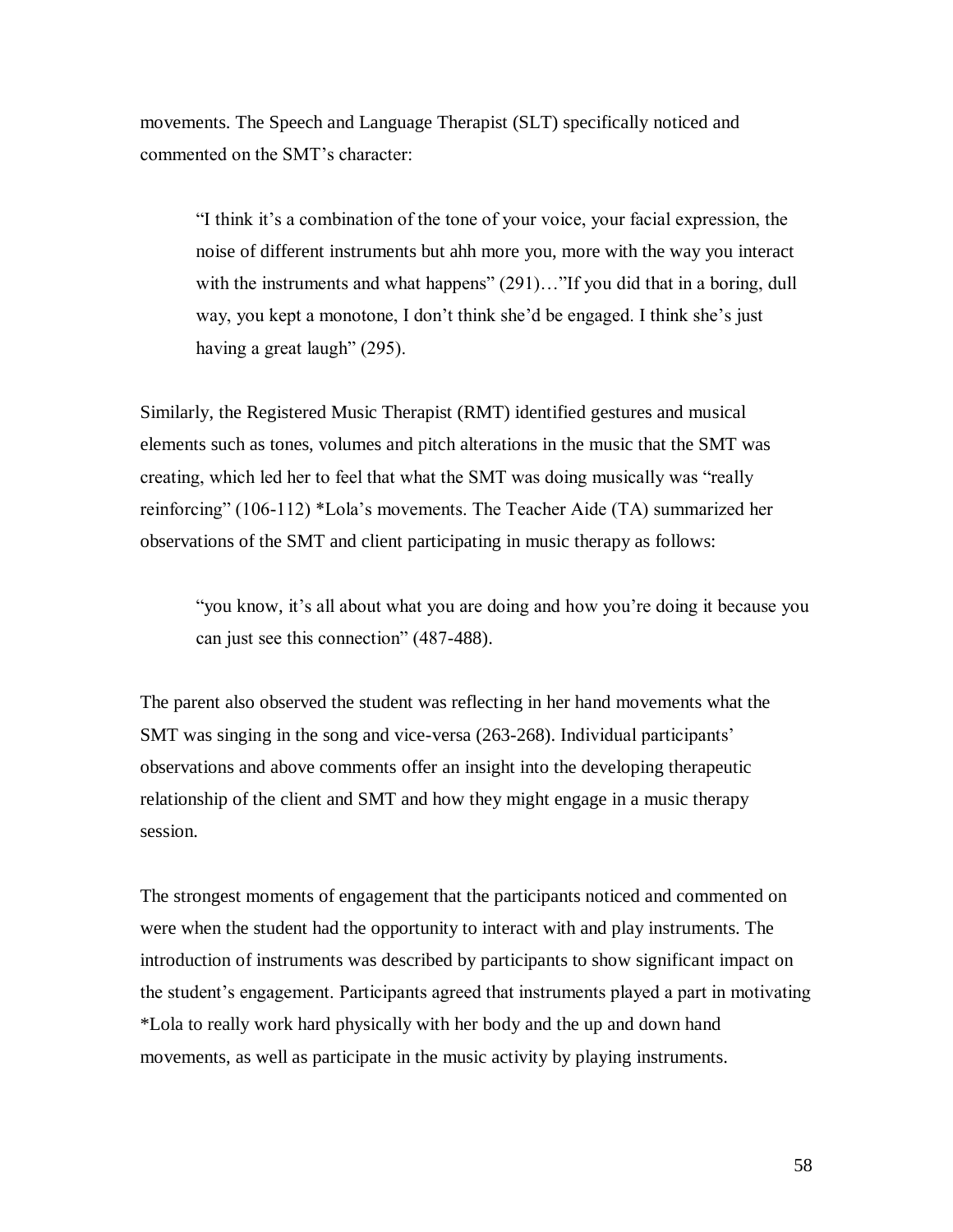movements. The Speech and Language Therapist (SLT) specifically noticed and commented on the SMT"s character:

"I think it"s a combination of the tone of your voice, your facial expression, the noise of different instruments but ahh more you, more with the way you interact with the instruments and what happens" (291)..."If you did that in a boring, dull way, you kept a monotone, I don't think she'd be engaged. I think she's just having a great laugh" (295).

Similarly, the Registered Music Therapist (RMT) identified gestures and musical elements such as tones, volumes and pitch alterations in the music that the SMT was creating, which led her to feel that what the SMT was doing musically was "really reinforcing" (106-112) \*Lola"s movements. The Teacher Aide (TA) summarized her observations of the SMT and client participating in music therapy as follows:

"you know, it's all about what you are doing and how you're doing it because you can just see this connection" (487-488).

The parent also observed the student was reflecting in her hand movements what the SMT was singing in the song and vice-versa (263-268). Individual participants' observations and above comments offer an insight into the developing therapeutic relationship of the client and SMT and how they might engage in a music therapy session.

The strongest moments of engagement that the participants noticed and commented on were when the student had the opportunity to interact with and play instruments. The introduction of instruments was described by participants to show significant impact on the student"s engagement. Participants agreed that instruments played a part in motivating \*Lola to really work hard physically with her body and the up and down hand movements, as well as participate in the music activity by playing instruments.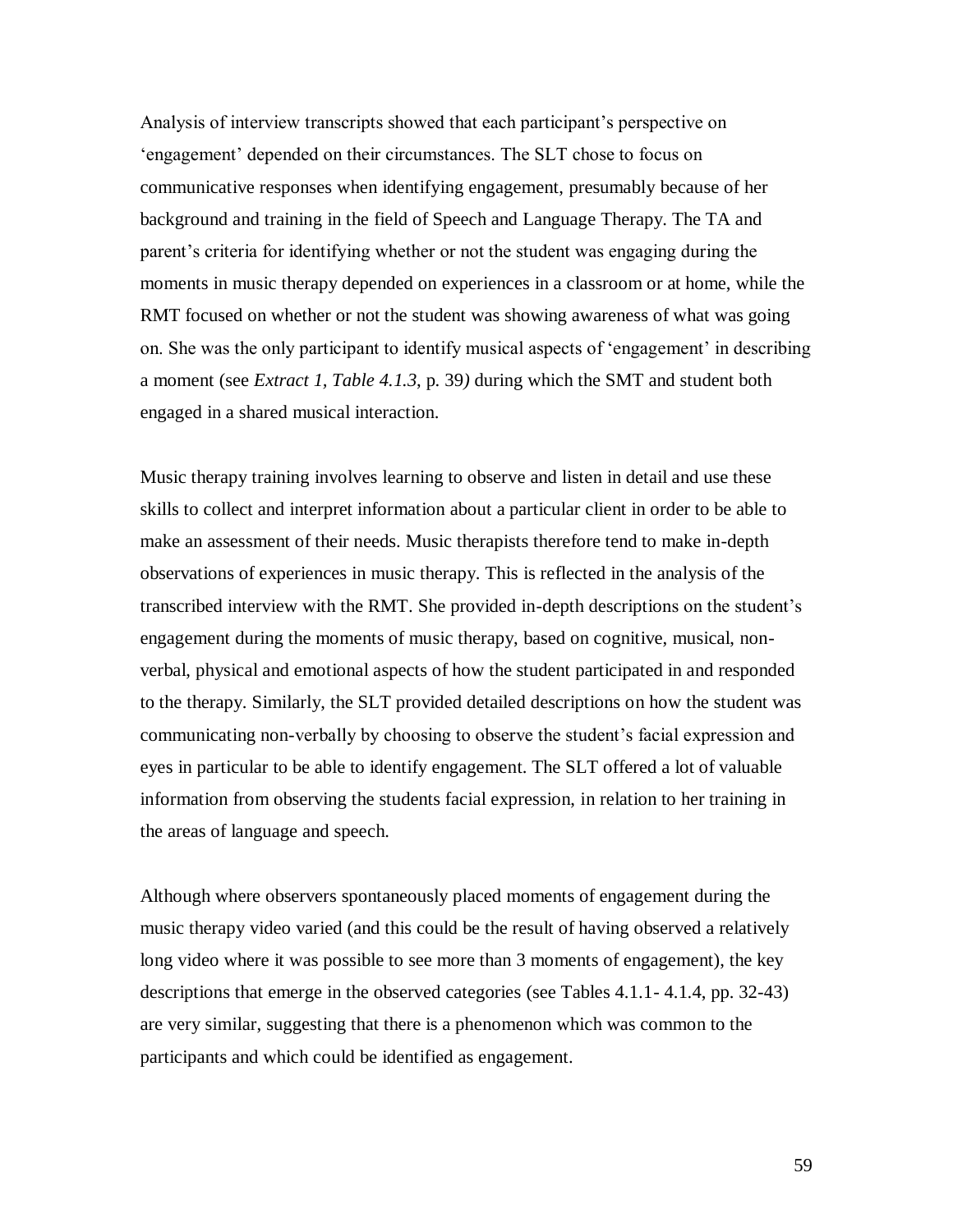Analysis of interview transcripts showed that each participant"s perspective on "engagement" depended on their circumstances. The SLT chose to focus on communicative responses when identifying engagement, presumably because of her background and training in the field of Speech and Language Therapy. The TA and parent"s criteria for identifying whether or not the student was engaging during the moments in music therapy depended on experiences in a classroom or at home, while the RMT focused on whether or not the student was showing awareness of what was going on. She was the only participant to identify musical aspects of "engagement" in describing a moment (see *Extract 1, Table 4.1.3*, p. 39*)* during which the SMT and student both engaged in a shared musical interaction.

Music therapy training involves learning to observe and listen in detail and use these skills to collect and interpret information about a particular client in order to be able to make an assessment of their needs. Music therapists therefore tend to make in-depth observations of experiences in music therapy. This is reflected in the analysis of the transcribed interview with the RMT. She provided in-depth descriptions on the student"s engagement during the moments of music therapy, based on cognitive, musical, nonverbal, physical and emotional aspects of how the student participated in and responded to the therapy. Similarly, the SLT provided detailed descriptions on how the student was communicating non-verbally by choosing to observe the student's facial expression and eyes in particular to be able to identify engagement. The SLT offered a lot of valuable information from observing the students facial expression, in relation to her training in the areas of language and speech.

Although where observers spontaneously placed moments of engagement during the music therapy video varied (and this could be the result of having observed a relatively long video where it was possible to see more than 3 moments of engagement), the key descriptions that emerge in the observed categories (see Tables 4.1.1- 4.1.4, pp. 32-43) are very similar, suggesting that there is a phenomenon which was common to the participants and which could be identified as engagement.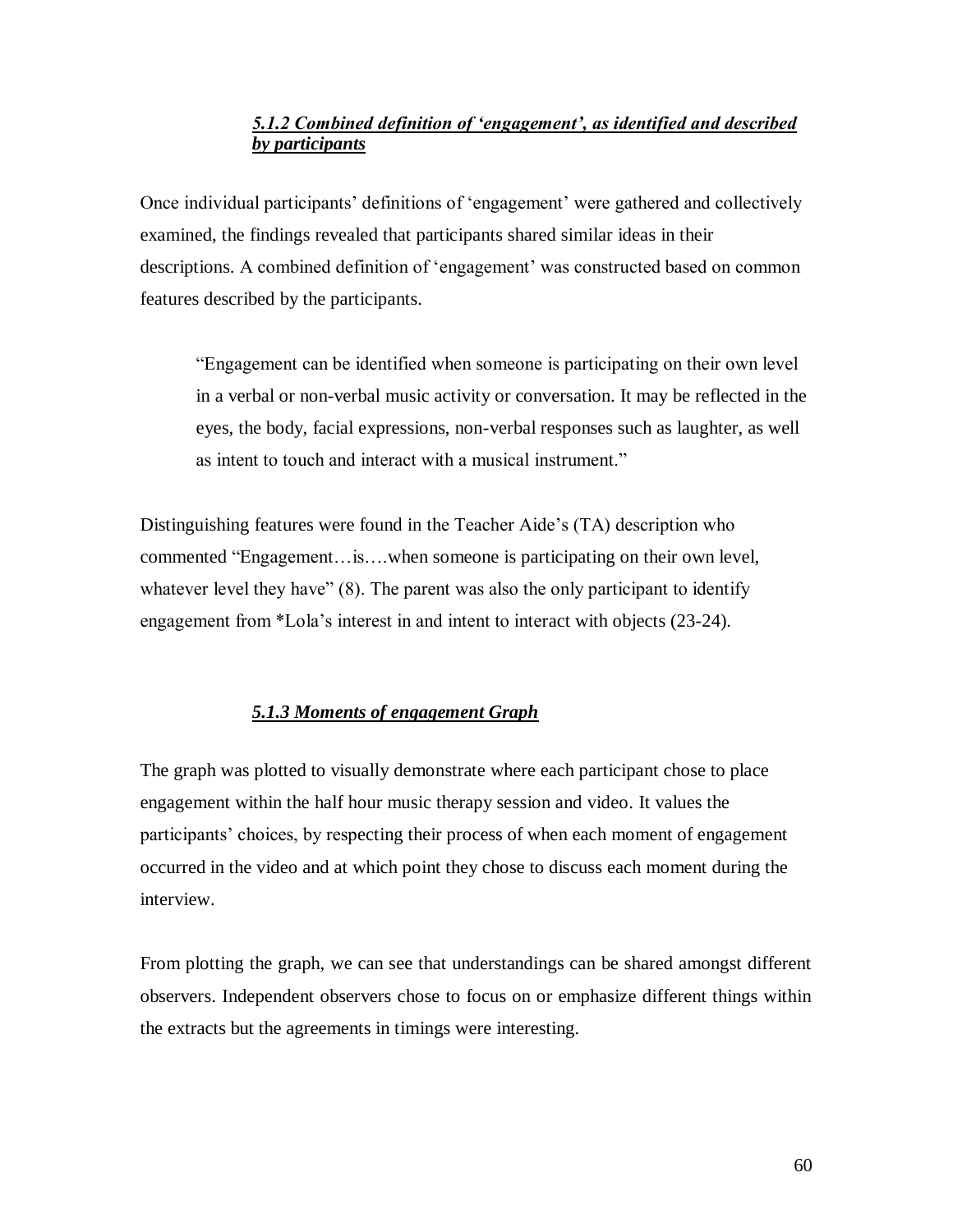# *5.1.2 Combined definition of "engagement", as identified and described by participants*

Once individual participants" definitions of "engagement" were gathered and collectively examined, the findings revealed that participants shared similar ideas in their descriptions. A combined definition of "engagement" was constructed based on common features described by the participants.

"Engagement can be identified when someone is participating on their own level in a verbal or non-verbal music activity or conversation. It may be reflected in the eyes, the body, facial expressions, non-verbal responses such as laughter, as well as intent to touch and interact with a musical instrument."

Distinguishing features were found in the Teacher Aide"s (TA) description who commented "Engagement…is….when someone is participating on their own level, whatever level they have" (8). The parent was also the only participant to identify engagement from \*Lola"s interest in and intent to interact with objects (23-24).

### *5.1.3 Moments of engagement Graph*

The graph was plotted to visually demonstrate where each participant chose to place engagement within the half hour music therapy session and video. It values the participants' choices, by respecting their process of when each moment of engagement occurred in the video and at which point they chose to discuss each moment during the interview.

From plotting the graph, we can see that understandings can be shared amongst different observers. Independent observers chose to focus on or emphasize different things within the extracts but the agreements in timings were interesting.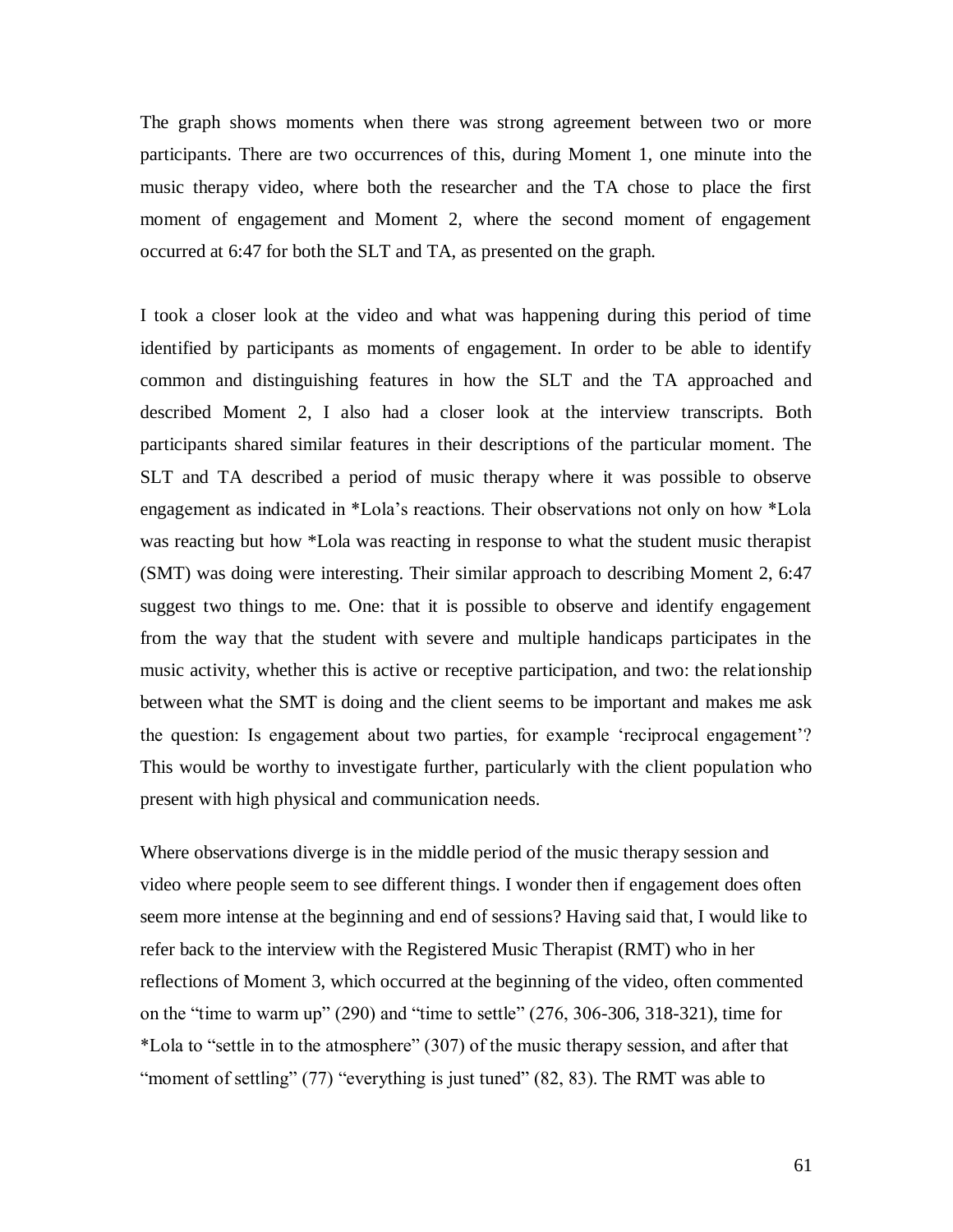The graph shows moments when there was strong agreement between two or more participants. There are two occurrences of this, during Moment 1, one minute into the music therapy video, where both the researcher and the TA chose to place the first moment of engagement and Moment 2, where the second moment of engagement occurred at 6:47 for both the SLT and TA, as presented on the graph.

I took a closer look at the video and what was happening during this period of time identified by participants as moments of engagement. In order to be able to identify common and distinguishing features in how the SLT and the TA approached and described Moment 2, I also had a closer look at the interview transcripts. Both participants shared similar features in their descriptions of the particular moment. The SLT and TA described a period of music therapy where it was possible to observe engagement as indicated in \*Lola"s reactions. Their observations not only on how \*Lola was reacting but how \*Lola was reacting in response to what the student music therapist (SMT) was doing were interesting. Their similar approach to describing Moment 2, 6:47 suggest two things to me. One: that it is possible to observe and identify engagement from the way that the student with severe and multiple handicaps participates in the music activity, whether this is active or receptive participation, and two: the relationship between what the SMT is doing and the client seems to be important and makes me ask the question: Is engagement about two parties, for example "reciprocal engagement"? This would be worthy to investigate further, particularly with the client population who present with high physical and communication needs.

Where observations diverge is in the middle period of the music therapy session and video where people seem to see different things. I wonder then if engagement does often seem more intense at the beginning and end of sessions? Having said that, I would like to refer back to the interview with the Registered Music Therapist (RMT) who in her reflections of Moment 3, which occurred at the beginning of the video, often commented on the "time to warm up" (290) and "time to settle" (276, 306-306, 318-321), time for \*Lola to "settle in to the atmosphere" (307) of the music therapy session, and after that "moment of settling" (77) "everything is just tuned" (82, 83). The RMT was able to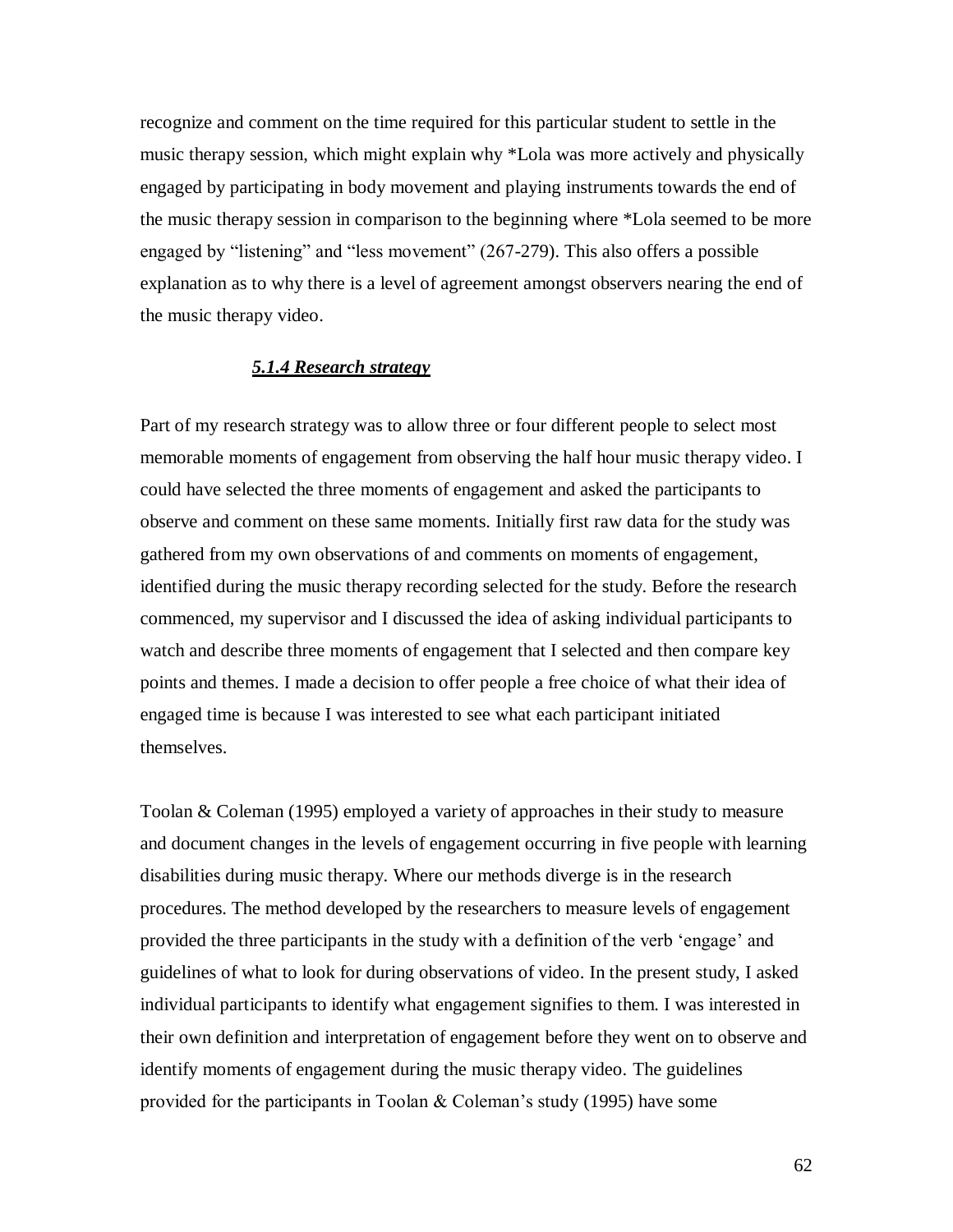recognize and comment on the time required for this particular student to settle in the music therapy session, which might explain why \*Lola was more actively and physically engaged by participating in body movement and playing instruments towards the end of the music therapy session in comparison to the beginning where \*Lola seemed to be more engaged by "listening" and "less movement" (267-279). This also offers a possible explanation as to why there is a level of agreement amongst observers nearing the end of the music therapy video.

### *5.1.4 Research strategy*

Part of my research strategy was to allow three or four different people to select most memorable moments of engagement from observing the half hour music therapy video. I could have selected the three moments of engagement and asked the participants to observe and comment on these same moments. Initially first raw data for the study was gathered from my own observations of and comments on moments of engagement, identified during the music therapy recording selected for the study. Before the research commenced, my supervisor and I discussed the idea of asking individual participants to watch and describe three moments of engagement that I selected and then compare key points and themes. I made a decision to offer people a free choice of what their idea of engaged time is because I was interested to see what each participant initiated themselves.

Toolan & Coleman (1995) employed a variety of approaches in their study to measure and document changes in the levels of engagement occurring in five people with learning disabilities during music therapy. Where our methods diverge is in the research procedures. The method developed by the researchers to measure levels of engagement provided the three participants in the study with a definition of the verb "engage" and guidelines of what to look for during observations of video. In the present study, I asked individual participants to identify what engagement signifies to them. I was interested in their own definition and interpretation of engagement before they went on to observe and identify moments of engagement during the music therapy video. The guidelines provided for the participants in Toolan  $&$  Coleman's study (1995) have some

62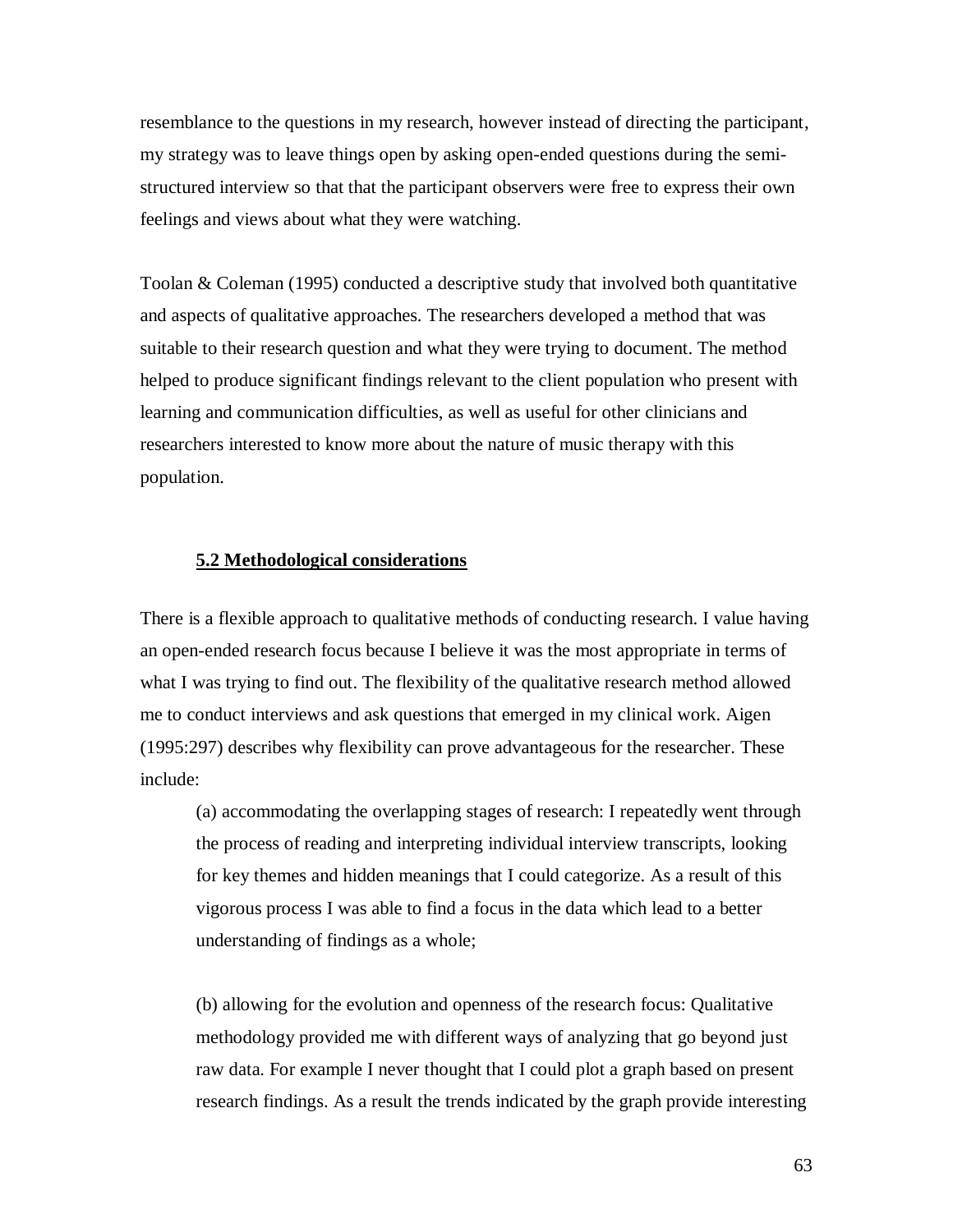resemblance to the questions in my research, however instead of directing the participant, my strategy was to leave things open by asking open-ended questions during the semistructured interview so that that the participant observers were free to express their own feelings and views about what they were watching.

Toolan & Coleman (1995) conducted a descriptive study that involved both quantitative and aspects of qualitative approaches. The researchers developed a method that was suitable to their research question and what they were trying to document. The method helped to produce significant findings relevant to the client population who present with learning and communication difficulties, as well as useful for other clinicians and researchers interested to know more about the nature of music therapy with this population.

### **5.2 Methodological considerations**

There is a flexible approach to qualitative methods of conducting research. I value having an open-ended research focus because I believe it was the most appropriate in terms of what I was trying to find out. The flexibility of the qualitative research method allowed me to conduct interviews and ask questions that emerged in my clinical work. Aigen (1995:297) describes why flexibility can prove advantageous for the researcher. These include:

(a) accommodating the overlapping stages of research: I repeatedly went through the process of reading and interpreting individual interview transcripts, looking for key themes and hidden meanings that I could categorize. As a result of this vigorous process I was able to find a focus in the data which lead to a better understanding of findings as a whole;

(b) allowing for the evolution and openness of the research focus: Qualitative methodology provided me with different ways of analyzing that go beyond just raw data. For example I never thought that I could plot a graph based on present research findings. As a result the trends indicated by the graph provide interesting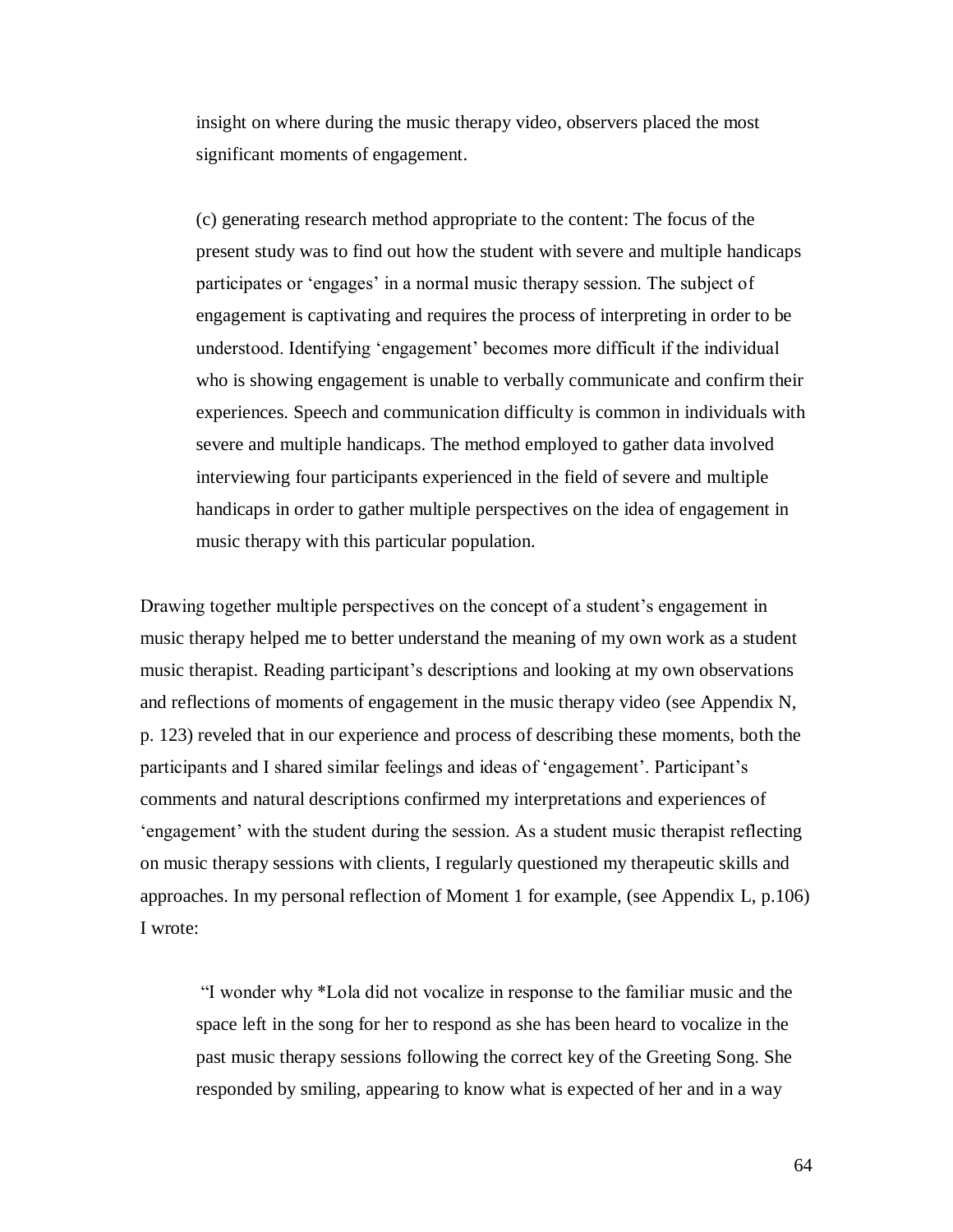insight on where during the music therapy video, observers placed the most significant moments of engagement.

(c) generating research method appropriate to the content: The focus of the present study was to find out how the student with severe and multiple handicaps participates or "engages" in a normal music therapy session. The subject of engagement is captivating and requires the process of interpreting in order to be understood. Identifying "engagement" becomes more difficult if the individual who is showing engagement is unable to verbally communicate and confirm their experiences. Speech and communication difficulty is common in individuals with severe and multiple handicaps. The method employed to gather data involved interviewing four participants experienced in the field of severe and multiple handicaps in order to gather multiple perspectives on the idea of engagement in music therapy with this particular population.

Drawing together multiple perspectives on the concept of a student's engagement in music therapy helped me to better understand the meaning of my own work as a student music therapist. Reading participant's descriptions and looking at my own observations and reflections of moments of engagement in the music therapy video (see Appendix N, p. 123) reveled that in our experience and process of describing these moments, both the participants and I shared similar feelings and ideas of "engagement". Participant"s comments and natural descriptions confirmed my interpretations and experiences of "engagement" with the student during the session. As a student music therapist reflecting on music therapy sessions with clients, I regularly questioned my therapeutic skills and approaches. In my personal reflection of Moment 1 for example, (see Appendix L, p.106) I wrote:

"I wonder why \*Lola did not vocalize in response to the familiar music and the space left in the song for her to respond as she has been heard to vocalize in the past music therapy sessions following the correct key of the Greeting Song. She responded by smiling, appearing to know what is expected of her and in a way

64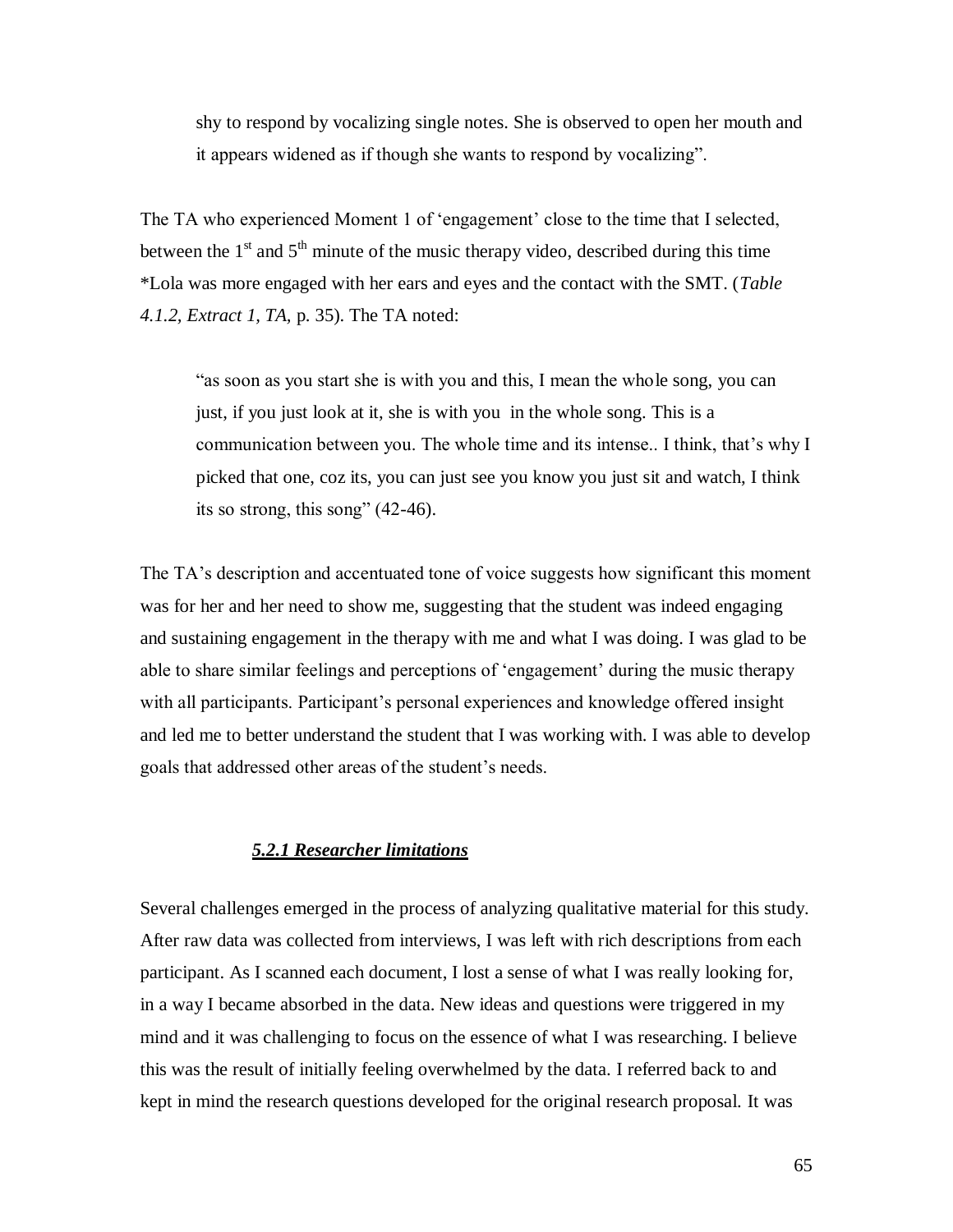shy to respond by vocalizing single notes. She is observed to open her mouth and it appears widened as if though she wants to respond by vocalizing".

The TA who experienced Moment 1 of 'engagement' close to the time that I selected, between the  $1<sup>st</sup>$  and  $5<sup>th</sup>$  minute of the music therapy video, described during this time \*Lola was more engaged with her ears and eyes and the contact with the SMT. (*Table 4.1.2, Extract 1, TA,* p. 35). The TA noted:

"as soon as you start she is with you and this, I mean the whole song, you can just, if you just look at it, she is with you in the whole song. This is a communication between you. The whole time and its intense.. I think, that"s why I picked that one, coz its, you can just see you know you just sit and watch, I think its so strong, this song" (42-46).

The TA"s description and accentuated tone of voice suggests how significant this moment was for her and her need to show me, suggesting that the student was indeed engaging and sustaining engagement in the therapy with me and what I was doing. I was glad to be able to share similar feelings and perceptions of "engagement" during the music therapy with all participants. Participant's personal experiences and knowledge offered insight and led me to better understand the student that I was working with. I was able to develop goals that addressed other areas of the student"s needs.

### *5.2.1 Researcher limitations*

Several challenges emerged in the process of analyzing qualitative material for this study. After raw data was collected from interviews, I was left with rich descriptions from each participant. As I scanned each document, I lost a sense of what I was really looking for, in a way I became absorbed in the data. New ideas and questions were triggered in my mind and it was challenging to focus on the essence of what I was researching. I believe this was the result of initially feeling overwhelmed by the data. I referred back to and kept in mind the research questions developed for the original research proposal. It was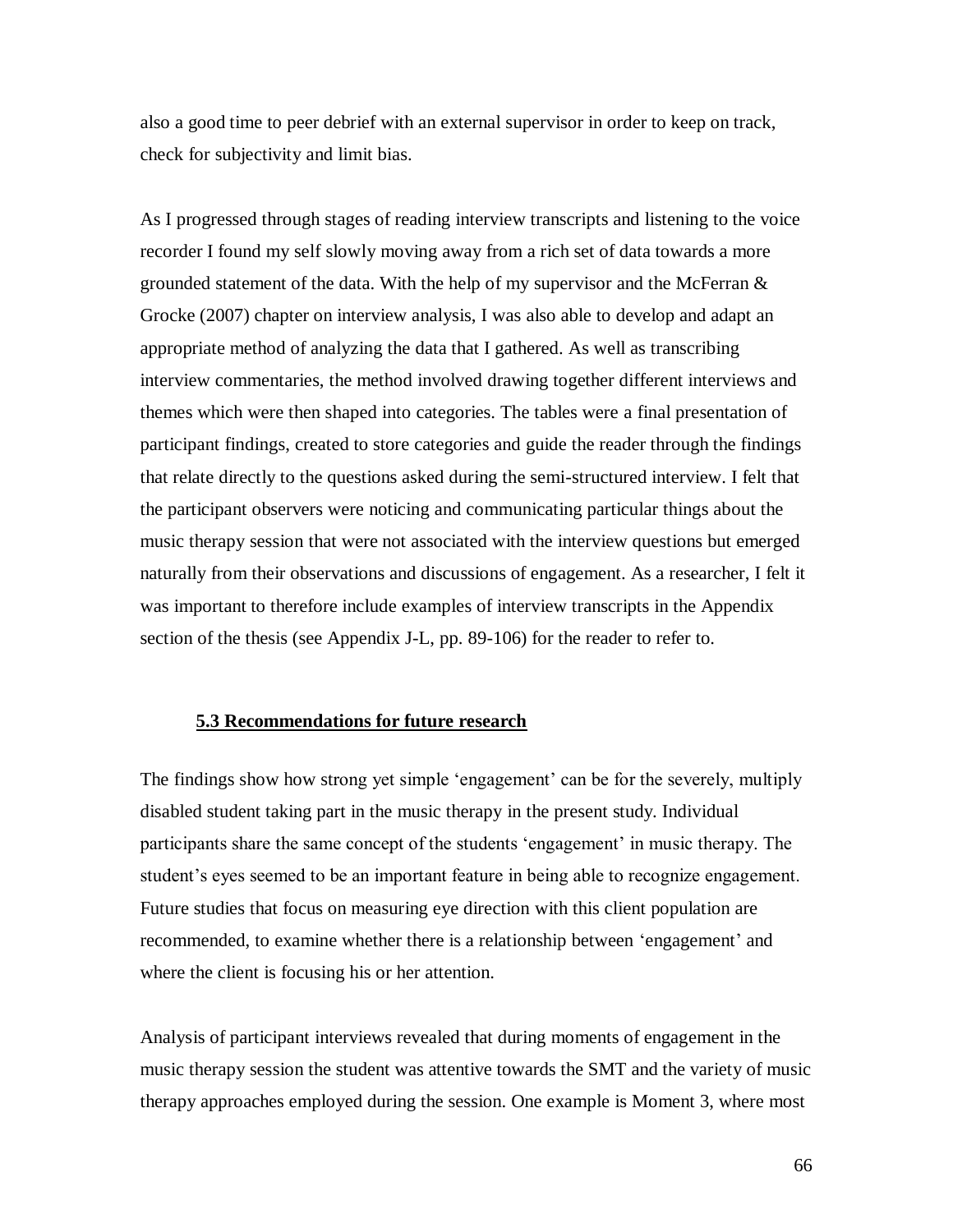also a good time to peer debrief with an external supervisor in order to keep on track, check for subjectivity and limit bias.

As I progressed through stages of reading interview transcripts and listening to the voice recorder I found my self slowly moving away from a rich set of data towards a more grounded statement of the data. With the help of my supervisor and the McFerran  $\&$ Grocke (2007) chapter on interview analysis, I was also able to develop and adapt an appropriate method of analyzing the data that I gathered. As well as transcribing interview commentaries, the method involved drawing together different interviews and themes which were then shaped into categories. The tables were a final presentation of participant findings, created to store categories and guide the reader through the findings that relate directly to the questions asked during the semi-structured interview. I felt that the participant observers were noticing and communicating particular things about the music therapy session that were not associated with the interview questions but emerged naturally from their observations and discussions of engagement. As a researcher, I felt it was important to therefore include examples of interview transcripts in the Appendix section of the thesis (see Appendix J-L, pp. 89-106) for the reader to refer to.

### **5.3 Recommendations for future research**

The findings show how strong yet simple 'engagement' can be for the severely, multiply disabled student taking part in the music therapy in the present study. Individual participants share the same concept of the students "engagement" in music therapy. The student's eyes seemed to be an important feature in being able to recognize engagement. Future studies that focus on measuring eye direction with this client population are recommended, to examine whether there is a relationship between "engagement" and where the client is focusing his or her attention.

Analysis of participant interviews revealed that during moments of engagement in the music therapy session the student was attentive towards the SMT and the variety of music therapy approaches employed during the session. One example is Moment 3, where most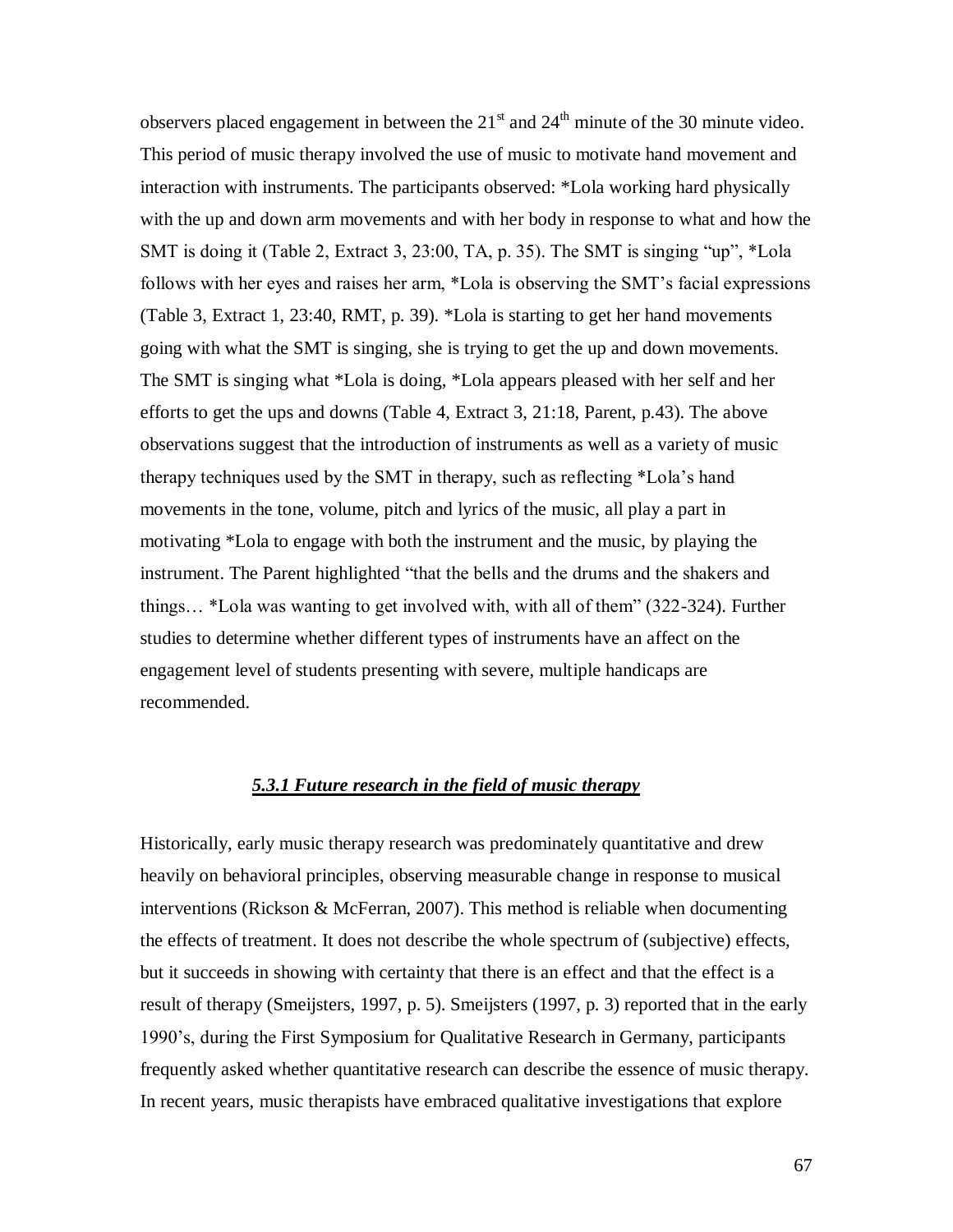observers placed engagement in between the  $21<sup>st</sup>$  and  $24<sup>th</sup>$  minute of the 30 minute video. This period of music therapy involved the use of music to motivate hand movement and interaction with instruments. The participants observed: \*Lola working hard physically with the up and down arm movements and with her body in response to what and how the SMT is doing it (Table 2, Extract 3, 23:00, TA, p. 35). The SMT is singing "up", \*Lola follows with her eyes and raises her arm, \*Lola is observing the SMT"s facial expressions (Table 3, Extract 1, 23:40, RMT, p. 39). \*Lola is starting to get her hand movements going with what the SMT is singing, she is trying to get the up and down movements. The SMT is singing what \*Lola is doing, \*Lola appears pleased with her self and her efforts to get the ups and downs (Table 4, Extract 3, 21:18, Parent, p.43). The above observations suggest that the introduction of instruments as well as a variety of music therapy techniques used by the SMT in therapy, such as reflecting \*Lola"s hand movements in the tone, volume, pitch and lyrics of the music, all play a part in motivating \*Lola to engage with both the instrument and the music, by playing the instrument. The Parent highlighted "that the bells and the drums and the shakers and things… \*Lola was wanting to get involved with, with all of them" (322-324). Further studies to determine whether different types of instruments have an affect on the engagement level of students presenting with severe, multiple handicaps are recommended.

### *5.3.1 Future research in the field of music therapy*

Historically, early music therapy research was predominately quantitative and drew heavily on behavioral principles, observing measurable change in response to musical interventions (Rickson & McFerran, 2007). This method is reliable when documenting the effects of treatment. It does not describe the whole spectrum of (subjective) effects, but it succeeds in showing with certainty that there is an effect and that the effect is a result of therapy (Smeijsters, 1997, p. 5). Smeijsters (1997, p. 3) reported that in the early 1990"s, during the First Symposium for Qualitative Research in Germany, participants frequently asked whether quantitative research can describe the essence of music therapy. In recent years, music therapists have embraced qualitative investigations that explore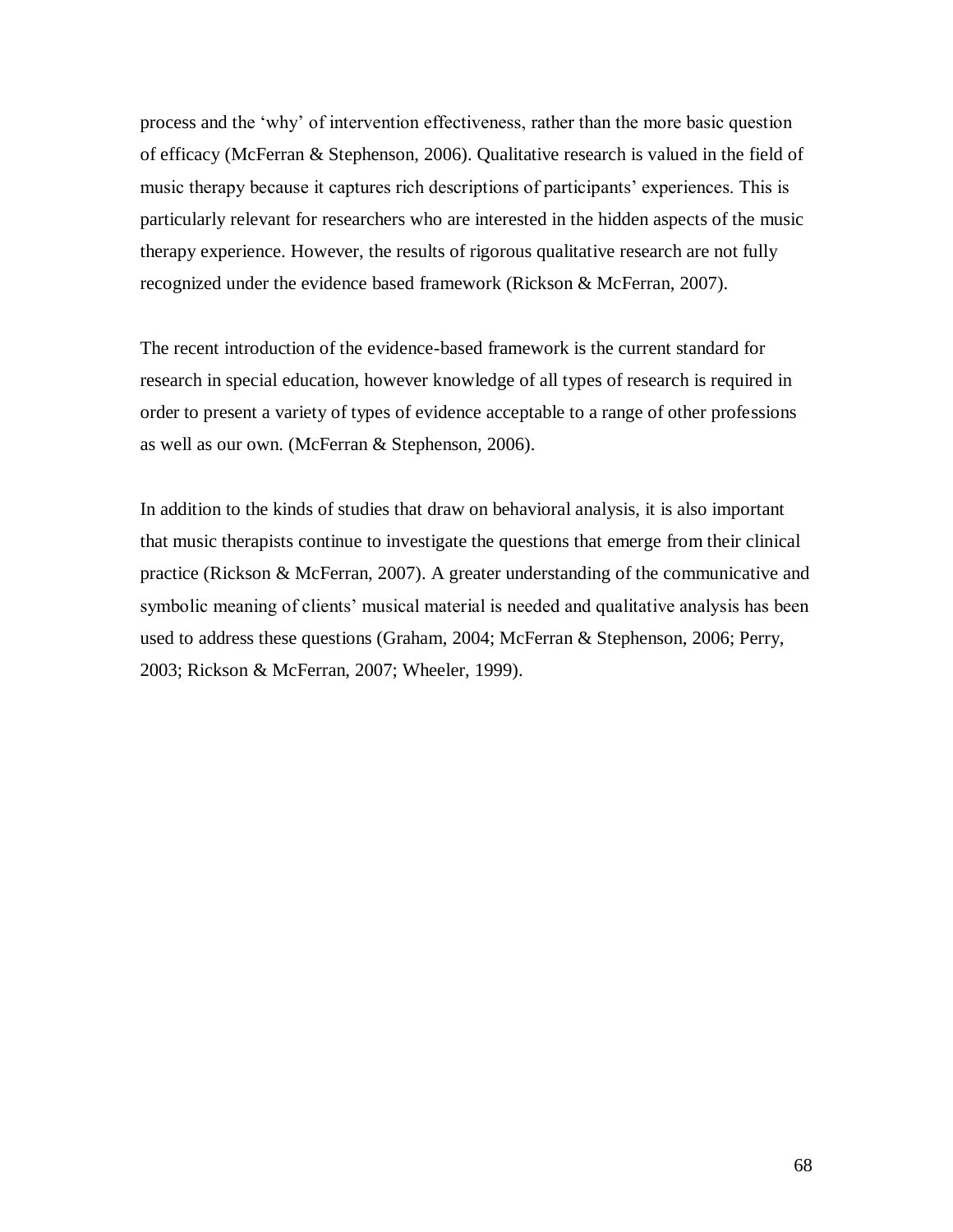process and the "why" of intervention effectiveness, rather than the more basic question of efficacy (McFerran & Stephenson, 2006). Qualitative research is valued in the field of music therapy because it captures rich descriptions of participants' experiences. This is particularly relevant for researchers who are interested in the hidden aspects of the music therapy experience. However, the results of rigorous qualitative research are not fully recognized under the evidence based framework (Rickson & McFerran, 2007).

The recent introduction of the evidence-based framework is the current standard for research in special education, however knowledge of all types of research is required in order to present a variety of types of evidence acceptable to a range of other professions as well as our own. (McFerran & Stephenson, 2006).

In addition to the kinds of studies that draw on behavioral analysis, it is also important that music therapists continue to investigate the questions that emerge from their clinical practice (Rickson & McFerran, 2007). A greater understanding of the communicative and symbolic meaning of clients' musical material is needed and qualitative analysis has been used to address these questions (Graham, 2004; McFerran & Stephenson, 2006; Perry, 2003; Rickson & McFerran, 2007; Wheeler, 1999).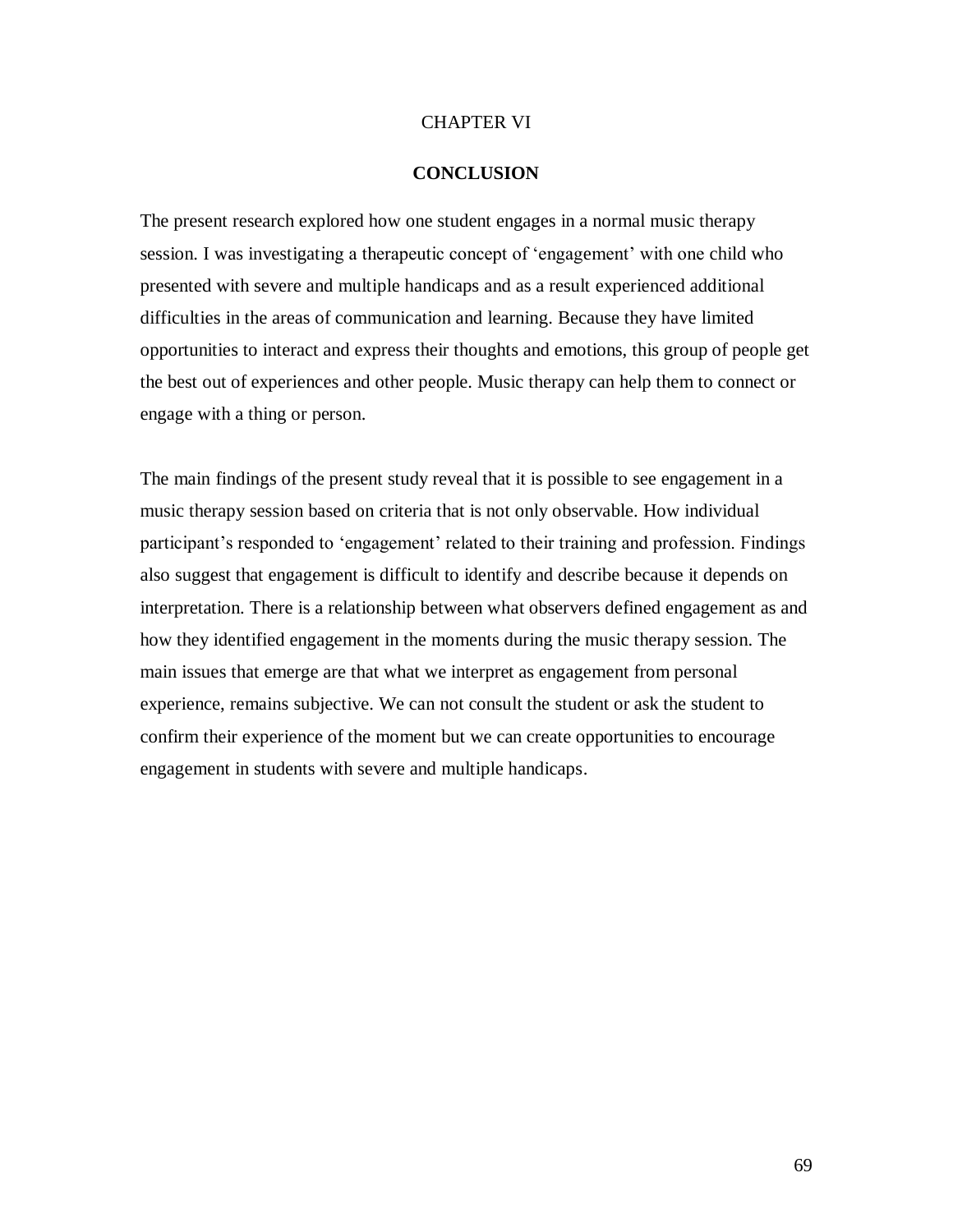#### CHAPTER VI

#### **CONCLUSION**

The present research explored how one student engages in a normal music therapy session. I was investigating a therapeutic concept of 'engagement' with one child who presented with severe and multiple handicaps and as a result experienced additional difficulties in the areas of communication and learning. Because they have limited opportunities to interact and express their thoughts and emotions, this group of people get the best out of experiences and other people. Music therapy can help them to connect or engage with a thing or person.

The main findings of the present study reveal that it is possible to see engagement in a music therapy session based on criteria that is not only observable. How individual participant's responded to 'engagement' related to their training and profession. Findings also suggest that engagement is difficult to identify and describe because it depends on interpretation. There is a relationship between what observers defined engagement as and how they identified engagement in the moments during the music therapy session. The main issues that emerge are that what we interpret as engagement from personal experience, remains subjective. We can not consult the student or ask the student to confirm their experience of the moment but we can create opportunities to encourage engagement in students with severe and multiple handicaps.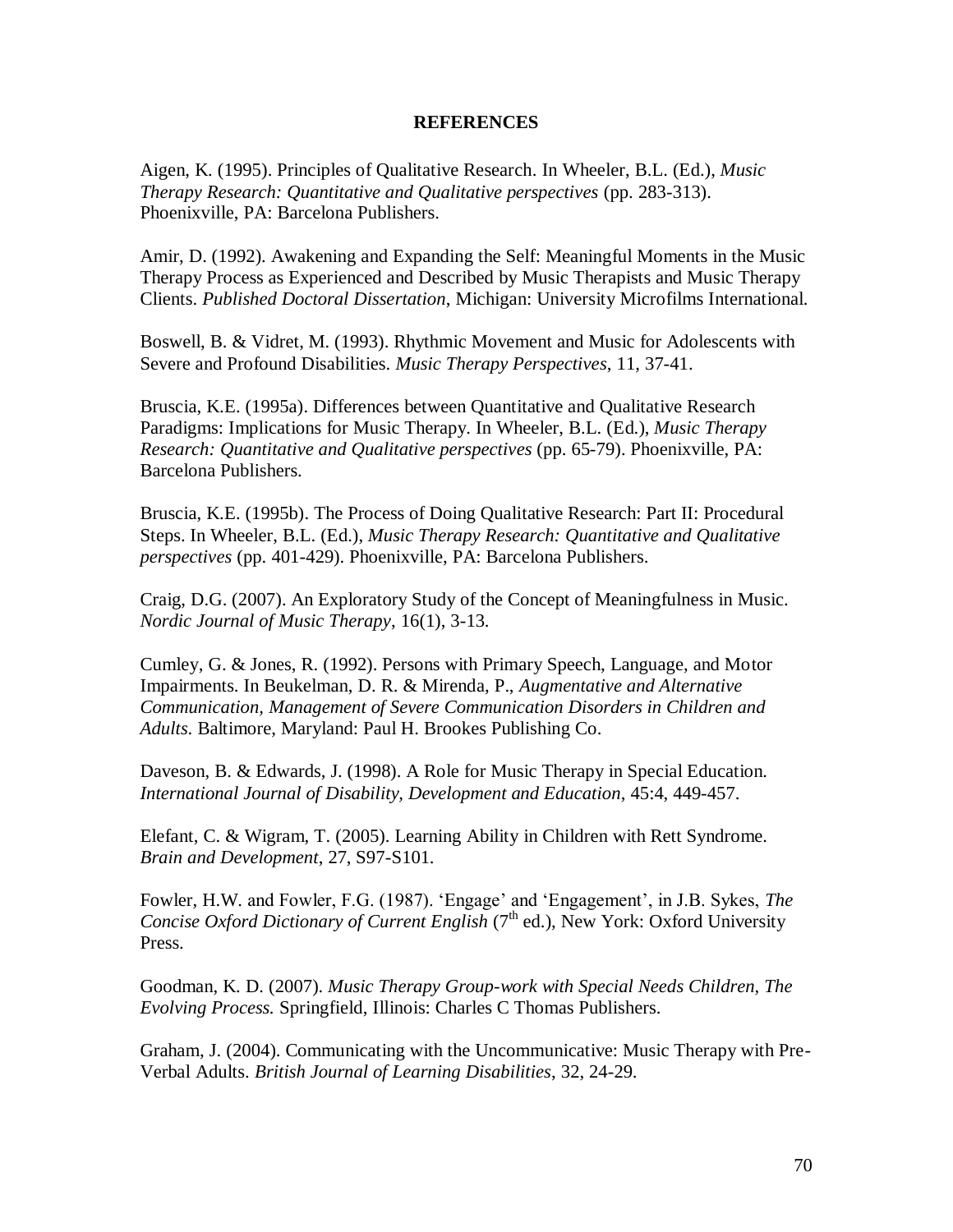#### **REFERENCES**

Aigen, K. (1995). Principles of Qualitative Research. In Wheeler, B.L. (Ed.), *Music Therapy Research: Quantitative and Qualitative perspectives* (pp. 283-313). Phoenixville, PA: Barcelona Publishers.

Amir, D. (1992). Awakening and Expanding the Self: Meaningful Moments in the Music Therapy Process as Experienced and Described by Music Therapists and Music Therapy Clients. *Published Doctoral Dissertation*, Michigan: University Microfilms International.

Boswell, B. & Vidret, M. (1993). Rhythmic Movement and Music for Adolescents with Severe and Profound Disabilities. *Music Therapy Perspectives*, 11, 37-41.

Bruscia, K.E. (1995a). Differences between Quantitative and Qualitative Research Paradigms: Implications for Music Therapy. In Wheeler, B.L. (Ed.), *Music Therapy Research: Quantitative and Qualitative perspectives* (pp. 65-79). Phoenixville, PA: Barcelona Publishers.

Bruscia, K.E. (1995b). The Process of Doing Qualitative Research: Part II: Procedural Steps. In Wheeler, B.L. (Ed.), *Music Therapy Research: Quantitative and Qualitative perspectives* (pp. 401-429). Phoenixville, PA: Barcelona Publishers.

Craig, D.G. (2007). An Exploratory Study of the Concept of Meaningfulness in Music. *Nordic Journal of Music Therapy*, 16(1), 3-13.

Cumley, G. & Jones, R. (1992). Persons with Primary Speech, Language, and Motor Impairments. In Beukelman, D. R. & Mirenda, P., *Augmentative and Alternative Communication, Management of Severe Communication Disorders in Children and Adults*. Baltimore, Maryland: Paul H. Brookes Publishing Co.

Daveson, B. & Edwards, J. (1998). A Role for Music Therapy in Special Education. *International Journal of Disability, Development and Education*, 45:4, 449-457.

Elefant, C. & Wigram, T. (2005). Learning Ability in Children with Rett Syndrome. *Brain and Development*, 27, S97-S101.

Fowler, H.W. and Fowler, F.G. (1987). "Engage" and "Engagement", in J.B. Sykes, *The Concise Oxford Dictionary of Current English* (7<sup>th</sup> ed.), New York: Oxford University Press.

Goodman, K. D. (2007). *Music Therapy Group-work with Special Needs Children, The Evolving Process.* Springfield, Illinois: Charles C Thomas Publishers.

Graham, J. (2004). Communicating with the Uncommunicative: Music Therapy with Pre-Verbal Adults. *British Journal of Learning Disabilities*, 32, 24-29.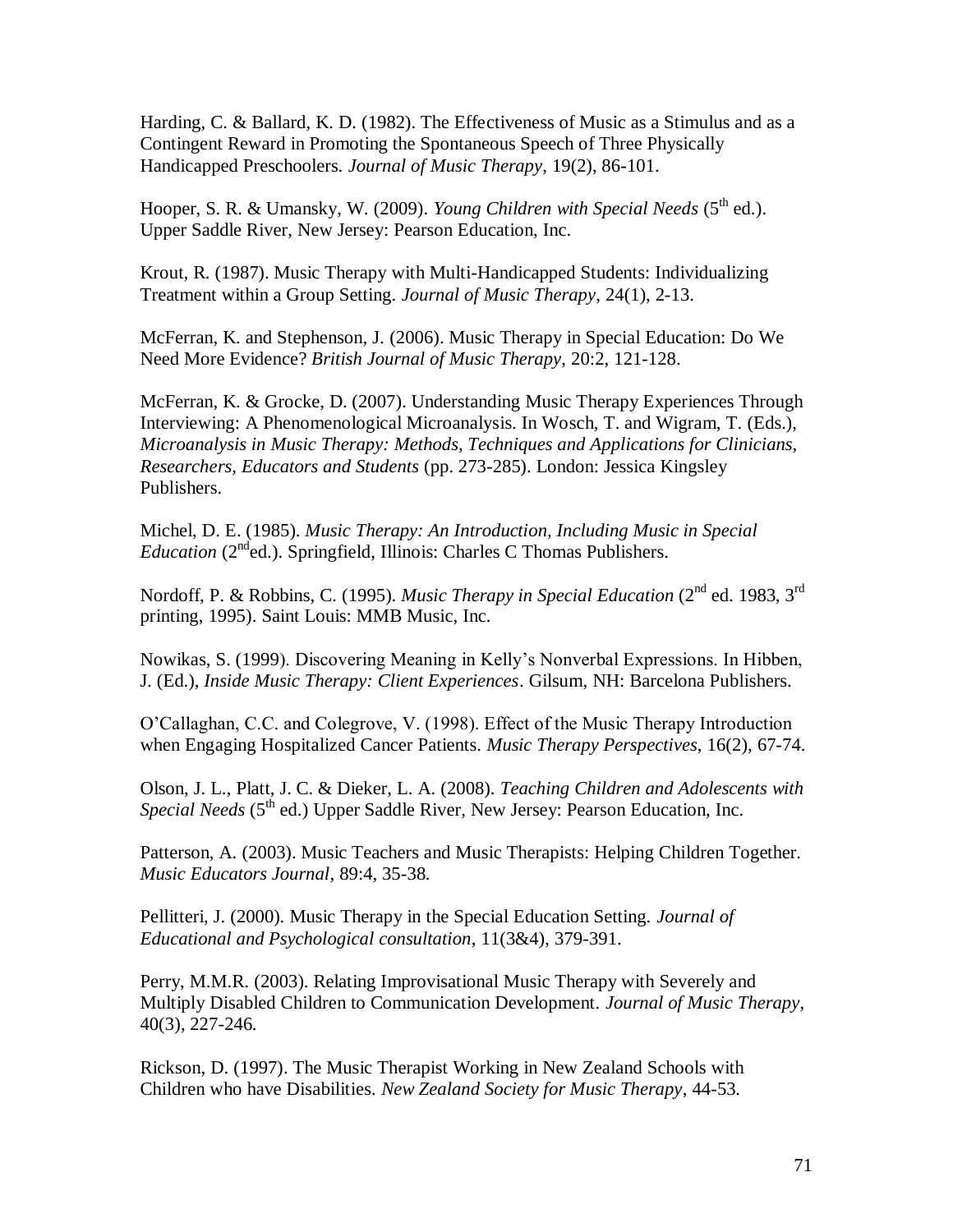Harding, C. & Ballard, K. D. (1982). The Effectiveness of Music as a Stimulus and as a Contingent Reward in Promoting the Spontaneous Speech of Three Physically Handicapped Preschoolers. *Journal of Music Therapy*, 19(2), 86-101.

Hooper, S. R. & Umansky, W. (2009). *Young Children with Special Needs* (5<sup>th</sup> ed.). Upper Saddle River, New Jersey: Pearson Education, Inc.

Krout, R. (1987). Music Therapy with Multi-Handicapped Students: Individualizing Treatment within a Group Setting. *Journal of Music Therapy*, 24(1), 2-13.

McFerran, K. and Stephenson, J. (2006). Music Therapy in Special Education: Do We Need More Evidence? *British Journal of Music Therapy*, 20:2, 121-128.

McFerran, K. & Grocke, D. (2007). Understanding Music Therapy Experiences Through Interviewing: A Phenomenological Microanalysis. In Wosch, T. and Wigram, T. (Eds.), *Microanalysis in Music Therapy: Methods, Techniques and Applications for Clinicians, Researchers, Educators and Students* (pp. 273-285). London: Jessica Kingsley Publishers.

Michel, D. E. (1985). *Music Therapy: An Introduction, Including Music in Special Education (2nd ed.).* Springfield, Illinois: Charles C Thomas Publishers.

Nordoff, P. & Robbins, C. (1995). *Music Therapy in Special Education* (2<sup>nd</sup> ed. 1983, 3<sup>rd</sup> printing, 1995). Saint Louis: MMB Music, Inc.

Nowikas, S. (1999). Discovering Meaning in Kelly"s Nonverbal Expressions. In Hibben, J. (Ed.), *Inside Music Therapy: Client Experiences*. Gilsum, NH: Barcelona Publishers.

O"Callaghan, C.C. and Colegrove, V. (1998). Effect of the Music Therapy Introduction when Engaging Hospitalized Cancer Patients. *Music Therapy Perspectives*, 16(2), 67-74.

Olson, J. L., Platt, J. C. & Dieker, L. A. (2008). *Teaching Children and Adolescents with Special Needs* (5<sup>th</sup> ed.) Upper Saddle River, New Jersey: Pearson Education, Inc.

Patterson, A. (2003). Music Teachers and Music Therapists: Helping Children Together. *Music Educators Journal*, 89:4, 35-38.

Pellitteri, J. (2000). Music Therapy in the Special Education Setting. *Journal of Educational and Psychological consultation*, 11(3&4), 379-391.

Perry, M.M.R. (2003). Relating Improvisational Music Therapy with Severely and Multiply Disabled Children to Communication Development. *Journal of Music Therapy*, 40(3), 227-246.

Rickson, D. (1997). The Music Therapist Working in New Zealand Schools with Children who have Disabilities. *New Zealand Society for Music Therapy*, 44-53.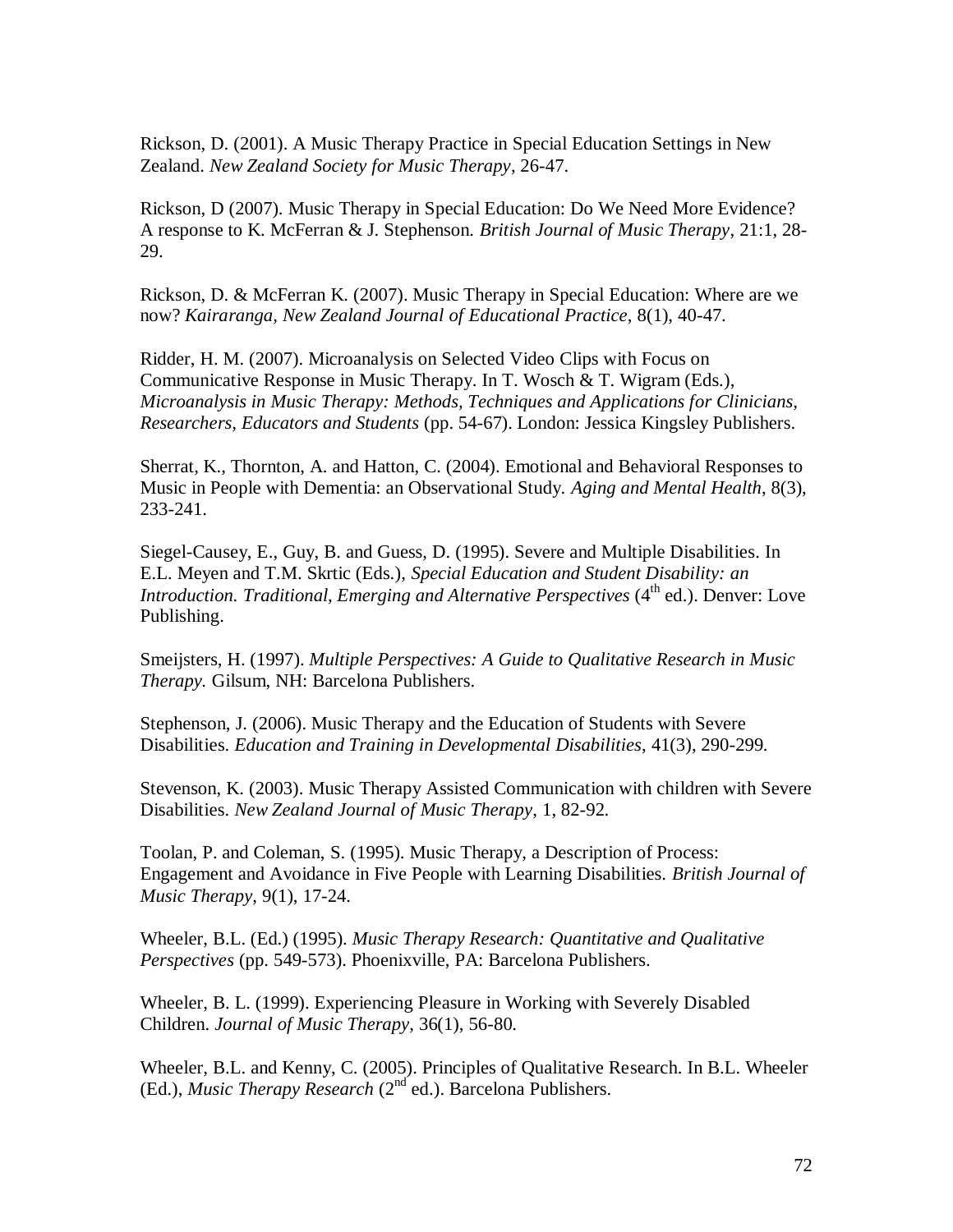Rickson, D. (2001). A Music Therapy Practice in Special Education Settings in New Zealand. *New Zealand Society for Music Therapy*, 26-47.

Rickson, D (2007). Music Therapy in Special Education: Do We Need More Evidence? A response to K. McFerran & J. Stephenson. *British Journal of Music Therapy*, 21:1, 28- 29.

Rickson, D. & McFerran K. (2007). Music Therapy in Special Education: Where are we now? *Kairaranga, New Zealand Journal of Educational Practice*, 8(1), 40-47.

Ridder, H. M. (2007). Microanalysis on Selected Video Clips with Focus on Communicative Response in Music Therapy. In T. Wosch & T. Wigram (Eds.), *Microanalysis in Music Therapy: Methods, Techniques and Applications for Clinicians, Researchers, Educators and Students* (pp. 54-67). London: Jessica Kingsley Publishers.

Sherrat, K., Thornton, A. and Hatton, C. (2004). Emotional and Behavioral Responses to Music in People with Dementia: an Observational Study. *Aging and Mental Health*, 8(3), 233-241.

Siegel-Causey, E., Guy, B. and Guess, D. (1995). Severe and Multiple Disabilities. In E.L. Meyen and T.M. Skrtic (Eds.), *Special Education and Student Disability: an Introduction. Traditional, Emerging and Alternative Perspectives* (4<sup>th</sup> ed.). Denver: Love Publishing.

Smeijsters, H. (1997). *Multiple Perspectives: A Guide to Qualitative Research in Music Therapy.* Gilsum, NH: Barcelona Publishers.

Stephenson, J. (2006). Music Therapy and the Education of Students with Severe Disabilities. *Education and Training in Developmental Disabilities*, 41(3), 290-299.

Stevenson, K. (2003). Music Therapy Assisted Communication with children with Severe Disabilities. *New Zealand Journal of Music Therapy*, 1, 82-92.

Toolan, P. and Coleman, S. (1995). Music Therapy, a Description of Process: Engagement and Avoidance in Five People with Learning Disabilities. *British Journal of Music Therapy*, 9(1), 17-24.

Wheeler, B.L. (Ed.) (1995). *Music Therapy Research: Quantitative and Qualitative Perspectives* (pp. 549-573). Phoenixville, PA: Barcelona Publishers.

Wheeler, B. L. (1999). Experiencing Pleasure in Working with Severely Disabled Children. *Journal of Music Therapy*, 36(1), 56-80.

Wheeler, B.L. and Kenny, C. (2005). Principles of Qualitative Research. In B.L. Wheeler (Ed.), *Music Therapy Research* (2<sup>nd</sup> ed.). Barcelona Publishers.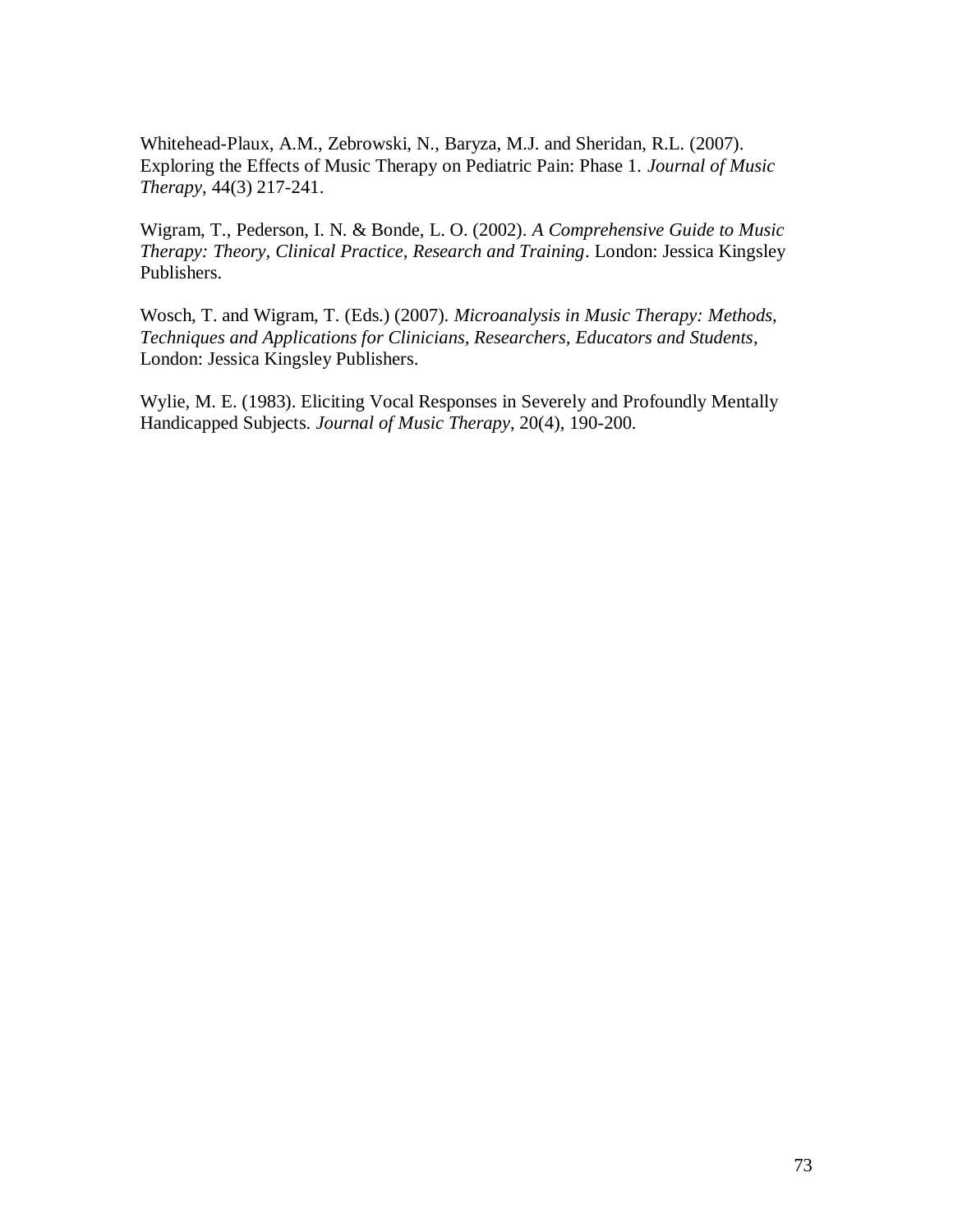Whitehead-Plaux, A.M., Zebrowski, N., Baryza, M.J. and Sheridan, R.L. (2007). Exploring the Effects of Music Therapy on Pediatric Pain: Phase 1. *Journal of Music Therapy*, 44(3) 217-241.

Wigram, T., Pederson, I. N. & Bonde, L. O. (2002). *A Comprehensive Guide to Music Therapy: Theory, Clinical Practice, Research and Training*. London: Jessica Kingsley Publishers.

Wosch, T. and Wigram, T. (Eds.) (2007). *Microanalysis in Music Therapy: Methods, Techniques and Applications for Clinicians, Researchers, Educators and Students*, London: Jessica Kingsley Publishers.

Wylie, M. E. (1983). Eliciting Vocal Responses in Severely and Profoundly Mentally Handicapped Subjects. *Journal of Music Therapy*, 20(4), 190-200.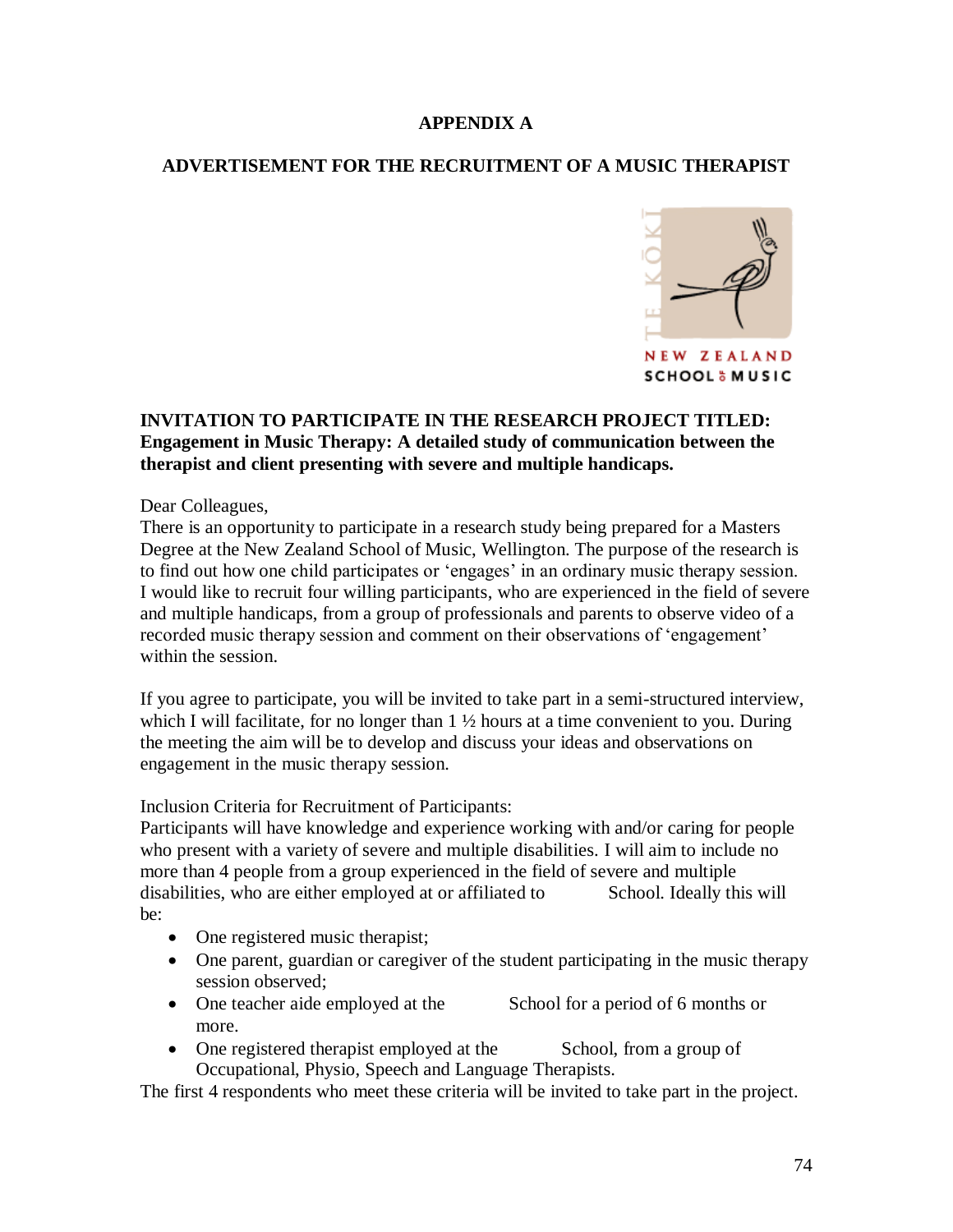# **APPENDIX A**

# **ADVERTISEMENT FOR THE RECRUITMENT OF A MUSIC THERAPIST**



## **INVITATION TO PARTICIPATE IN THE RESEARCH PROJECT TITLED: Engagement in Music Therapy: A detailed study of communication between the therapist and client presenting with severe and multiple handicaps.**

Dear Colleagues,

There is an opportunity to participate in a research study being prepared for a Masters Degree at the New Zealand School of Music, Wellington. The purpose of the research is to find out how one child participates or 'engages' in an ordinary music therapy session. I would like to recruit four willing participants, who are experienced in the field of severe and multiple handicaps, from a group of professionals and parents to observe video of a recorded music therapy session and comment on their observations of "engagement" within the session.

If you agree to participate, you will be invited to take part in a semi-structured interview, which I will facilitate, for no longer than  $1 \frac{1}{2}$  hours at a time convenient to you. During the meeting the aim will be to develop and discuss your ideas and observations on engagement in the music therapy session.

Inclusion Criteria for Recruitment of Participants:

Participants will have knowledge and experience working with and/or caring for people who present with a variety of severe and multiple disabilities. I will aim to include no more than 4 people from a group experienced in the field of severe and multiple disabilities, who are either employed at or affiliated to School. Ideally this will be:

- One registered music therapist;
- One parent, guardian or caregiver of the student participating in the music therapy session observed;
- One teacher aide employed at the School for a period of 6 months or more.
- One registered therapist employed at the School, from a group of Occupational, Physio, Speech and Language Therapists.

The first 4 respondents who meet these criteria will be invited to take part in the project.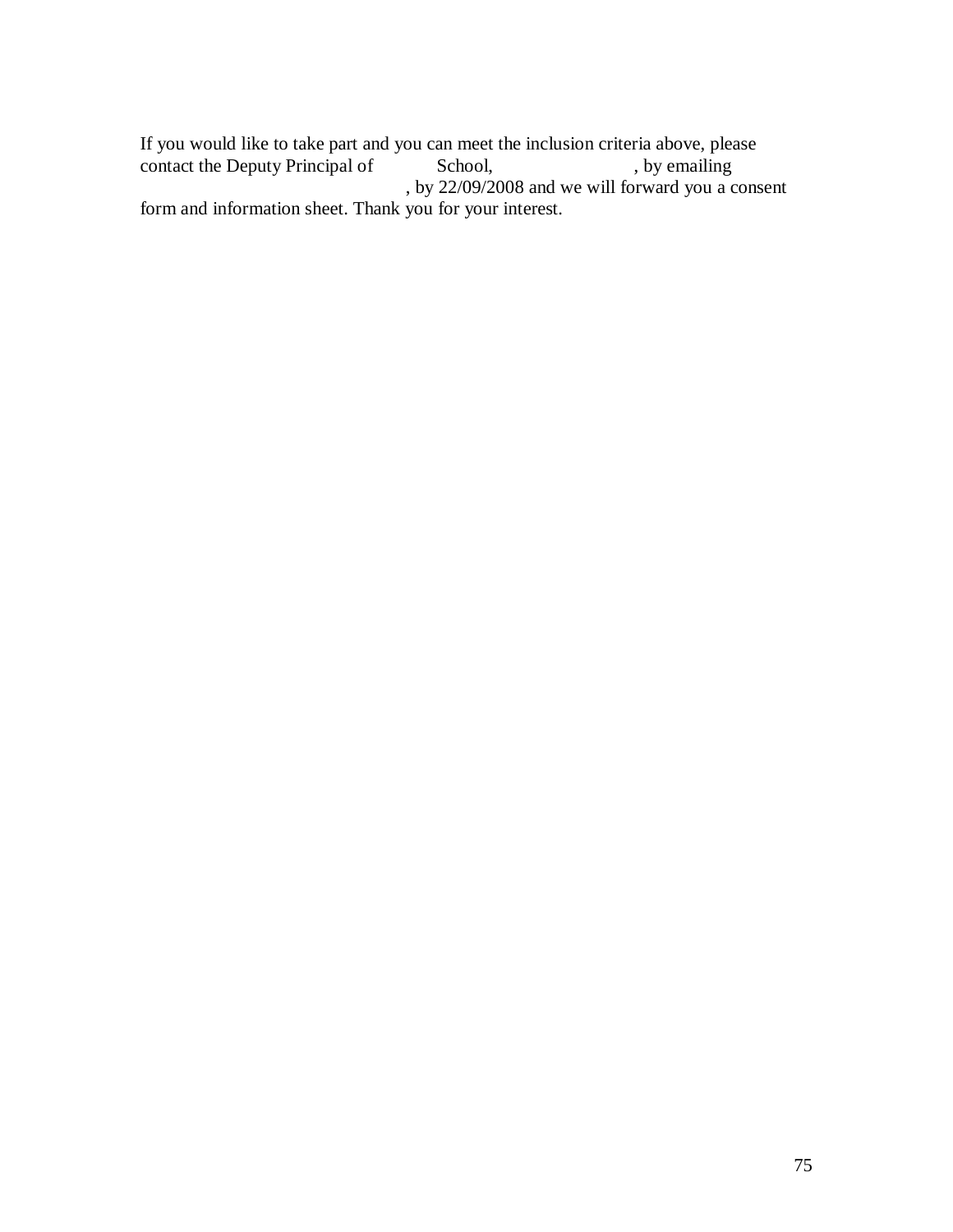If you would like to take part and you can meet the inclusion criteria above, please contact the Deputy Principal of School, by emailing contact the Deputy Principal of , by  $22/09/2008$  and we will forward you a consent form and information sheet. Thank you for your interest.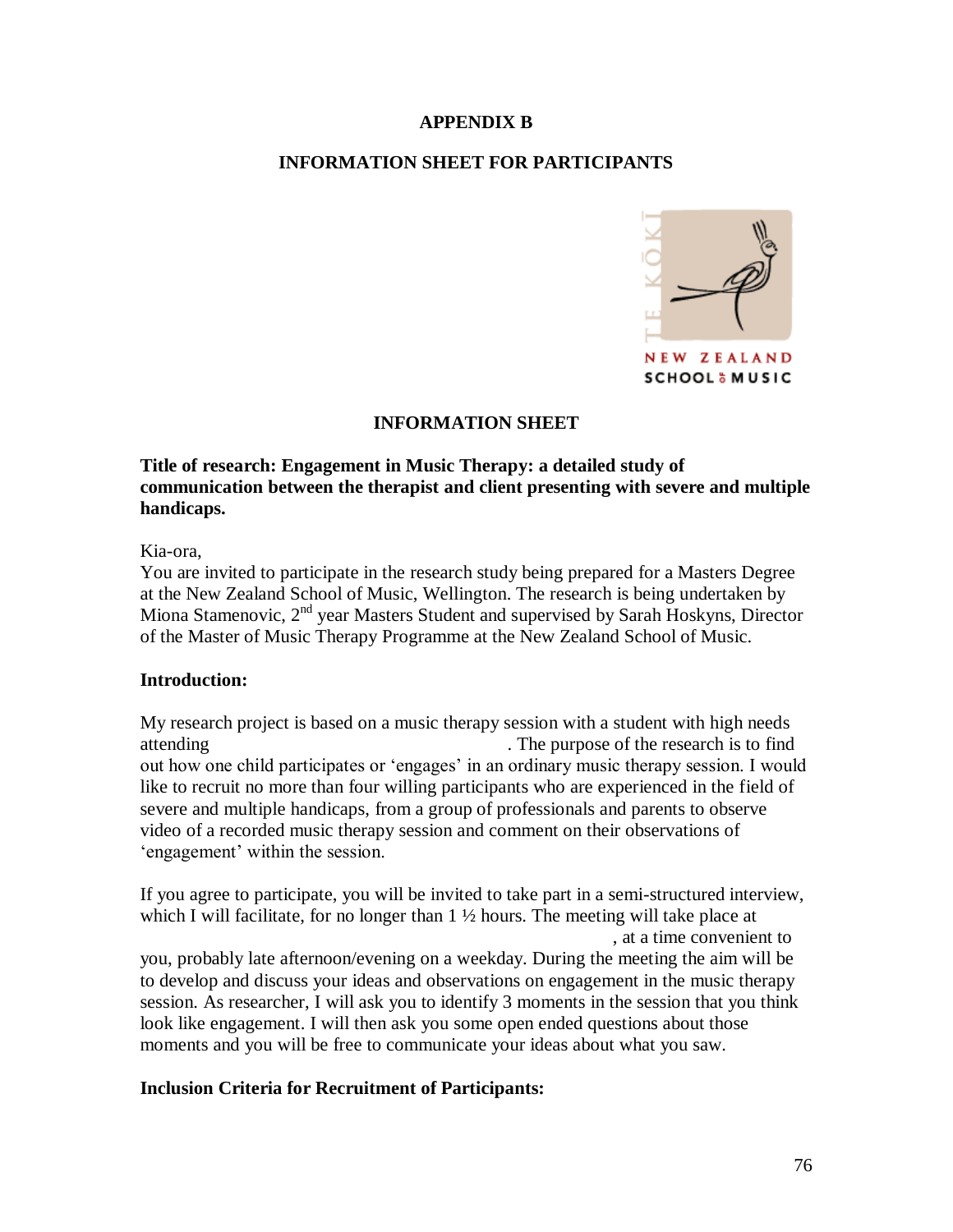#### **APPENDIX B**

# **INFORMATION SHEET FOR PARTICIPANTS**



#### **INFORMATION SHEET**

# **Title of research: Engagement in Music Therapy: a detailed study of communication between the therapist and client presenting with severe and multiple handicaps.**

#### Kia-ora,

You are invited to participate in the research study being prepared for a Masters Degree at the New Zealand School of Music, Wellington. The research is being undertaken by Miona Stamenovic, 2<sup>nd</sup> year Masters Student and supervised by Sarah Hoskyns, Director of the Master of Music Therapy Programme at the New Zealand School of Music.

#### **Introduction:**

My research project is based on a music therapy session with a student with high needs attending The purpose of the research is to find out how one child participates or "engages" in an ordinary music therapy session. I would like to recruit no more than four willing participants who are experienced in the field of severe and multiple handicaps, from a group of professionals and parents to observe video of a recorded music therapy session and comment on their observations of 'engagement' within the session.

If you agree to participate, you will be invited to take part in a semi-structured interview, which I will facilitate, for no longer than  $1 \frac{1}{2}$  hours. The meeting will take place at , at a time convenient to you, probably late afternoon/evening on a weekday. During the meeting the aim will be to develop and discuss your ideas and observations on engagement in the music therapy session. As researcher, I will ask you to identify 3 moments in the session that you think look like engagement. I will then ask you some open ended questions about those moments and you will be free to communicate your ideas about what you saw.

# **Inclusion Criteria for Recruitment of Participants:**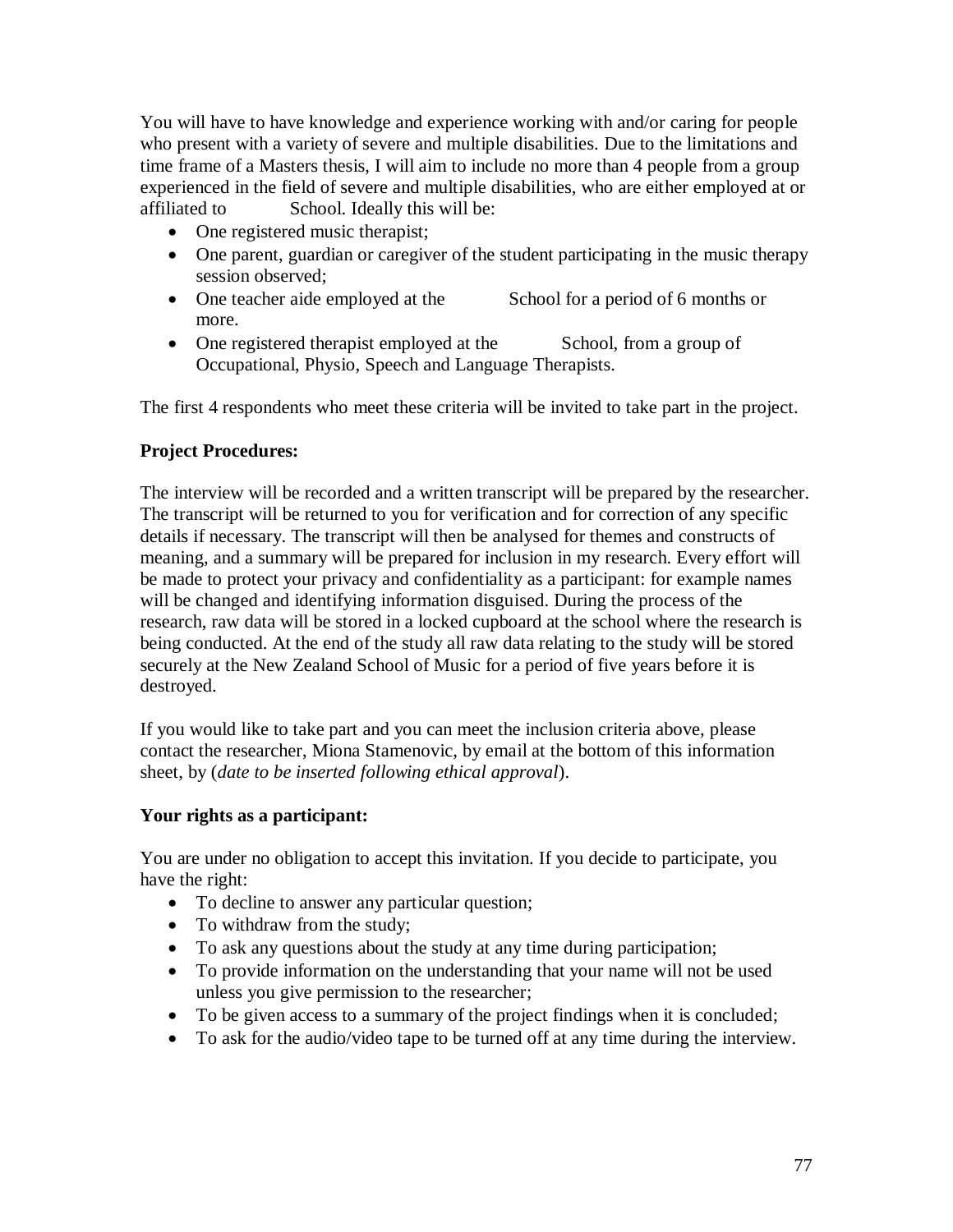You will have to have knowledge and experience working with and/or caring for people who present with a variety of severe and multiple disabilities. Due to the limitations and time frame of a Masters thesis, I will aim to include no more than 4 people from a group experienced in the field of severe and multiple disabilities, who are either employed at or affiliated to School. Ideally this will be:

- One registered music therapist;
- One parent, guardian or caregiver of the student participating in the music therapy session observed;
- One teacher aide employed at the School for a period of 6 months or more.
- One registered therapist employed at the School, from a group of Occupational, Physio, Speech and Language Therapists.

The first 4 respondents who meet these criteria will be invited to take part in the project.

# **Project Procedures:**

The interview will be recorded and a written transcript will be prepared by the researcher. The transcript will be returned to you for verification and for correction of any specific details if necessary. The transcript will then be analysed for themes and constructs of meaning, and a summary will be prepared for inclusion in my research. Every effort will be made to protect your privacy and confidentiality as a participant: for example names will be changed and identifying information disguised. During the process of the research, raw data will be stored in a locked cupboard at the school where the research is being conducted. At the end of the study all raw data relating to the study will be stored securely at the New Zealand School of Music for a period of five years before it is destroyed.

If you would like to take part and you can meet the inclusion criteria above, please contact the researcher, Miona Stamenovic, by email at the bottom of this information sheet, by (*date to be inserted following ethical approval*).

# **Your rights as a participant:**

You are under no obligation to accept this invitation. If you decide to participate, you have the right:

- To decline to answer any particular question;
- To withdraw from the study;
- To ask any questions about the study at any time during participation;
- To provide information on the understanding that your name will not be used unless you give permission to the researcher;
- To be given access to a summary of the project findings when it is concluded;
- To ask for the audio/video tape to be turned off at any time during the interview.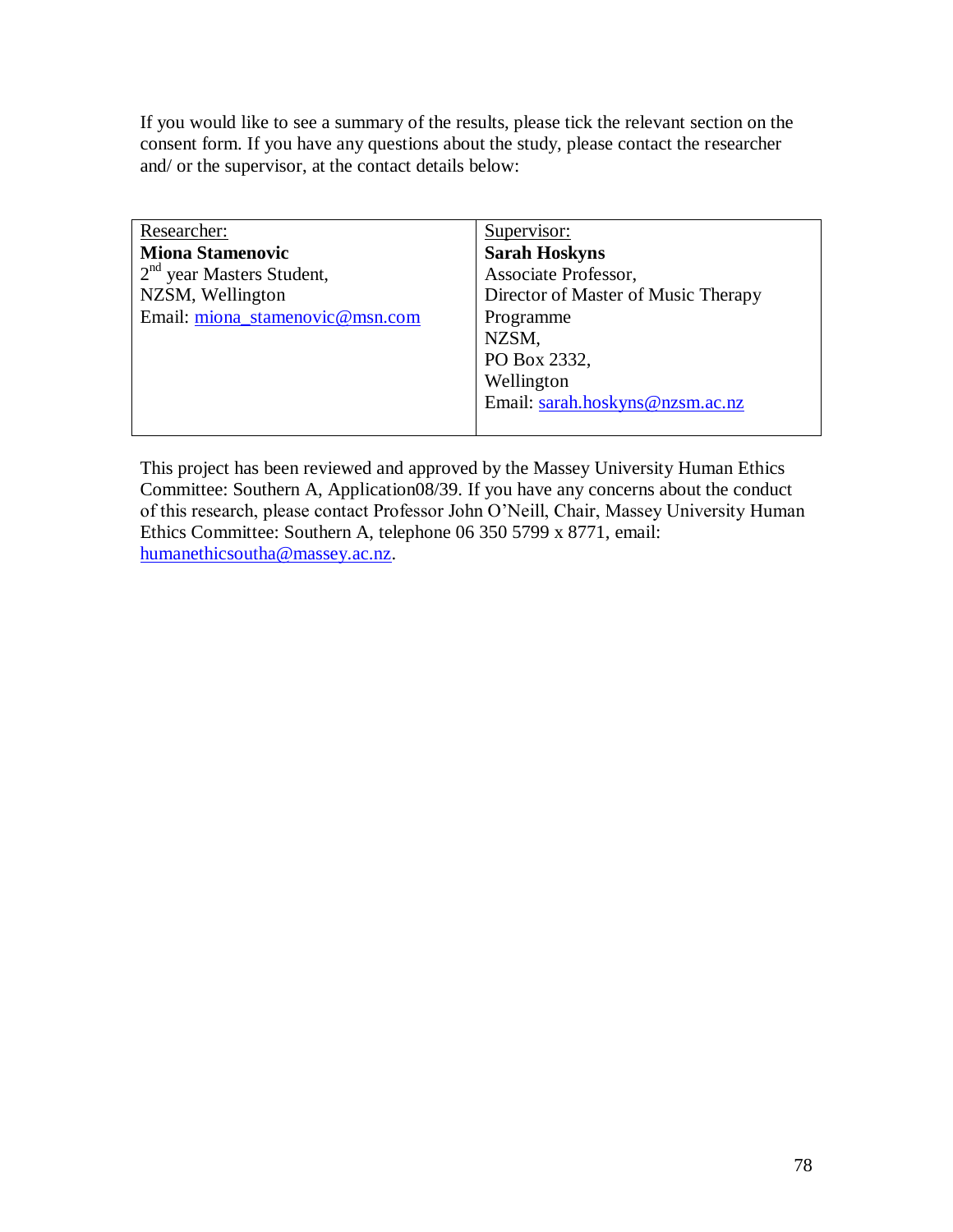If you would like to see a summary of the results, please tick the relevant section on the consent form. If you have any questions about the study, please contact the researcher and/ or the supervisor, at the contact details below:

| Researcher:                     | Supervisor:                         |
|---------------------------------|-------------------------------------|
| <b>Miona Stamenovic</b>         | <b>Sarah Hoskyns</b>                |
| $2nd$ year Masters Student,     | Associate Professor,                |
| NZSM, Wellington                | Director of Master of Music Therapy |
| Email: miona stamenovic@msn.com | Programme                           |
|                                 | NZSM,                               |
|                                 | PO Box 2332,                        |
|                                 | Wellington                          |
|                                 | Email: sarah.hoskyns@nzsm.ac.nz     |
|                                 |                                     |

This project has been reviewed and approved by the Massey University Human Ethics Committee: Southern A, Application08/39. If you have any concerns about the conduct of this research, please contact Professor John O"Neill, Chair, Massey University Human Ethics Committee: Southern A, telephone 06 350 5799 x 8771, email: [humanethicsoutha@massey.ac.nz.](mailto:humanethicsoutha@massey.ac.nz)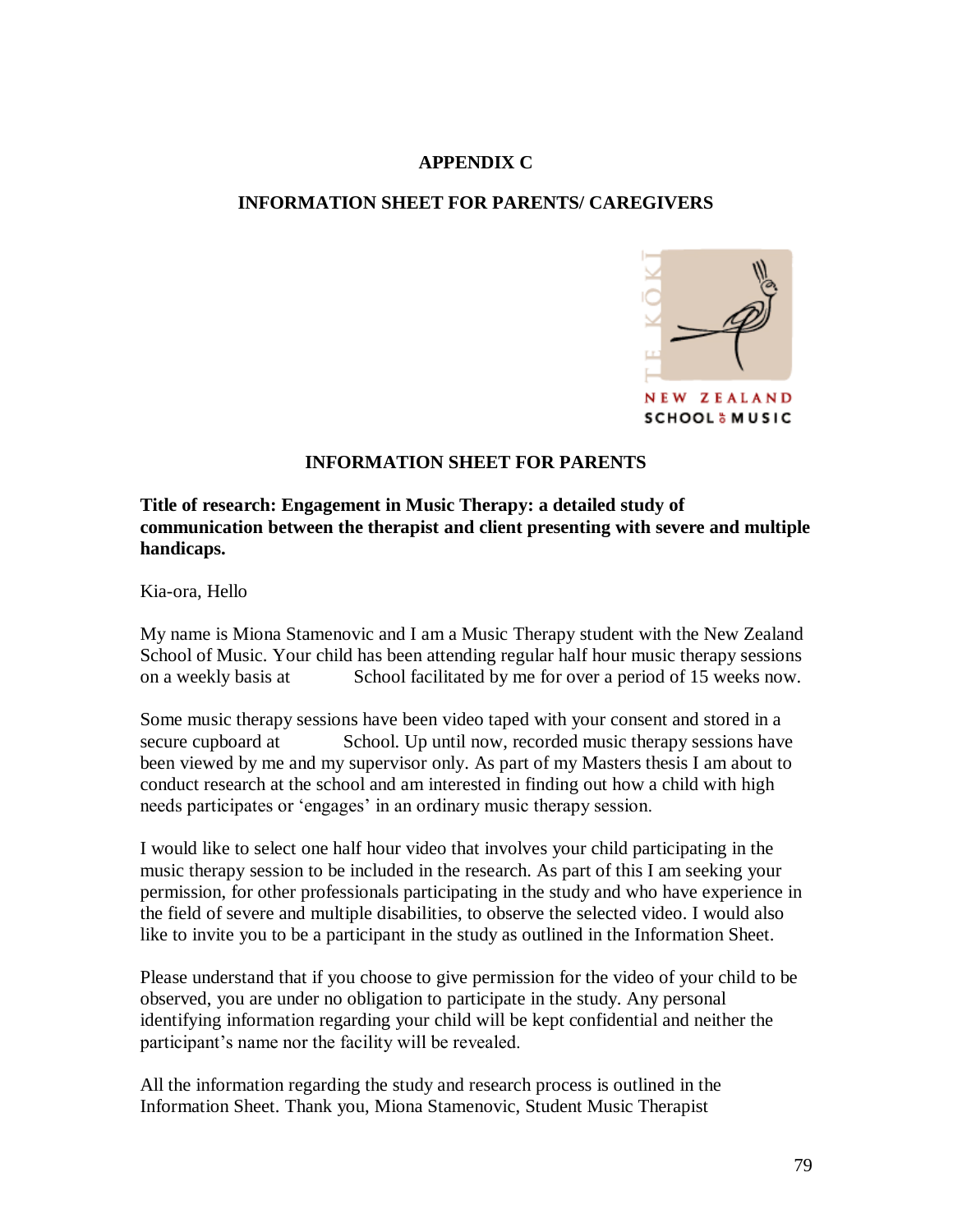## **APPENDIX C**

#### **INFORMATION SHEET FOR PARENTS/ CAREGIVERS**



#### **INFORMATION SHEET FOR PARENTS**

#### **Title of research: Engagement in Music Therapy: a detailed study of communication between the therapist and client presenting with severe and multiple handicaps.**

Kia-ora, Hello

My name is Miona Stamenovic and I am a Music Therapy student with the New Zealand School of Music. Your child has been attending regular half hour music therapy sessions on a weekly basis at School facilitated by me for over a period of 15 weeks now.

Some music therapy sessions have been video taped with your consent and stored in a secure cupboard at School. Up until now, recorded music therapy sessions have been viewed by me and my supervisor only. As part of my Masters thesis I am about to conduct research at the school and am interested in finding out how a child with high needs participates or "engages" in an ordinary music therapy session.

I would like to select one half hour video that involves your child participating in the music therapy session to be included in the research. As part of this I am seeking your permission, for other professionals participating in the study and who have experience in the field of severe and multiple disabilities, to observe the selected video. I would also like to invite you to be a participant in the study as outlined in the Information Sheet.

Please understand that if you choose to give permission for the video of your child to be observed, you are under no obligation to participate in the study. Any personal identifying information regarding your child will be kept confidential and neither the participant"s name nor the facility will be revealed.

All the information regarding the study and research process is outlined in the Information Sheet. Thank you, Miona Stamenovic, Student Music Therapist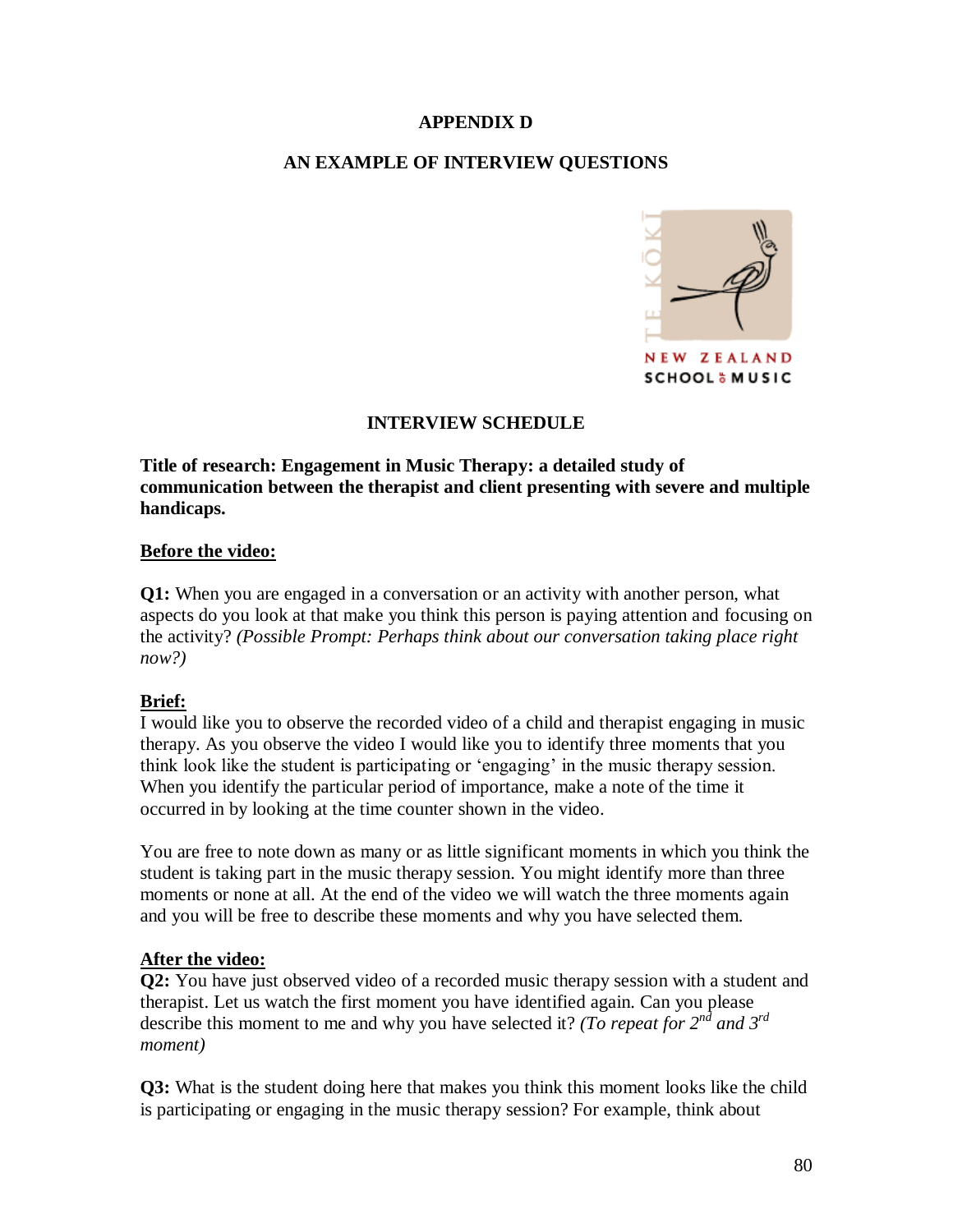#### **APPENDIX D**

# **AN EXAMPLE OF INTERVIEW QUESTIONS**



# **INTERVIEW SCHEDULE**

**Title of research: Engagement in Music Therapy: a detailed study of communication between the therapist and client presenting with severe and multiple handicaps.**

#### **Before the video:**

**Q1:** When you are engaged in a conversation or an activity with another person, what aspects do you look at that make you think this person is paying attention and focusing on the activity? *(Possible Prompt: Perhaps think about our conversation taking place right now?)*

# **Brief:**

I would like you to observe the recorded video of a child and therapist engaging in music therapy. As you observe the video I would like you to identify three moments that you think look like the student is participating or "engaging" in the music therapy session. When you identify the particular period of importance, make a note of the time it occurred in by looking at the time counter shown in the video.

You are free to note down as many or as little significant moments in which you think the student is taking part in the music therapy session. You might identify more than three moments or none at all. At the end of the video we will watch the three moments again and you will be free to describe these moments and why you have selected them.

# **After the video:**

**Q2:** You have just observed video of a recorded music therapy session with a student and therapist. Let us watch the first moment you have identified again. Can you please describe this moment to me and why you have selected it? *(To repeat for 2nd and 3rd moment)*

**Q3:** What is the student doing here that makes you think this moment looks like the child is participating or engaging in the music therapy session? For example, think about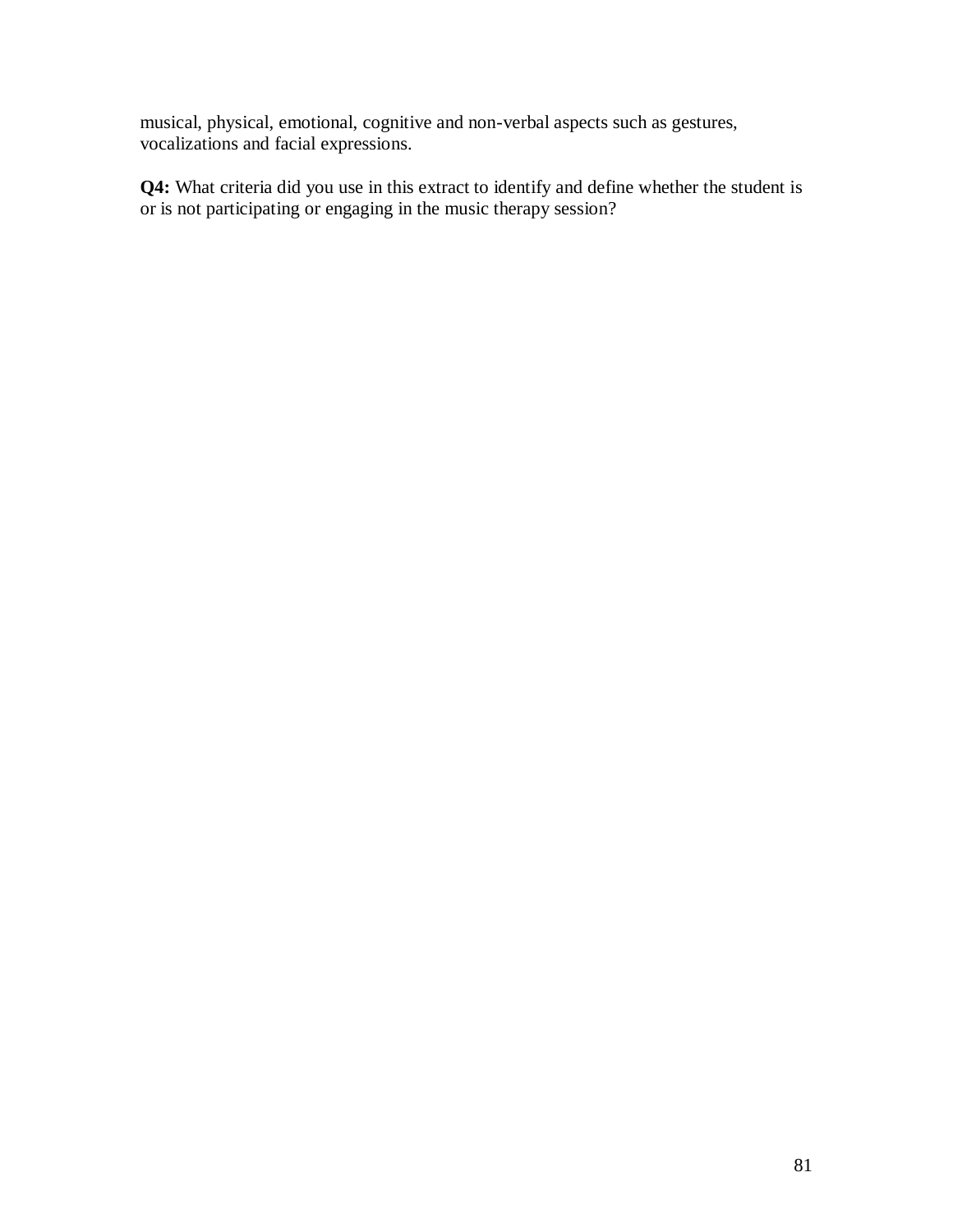musical, physical, emotional, cognitive and non-verbal aspects such as gestures, vocalizations and facial expressions.

**Q4:** What criteria did you use in this extract to identify and define whether the student is or is not participating or engaging in the music therapy session?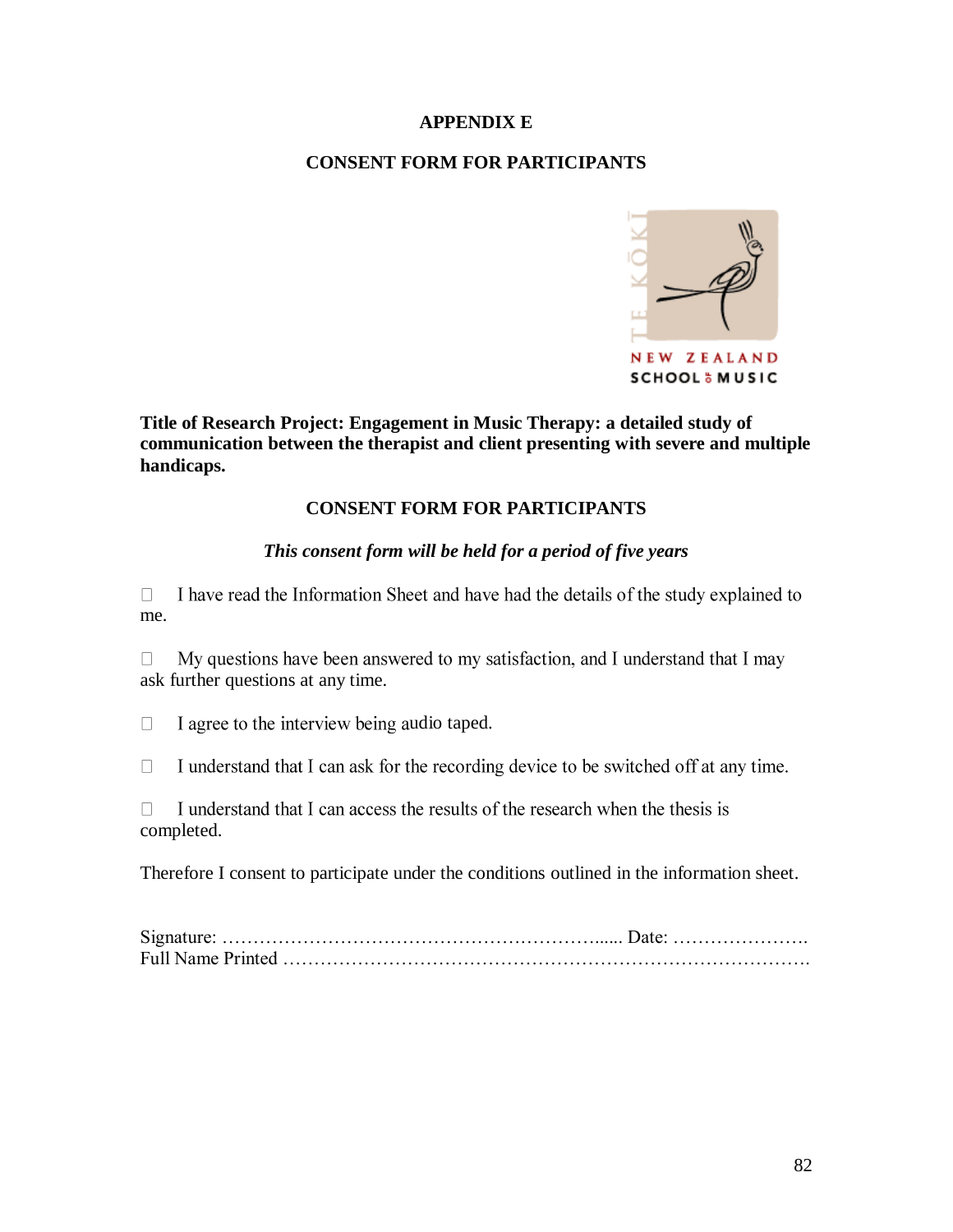#### **APPENDIX E**

## **CONSENT FORM FOR PARTICIPANTS**



**Title of Research Project: Engagement in Music Therapy: a detailed study of communication between the therapist and client presenting with severe and multiple handicaps.**

# **CONSENT FORM FOR PARTICIPANTS**

#### *This consent form will be held for a period of five years*

I have read the Information Sheet and have had the details of the study explained to  $\Box$ me.

 $\Box$ My questions have been answered to my satisfaction, and I understand that I may ask further questions at any time.

 $\Box$ I agree to the interview being audio taped.

I understand that I can ask for the recording device to be switched off at any time.  $\Box$ 

I understand that I can access the results of the research when the thesis is  $\Box$ completed.

Therefore I consent to participate under the conditions outlined in the information sheet.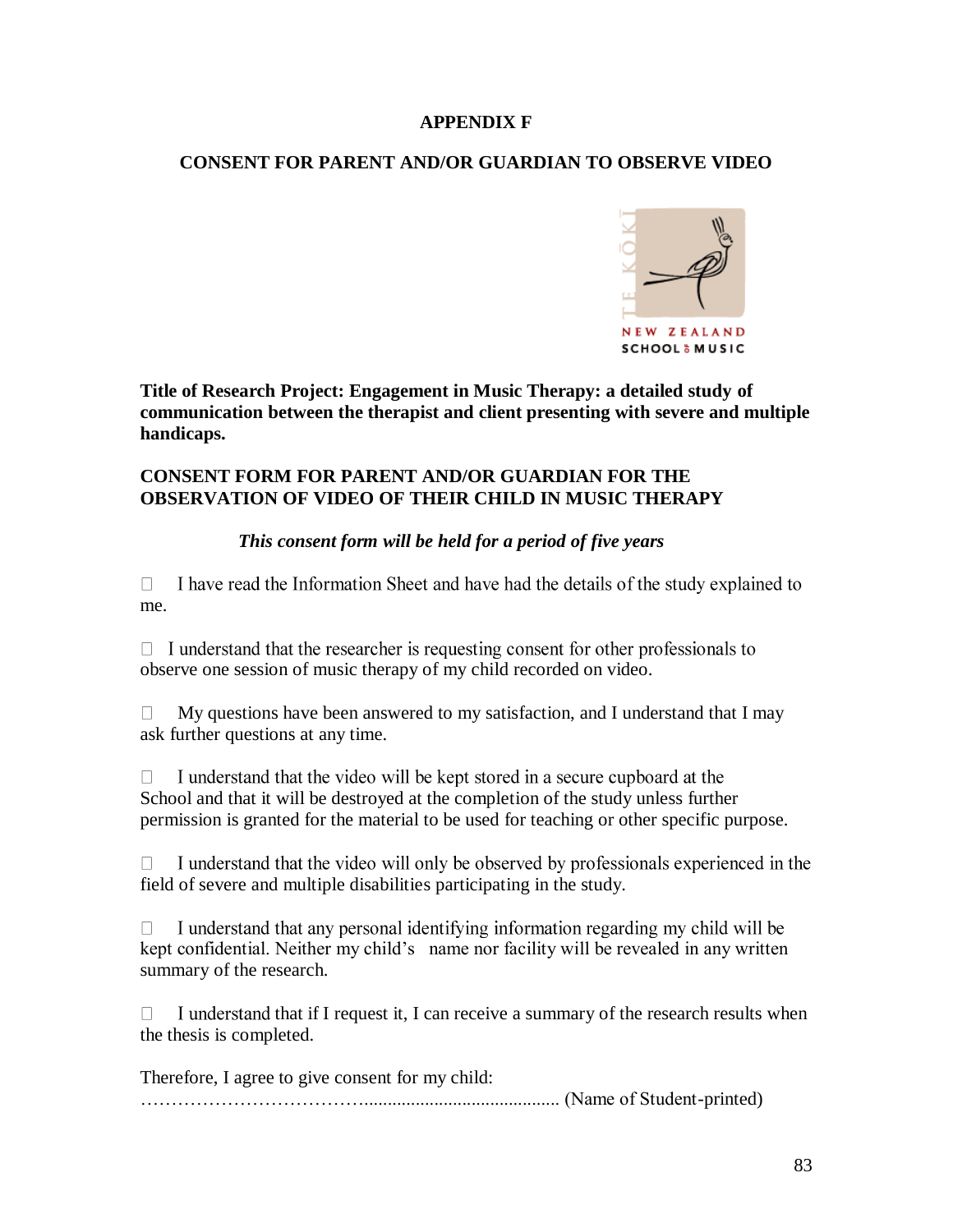#### **APPENDIX F**

## **CONSENT FOR PARENT AND/OR GUARDIAN TO OBSERVE VIDEO**



**Title of Research Project: Engagement in Music Therapy: a detailed study of communication between the therapist and client presenting with severe and multiple handicaps.**

#### **CONSENT FORM FOR PARENT AND/OR GUARDIAN FOR THE OBSERVATION OF VIDEO OF THEIR CHILD IN MUSIC THERAPY**

# *This consent form will be held for a period of five years*

I have read the Information Sheet and have had the details of the study explained to  $\Box$ me.

 $\Box$  I understand that the researcher is requesting consent for other professionals to observe one session of music therapy of my child recorded on video.

 $\Box$ My questions have been answered to my satisfaction, and I understand that I may ask further questions at any time.

 $\Box$ I understand that the video will be kept stored in a secure cupboard at the School and that it will be destroyed at the completion of the study unless further permission is granted for the material to be used for teaching or other specific purpose.

I understand that the video will only be observed by professionals experienced in the  $\Box$ field of severe and multiple disabilities participating in the study.

I understand that any personal identifying information regarding my child will be  $\Box$ kept confidential. Neither my child"s name nor facility will be revealed in any written summary of the research.

I understand that if I request it, I can receive a summary of the research results when П the thesis is completed.

Therefore, I agree to give consent for my child: ……………………………….......................................... (Name of Student-printed)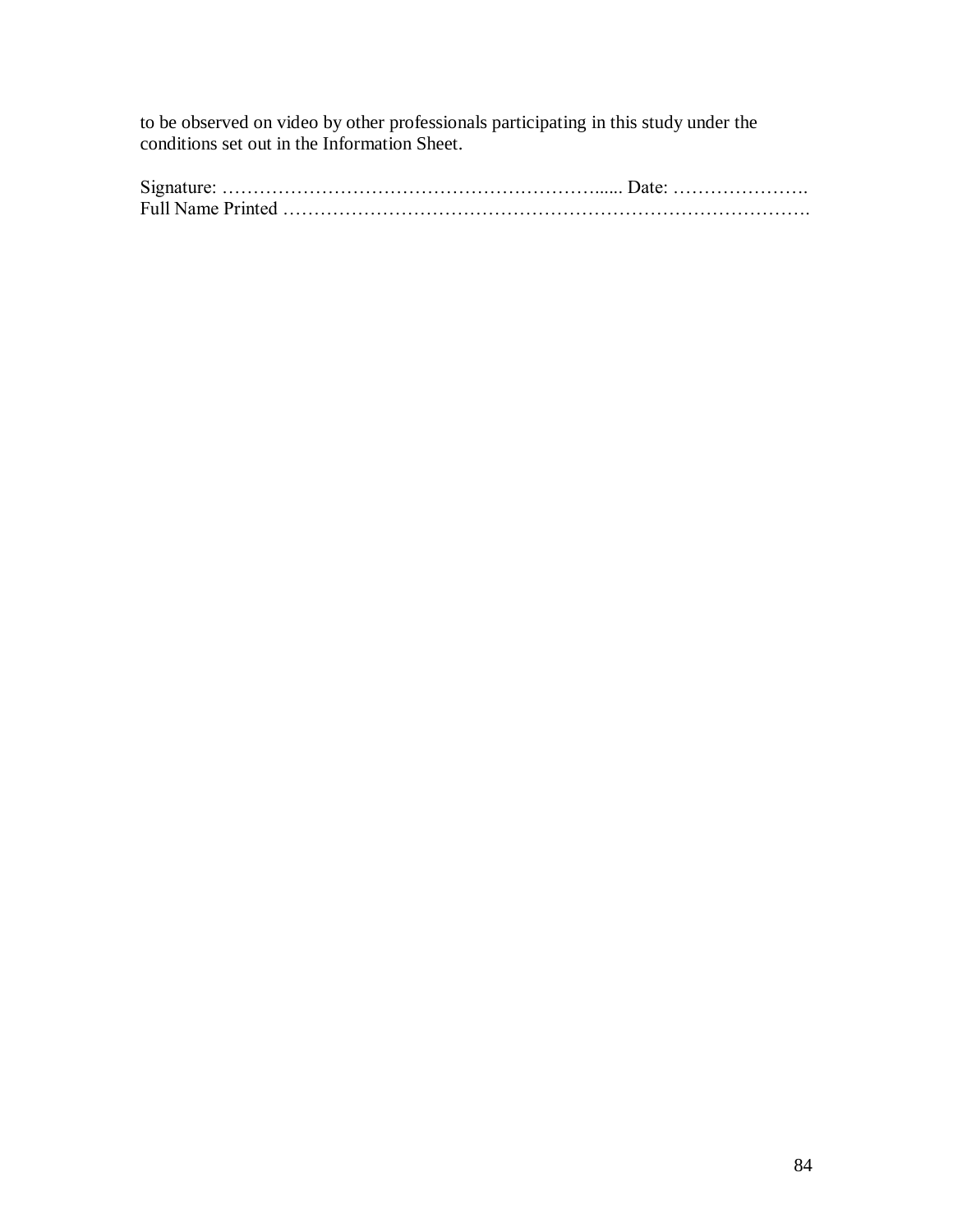to be observed on video by other professionals participating in this study under the conditions set out in the Information Sheet.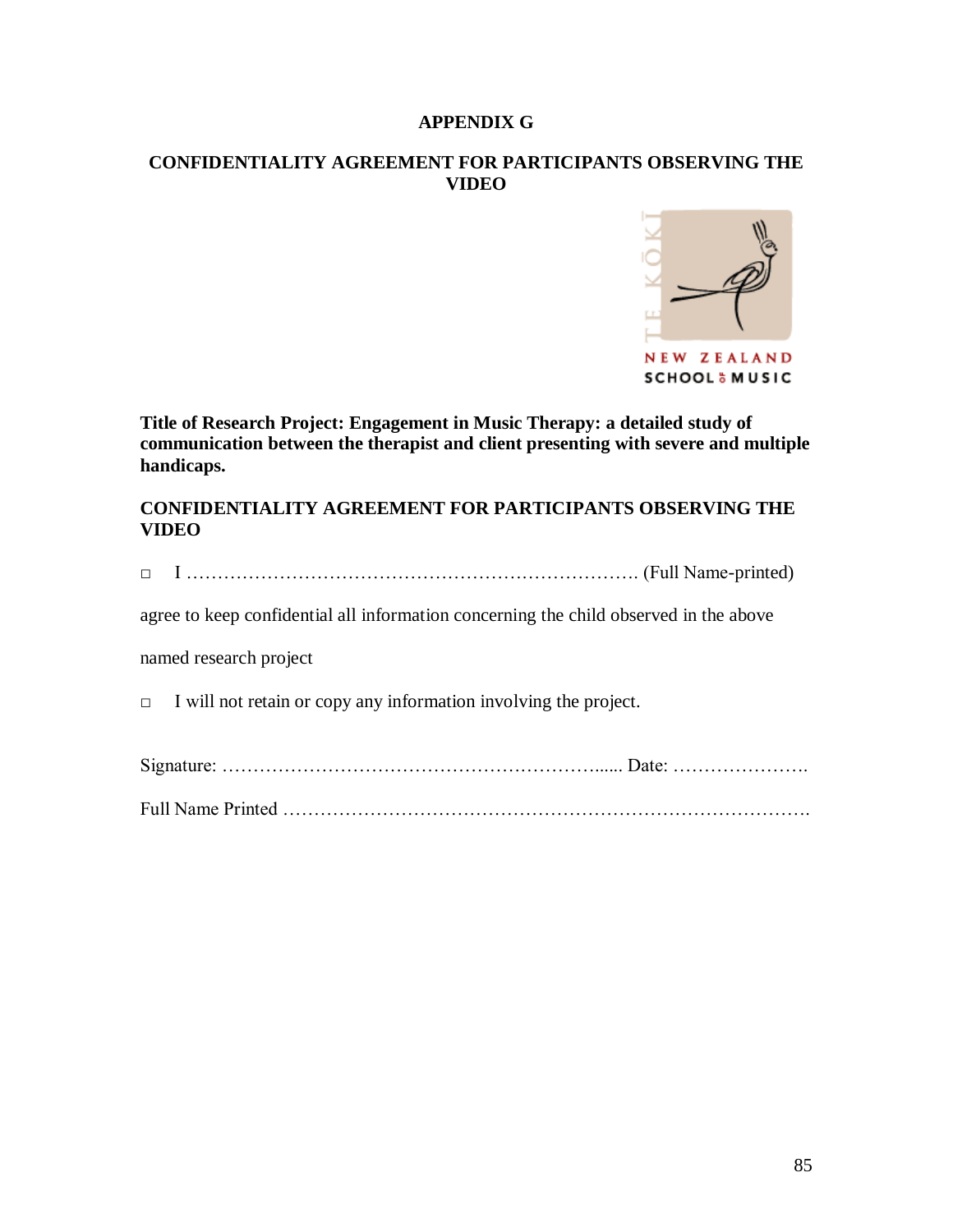#### **APPENDIX G**

#### **CONFIDENTIALITY AGREEMENT FOR PARTICIPANTS OBSERVING THE VIDEO**



**Title of Research Project: Engagement in Music Therapy: a detailed study of communication between the therapist and client presenting with severe and multiple handicaps.**

**CONFIDENTIALITY AGREEMENT FOR PARTICIPANTS OBSERVING THE VIDEO** 

|--|--|

agree to keep confidential all information concerning the child observed in the above

named research project

 $\Box$  I will not retain or copy any information involving the project.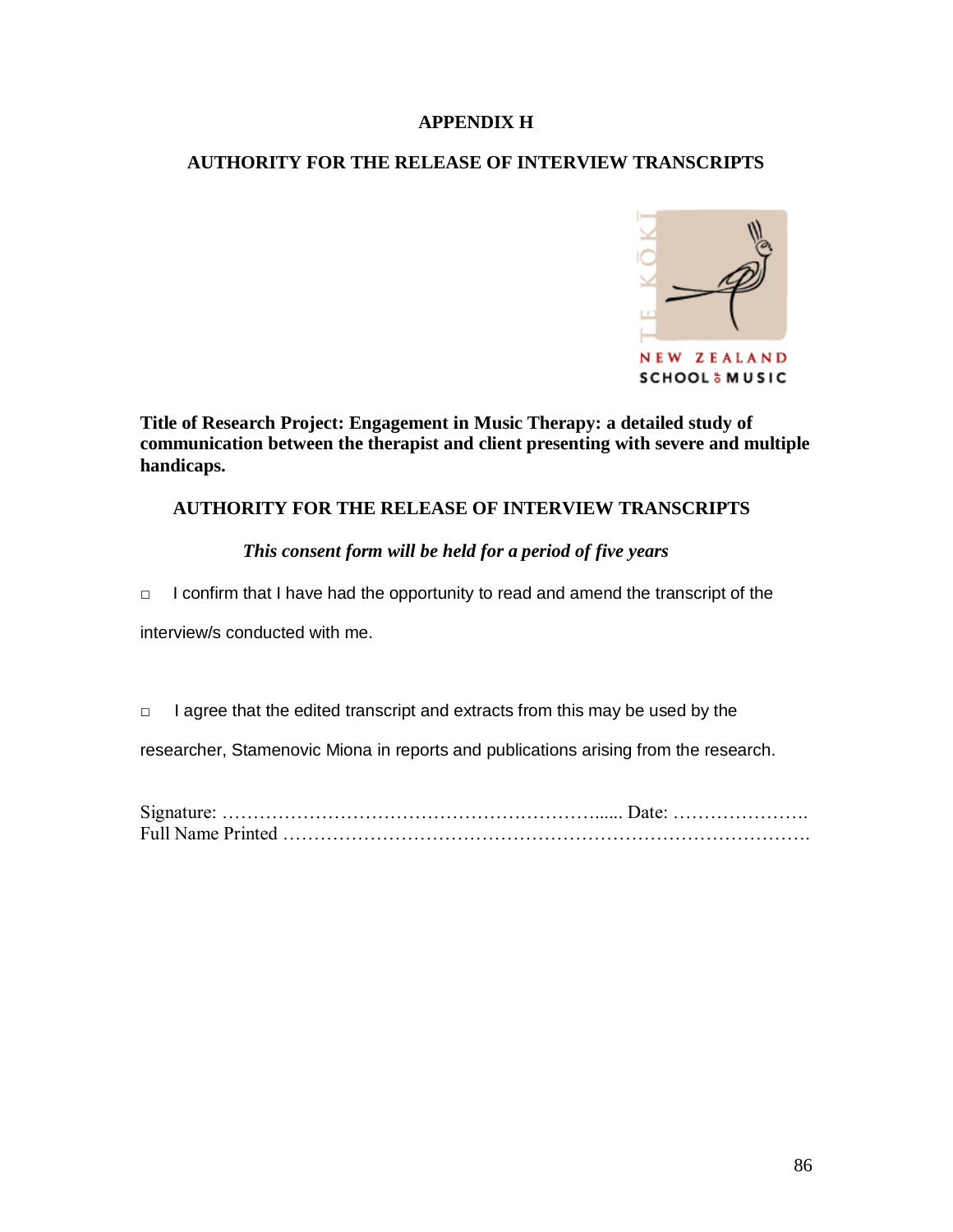#### **APPENDIX H**

# **AUTHORITY FOR THE RELEASE OF INTERVIEW TRANSCRIPTS**



**Title of Research Project: Engagement in Music Therapy: a detailed study of communication between the therapist and client presenting with severe and multiple handicaps.**

#### **AUTHORITY FOR THE RELEASE OF INTERVIEW TRANSCRIPTS**

#### *This consent form will be held for a period of five years*

□I confirm that I have had the opportunity to read and amend the transcript of the

interview/s conducted with me.

□ I agree that the edited transcript and extracts from this may be used by the

researcher, Stamenovic Miona in reports and publications arising from the research.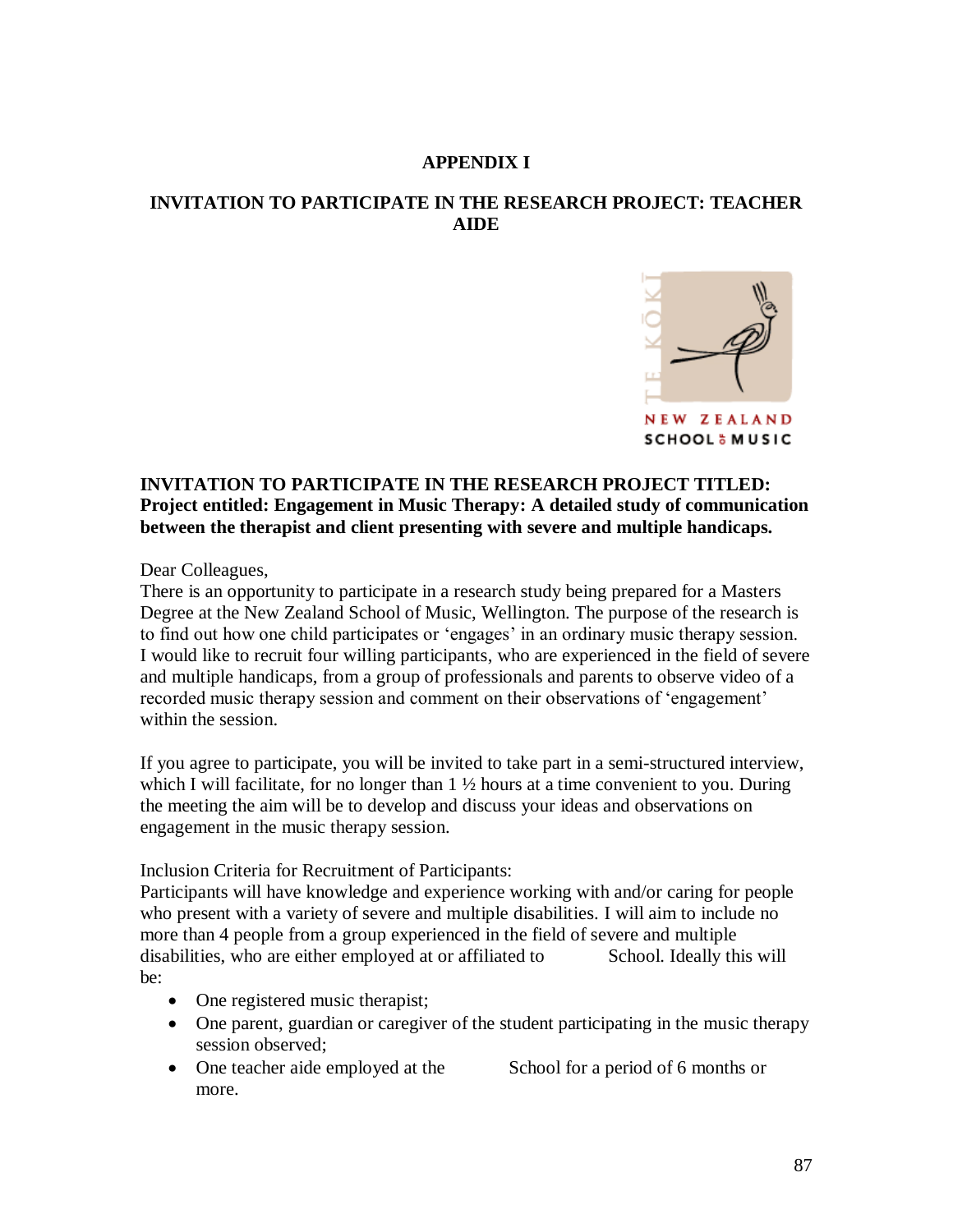#### **APPENDIX I**

# **INVITATION TO PARTICIPATE IN THE RESEARCH PROJECT: TEACHER AIDE**



## **INVITATION TO PARTICIPATE IN THE RESEARCH PROJECT TITLED: Project entitled: Engagement in Music Therapy: A detailed study of communication between the therapist and client presenting with severe and multiple handicaps.**

Dear Colleagues,

There is an opportunity to participate in a research study being prepared for a Masters Degree at the New Zealand School of Music, Wellington. The purpose of the research is to find out how one child participates or "engages" in an ordinary music therapy session. I would like to recruit four willing participants, who are experienced in the field of severe and multiple handicaps, from a group of professionals and parents to observe video of a recorded music therapy session and comment on their observations of "engagement" within the session.

If you agree to participate, you will be invited to take part in a semi-structured interview, which I will facilitate, for no longer than  $1 \frac{1}{2}$  hours at a time convenient to you. During the meeting the aim will be to develop and discuss your ideas and observations on engagement in the music therapy session.

Inclusion Criteria for Recruitment of Participants:

Participants will have knowledge and experience working with and/or caring for people who present with a variety of severe and multiple disabilities. I will aim to include no more than 4 people from a group experienced in the field of severe and multiple disabilities, who are either employed at or affiliated to School. Ideally this will be:

- One registered music therapist;
- One parent, guardian or caregiver of the student participating in the music therapy session observed;
- One teacher aide employed at the School for a period of 6 months or more.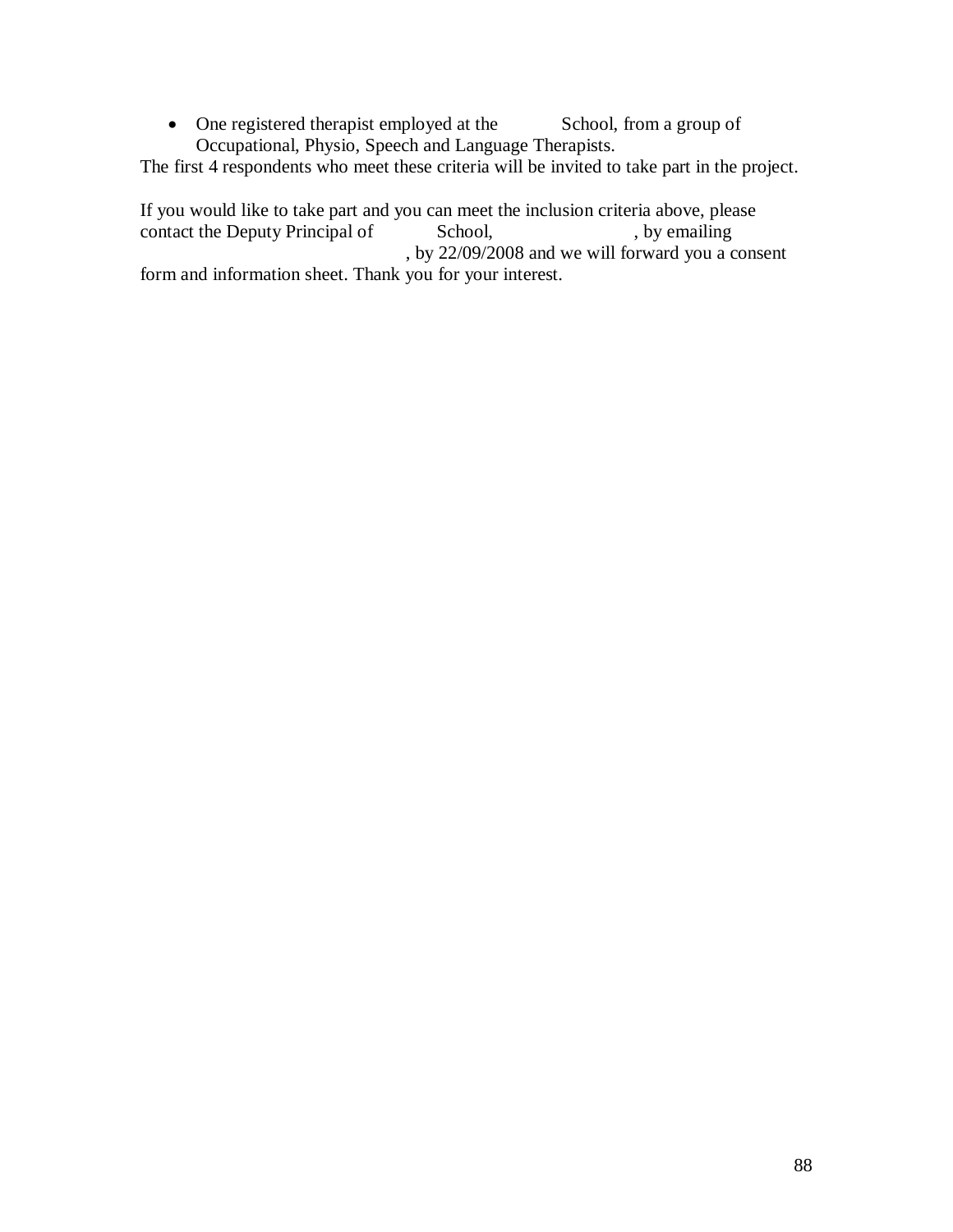• One registered therapist employed at the School, from a group of Occupational, Physio, Speech and Language Therapists.

The first 4 respondents who meet these criteria will be invited to take part in the project.

If you would like to take part and you can meet the inclusion criteria above, please contact the Deputy Principal of School, by emailing , by 22/09/2008 and we will forward you a consent form and information sheet. Thank you for your interest.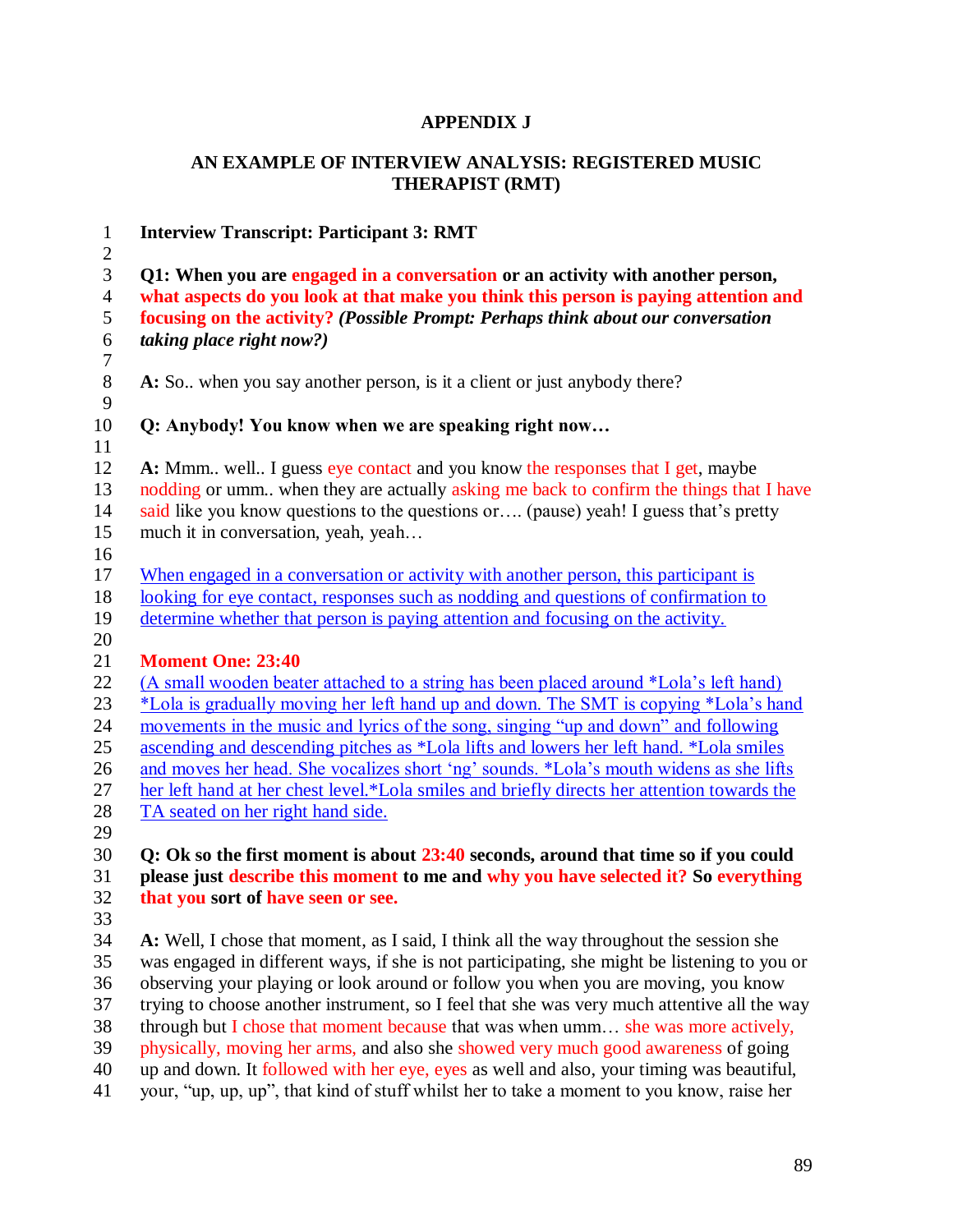# **APPENDIX J**

# **AN EXAMPLE OF INTERVIEW ANALYSIS: REGISTERED MUSIC THERAPIST (RMT)**

| $\mathbf{1}$        | <b>Interview Transcript: Participant 3: RMT</b>                                                                                                                       |
|---------------------|-----------------------------------------------------------------------------------------------------------------------------------------------------------------------|
| $\overline{2}$      |                                                                                                                                                                       |
| 3<br>$\overline{4}$ | Q1: When you are engaged in a conversation or an activity with another person,<br>what aspects do you look at that make you think this person is paying attention and |
| 5                   | focusing on the activity? (Possible Prompt: Perhaps think about our conversation                                                                                      |
| $\sqrt{6}$          | taking place right now?)                                                                                                                                              |
| $\boldsymbol{7}$    |                                                                                                                                                                       |
| $8\,$<br>9          | A: So., when you say another person, is it a client or just anybody there?                                                                                            |
| 10                  | Q: Anybody! You know when we are speaking right now                                                                                                                   |
| 11                  |                                                                                                                                                                       |
| 12                  | A: Mmm well I guess eye contact and you know the responses that I get, maybe                                                                                          |
| 13                  | nodding or umm when they are actually asking me back to confirm the things that I have                                                                                |
| 14                  | said like you know questions to the questions or (pause) yeah! I guess that's pretty                                                                                  |
| 15                  | much it in conversation, yeah, yeah                                                                                                                                   |
| 16                  |                                                                                                                                                                       |
| 17                  | When engaged in a conversation or activity with another person, this participant is                                                                                   |
| 18                  | looking for eye contact, responses such as nodding and questions of confirmation to                                                                                   |
| 19                  | determine whether that person is paying attention and focusing on the activity.                                                                                       |
| 20                  |                                                                                                                                                                       |
| 21                  | <b>Moment One: 23:40</b>                                                                                                                                              |
| 22                  | (A small wooden beater attached to a string has been placed around *Lola's left hand)                                                                                 |
| 23                  | *Lola is gradually moving her left hand up and down. The SMT is copying *Lola's hand                                                                                  |
| 24                  | movements in the music and lyrics of the song, singing "up and down" and following                                                                                    |
| 25                  | ascending and descending pitches as *Lola lifts and lowers her left hand. *Lola smiles                                                                                |
| 26                  | and moves her head. She vocalizes short 'ng' sounds. *Lola's mouth widens as she lifts                                                                                |
| 27                  | her left hand at her chest level.*Lola smiles and briefly directs her attention towards the                                                                           |
| 28                  | TA seated on her right hand side.                                                                                                                                     |
| 29                  |                                                                                                                                                                       |
| 30                  | Q: Ok so the first moment is about 23:40 seconds, around that time so if you could                                                                                    |
| 31                  | please just describe this moment to me and why you have selected it? So everything                                                                                    |
| 32                  | that you sort of have seen or see.                                                                                                                                    |
| 33                  |                                                                                                                                                                       |
| 34                  | A: Well, I chose that moment, as I said, I think all the way throughout the session she                                                                               |
| 35                  | was engaged in different ways, if she is not participating, she might be listening to you or                                                                          |
| 36                  | observing your playing or look around or follow you when you are moving, you know                                                                                     |
| 37                  | trying to choose another instrument, so I feel that she was very much attentive all the way                                                                           |
| 38                  | through but I chose that moment because that was when umm she was more actively,                                                                                      |
| 39                  | physically, moving her arms, and also she showed very much good awareness of going                                                                                    |
| 40                  | up and down. It followed with her eye, eyes as well and also, your timing was beautiful,                                                                              |
| 41                  | your, "up, up, up", that kind of stuff whilst her to take a moment to you know, raise her                                                                             |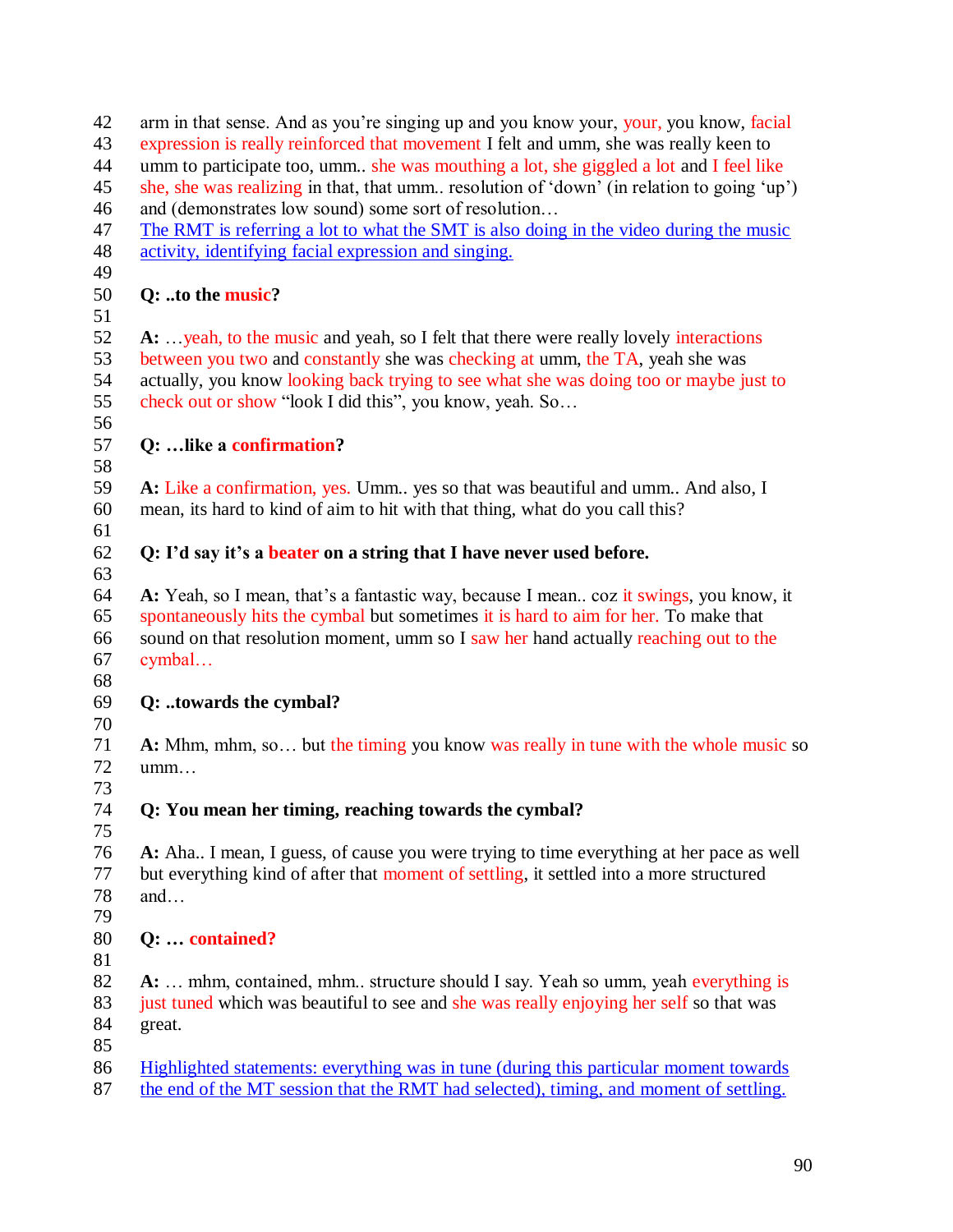| 42       | arm in that sense. And as you're singing up and you know your, your, you know, facial                                                                                                 |
|----------|---------------------------------------------------------------------------------------------------------------------------------------------------------------------------------------|
| 43       | expression is really reinforced that movement I felt and umm, she was really keen to                                                                                                  |
| 44       | umm to participate too, umm she was mouthing a lot, she giggled a lot and I feel like                                                                                                 |
| 45       | she, she was realizing in that, that umm resolution of 'down' (in relation to going 'up')                                                                                             |
| 46       | and (demonstrates low sound) some sort of resolution                                                                                                                                  |
| 47       | The RMT is referring a lot to what the SMT is also doing in the video during the music                                                                                                |
| 48<br>49 | activity, identifying facial expression and singing.                                                                                                                                  |
| 50<br>51 | Q: to the music?                                                                                                                                                                      |
| 52       | A:  yeah, to the music and yeah, so I felt that there were really lovely interactions                                                                                                 |
| 53       | between you two and constantly she was checking at umm, the TA, yeah she was                                                                                                          |
| 54       | actually, you know looking back trying to see what she was doing too or maybe just to                                                                                                 |
| 55       | check out or show "look I did this", you know, yeah. So                                                                                                                               |
| 56<br>57 | Q:  like a confirmation?                                                                                                                                                              |
| 58       |                                                                                                                                                                                       |
| 59       | A: Like a confirmation, yes. Umm yes so that was beautiful and umm And also, I                                                                                                        |
| 60       | mean, its hard to kind of aim to hit with that thing, what do you call this?                                                                                                          |
| 61       |                                                                                                                                                                                       |
|          |                                                                                                                                                                                       |
| 62       | Q: I'd say it's a beater on a string that I have never used before.                                                                                                                   |
| 63       |                                                                                                                                                                                       |
| 64       | A: Yeah, so I mean, that's a fantastic way, because I mean coz it swings, you know, it                                                                                                |
| 65       | spontaneously hits the cymbal but sometimes it is hard to aim for her. To make that                                                                                                   |
| 66       | sound on that resolution moment, umm so I saw her hand actually reaching out to the                                                                                                   |
| 67       | cymbal                                                                                                                                                                                |
| 68       |                                                                                                                                                                                       |
| 69       | Q: towards the cymbal?                                                                                                                                                                |
| 70       |                                                                                                                                                                                       |
| 71       | A: Mhm, mhm, so but the timing you know was really in tune with the whole music so                                                                                                    |
| 72       | umm                                                                                                                                                                                   |
| 73       |                                                                                                                                                                                       |
| 74       | Q: You mean her timing, reaching towards the cymbal?                                                                                                                                  |
| 75       |                                                                                                                                                                                       |
| 76       | A: Aha I mean, I guess, of cause you were trying to time everything at her pace as well                                                                                               |
| 77       | but everything kind of after that moment of settling, it settled into a more structured                                                                                               |
| 78       | and                                                                                                                                                                                   |
| 79       |                                                                                                                                                                                       |
| 80       | Q:  contained?                                                                                                                                                                        |
| 81       |                                                                                                                                                                                       |
| 82       | A:  mhm, contained, mhm structure should I say. Yeah so umm, yeah everything is                                                                                                       |
| 83       | just tuned which was beautiful to see and she was really enjoying her self so that was                                                                                                |
| 84       | great.                                                                                                                                                                                |
| 85       |                                                                                                                                                                                       |
| 86<br>87 | <u>Highlighted statements: everything was in tune (during this particular moment towards</u><br>the end of the MT session that the RMT had selected), timing, and moment of settling. |
|          |                                                                                                                                                                                       |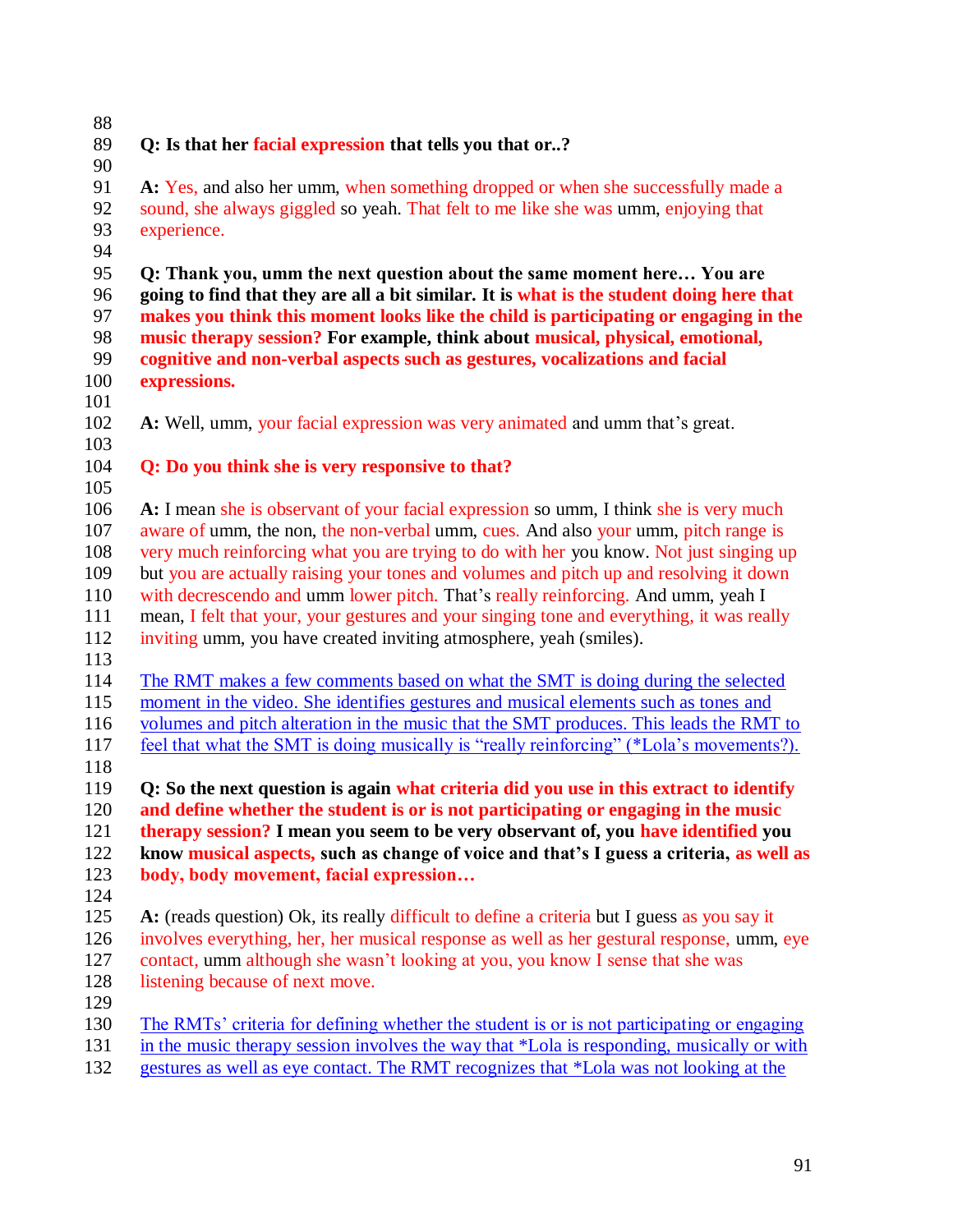#### **Q: Is that her facial expression that tells you that or..?**

 **A:** Yes, and also her umm, when something dropped or when she successfully made a sound, she always giggled so yeah. That felt to me like she was umm, enjoying that experience.

 **Q: Thank you, umm the next question about the same moment here… You are going to find that they are all a bit similar. It is what is the student doing here that makes you think this moment looks like the child is participating or engaging in the music therapy session? For example, think about musical, physical, emotional, cognitive and non-verbal aspects such as gestures, vocalizations and facial expressions.** 

**A:** Well, umm, your facial expression was very animated and umm that"s great.

# 

# **Q: Do you think she is very responsive to that?**

 **A:** I mean she is observant of your facial expression so umm, I think she is very much 107 aware of umm, the non, the non-verbal umm, cues. And also your umm, pitch range is very much reinforcing what you are trying to do with her you know. Not just singing up but you are actually raising your tones and volumes and pitch up and resolving it down with decrescendo and umm lower pitch. That"s really reinforcing. And umm, yeah I mean, I felt that your, your gestures and your singing tone and everything, it was really inviting umm, you have created inviting atmosphere, yeah (smiles).

 The RMT makes a few comments based on what the SMT is doing during the selected moment in the video. She identifies gestures and musical elements such as tones and volumes and pitch alteration in the music that the SMT produces. This leads the RMT to feel that what the SMT is doing musically is "really reinforcing" (\*Lola"s movements?).

 **Q: So the next question is again what criteria did you use in this extract to identify and define whether the student is or is not participating or engaging in the music therapy session? I mean you seem to be very observant of, you have identified you know musical aspects, such as change of voice and that's I guess a criteria, as well as body, body movement, facial expression…**

 **A:** (reads question) Ok, its really difficult to define a criteria but I guess as you say it involves everything, her, her musical response as well as her gestural response, umm, eye contact, umm although she wasn"t looking at you, you know I sense that she was 128 listening because of next move.

130 The RMTs' criteria for defining whether the student is or is not participating or engaging

- in the music therapy session involves the way that \*Lola is responding, musically or with
- gestures as well as eye contact. The RMT recognizes that \*Lola was not looking at the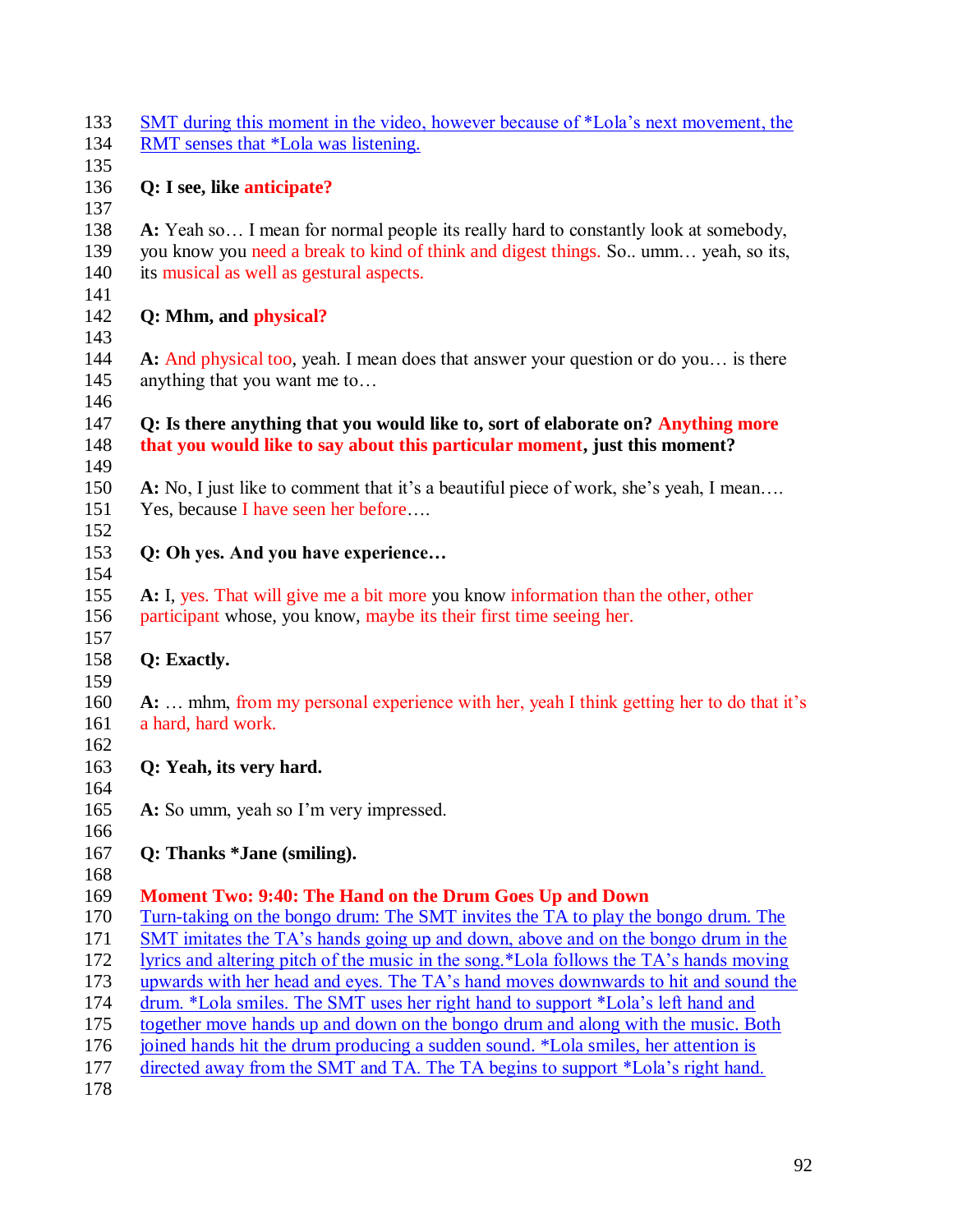| 133<br>134 | SMT during this moment in the video, however because of *Lola's next movement, the<br>RMT senses that *Lola was listening.                                     |
|------------|----------------------------------------------------------------------------------------------------------------------------------------------------------------|
| 135        |                                                                                                                                                                |
| 136        | Q: I see, like anticipate?                                                                                                                                     |
| 137        |                                                                                                                                                                |
| 138        | A: Yeah so I mean for normal people its really hard to constantly look at somebody,                                                                            |
| 139        | you know you need a break to kind of think and digest things. So., umm yeah, so its,                                                                           |
| 140        | its musical as well as gestural aspects.                                                                                                                       |
| 141        |                                                                                                                                                                |
| 142        | Q: Mhm, and physical?                                                                                                                                          |
| 143        |                                                                                                                                                                |
| 144        | A: And physical too, yeah. I mean does that answer your question or do you is there                                                                            |
| 145        | anything that you want me to                                                                                                                                   |
| 146        |                                                                                                                                                                |
| 147<br>148 | Q: Is there anything that you would like to, sort of elaborate on? Anything more<br>that you would like to say about this particular moment, just this moment? |
| 149        |                                                                                                                                                                |
| 150        | A: No, I just like to comment that it's a beautiful piece of work, she's yeah, I mean                                                                          |
| 151        | Yes, because I have seen her before                                                                                                                            |
| 152        |                                                                                                                                                                |
| 153        | Q: Oh yes. And you have experience                                                                                                                             |
| 154        |                                                                                                                                                                |
| 155        | A: I, yes. That will give me a bit more you know information than the other, other                                                                             |
| 156        | participant whose, you know, maybe its their first time seeing her.                                                                                            |
| 157        |                                                                                                                                                                |
| 158<br>159 | Q: Exactly.                                                                                                                                                    |
| 160        | A:  mhm, from my personal experience with her, yeah I think getting her to do that it's                                                                        |
| 161        | a hard, hard work.                                                                                                                                             |
| 162        |                                                                                                                                                                |
| 163        | Q: Yeah, its very hard.                                                                                                                                        |
| 164        |                                                                                                                                                                |
| 165        | A: So umm, yeah so I'm very impressed.                                                                                                                         |
| 166        |                                                                                                                                                                |
| 167        | Q: Thanks *Jane (smiling).                                                                                                                                     |
| 168        |                                                                                                                                                                |
| 169        | Moment Two: 9:40: The Hand on the Drum Goes Up and Down                                                                                                        |
| 170        | <u>Turn-taking on the bongo drum: The SMT invites the TA to play the bongo drum. The</u>                                                                       |
| 171        | SMT imitates the TA's hands going up and down, above and on the bongo drum in the                                                                              |
| 172        | lyrics and altering pitch of the music in the song.*Lola follows the TA's hands moving                                                                         |
| 173        | upwards with her head and eyes. The TA's hand moves downwards to hit and sound the                                                                             |
| 174        | drum. *Lola smiles. The SMT uses her right hand to support *Lola's left hand and                                                                               |
| 175        | together move hands up and down on the bongo drum and along with the music. Both                                                                               |
| 176        | joined hands hit the drum producing a sudden sound. *Lola smiles, her attention is                                                                             |
| 177        | directed away from the SMT and TA. The TA begins to support *Lola's right hand.                                                                                |
| 178        |                                                                                                                                                                |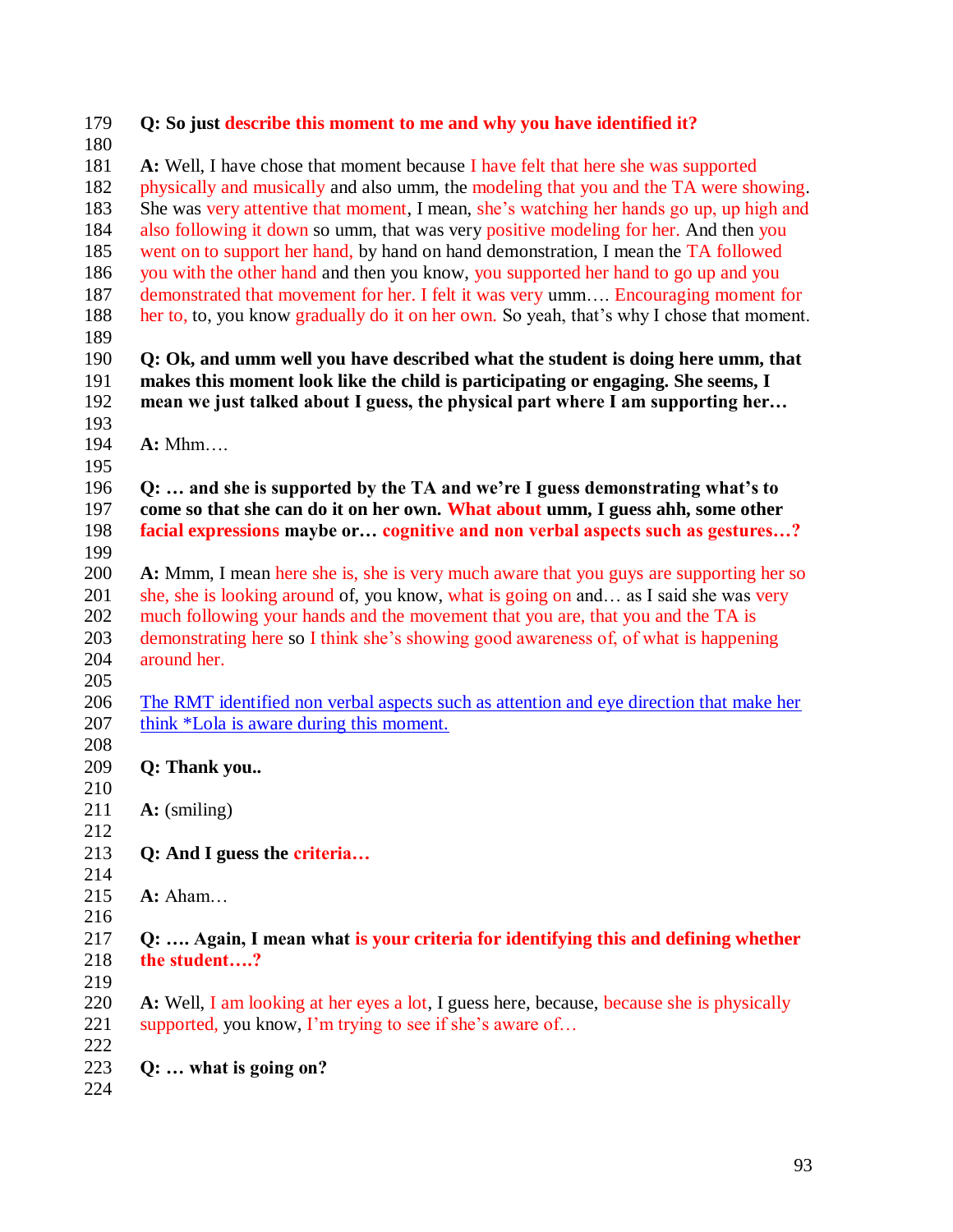| 179        | Q: So just describe this moment to me and why you have identified it?                                                               |
|------------|-------------------------------------------------------------------------------------------------------------------------------------|
| 180        |                                                                                                                                     |
| 181        | A: Well, I have chose that moment because I have felt that here she was supported                                                   |
| 182        | physically and musically and also umm, the modeling that you and the TA were showing.                                               |
| 183        | She was very attentive that moment, I mean, she's watching her hands go up, up high and                                             |
| 184        | also following it down so umm, that was very positive modeling for her. And then you                                                |
| 185        | went on to support her hand, by hand on hand demonstration, I mean the TA followed                                                  |
| 186        | you with the other hand and then you know, you supported her hand to go up and you                                                  |
| 187        | demonstrated that movement for her. I felt it was very umm Encouraging moment for                                                   |
| 188        | her to, to, you know gradually do it on her own. So yeah, that's why I chose that moment.                                           |
| 189        |                                                                                                                                     |
| 190        | Q: Ok, and umm well you have described what the student is doing here umm, that                                                     |
| 191        | makes this moment look like the child is participating or engaging. She seems, I                                                    |
| 192        | mean we just talked about I guess, the physical part where I am supporting her                                                      |
| 193        |                                                                                                                                     |
| 194        | A: Mhm                                                                                                                              |
| 195        |                                                                                                                                     |
| 196        | Q:  and she is supported by the TA and we're I guess demonstrating what's to                                                        |
| 197        | come so that she can do it on her own. What about umm, I guess ahh, some other                                                      |
| 198        | facial expressions maybe or cognitive and non verbal aspects such as gestures?                                                      |
| 199        |                                                                                                                                     |
| 200        | A: Mmm, I mean here she is, she is very much aware that you guys are supporting her so                                              |
| 201        | she, she is looking around of, you know, what is going on and as I said she was very                                                |
| 202        | much following your hands and the movement that you are, that you and the TA is                                                     |
| 203        | demonstrating here so I think she's showing good awareness of, of what is happening                                                 |
| 204        | around her.                                                                                                                         |
| 205<br>206 |                                                                                                                                     |
| 207        | The RMT identified non verbal aspects such as attention and eye direction that make her<br>think *Lola is aware during this moment. |
| 208        |                                                                                                                                     |
| 209        | Q: Thank you                                                                                                                        |
| 210        |                                                                                                                                     |
| 211        | $\mathbf{A}:$ (smiling)                                                                                                             |
| 212        |                                                                                                                                     |
| 213        | Q: And I guess the criteria                                                                                                         |
| 214        |                                                                                                                                     |
| 215        | $A:$ Aham                                                                                                                           |
| 216        |                                                                                                                                     |
| 217        | Q:  Again, I mean what is your criteria for identifying this and defining whether                                                   |
| 218        | the student?                                                                                                                        |
| 219        |                                                                                                                                     |
| 220        | A: Well, I am looking at her eyes a lot, I guess here, because, because she is physically                                           |
| 221        | supported, you know, I'm trying to see if she's aware of                                                                            |
| 222        |                                                                                                                                     |
| 223        | $Q: \ldots$ what is going on?                                                                                                       |
| 224        |                                                                                                                                     |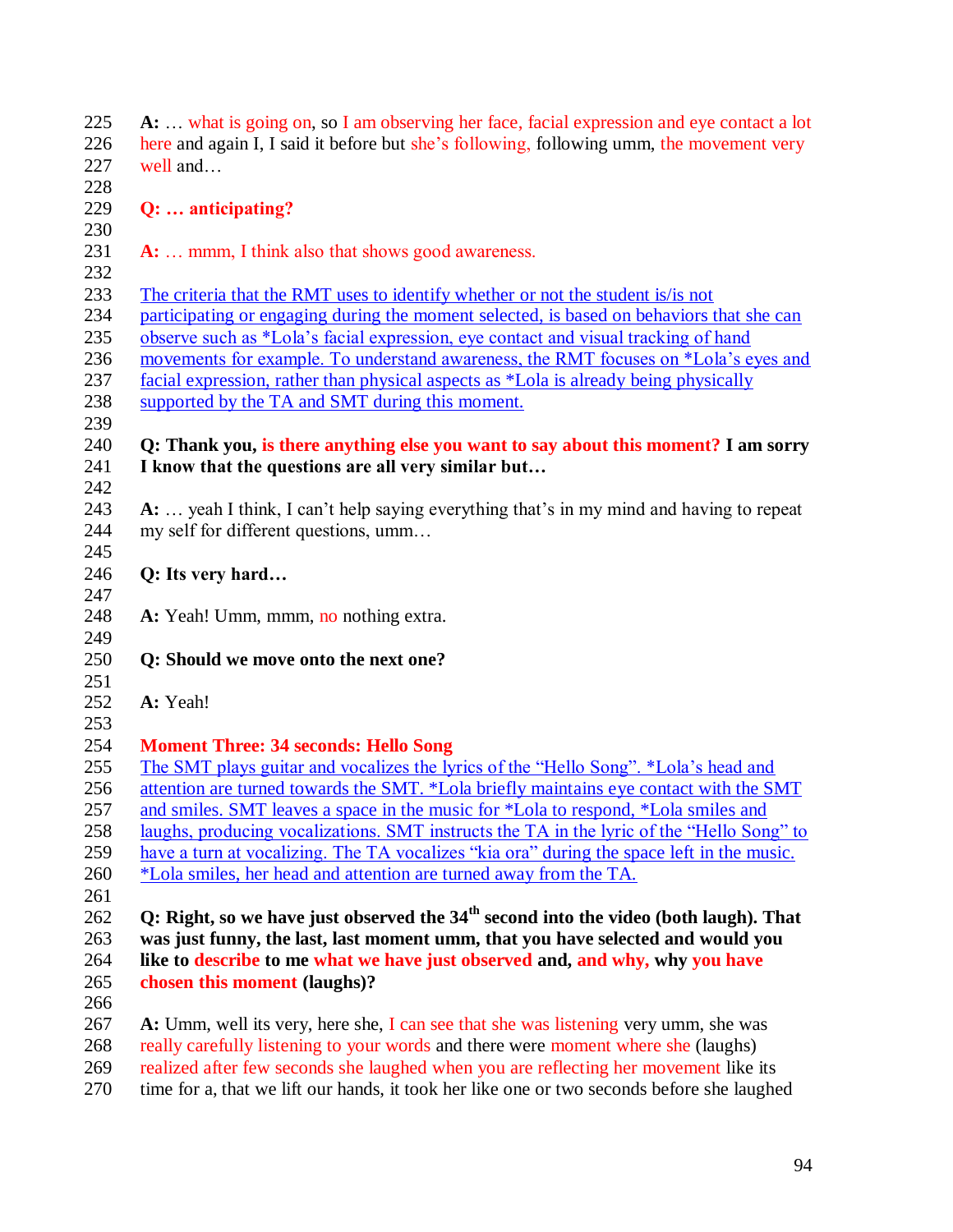**A:** … what is going on, so I am observing her face, facial expression and eye contact a lot here and again I, I said it before but she"s following, following umm, the movement very well and… **Q: … anticipating? A:** … mmm, I think also that shows good awareness.

The criteria that the RMT uses to identify whether or not the student is/is not

participating or engaging during the moment selected, is based on behaviors that she can

observe such as \*Lola"s facial expression, eye contact and visual tracking of hand

movements for example. To understand awareness, the RMT focuses on \*Lola"s eyes and

facial expression, rather than physical aspects as \*Lola is already being physically

238 supported by the TA and SMT during this moment. 

# **Q: Thank you, is there anything else you want to say about this moment? I am sorry I know that the questions are all very similar but…**

 **A:** … yeah I think, I can"t help saying everything that"s in my mind and having to repeat my self for different questions, umm… 

- **Q: Its very hard…**
- **A:** Yeah! Umm, mmm, no nothing extra.
- **Q: Should we move onto the next one?**
- 
- **A:** Yeah!

#### **Moment Three: 34 seconds: Hello Song**

 The SMT plays guitar and vocalizes the lyrics of the "Hello Song". \*Lola"s head and attention are turned towards the SMT. \*Lola briefly maintains eye contact with the SMT

and smiles. SMT leaves a space in the music for \*Lola to respond, \*Lola smiles and

- laughs, producing vocalizations. SMT instructs the TA in the lyric of the "Hello Song" to
- 259 have a turn at vocalizing. The TA vocalizes "kia ora" during the space left in the music.
- \*Lola smiles, her head and attention are turned away from the TA.
- 

**Q: Right, so we have just observed the 34<sup>th</sup> second into the video (both laugh). That was just funny, the last, last moment umm, that you have selected and would you like to describe to me what we have just observed and, and why, why you have chosen this moment (laughs)?**

 **A:** Umm, well its very, here she, I can see that she was listening very umm, she was really carefully listening to your words and there were moment where she (laughs)

- realized after few seconds she laughed when you are reflecting her movement like its
- time for a, that we lift our hands, it took her like one or two seconds before she laughed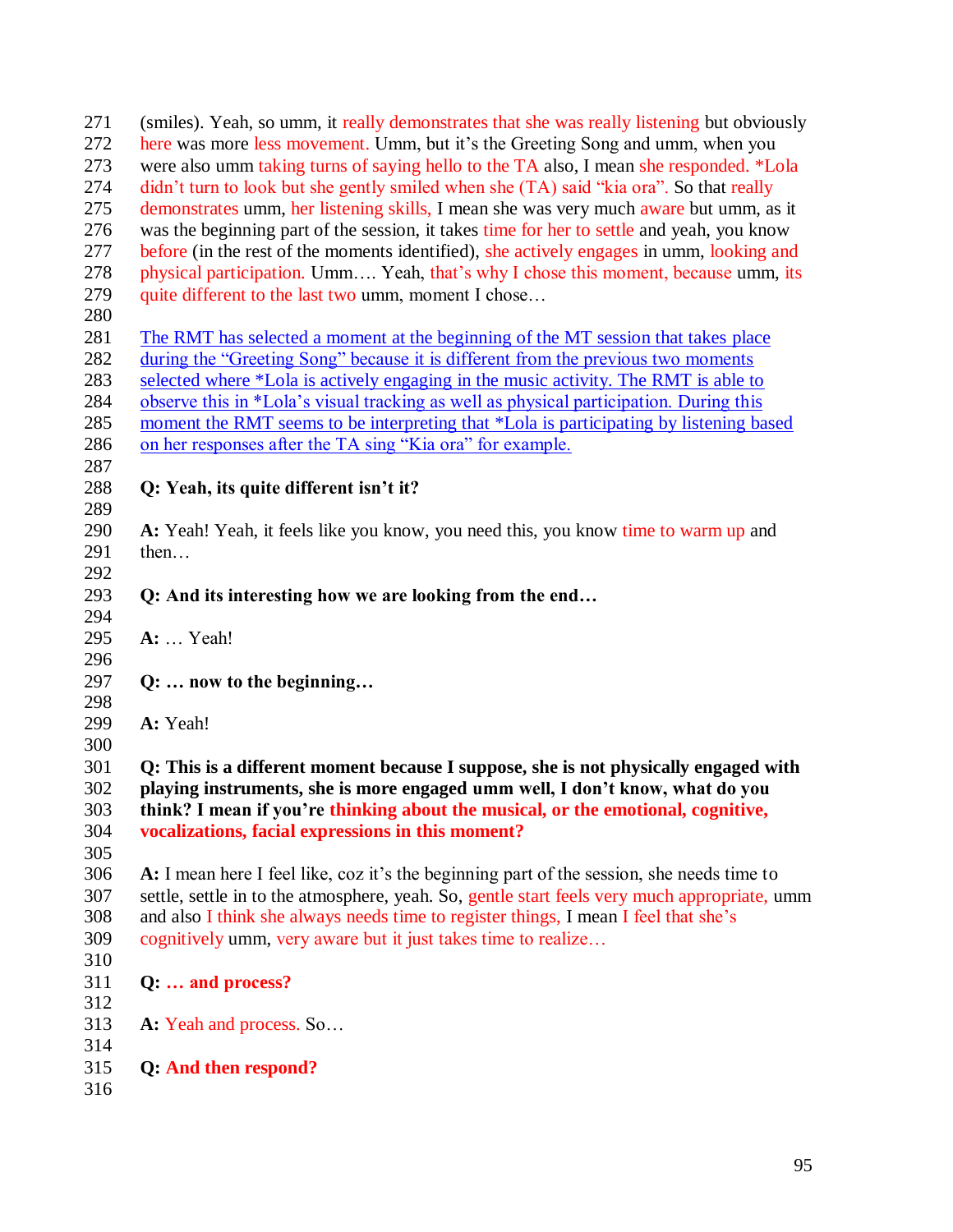| 271 | (smiles). Yeah, so umm, it really demonstrates that she was really listening but obviously   |
|-----|----------------------------------------------------------------------------------------------|
| 272 | here was more less movement. Umm, but it's the Greeting Song and umm, when you               |
| 273 | were also umm taking turns of saying hello to the TA also, I mean she responded. *Lola       |
| 274 | didn't turn to look but she gently smiled when she (TA) said "kia ora". So that really       |
| 275 | demonstrates umm, her listening skills, I mean she was very much aware but umm, as it        |
| 276 | was the beginning part of the session, it takes time for her to settle and yeah, you know    |
| 277 | before (in the rest of the moments identified), she actively engages in umm, looking and     |
| 278 | physical participation. Umm Yeah, that's why I chose this moment, because umm, its           |
| 279 | quite different to the last two umm, moment I chose                                          |
| 280 |                                                                                              |
| 281 | The RMT has selected a moment at the beginning of the MT session that takes place            |
| 282 | during the "Greeting Song" because it is different from the previous two moments             |
| 283 | selected where *Lola is actively engaging in the music activity. The RMT is able to          |
| 284 | observe this in *Lola's visual tracking as well as physical participation. During this       |
| 285 | moment the RMT seems to be interpreting that *Lola is participating by listening based       |
| 286 | on her responses after the TA sing "Kia ora" for example.                                    |
| 287 |                                                                                              |
| 288 | Q: Yeah, its quite different isn't it?                                                       |
| 289 |                                                                                              |
| 290 | A: Yeah! Yeah, it feels like you know, you need this, you know time to warm up and           |
| 291 | then                                                                                         |
| 292 |                                                                                              |
| 293 | Q: And its interesting how we are looking from the end                                       |
| 294 |                                                                                              |
| 295 | A:  Yeah!                                                                                    |
| 296 |                                                                                              |
| 297 | Q:  now to the beginning                                                                     |
| 298 |                                                                                              |
| 299 | A: Yeah!                                                                                     |
| 300 |                                                                                              |
| 301 | Q: This is a different moment because I suppose, she is not physically engaged with          |
| 302 | playing instruments, she is more engaged umm well, I don't know, what do you                 |
| 303 | think? I mean if you're thinking about the musical, or the emotional, cognitive,             |
| 304 | vocalizations, facial expressions in this moment?                                            |
| 305 |                                                                                              |
| 306 | A: I mean here I feel like, coz it's the beginning part of the session, she needs time to    |
| 307 | settle, settle in to the atmosphere, yeah. So, gentle start feels very much appropriate, umm |
| 308 | and also I think she always needs time to register things, I mean I feel that she's          |
| 309 | cognitively umm, very aware but it just takes time to realize                                |
| 310 |                                                                                              |
| 311 | Q:  and process?                                                                             |
| 312 |                                                                                              |
| 313 | A: Yeah and process. So                                                                      |
| 314 |                                                                                              |
| 315 | Q: And then respond?                                                                         |
| 316 |                                                                                              |
|     |                                                                                              |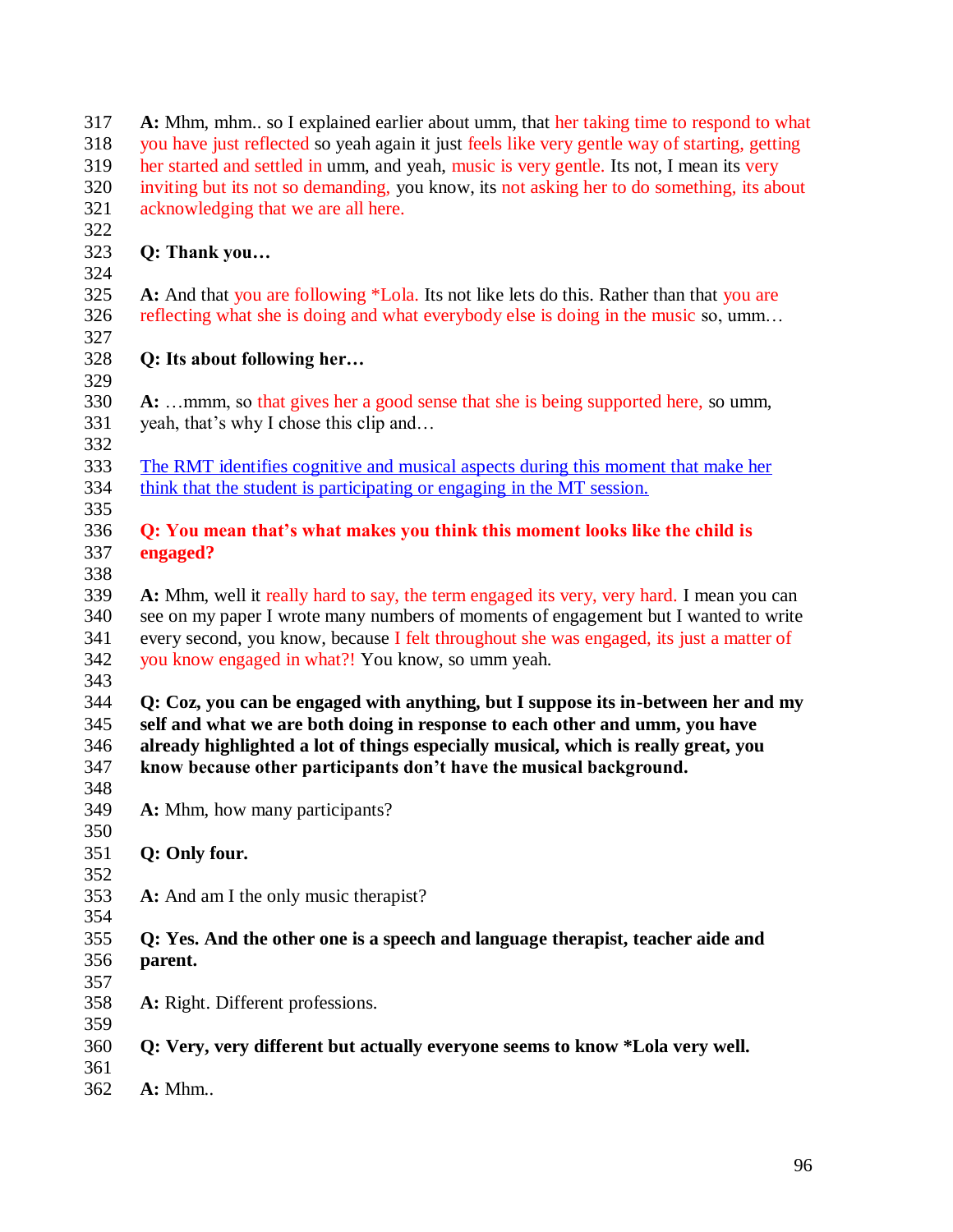| 317        | A: Mhm, mhm so I explained earlier about umm, that her taking time to respond to what         |
|------------|-----------------------------------------------------------------------------------------------|
| 318        | you have just reflected so yeah again it just feels like very gentle way of starting, getting |
| 319        | her started and settled in umm, and yeah, music is very gentle. Its not, I mean its very      |
| 320        | inviting but its not so demanding, you know, its not asking her to do something, its about    |
| 321        | acknowledging that we are all here.                                                           |
| 322        |                                                                                               |
| 323        | Q: Thank you                                                                                  |
| 324        |                                                                                               |
| 325        | A: And that you are following *Lola. Its not like lets do this. Rather than that you are      |
| 326        | reflecting what she is doing and what everybody else is doing in the music so, umm            |
| 327        |                                                                                               |
| 328        | Q: Its about following her                                                                    |
| 329        |                                                                                               |
| 330        | A: mmm, so that gives her a good sense that she is being supported here, so umm,              |
| 331        | yeah, that's why I chose this clip and                                                        |
| 332        |                                                                                               |
| 333        | The RMT identifies cognitive and musical aspects during this moment that make her             |
| 334        | think that the student is participating or engaging in the MT session.                        |
| 335        |                                                                                               |
| 336        | Q: You mean that's what makes you think this moment looks like the child is                   |
| 337        | engaged?                                                                                      |
| 338        |                                                                                               |
| 339        | A: Mhm, well it really hard to say, the term engaged its very, very hard. I mean you can      |
| 340        | see on my paper I wrote many numbers of moments of engagement but I wanted to write           |
| 341        | every second, you know, because I felt throughout she was engaged, its just a matter of       |
| 342        | you know engaged in what?! You know, so umm yeah.                                             |
| 343        |                                                                                               |
| 344        | Q: Coz, you can be engaged with anything, but I suppose its in-between her and my             |
| 345        | self and what we are both doing in response to each other and umm, you have                   |
| 346        | already highlighted a lot of things especially musical, which is really great, you            |
| 347        | know because other participants don't have the musical background.                            |
| 348        |                                                                                               |
| 349        | A: Mhm, how many participants?                                                                |
| 350        |                                                                                               |
| 351        | Q: Only four.                                                                                 |
| 352        |                                                                                               |
| 353        | A: And am I the only music therapist?                                                         |
| 354        |                                                                                               |
| 355        | Q: Yes. And the other one is a speech and language therapist, teacher aide and                |
| 356        | parent.                                                                                       |
|            |                                                                                               |
| 357<br>358 | A: Right. Different professions.                                                              |
|            |                                                                                               |
| 359        |                                                                                               |
| 360        | Q: Very, very different but actually everyone seems to know *Lola very well.                  |
| 361        |                                                                                               |
| 362        | A: Mhm                                                                                        |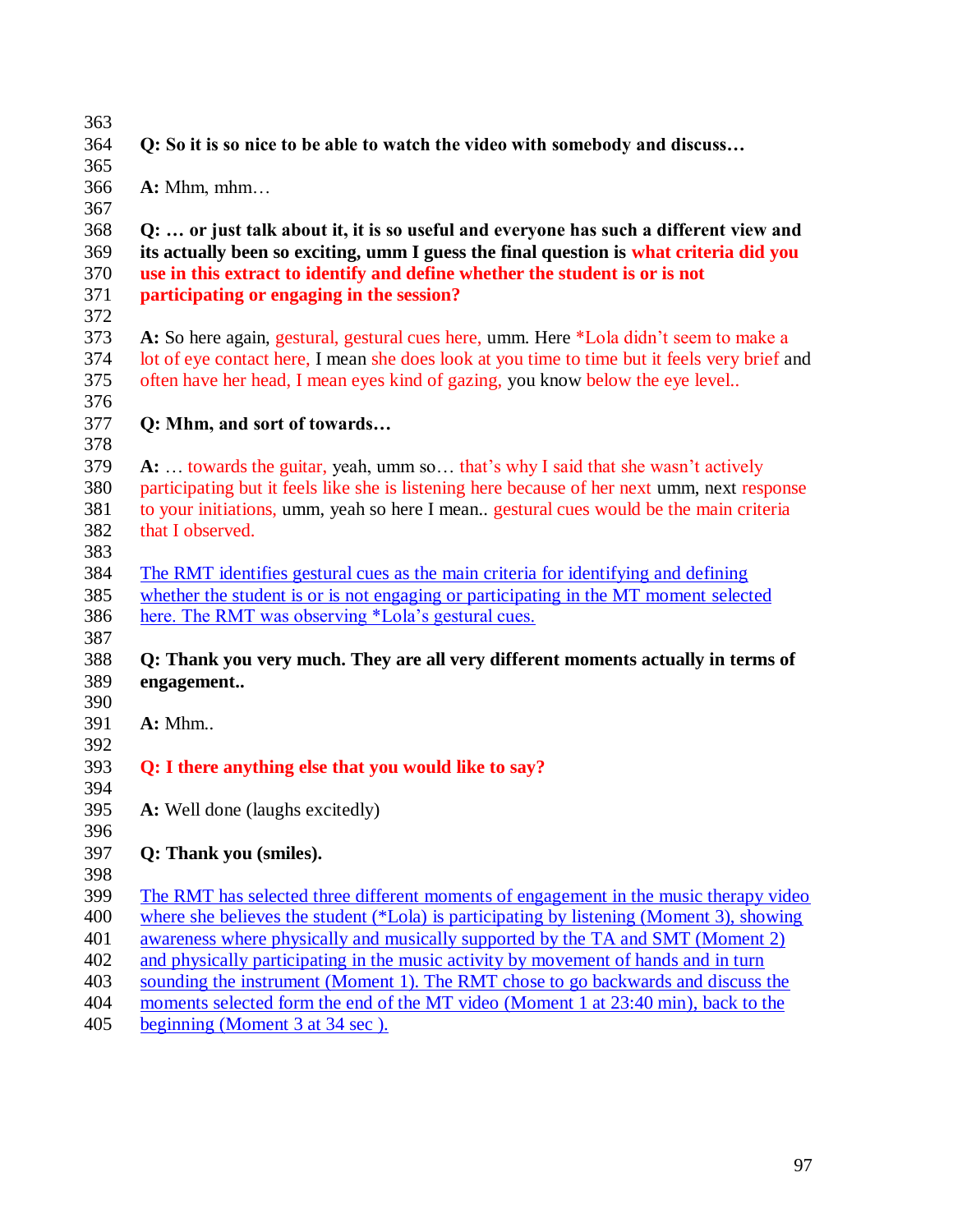**Q: So it is so nice to be able to watch the video with somebody and discuss…**

**A:** Mhm, mhm…

 **Q: … or just talk about it, it is so useful and everyone has such a different view and its actually been so exciting, umm I guess the final question is what criteria did you use in this extract to identify and define whether the student is or is not participating or engaging in the session?** 

 **A:** So here again, gestural, gestural cues here, umm. Here \*Lola didn"t seem to make a lot of eye contact here, I mean she does look at you time to time but it feels very brief and often have her head, I mean eyes kind of gazing, you know below the eye level..

- **Q: Mhm, and sort of towards…**
- 

 **A:** … towards the guitar, yeah, umm so… that"s why I said that she wasn"t actively participating but it feels like she is listening here because of her next umm, next response to your initiations, umm, yeah so here I mean.. gestural cues would be the main criteria that I observed. 

 The RMT identifies gestural cues as the main criteria for identifying and defining whether the student is or is not engaging or participating in the MT moment selected here. The RMT was observing \*Lola"s gestural cues.

# **Q: Thank you very much. They are all very different moments actually in terms of engagement..**

- **A:** Mhm..
- 

#### **Q: I there anything else that you would like to say?**

- **A:** Well done (laughs excitedly)
- 

# **Q: Thank you (smiles).**

 The RMT has selected three different moments of engagement in the music therapy video where she believes the student (\*Lola) is participating by listening (Moment 3), showing

- awareness where physically and musically supported by the TA and SMT (Moment 2)
- and physically participating in the music activity by movement of hands and in turn
- sounding the instrument (Moment 1). The RMT chose to go backwards and discuss the
- moments selected form the end of the MT video (Moment 1 at 23:40 min), back to the
- beginning (Moment 3 at 34 sec ).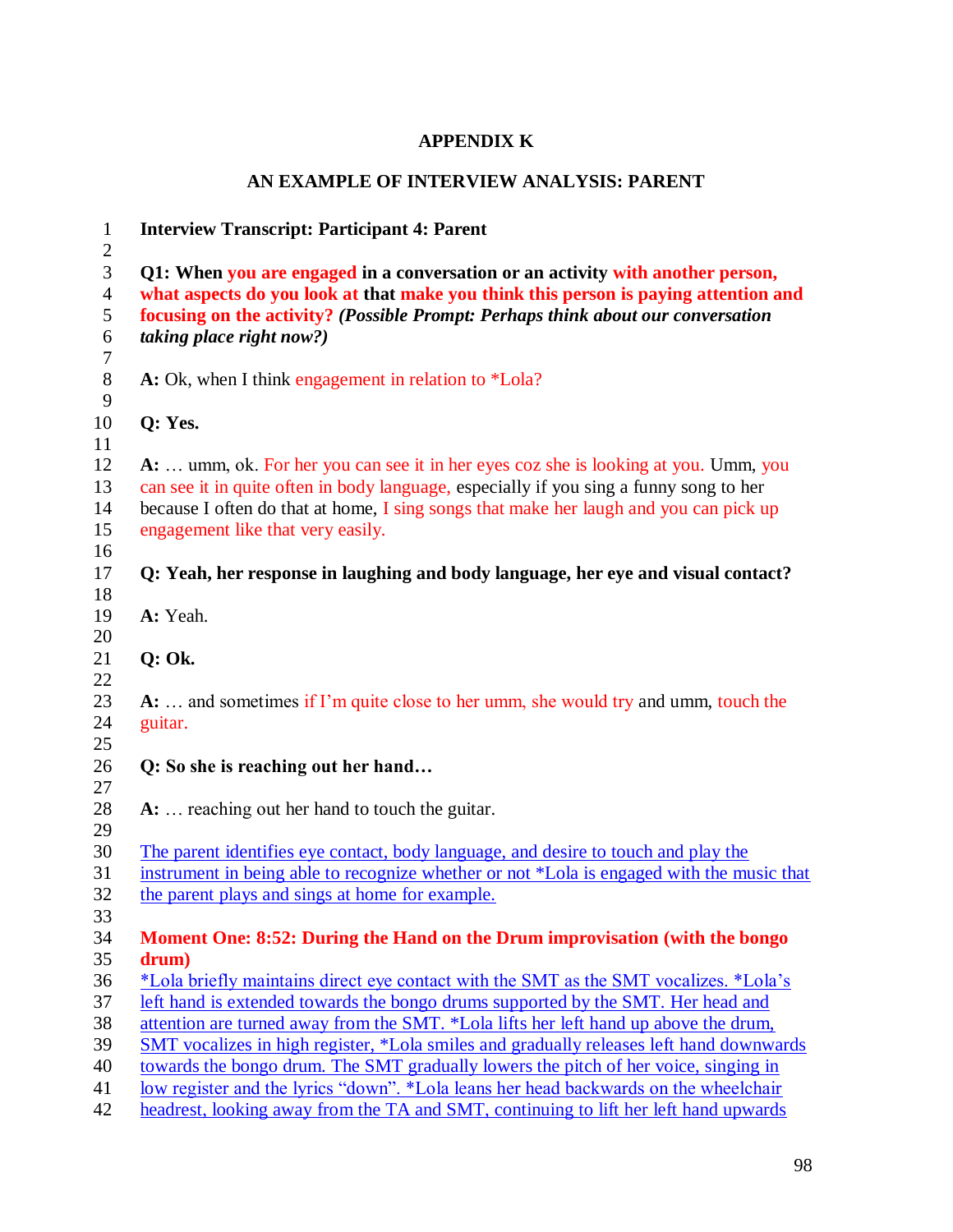# **APPENDIX K**

# **AN EXAMPLE OF INTERVIEW ANALYSIS: PARENT**

| $\mathbf{1}$<br>$\overline{c}$   | <b>Interview Transcript: Participant 4: Parent</b>                                                                                                                    |
|----------------------------------|-----------------------------------------------------------------------------------------------------------------------------------------------------------------------|
| $\mathfrak{Z}$<br>$\overline{4}$ | Q1: When you are engaged in a conversation or an activity with another person,<br>what aspects do you look at that make you think this person is paying attention and |
| 5                                | focusing on the activity? (Possible Prompt: Perhaps think about our conversation                                                                                      |
| $\sqrt{6}$                       | <i>taking place right now?)</i>                                                                                                                                       |
| $\overline{7}$<br>$8\,$          | A: Ok, when I think engagement in relation to *Lola?                                                                                                                  |
| 9                                |                                                                                                                                                                       |
| 10                               | Q: Yes.                                                                                                                                                               |
| 11                               |                                                                                                                                                                       |
| 12                               | A:  umm, ok. For her you can see it in her eyes coz she is looking at you. Umm, you                                                                                   |
| 13                               | can see it in quite often in body language, especially if you sing a funny song to her                                                                                |
| 14                               | because I often do that at home, I sing songs that make her laugh and you can pick up                                                                                 |
| 15<br>16                         | engagement like that very easily.                                                                                                                                     |
| 17                               | Q: Yeah, her response in laughing and body language, her eye and visual contact?                                                                                      |
| 18                               |                                                                                                                                                                       |
| 19                               | A: Yeah.                                                                                                                                                              |
| 20                               |                                                                                                                                                                       |
| 21                               | $Q:$ Ok.                                                                                                                                                              |
| 22                               |                                                                                                                                                                       |
| 23<br>24                         | $A: \ldots$ and sometimes if I'm quite close to her umm, she would try and umm, touch the                                                                             |
| 25                               | guitar.                                                                                                                                                               |
| 26                               | Q: So she is reaching out her hand                                                                                                                                    |
| 27                               |                                                                                                                                                                       |
| 28                               | A:  reaching out her hand to touch the guitar.                                                                                                                        |
| 29                               |                                                                                                                                                                       |
| 30                               | The parent identifies eye contact, body language, and desire to touch and play the                                                                                    |
| 31                               | instrument in being able to recognize whether or not *Lola is engaged with the music that                                                                             |
| 32                               | the parent plays and sings at home for example.                                                                                                                       |
| 33<br>34                         | Moment One: 8:52: During the Hand on the Drum improvisation (with the bongo                                                                                           |
| 35                               | drum)                                                                                                                                                                 |
| 36                               | *Lola briefly maintains direct eye contact with the SMT as the SMT vocalizes. *Lola's                                                                                 |
| 37                               | left hand is extended towards the bongo drums supported by the SMT. Her head and                                                                                      |
| 38                               | attention are turned away from the SMT. *Lola lifts her left hand up above the drum,                                                                                  |
| 39                               | SMT vocalizes in high register, *Lola smiles and gradually releases left hand downwards                                                                               |
| 40                               | towards the bongo drum. The SMT gradually lowers the pitch of her voice, singing in                                                                                   |
| 41                               | low register and the lyrics "down". *Lola leans her head backwards on the wheelchair                                                                                  |
| 42                               | headrest, looking away from the TA and SMT, continuing to lift her left hand upwards                                                                                  |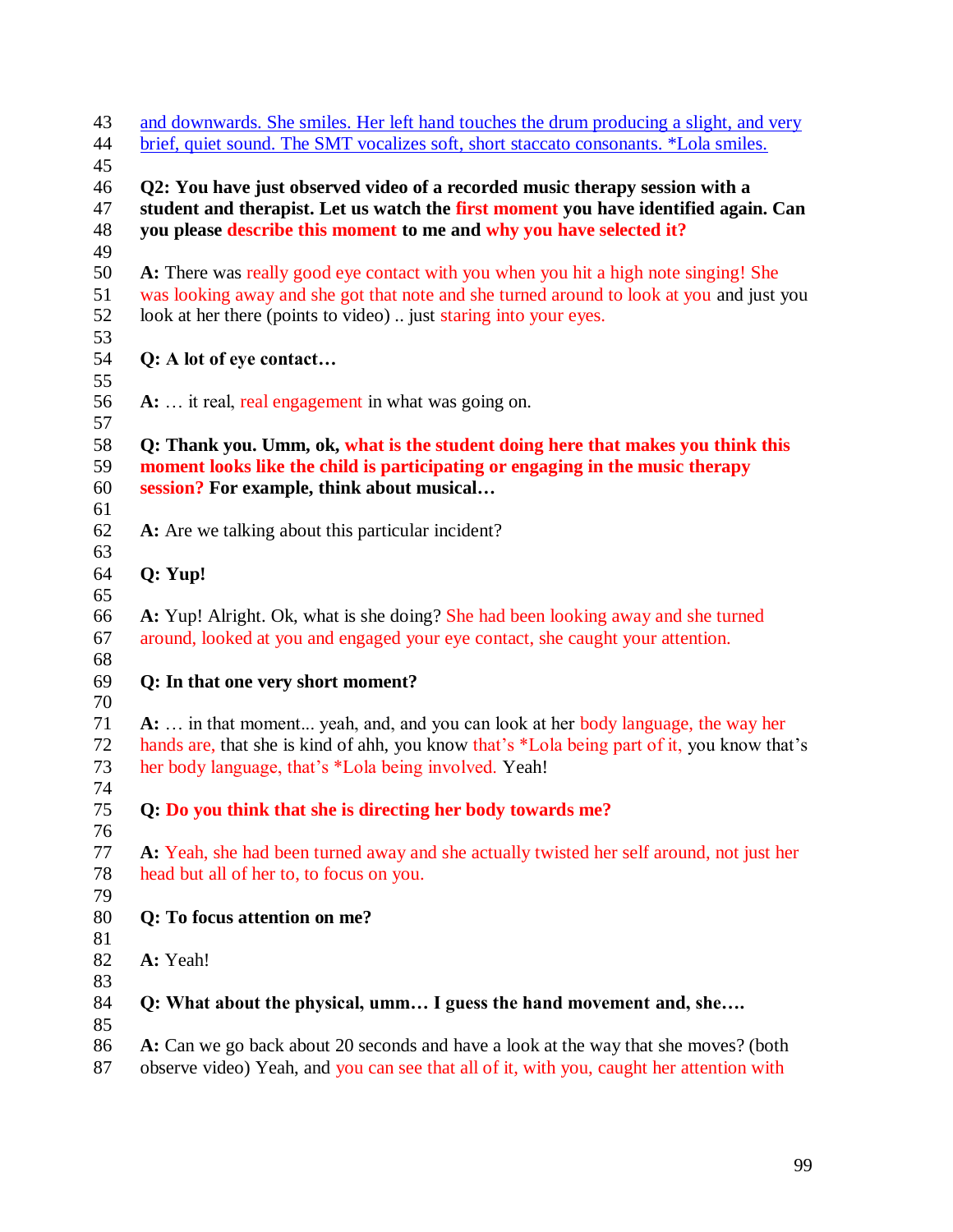| 43<br>and downwards. She smiles. Her left hand touches the drum producing a slight, and very                                                                                                                                              |  |
|-------------------------------------------------------------------------------------------------------------------------------------------------------------------------------------------------------------------------------------------|--|
| brief, quiet sound. The SMT vocalizes soft, short staccato consonants. *Lola smiles.                                                                                                                                                      |  |
| Q2: You have just observed video of a recorded music therapy session with a<br>student and therapist. Let us watch the first moment you have identified again. Can<br>you please describe this moment to me and why you have selected it? |  |
| A: There was really good eye contact with you when you hit a high note singing! She                                                                                                                                                       |  |
| was looking away and she got that note and she turned around to look at you and just you<br>look at her there (points to video)  just staring into your eyes.                                                                             |  |
| Q: A lot of eye contact                                                                                                                                                                                                                   |  |
| A:  it real, real engagement in what was going on.                                                                                                                                                                                        |  |
| Q: Thank you. Umm, ok, what is the student doing here that makes you think this<br>moment looks like the child is participating or engaging in the music therapy<br>session? For example, think about musical                             |  |
| A: Are we talking about this particular incident?                                                                                                                                                                                         |  |
| Q: Yup!                                                                                                                                                                                                                                   |  |
| A: Yup! Alright. Ok, what is she doing? She had been looking away and she turned<br>around, looked at you and engaged your eye contact, she caught your attention.                                                                        |  |
| Q: In that one very short moment?                                                                                                                                                                                                         |  |
| A:  in that moment yeah, and, and you can look at her body language, the way her<br>hands are, that she is kind of ahh, you know that's *Lola being part of it, you know that's<br>her body language, that's *Lola being involved. Yeah!  |  |
| Q: Do you think that she is directing her body towards me?                                                                                                                                                                                |  |
| A: Yeah, she had been turned away and she actually twisted her self around, not just her<br>head but all of her to, to focus on you.                                                                                                      |  |
| Q: To focus attention on me?                                                                                                                                                                                                              |  |
| A: Yeah!                                                                                                                                                                                                                                  |  |
| Q: What about the physical, umm I guess the hand movement and, she                                                                                                                                                                        |  |
| A: Can we go back about 20 seconds and have a look at the way that she moves? (both<br>observe video) Yeah, and you can see that all of it, with you, caught her attention with                                                           |  |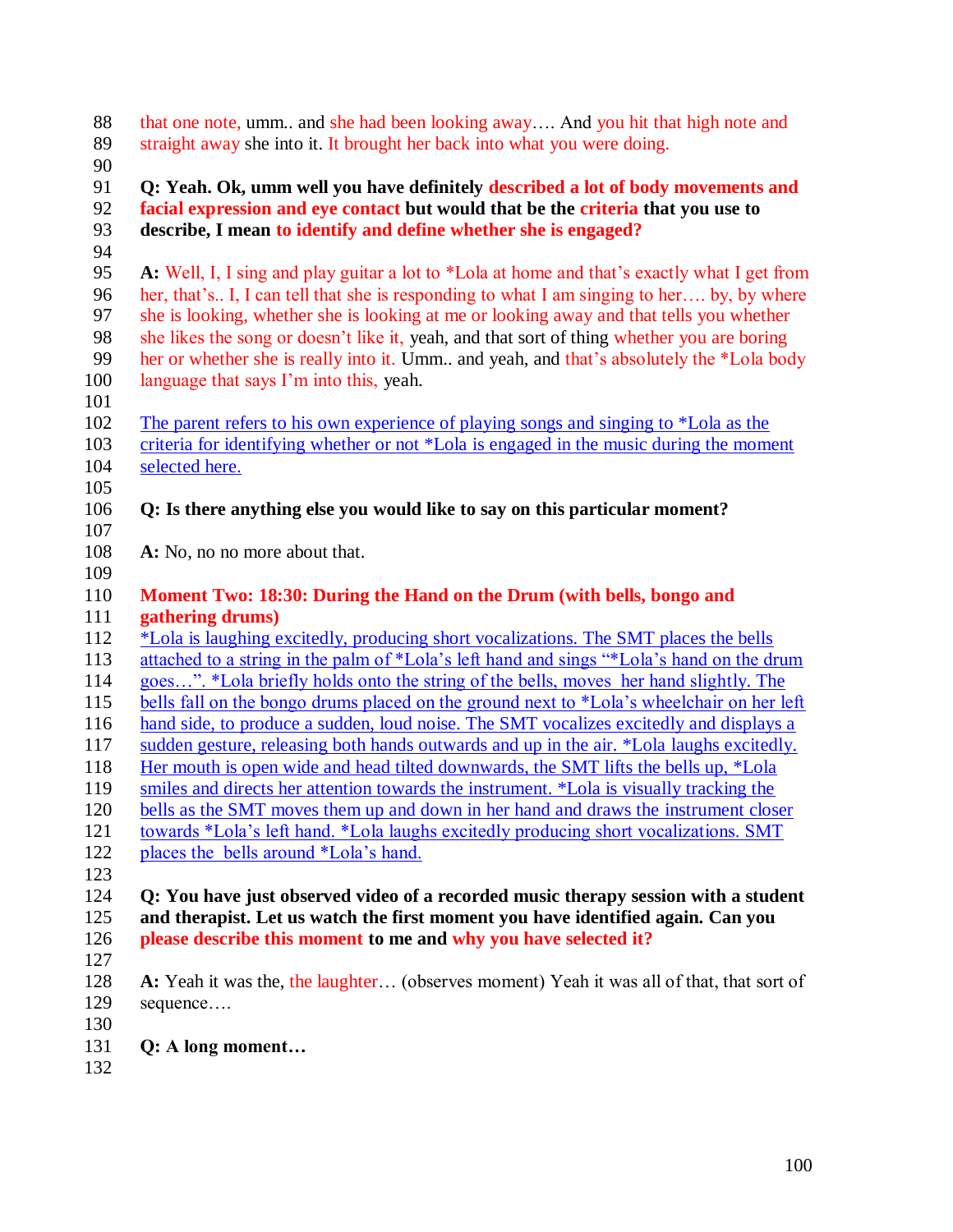| 88<br>89<br>90 | that one note, umm and she had been looking away And you hit that high note and<br>straight away she into it. It brought her back into what you were doing.                     |
|----------------|---------------------------------------------------------------------------------------------------------------------------------------------------------------------------------|
| 91<br>92       | Q: Yeah. Ok, umm well you have definitely described a lot of body movements and<br>facial expression and eye contact but would that be the criteria that you use to             |
| 93             | describe, I mean to identify and define whether she is engaged?                                                                                                                 |
| 94             |                                                                                                                                                                                 |
| 95             | A: Well, I, I sing and play guitar a lot to *Lola at home and that's exactly what I get from                                                                                    |
| 96             | her, that's. I, I can tell that she is responding to what I am singing to her by, by where                                                                                      |
| 97             | she is looking, whether she is looking at me or looking away and that tells you whether                                                                                         |
| 98             | she likes the song or doesn't like it, yeah, and that sort of thing whether you are boring                                                                                      |
| 99             | her or whether she is really into it. Umm and yeah, and that's absolutely the *Lola body                                                                                        |
| 100<br>101     | language that says I'm into this, yeah.                                                                                                                                         |
| 102            | The parent refers to his own experience of playing songs and singing to *Lola as the                                                                                            |
| 103            | criteria for identifying whether or not *Lola is engaged in the music during the moment                                                                                         |
| 104            | selected here.                                                                                                                                                                  |
| 105            |                                                                                                                                                                                 |
| 106            | Q: Is there anything else you would like to say on this particular moment?                                                                                                      |
| 107            |                                                                                                                                                                                 |
| 108<br>109     | A: No, no no more about that.                                                                                                                                                   |
| 110            | Moment Two: 18:30: During the Hand on the Drum (with bells, bongo and                                                                                                           |
| 111            | gathering drums)                                                                                                                                                                |
| 112            | *Lola is laughing excitedly, producing short vocalizations. The SMT places the bells                                                                                            |
| 113            | attached to a string in the palm of *Lola's left hand and sings "*Lola's hand on the drum                                                                                       |
| 114            | goes". *Lola briefly holds onto the string of the bells, moves her hand slightly. The                                                                                           |
| 115            | bells fall on the bongo drums placed on the ground next to *Lola's wheelchair on her left                                                                                       |
| 116<br>117     | hand side, to produce a sudden, loud noise. The SMT vocalizes excitedly and displays a                                                                                          |
| 118            | sudden gesture, releasing both hands outwards and up in the air. *Lola laughs excitedly.<br>Her mouth is open wide and head tilted downwards, the SMT lifts the bells up, *Lola |
| 119            | smiles and directs her attention towards the instrument. *Lola is visually tracking the                                                                                         |
| 120            | bells as the SMT moves them up and down in her hand and draws the instrument closer                                                                                             |
| 121            | towards *Lola's left hand. *Lola laughs excitedly producing short vocalizations. SMT                                                                                            |
| 122            | places the bells around *Lola's hand.                                                                                                                                           |
| 123            |                                                                                                                                                                                 |
| 124            | Q: You have just observed video of a recorded music therapy session with a student                                                                                              |
| 125            | and therapist. Let us watch the first moment you have identified again. Can you                                                                                                 |
| 126            | please describe this moment to me and why you have selected it?                                                                                                                 |
| 127            |                                                                                                                                                                                 |
| 128            | A: Yeah it was the, the laughter (observes moment) Yeah it was all of that, that sort of                                                                                        |
| 129            | sequence                                                                                                                                                                        |
| 130            |                                                                                                                                                                                 |
| 131            | Q: A long moment                                                                                                                                                                |

132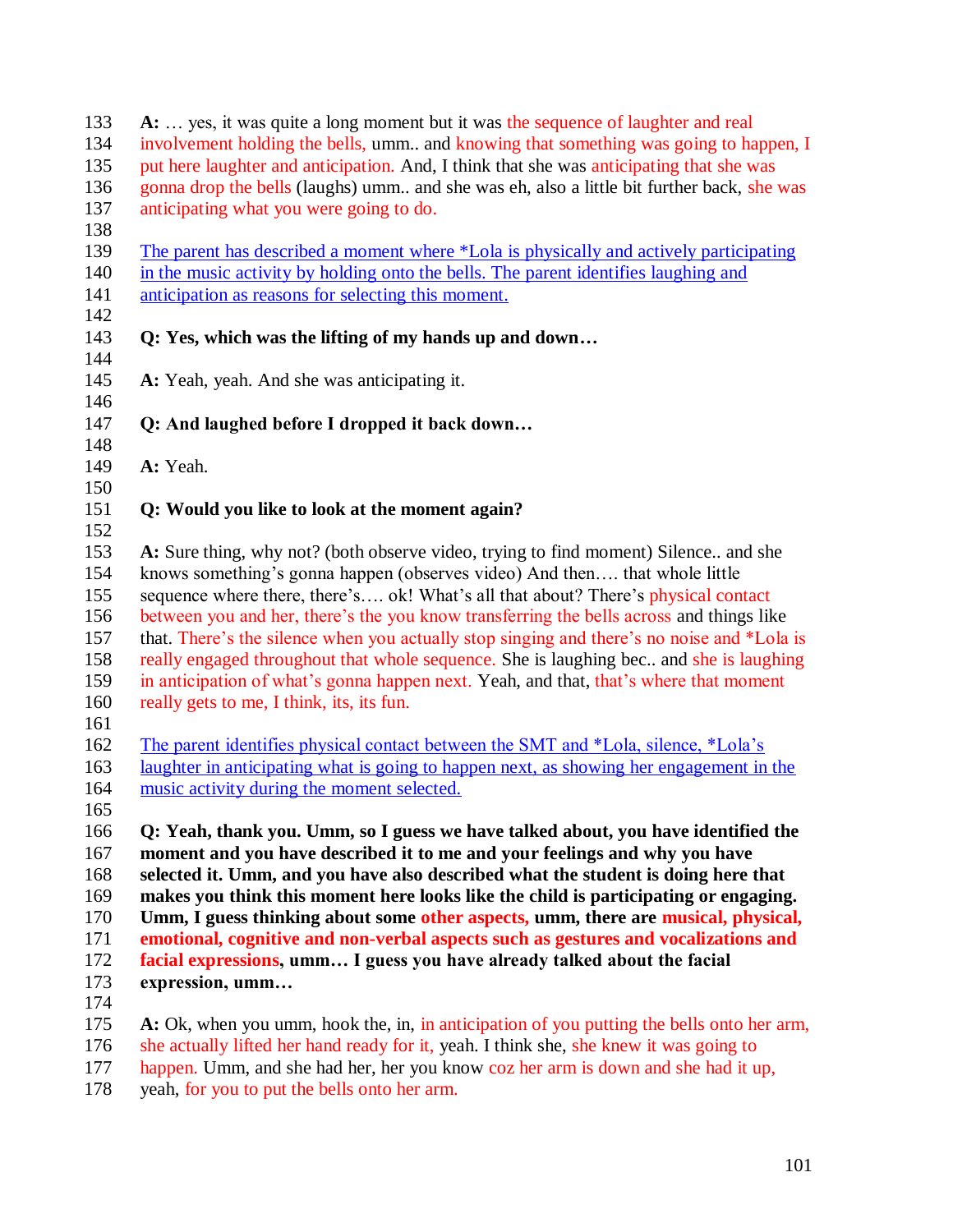| 133<br>134 | A:  yes, it was quite a long moment but it was the sequence of laughter and real<br>involvement holding the bells, umm and knowing that something was going to happen, I  |
|------------|---------------------------------------------------------------------------------------------------------------------------------------------------------------------------|
| 135        | put here laughter and anticipation. And, I think that she was anticipating that she was                                                                                   |
| 136        | gonna drop the bells (laughs) umm and she was eh, also a little bit further back, she was                                                                                 |
| 137        | anticipating what you were going to do.                                                                                                                                   |
| 138        |                                                                                                                                                                           |
| 139        | The parent has described a moment where *Lola is physically and actively participating                                                                                    |
| 140        | in the music activity by holding onto the bells. The parent identifies laughing and                                                                                       |
| 141        | anticipation as reasons for selecting this moment.                                                                                                                        |
| 142<br>143 | Q: Yes, which was the lifting of my hands up and down                                                                                                                     |
| 144        |                                                                                                                                                                           |
| 145        | A: Yeah, yeah. And she was anticipating it.                                                                                                                               |
| 146        |                                                                                                                                                                           |
| 147        | Q: And laughed before I dropped it back down                                                                                                                              |
| 148        |                                                                                                                                                                           |
| 149        | A: Yeah.                                                                                                                                                                  |
| 150        |                                                                                                                                                                           |
| 151<br>152 | Q: Would you like to look at the moment again?                                                                                                                            |
| 153        | A: Sure thing, why not? (both observe video, trying to find moment) Silence and she                                                                                       |
| 154        | knows something's gonna happen (observes video) And then that whole little                                                                                                |
| 155        | sequence where there, there's ok! What's all that about? There's physical contact                                                                                         |
| 156        | between you and her, there's the you know transferring the bells across and things like                                                                                   |
| 157        | that. There's the silence when you actually stop singing and there's no noise and *Lola is                                                                                |
| 158        | really engaged throughout that whole sequence. She is laughing bec. and she is laughing                                                                                   |
| 159        | in anticipation of what's gonna happen next. Yeah, and that, that's where that moment                                                                                     |
| 160        | really gets to me, I think, its, its fun.                                                                                                                                 |
| 161        |                                                                                                                                                                           |
| 162        | The parent identifies physical contact between the SMT and *Lola, silence, *Lola's                                                                                        |
| 163        | laughter in anticipating what is going to happen next, as showing her engagement in the                                                                                   |
| 164        | music activity during the moment selected.                                                                                                                                |
| 165        |                                                                                                                                                                           |
| 166        | Q: Yeah, thank you. Umm, so I guess we have talked about, you have identified the                                                                                         |
| 167        | moment and you have described it to me and your feelings and why you have                                                                                                 |
| 168        | selected it. Umm, and you have also described what the student is doing here that                                                                                         |
| 169        | makes you think this moment here looks like the child is participating or engaging.                                                                                       |
| 170        | Umm, I guess thinking about some other aspects, umm, there are musical, physical,                                                                                         |
| 171        | emotional, cognitive and non-verbal aspects such as gestures and vocalizations and                                                                                        |
| 172        | facial expressions, umm I guess you have already talked about the facial                                                                                                  |
| 173        | expression, umm                                                                                                                                                           |
| 174        |                                                                                                                                                                           |
| 175        | A: Ok, when you umm, hook the, in, in anticipation of you putting the bells onto her arm,                                                                                 |
| 176<br>177 | she actually lifted her hand ready for it, yeah. I think she, she knew it was going to<br>happen. Umm, and she had her her vou know coz her arm is down and she had it up |
|            |                                                                                                                                                                           |

177 happen. Umm, and she had her, her you know coz her arm is down and she had it up, yeah, for you to put the bells onto her arm. yeah, for you to put the bells onto her arm.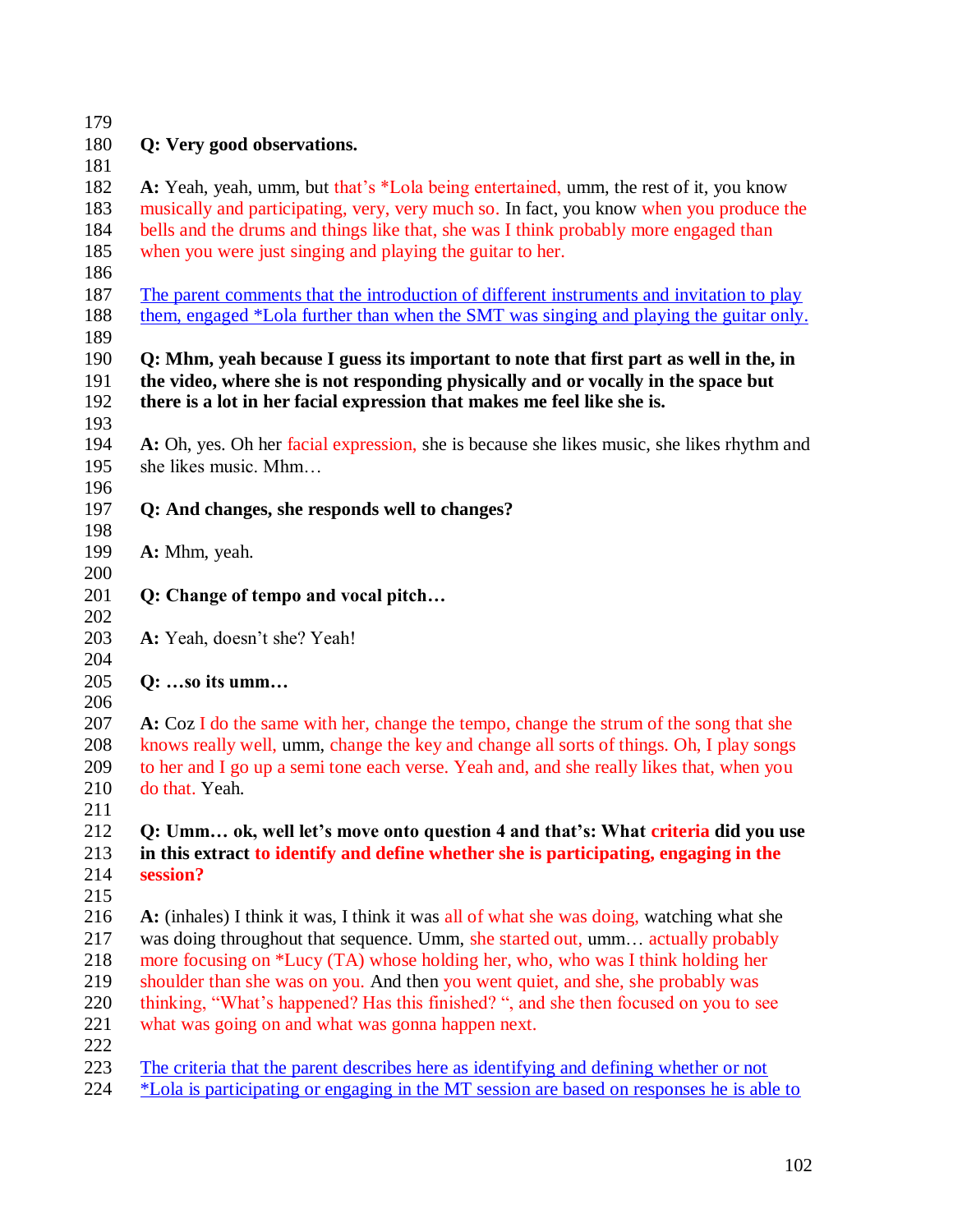| 179                      |                                                                                                                                                                                                                                                       |
|--------------------------|-------------------------------------------------------------------------------------------------------------------------------------------------------------------------------------------------------------------------------------------------------|
| 180                      | Q: Very good observations.                                                                                                                                                                                                                            |
| 181                      |                                                                                                                                                                                                                                                       |
| 182                      | A: Yeah, yeah, umm, but that's *Lola being entertained, umm, the rest of it, you know                                                                                                                                                                 |
| 183                      | musically and participating, very, very much so. In fact, you know when you produce the                                                                                                                                                               |
| 184                      | bells and the drums and things like that, she was I think probably more engaged than                                                                                                                                                                  |
| 185                      | when you were just singing and playing the guitar to her.                                                                                                                                                                                             |
| 186                      |                                                                                                                                                                                                                                                       |
| 187                      | The parent comments that the introduction of different instruments and invitation to play                                                                                                                                                             |
| 188<br>189               | them, engaged *Lola further than when the SMT was singing and playing the guitar only.                                                                                                                                                                |
| 190<br>191<br>192<br>193 | Q: Mhm, yeah because I guess its important to note that first part as well in the, in<br>the video, where she is not responding physically and or vocally in the space but<br>there is a lot in her facial expression that makes me feel like she is. |
| 194                      | A: Oh, yes. Oh her facial expression, she is because she likes music, she likes rhythm and                                                                                                                                                            |
| 195                      | she likes music. Mhm                                                                                                                                                                                                                                  |
| 196                      |                                                                                                                                                                                                                                                       |
| 197                      | Q: And changes, she responds well to changes?                                                                                                                                                                                                         |
| 198                      |                                                                                                                                                                                                                                                       |
| 199                      | A: Mhm, yeah.                                                                                                                                                                                                                                         |
| 200                      |                                                                                                                                                                                                                                                       |
| 201                      | Q: Change of tempo and vocal pitch                                                                                                                                                                                                                    |
| 202                      |                                                                                                                                                                                                                                                       |
| 203                      | A: Yeah, doesn't she? Yeah!                                                                                                                                                                                                                           |
| 204                      |                                                                                                                                                                                                                                                       |
| 205                      | $Q: \ldots$ so its umm                                                                                                                                                                                                                                |
| 206                      |                                                                                                                                                                                                                                                       |
| 207                      | A: Coz I do the same with her, change the tempo, change the strum of the song that she                                                                                                                                                                |
| 208                      | knows really well, umm, change the key and change all sorts of things. Oh, I play songs                                                                                                                                                               |
| 209                      | to her and I go up a semi tone each verse. Yeah and, and she really likes that, when you                                                                                                                                                              |
| 210                      | do that. Yeah.                                                                                                                                                                                                                                        |
| 211                      |                                                                                                                                                                                                                                                       |
| 212                      | Q: Umm ok, well let's move onto question 4 and that's: What criteria did you use                                                                                                                                                                      |
| 213                      | in this extract to identify and define whether she is participating, engaging in the                                                                                                                                                                  |
| 214                      | session?                                                                                                                                                                                                                                              |
| 215                      |                                                                                                                                                                                                                                                       |
| 216                      | A: (inhales) I think it was, I think it was all of what she was doing, watching what she                                                                                                                                                              |
| 217                      | was doing throughout that sequence. Umm, she started out, umm actually probably                                                                                                                                                                       |
| 218                      | more focusing on *Lucy (TA) whose holding her, who, who was I think holding her                                                                                                                                                                       |
| 219                      | shoulder than she was on you. And then you went quiet, and she, she probably was                                                                                                                                                                      |
| 220                      | thinking, "What's happened? Has this finished? ", and she then focused on you to see                                                                                                                                                                  |
| 221                      | what was going on and what was gonna happen next.                                                                                                                                                                                                     |
| 222                      |                                                                                                                                                                                                                                                       |
| 223                      | <u>The criteria that the parent describes here as identifying and defining whether or not</u>                                                                                                                                                         |
| 224                      | *Lola is participating or engaging in the MT session are based on responses he is able to                                                                                                                                                             |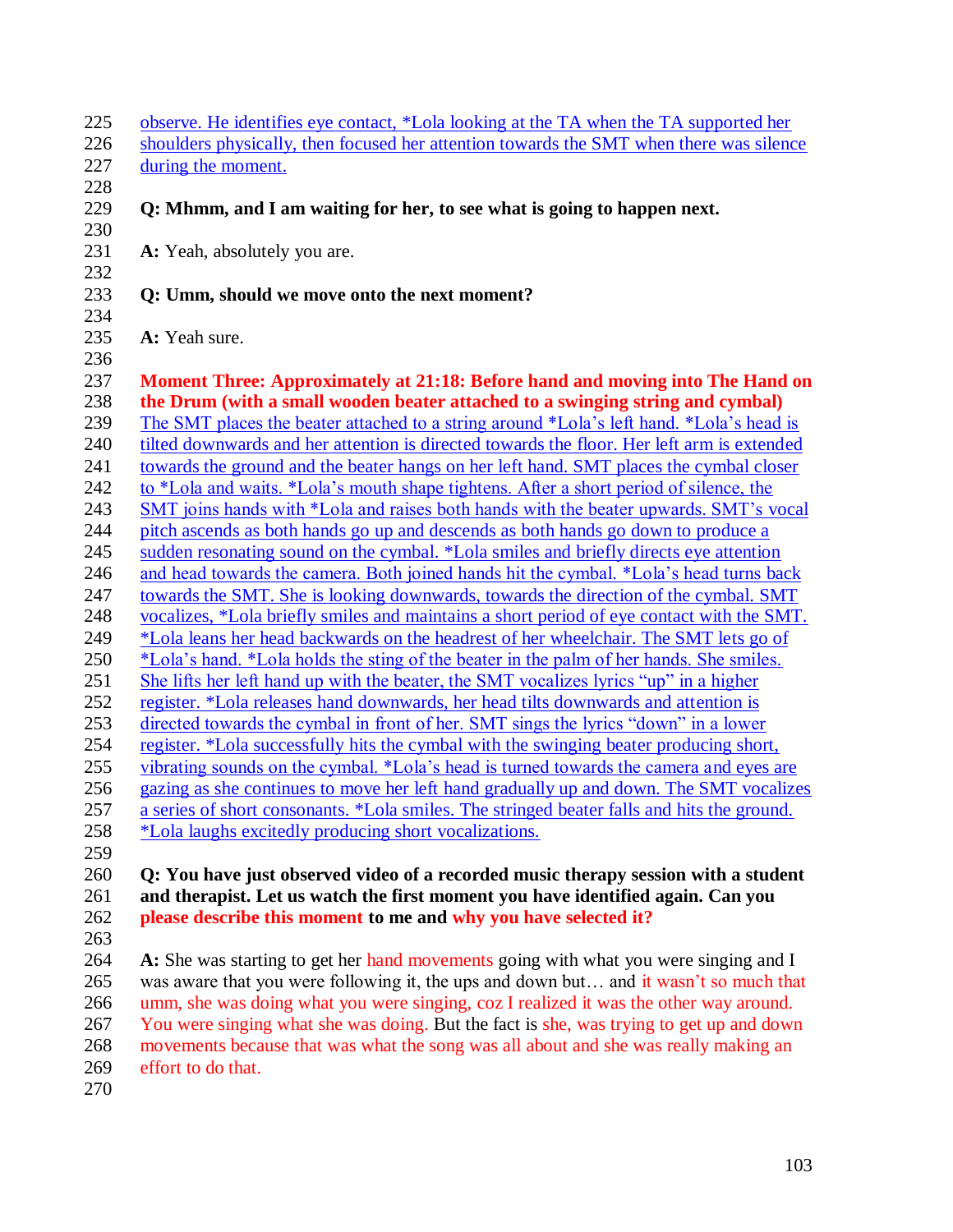| 225        | observe. He identifies eye contact, *Lola looking at the TA when the TA supported her                                                               |
|------------|-----------------------------------------------------------------------------------------------------------------------------------------------------|
| 226        | shoulders physically, then focused her attention towards the SMT when there was silence                                                             |
| 227        | during the moment.                                                                                                                                  |
| 228        |                                                                                                                                                     |
| 229        | Q: Mhmm, and I am waiting for her, to see what is going to happen next.                                                                             |
| 230        |                                                                                                                                                     |
| 231        | A: Yeah, absolutely you are.                                                                                                                        |
| 232        |                                                                                                                                                     |
| 233        | Q: Umm, should we move onto the next moment?                                                                                                        |
| 234        |                                                                                                                                                     |
| 235        | A: Yeah sure.                                                                                                                                       |
| 236        |                                                                                                                                                     |
| 237        | Moment Three: Approximately at 21:18: Before hand and moving into The Hand on                                                                       |
| 238        | the Drum (with a small wooden beater attached to a swinging string and cymbal)                                                                      |
| 239        | The SMT places the beater attached to a string around *Lola's left hand. *Lola's head is                                                            |
| 240        | tilted downwards and her attention is directed towards the floor. Her left arm is extended                                                          |
| 241        | towards the ground and the beater hangs on her left hand. SMT places the cymbal closer                                                              |
| 242        | to *Lola and waits. *Lola's mouth shape tightens. After a short period of silence, the                                                              |
| 243        | SMT joins hands with *Lola and raises both hands with the beater upwards. SMT's vocal                                                               |
| 244        | pitch ascends as both hands go up and descends as both hands go down to produce a                                                                   |
| 245        | sudden resonating sound on the cymbal. *Lola smiles and briefly directs eye attention                                                               |
| 246        | and head towards the camera. Both joined hands hit the cymbal. *Lola's head turns back                                                              |
| 247        | towards the SMT. She is looking downwards, towards the direction of the cymbal. SMT                                                                 |
| 248        | vocalizes, *Lola briefly smiles and maintains a short period of eye contact with the SMT.                                                           |
| 249        | *Lola leans her head backwards on the headrest of her wheelchair. The SMT lets go of                                                                |
| 250        | *Lola's hand. *Lola holds the sting of the beater in the palm of her hands. She smiles.                                                             |
| 251        | She lifts her left hand up with the beater, the SMT vocalizes lyrics "up" in a higher                                                               |
| 252        | register. *Lola releases hand downwards, her head tilts downwards and attention is                                                                  |
| 253        | directed towards the cymbal in front of her. SMT sings the lyrics "down" in a lower                                                                 |
| 254        | register. *Lola successfully hits the cymbal with the swinging beater producing short,                                                              |
| 255        | vibrating sounds on the cymbal. *Lola's head is turned towards the camera and eyes are                                                              |
| 256        | gazing as she continues to move her left hand gradually up and down. The SMT vocalizes                                                              |
|            |                                                                                                                                                     |
| 257<br>258 | a series of short consonants. *Lola smiles. The stringed beater falls and hits the ground.<br>*Lola laughs excitedly producing short vocalizations. |
|            |                                                                                                                                                     |
| 259        |                                                                                                                                                     |
| 260<br>261 | Q: You have just observed video of a recorded music therapy session with a student                                                                  |
| 262        | and therapist. Let us watch the first moment you have identified again. Can you                                                                     |
|            | please describe this moment to me and why you have selected it?                                                                                     |
| 263<br>264 |                                                                                                                                                     |
| 265        | A: She was starting to get her hand movements going with what you were singing and I                                                                |
|            | was aware that you were following it, the ups and down but and it wasn't so much that                                                               |
| 266        | umm, she was doing what you were singing, coz I realized it was the other way around.                                                               |
| 267        | You were singing what she was doing. But the fact is she, was trying to get up and down                                                             |
| 268        | movements because that was what the song was all about and she was really making an                                                                 |
| 269        | effort to do that.                                                                                                                                  |

270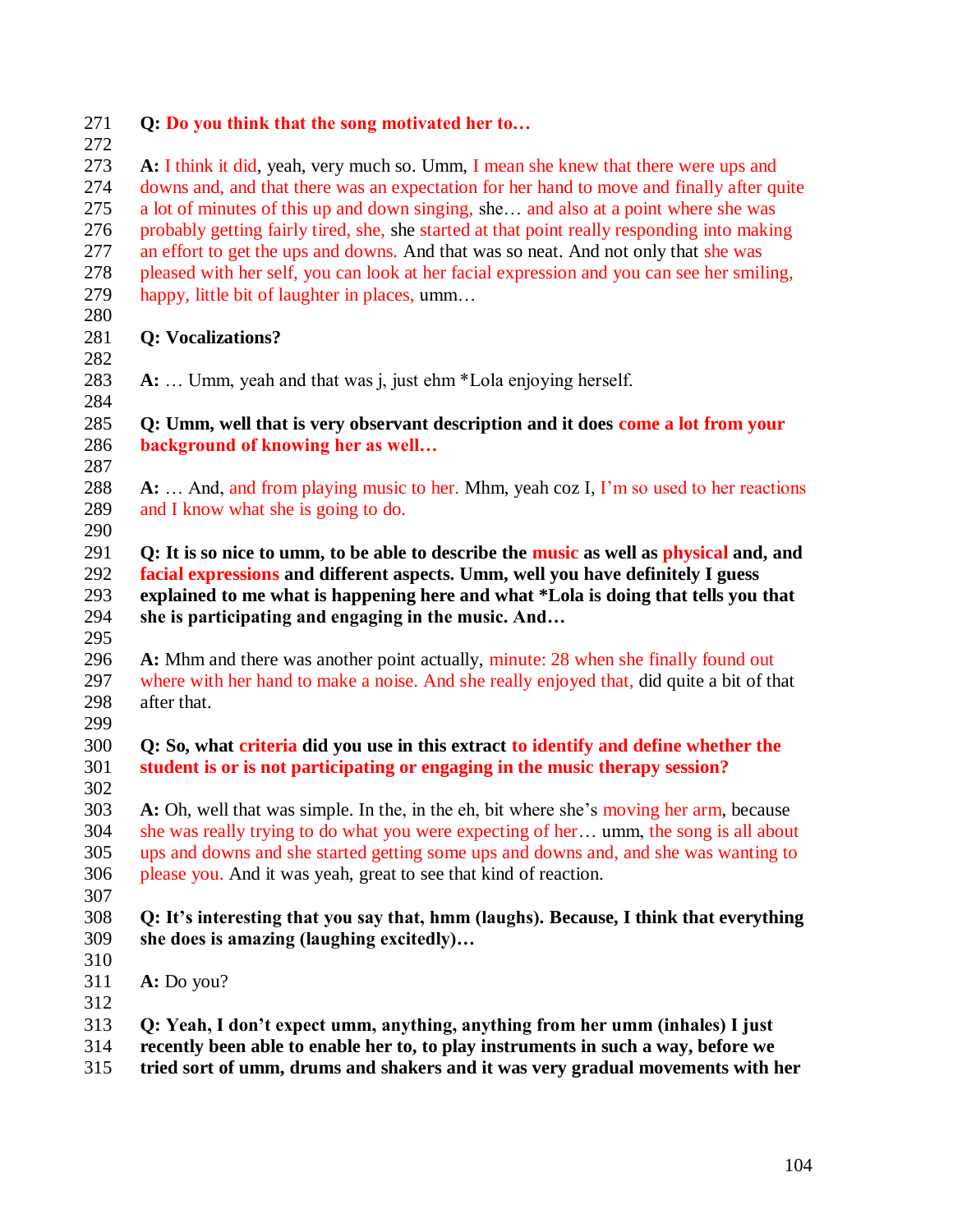| 271<br>272 | Q: Do you think that the song motivated her to                                                                        |
|------------|-----------------------------------------------------------------------------------------------------------------------|
| 273        | A: I think it did, yeah, very much so. Umm, I mean she knew that there were ups and                                   |
| 274        | downs and, and that there was an expectation for her hand to move and finally after quite                             |
| 275        | a lot of minutes of this up and down singing, she and also at a point where she was                                   |
| 276        | probably getting fairly tired, she, she started at that point really responding into making                           |
| 277        | an effort to get the ups and downs. And that was so neat. And not only that she was                                   |
| 278        | pleased with her self, you can look at her facial expression and you can see her smiling,                             |
| 279        | happy, little bit of laughter in places, umm                                                                          |
| 280        |                                                                                                                       |
| 281        | <b>Q: Vocalizations?</b>                                                                                              |
| 282        |                                                                                                                       |
| 283        | A:  Umm, yeah and that was j, just ehm *Lola enjoying herself.                                                        |
| 284        |                                                                                                                       |
| 285<br>286 | Q: Umm, well that is very observant description and it does come a lot from your<br>background of knowing her as well |
| 287        |                                                                                                                       |
| 288        | A:  And, and from playing music to her. Mhm, yeah coz I, I'm so used to her reactions                                 |
| 289        | and I know what she is going to do.                                                                                   |
| 290        |                                                                                                                       |
| 291        | Q: It is so nice to umm, to be able to describe the music as well as physical and, and                                |
| 292        | facial expressions and different aspects. Umm, well you have definitely I guess                                       |
| 293        | explained to me what is happening here and what *Lola is doing that tells you that                                    |
| 294        | she is participating and engaging in the music. And                                                                   |
| 295        |                                                                                                                       |
| 296        | A: Mhm and there was another point actually, minute: 28 when she finally found out                                    |
| 297        | where with her hand to make a noise. And she really enjoyed that, did quite a bit of that                             |
| 298        | after that.                                                                                                           |
| 299        |                                                                                                                       |
| 300        | Q: So, what criteria did you use in this extract to identify and define whether the                                   |
| 301        | student is or is not participating or engaging in the music therapy session?                                          |
| 302        |                                                                                                                       |
| 303        | A: Oh, well that was simple. In the, in the eh, bit where she's moving her arm, because                               |
| 304        | she was really trying to do what you were expecting of her umm, the song is all about                                 |
| 305        | ups and downs and she started getting some ups and downs and, and she was wanting to                                  |
| 306        | please you. And it was yeah, great to see that kind of reaction.                                                      |
| 307        |                                                                                                                       |
| 308        | Q: It's interesting that you say that, hmm (laughs). Because, I think that everything                                 |
| 309        | she does is amazing (laughing excitedly)                                                                              |
| 310        |                                                                                                                       |
| 311        | A: Do you?                                                                                                            |
| 312        |                                                                                                                       |
| 313        | Q: Yeah, I don't expect umm, anything, anything from her umm (inhales) I just                                         |
| 314        | recently been able to enable her to, to play instruments in such a way, before we                                     |

**tried sort of umm, drums and shakers and it was very gradual movements with her**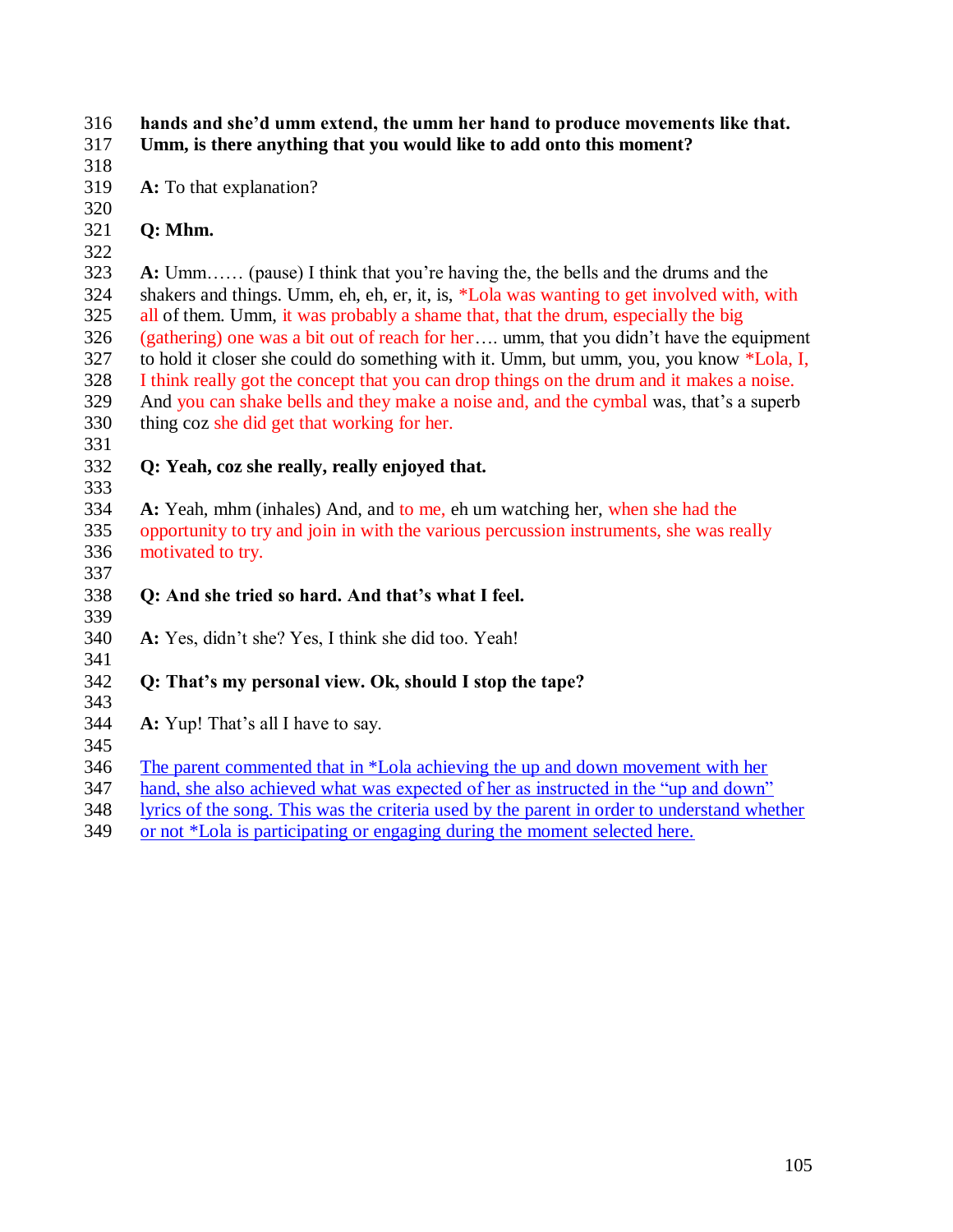#### **hands and she'd umm extend, the umm her hand to produce movements like that. Umm, is there anything that you would like to add onto this moment?**

**A:** To that explanation?

**Q: Mhm.**

 **A:** Umm…… (pause) I think that you"re having the, the bells and the drums and the shakers and things. Umm, eh, eh, er, it, is, \*Lola was wanting to get involved with, with all of them. Umm, it was probably a shame that, that the drum, especially the big (gathering) one was a bit out of reach for her…. umm, that you didn"t have the equipment to hold it closer she could do something with it. Umm, but umm, you, you know \*Lola, I, I think really got the concept that you can drop things on the drum and it makes a noise. And you can shake bells and they make a noise and, and the cymbal was, that"s a superb thing coz she did get that working for her.

- **Q: Yeah, coz she really, really enjoyed that.**
- 

 **A:** Yeah, mhm (inhales) And, and to me, eh um watching her, when she had the opportunity to try and join in with the various percussion instruments, she was really motivated to try. 

# **Q: And she tried so hard. And that's what I feel.**

 **A:** Yes, didn"t she? Yes, I think she did too. Yeah!

# **Q: That's my personal view. Ok, should I stop the tape?**

- **A:** Yup! That"s all I have to say.
- 

The parent commented that in \*Lola achieving the up and down movement with her

- hand, she also achieved what was expected of her as instructed in the "up and down"
- lyrics of the song. This was the criteria used by the parent in order to understand whether
- or not \*Lola is participating or engaging during the moment selected here.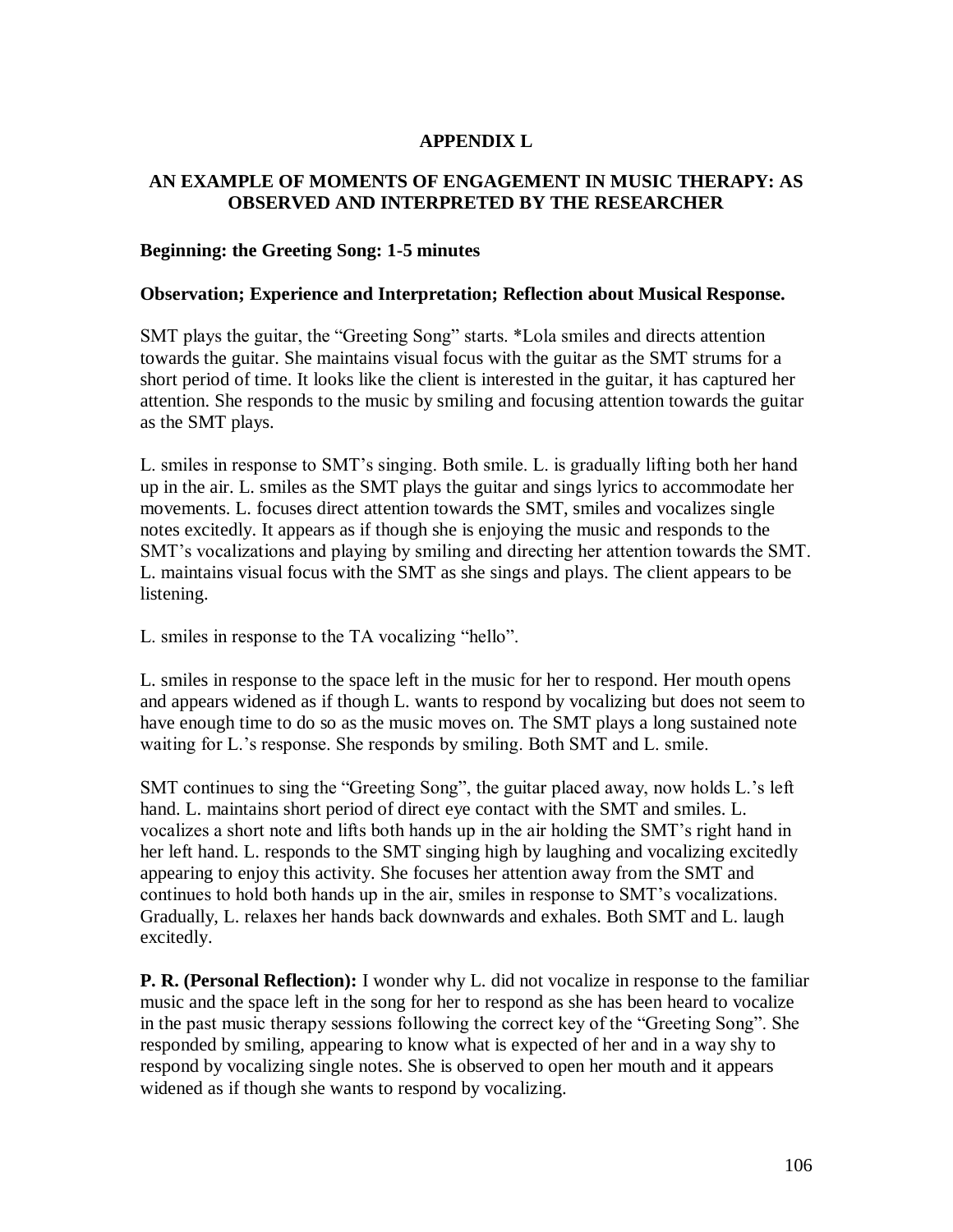## **APPENDIX L**

### **AN EXAMPLE OF MOMENTS OF ENGAGEMENT IN MUSIC THERAPY: AS OBSERVED AND INTERPRETED BY THE RESEARCHER**

#### **Beginning: the Greeting Song: 1-5 minutes**

#### **Observation; Experience and Interpretation; Reflection about Musical Response.**

SMT plays the guitar, the "Greeting Song" starts. \*Lola smiles and directs attention towards the guitar. She maintains visual focus with the guitar as the SMT strums for a short period of time. It looks like the client is interested in the guitar, it has captured her attention. She responds to the music by smiling and focusing attention towards the guitar as the SMT plays.

L. smiles in response to SMT"s singing. Both smile. L. is gradually lifting both her hand up in the air. L. smiles as the SMT plays the guitar and sings lyrics to accommodate her movements. L. focuses direct attention towards the SMT, smiles and vocalizes single notes excitedly. It appears as if though she is enjoying the music and responds to the SMT"s vocalizations and playing by smiling and directing her attention towards the SMT. L. maintains visual focus with the SMT as she sings and plays. The client appears to be listening.

L. smiles in response to the TA vocalizing "hello".

L. smiles in response to the space left in the music for her to respond. Her mouth opens and appears widened as if though L. wants to respond by vocalizing but does not seem to have enough time to do so as the music moves on. The SMT plays a long sustained note waiting for L.'s response. She responds by smiling. Both SMT and L. smile.

SMT continues to sing the "Greeting Song", the guitar placed away, now holds L."s left hand. L. maintains short period of direct eye contact with the SMT and smiles. L. vocalizes a short note and lifts both hands up in the air holding the SMT"s right hand in her left hand. L. responds to the SMT singing high by laughing and vocalizing excitedly appearing to enjoy this activity. She focuses her attention away from the SMT and continues to hold both hands up in the air, smiles in response to SMT"s vocalizations. Gradually, L. relaxes her hands back downwards and exhales. Both SMT and L. laugh excitedly.

**P. R. (Personal Reflection):** I wonder why L. did not vocalize in response to the familiar music and the space left in the song for her to respond as she has been heard to vocalize in the past music therapy sessions following the correct key of the "Greeting Song". She responded by smiling, appearing to know what is expected of her and in a way shy to respond by vocalizing single notes. She is observed to open her mouth and it appears widened as if though she wants to respond by vocalizing.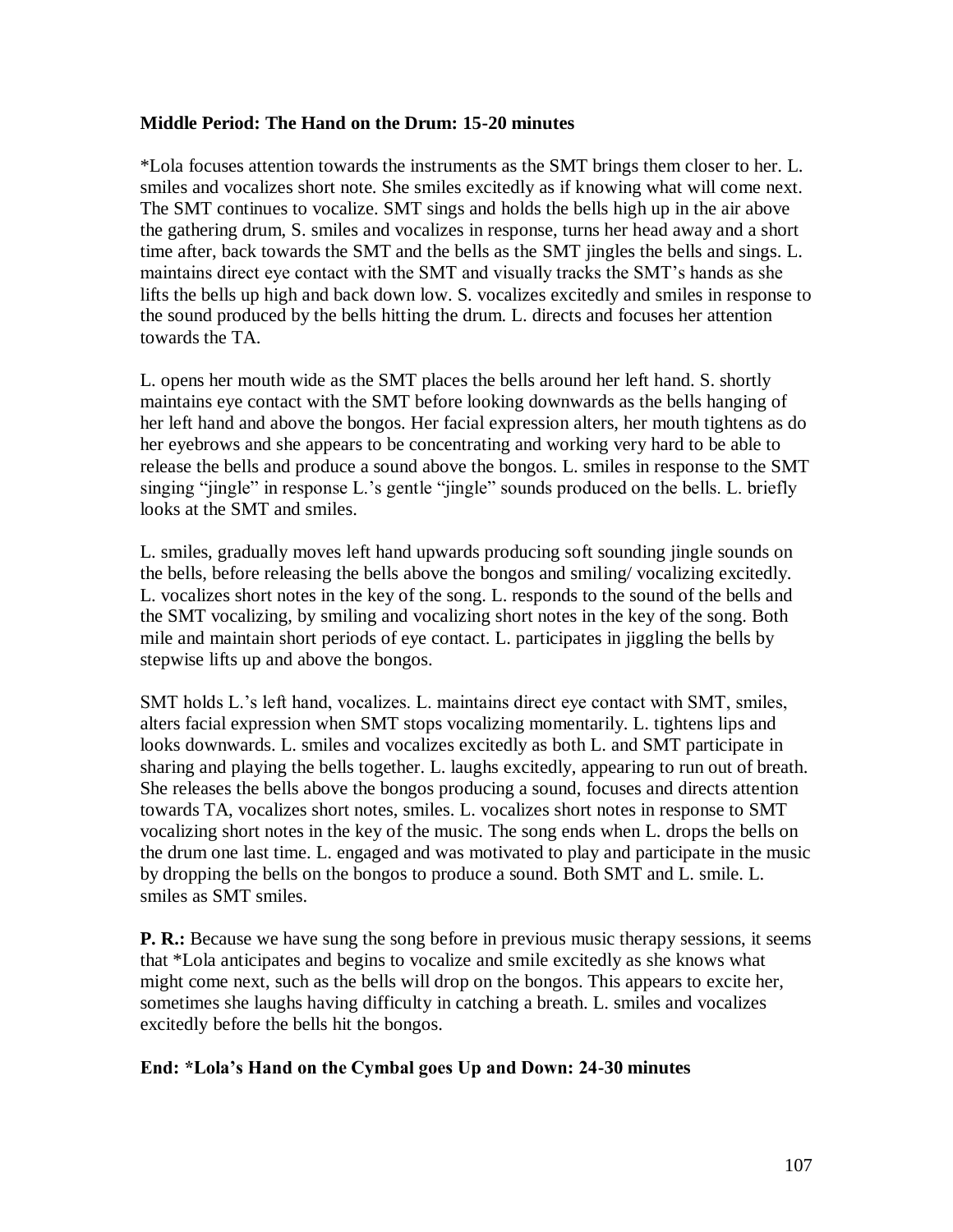### **Middle Period: The Hand on the Drum: 15-20 minutes**

\*Lola focuses attention towards the instruments as the SMT brings them closer to her. L. smiles and vocalizes short note. She smiles excitedly as if knowing what will come next. The SMT continues to vocalize. SMT sings and holds the bells high up in the air above the gathering drum, S. smiles and vocalizes in response, turns her head away and a short time after, back towards the SMT and the bells as the SMT jingles the bells and sings. L. maintains direct eye contact with the SMT and visually tracks the SMT"s hands as she lifts the bells up high and back down low. S. vocalizes excitedly and smiles in response to the sound produced by the bells hitting the drum. L. directs and focuses her attention towards the TA.

L. opens her mouth wide as the SMT places the bells around her left hand. S. shortly maintains eye contact with the SMT before looking downwards as the bells hanging of her left hand and above the bongos. Her facial expression alters, her mouth tightens as do her eyebrows and she appears to be concentrating and working very hard to be able to release the bells and produce a sound above the bongos. L. smiles in response to the SMT singing "jingle" in response L.'s gentle "jingle" sounds produced on the bells. L. briefly looks at the SMT and smiles.

L. smiles, gradually moves left hand upwards producing soft sounding jingle sounds on the bells, before releasing the bells above the bongos and smiling/ vocalizing excitedly. L. vocalizes short notes in the key of the song. L. responds to the sound of the bells and the SMT vocalizing, by smiling and vocalizing short notes in the key of the song. Both mile and maintain short periods of eye contact. L. participates in jiggling the bells by stepwise lifts up and above the bongos.

SMT holds L."s left hand, vocalizes. L. maintains direct eye contact with SMT, smiles, alters facial expression when SMT stops vocalizing momentarily. L. tightens lips and looks downwards. L. smiles and vocalizes excitedly as both L. and SMT participate in sharing and playing the bells together. L. laughs excitedly, appearing to run out of breath. She releases the bells above the bongos producing a sound, focuses and directs attention towards TA, vocalizes short notes, smiles. L. vocalizes short notes in response to SMT vocalizing short notes in the key of the music. The song ends when L. drops the bells on the drum one last time. L. engaged and was motivated to play and participate in the music by dropping the bells on the bongos to produce a sound. Both SMT and L. smile. L. smiles as SMT smiles.

**P. R.:** Because we have sung the song before in previous music therapy sessions, it seems that \*Lola anticipates and begins to vocalize and smile excitedly as she knows what might come next, such as the bells will drop on the bongos. This appears to excite her, sometimes she laughs having difficulty in catching a breath. L. smiles and vocalizes excitedly before the bells hit the bongos.

## **End: \*Lola's Hand on the Cymbal goes Up and Down: 24-30 minutes**